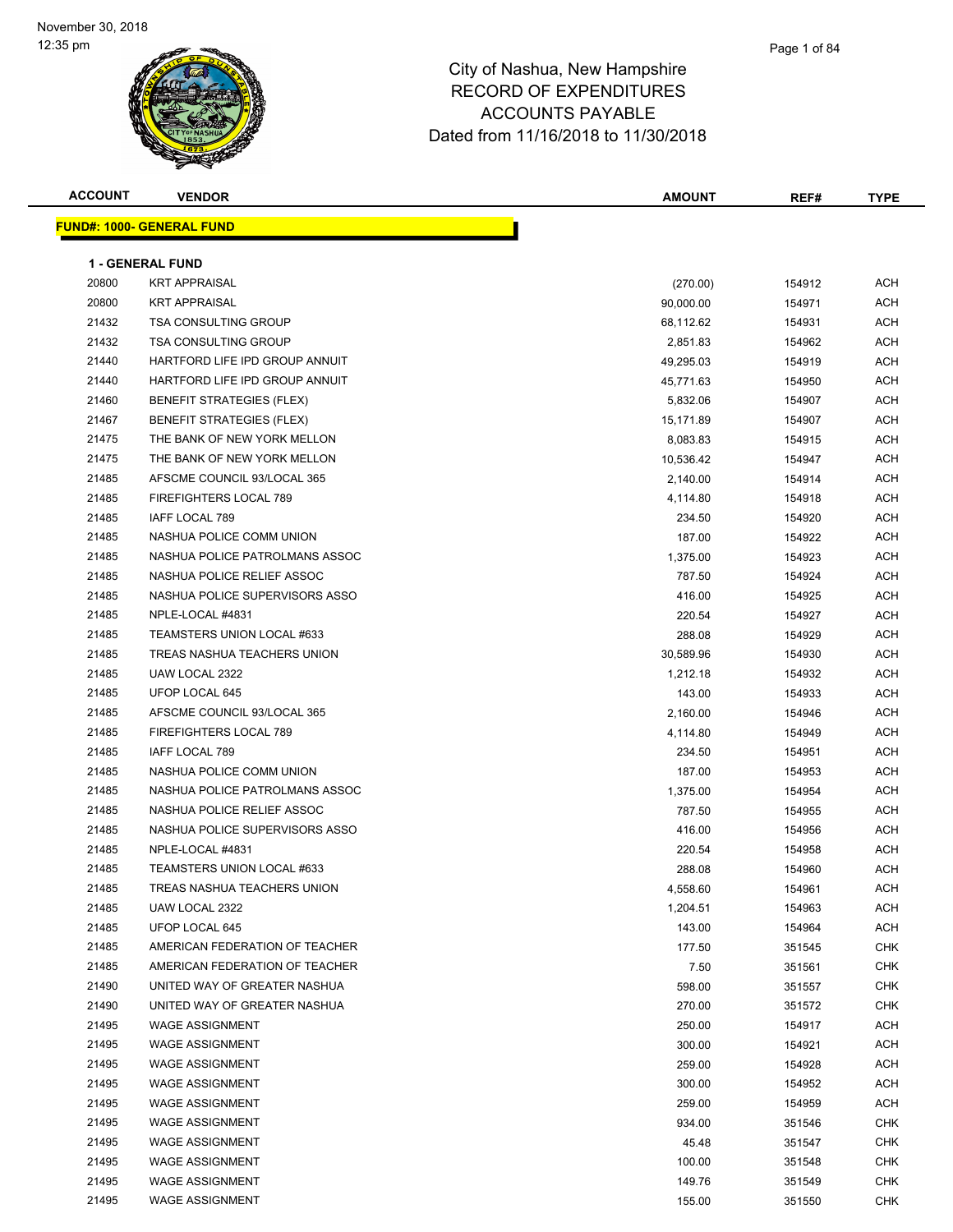| <b>ACCOUNT</b> | <b>VENDOR</b>                    | <b>AMOUNT</b> | REF#   | <b>TYPE</b> |
|----------------|----------------------------------|---------------|--------|-------------|
|                | <b>FUND#: 1000- GENERAL FUND</b> |               |        |             |
|                |                                  |               |        |             |
|                | <b>1 - GENERAL FUND</b>          |               |        |             |
| 20800          | <b>KRT APPRAISAL</b>             | (270.00)      | 154912 | <b>ACH</b>  |
| 20800          | <b>KRT APPRAISAL</b>             | 90,000.00     | 154971 | <b>ACH</b>  |
| 21432          | <b>TSA CONSULTING GROUP</b>      | 68,112.62     | 154931 | <b>ACH</b>  |
| 21432          | <b>TSA CONSULTING GROUP</b>      | 2,851.83      | 154962 | <b>ACH</b>  |
| 21440          | HARTFORD LIFE IPD GROUP ANNUIT   | 49,295.03     | 154919 | <b>ACH</b>  |
| 21440          | HARTFORD LIFE IPD GROUP ANNUIT   | 45,771.63     | 154950 | <b>ACH</b>  |
| 21460          | BENEFIT STRATEGIES (FLEX)        | 5,832.06      | 154907 | <b>ACH</b>  |
| 21467          | <b>BENEFIT STRATEGIES (FLEX)</b> | 15,171.89     | 154907 | <b>ACH</b>  |
| 21475          | THE BANK OF NEW YORK MELLON      | 8,083.83      | 154915 | <b>ACH</b>  |
| 21475          | THE BANK OF NEW YORK MELLON      | 10,536.42     | 154947 | <b>ACH</b>  |
| 21485          | AFSCME COUNCIL 93/LOCAL 365      | 2,140.00      | 154914 | <b>ACH</b>  |
| 21485          | FIREFIGHTERS LOCAL 789           | 4,114.80      | 154918 | <b>ACH</b>  |
| 21485          | IAFF LOCAL 789                   | 234.50        | 154920 | <b>ACH</b>  |
| 21485          | NASHUA POLICE COMM UNION         | 187.00        | 154922 | <b>ACH</b>  |
| 21485          | NASHUA POLICE PATROLMANS ASSOC   | 1,375.00      | 154923 | <b>ACH</b>  |
| 21485          | NASHUA POLICE RELIEF ASSOC       | 787.50        | 154924 | ACH         |
| 21485          | NASHUA POLICE SUPERVISORS ASSO   | 416.00        | 154925 | ACH         |
| 21485          | NPLE-LOCAL #4831                 | 220.54        | 154927 | <b>ACH</b>  |
| 21485          | TEAMSTERS UNION LOCAL #633       | 288.08        | 154929 | <b>ACH</b>  |
| 21485          | TREAS NASHUA TEACHERS UNION      | 30,589.96     | 154930 | <b>ACH</b>  |
| 21485          | UAW LOCAL 2322                   | 1,212.18      | 154932 | <b>ACH</b>  |
| 21485          | UFOP LOCAL 645                   | 143.00        | 154933 | <b>ACH</b>  |
| 21485          | AFSCME COUNCIL 93/LOCAL 365      | 2,160.00      | 154946 | <b>ACH</b>  |
| 21485          | FIREFIGHTERS LOCAL 789           | 4,114.80      | 154949 | <b>ACH</b>  |
| 21485          | IAFF LOCAL 789                   | 234.50        | 154951 | <b>ACH</b>  |
| 21485          | NASHUA POLICE COMM UNION         | 187.00        | 154953 | <b>ACH</b>  |
| 21485          | NASHUA POLICE PATROLMANS ASSOC   | 1,375.00      | 154954 | <b>ACH</b>  |
| 21485          | NASHUA POLICE RELIEF ASSOC       | 787.50        | 154955 | ACH         |
| 21485          | NASHUA POLICE SUPERVISORS ASSO   | 416.00        | 154956 | <b>ACH</b>  |
| 21485          | NPLE-LOCAL #4831                 | 220.54        | 154958 | <b>ACH</b>  |
| 21485          | TEAMSTERS UNION LOCAL #633       | 288.08        | 154960 | <b>ACH</b>  |
| 21485          | TREAS NASHUA TEACHERS UNION      | 4,558.60      | 154961 | ACH         |
| 21485          | UAW LOCAL 2322                   | 1,204.51      | 154963 | ACH         |
| 21485          | UFOP LOCAL 645                   | 143.00        | 154964 | ACH         |
| 21485          | AMERICAN FEDERATION OF TEACHER   | 177.50        | 351545 | <b>CHK</b>  |
| 21485          | AMERICAN FEDERATION OF TEACHER   | 7.50          | 351561 | <b>CHK</b>  |
| 21490          | UNITED WAY OF GREATER NASHUA     | 598.00        | 351557 | <b>CHK</b>  |
| 21490          | UNITED WAY OF GREATER NASHUA     | 270.00        | 351572 | <b>CHK</b>  |
| 21495          | <b>WAGE ASSIGNMENT</b>           | 250.00        | 154917 | <b>ACH</b>  |
| 21495          | <b>WAGE ASSIGNMENT</b>           | 300.00        | 154921 | ACH         |
| 21495          | <b>WAGE ASSIGNMENT</b>           | 259.00        | 154928 | ACH         |
| 21495          | <b>WAGE ASSIGNMENT</b>           | 300.00        | 154952 | ACH         |
| 21495          | <b>WAGE ASSIGNMENT</b>           | 259.00        | 154959 | ACH         |
| 21495          | <b>WAGE ASSIGNMENT</b>           | 934.00        | 351546 | <b>CHK</b>  |
| 21495          | <b>WAGE ASSIGNMENT</b>           | 45.48         | 351547 | <b>CHK</b>  |
| 21495          | <b>WAGE ASSIGNMENT</b>           | 100.00        | 351548 | <b>CHK</b>  |
| 21495          | WAGE ASSIGNMENT                  | 149.76        | 351549 | <b>CHK</b>  |
| 21495          | <b>WAGE ASSIGNMENT</b>           | 155.00        | 351550 | CHK         |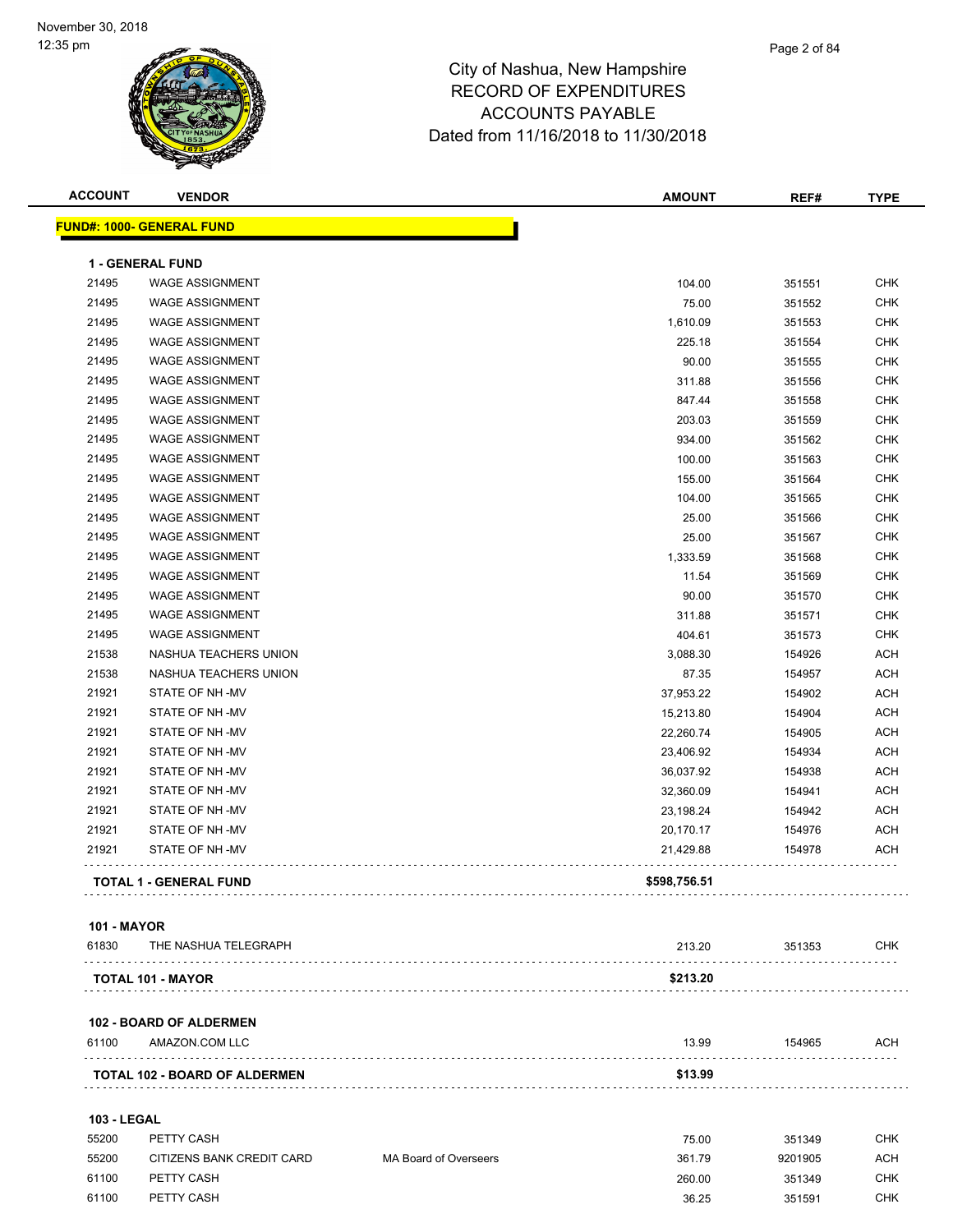| <b>ACCOUNT</b> | <b>VENDOR</b>                    | <b>AMOUNT</b> | REF#   | <b>TYPE</b> |
|----------------|----------------------------------|---------------|--------|-------------|
|                | <b>FUND#: 1000- GENERAL FUND</b> |               |        |             |
|                | 1 - GENERAL FUND                 |               |        |             |
| 21495          | <b>WAGE ASSIGNMENT</b>           | 104.00        | 351551 | <b>CHK</b>  |
| 21495          | <b>WAGE ASSIGNMENT</b>           | 75.00         | 351552 | <b>CHK</b>  |
| 21495          | <b>WAGE ASSIGNMENT</b>           | 1,610.09      | 351553 | <b>CHK</b>  |
| 21495          | <b>WAGE ASSIGNMENT</b>           | 225.18        | 351554 | <b>CHK</b>  |
| 21495          | <b>WAGE ASSIGNMENT</b>           | 90.00         | 351555 | <b>CHK</b>  |
| 21495          | <b>WAGE ASSIGNMENT</b>           | 311.88        | 351556 | <b>CHK</b>  |
| 21495          | <b>WAGE ASSIGNMENT</b>           | 847.44        | 351558 | <b>CHK</b>  |
| 21495          | <b>WAGE ASSIGNMENT</b>           | 203.03        | 351559 | <b>CHK</b>  |
| 21495          | <b>WAGE ASSIGNMENT</b>           | 934.00        | 351562 | <b>CHK</b>  |
| 21495          | <b>WAGE ASSIGNMENT</b>           | 100.00        | 351563 | <b>CHK</b>  |
| 21495          | <b>WAGE ASSIGNMENT</b>           | 155.00        | 351564 | <b>CHK</b>  |
| 21495          | <b>WAGE ASSIGNMENT</b>           | 104.00        | 351565 | <b>CHK</b>  |
| 21495          | <b>WAGE ASSIGNMENT</b>           | 25.00         | 351566 | <b>CHK</b>  |
| 21495          | <b>WAGE ASSIGNMENT</b>           | 25.00         | 351567 | <b>CHK</b>  |
| 21495          | <b>WAGE ASSIGNMENT</b>           | 1,333.59      | 351568 | <b>CHK</b>  |
| 21495          | <b>WAGE ASSIGNMENT</b>           | 11.54         | 351569 | <b>CHK</b>  |
| 21495          | <b>WAGE ASSIGNMENT</b>           | 90.00         | 351570 | <b>CHK</b>  |
| 21495          | <b>WAGE ASSIGNMENT</b>           | 311.88        | 351571 | <b>CHK</b>  |
| 21495          | <b>WAGE ASSIGNMENT</b>           | 404.61        | 351573 | <b>CHK</b>  |
| 21538          | NASHUA TEACHERS UNION            | 3,088.30      | 154926 | <b>ACH</b>  |
| 21538          | NASHUA TEACHERS UNION            | 87.35         | 154957 | <b>ACH</b>  |
| 21921          | STATE OF NH -MV                  | 37,953.22     | 154902 | <b>ACH</b>  |
| 21921          | STATE OF NH-MV                   | 15,213.80     | 154904 | <b>ACH</b>  |
| 21921          | STATE OF NH-MV                   | 22,260.74     | 154905 | <b>ACH</b>  |
| 21921          | STATE OF NH-MV                   | 23,406.92     | 154934 | <b>ACH</b>  |
| 21921          | STATE OF NH-MV                   | 36,037.92     | 154938 | <b>ACH</b>  |
| 21921          | STATE OF NH-MV                   | 32,360.09     | 154941 | <b>ACH</b>  |
| 21921          | STATE OF NH-MV                   | 23,198.24     | 154942 | <b>ACH</b>  |
| 21921          | STATE OF NH-MV                   | 20,170.17     | 154976 | <b>ACH</b>  |
| 21921          | STATE OF NH -MV                  | 21,429.88     | 154978 | <b>ACH</b>  |
|                | <b>TOTAL 1 - GENERAL FUND</b>    | \$598,756.51  |        |             |

#### **101 - MAYOR**

| 61830 | THE NASHUA TELEGRAPH     | 213.20   | 351353 | CHK |
|-------|--------------------------|----------|--------|-----|
|       |                          |          |        |     |
|       | <b>TOTAL 101 - MAYOR</b> | \$213.20 |        |     |

#### **102 - BOARD OF ALDERMEN**

| 61100 | AMAZON.COM LLC                | 13.99   | 154965 | ACH |
|-------|-------------------------------|---------|--------|-----|
|       | TOTAL 102 - BOARD OF ALDERMEN | \$13.99 |        |     |

#### **103 - LEGAL**

| 55200 | PETTY CASH                |                       | 75.00  | 351349  | СНК |
|-------|---------------------------|-----------------------|--------|---------|-----|
| 55200 | CITIZENS BANK CREDIT CARD | MA Board of Overseers | 361.79 | 9201905 | ACH |
| 61100 | PETTY CASH                |                       | 260.00 | 351349  | СНК |
| 61100 | PETTY CASH                |                       | 36.25  | 351591  | CHK |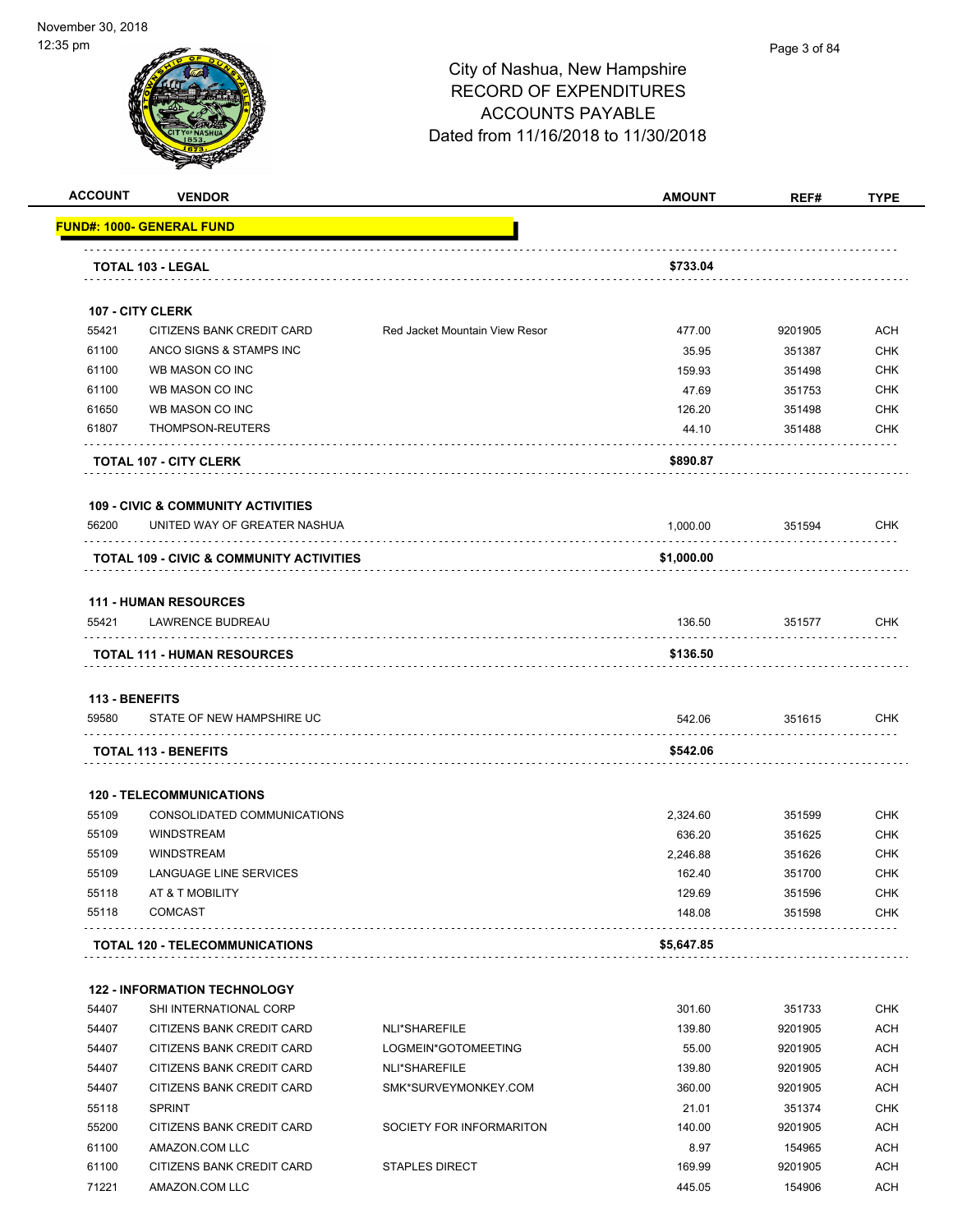

| <b>ACCOUNT</b>                 | <b>VENDOR</b>                                                  |                                | <b>AMOUNT</b>      | REF#    | <b>TYPE</b> |
|--------------------------------|----------------------------------------------------------------|--------------------------------|--------------------|---------|-------------|
|                                | <u> FUND#: 1000- GENERAL FUND</u>                              |                                |                    |         |             |
|                                | TOTAL 103 - LEGAL                                              |                                | \$733.04           |         |             |
|                                |                                                                |                                |                    |         |             |
|                                | 107 - CITY CLERK                                               |                                |                    |         |             |
| 55421                          | CITIZENS BANK CREDIT CARD                                      | Red Jacket Mountain View Resor | 477.00             | 9201905 | ACH         |
| 61100                          | ANCO SIGNS & STAMPS INC                                        |                                | 35.95              | 351387  | <b>CHK</b>  |
| 61100                          | WB MASON CO INC                                                |                                | 159.93             | 351498  | <b>CHK</b>  |
| 61100                          | WB MASON CO INC                                                |                                | 47.69              | 351753  | <b>CHK</b>  |
| 61650                          | WB MASON CO INC                                                |                                | 126.20             | 351498  | <b>CHK</b>  |
| 61807                          | THOMPSON-REUTERS                                               |                                | 44.10              | 351488  | <b>CHK</b>  |
|                                | <b>TOTAL 107 - CITY CLERK</b>                                  |                                | \$890.87           |         |             |
|                                | <b>109 - CIVIC &amp; COMMUNITY ACTIVITIES</b>                  |                                |                    |         |             |
| 56200                          | UNITED WAY OF GREATER NASHUA                                   |                                | 1,000.00           | 351594  | <b>CHK</b>  |
|                                | TOTAL 109 - CIVIC & COMMUNITY ACTIVITIES                       |                                | \$1,000.00         |         |             |
|                                |                                                                |                                |                    |         |             |
|                                | <b>111 - HUMAN RESOURCES</b>                                   |                                |                    |         |             |
| 55421                          | LAWRENCE BUDREAU                                               |                                | 136.50             | 351577  | <b>CHK</b>  |
|                                | <b>TOTAL 111 - HUMAN RESOURCES</b>                             |                                | \$136.50           |         |             |
|                                |                                                                |                                |                    |         |             |
| <b>113 - BENEFITS</b><br>59580 | STATE OF NEW HAMPSHIRE UC                                      |                                | 542.06             | 351615  | <b>CHK</b>  |
|                                | <b>TOTAL 113 - BENEFITS</b>                                    |                                | \$542.06           |         |             |
|                                |                                                                |                                |                    |         |             |
| 55109                          | <b>120 - TELECOMMUNICATIONS</b><br>CONSOLIDATED COMMUNICATIONS |                                |                    | 351599  | <b>CHK</b>  |
| 55109                          | <b>WINDSTREAM</b>                                              |                                | 2,324.60<br>636.20 | 351625  | <b>CHK</b>  |
| 55109                          | <b>WINDSTREAM</b>                                              |                                | 2.246.88           | 351626  | CHK         |
| 55109                          | LANGUAGE LINE SERVICES                                         |                                | 162.40             | 351700  | <b>CHK</b>  |
| 55118                          | AT & T MOBILITY                                                |                                | 129.69             | 351596  | CHK         |
| 55118                          | <b>COMCAST</b>                                                 |                                | 148.08             | 351598  | CHK         |
|                                | <b>TOTAL 120 - TELECOMMUNICATIONS</b>                          |                                | \$5,647.85         |         |             |
|                                |                                                                |                                |                    |         |             |
|                                | <b>122 - INFORMATION TECHNOLOGY</b>                            |                                |                    |         |             |
| 54407                          | SHI INTERNATIONAL CORP                                         |                                | 301.60             | 351733  | <b>CHK</b>  |
| 54407                          | CITIZENS BANK CREDIT CARD                                      | NLI*SHAREFILE                  | 139.80             | 9201905 | ACH         |
| 54407                          | CITIZENS BANK CREDIT CARD                                      | LOGMEIN*GOTOMEETING            | 55.00              | 9201905 | ACH         |
| 54407                          | CITIZENS BANK CREDIT CARD                                      | NLI*SHAREFILE                  | 139.80             | 9201905 | <b>ACH</b>  |
| 54407                          | CITIZENS BANK CREDIT CARD                                      | SMK*SURVEYMONKEY.COM           | 360.00             | 9201905 | <b>ACH</b>  |
| 55118                          | <b>SPRINT</b>                                                  |                                | 21.01              | 351374  | <b>CHK</b>  |
| 55200                          | CITIZENS BANK CREDIT CARD                                      | SOCIETY FOR INFORMARITON       | 140.00             | 9201905 | <b>ACH</b>  |
| 61100                          | AMAZON.COM LLC                                                 |                                | 8.97               | 154965  | <b>ACH</b>  |
| 61100                          | CITIZENS BANK CREDIT CARD                                      | <b>STAPLES DIRECT</b>          | 169.99             | 9201905 | <b>ACH</b>  |
| 71221                          | AMAZON.COM LLC                                                 |                                | 445.05             | 154906  | <b>ACH</b>  |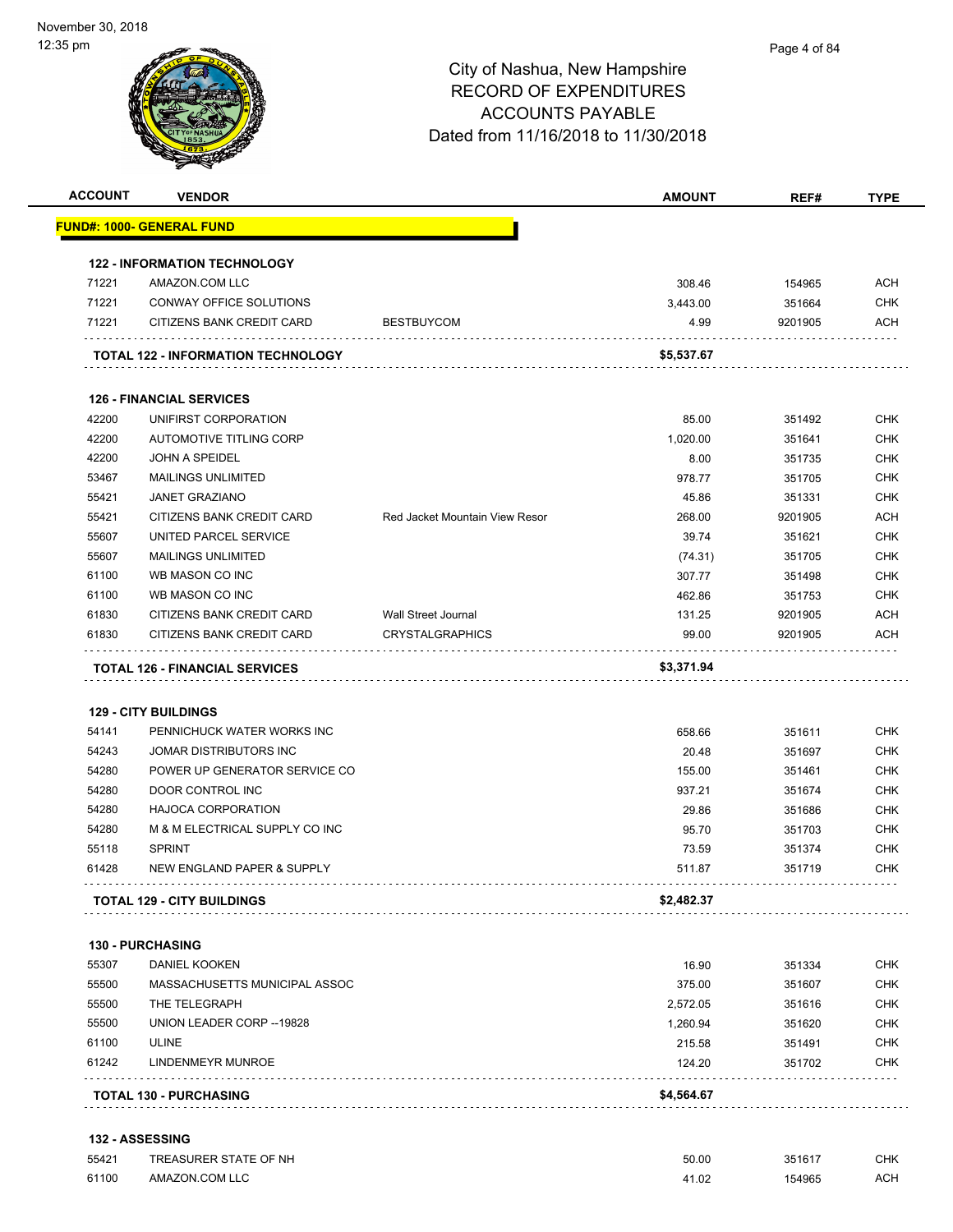|       | <b>VENDOR</b>                                                      |                                | <b>AMOUNT</b> | REF#    | <b>TYPE</b>                                                                      |
|-------|--------------------------------------------------------------------|--------------------------------|---------------|---------|----------------------------------------------------------------------------------|
|       | FUND#: 1000- GENERAL FUND                                          |                                |               |         |                                                                                  |
|       | <b>122 - INFORMATION TECHNOLOGY</b>                                |                                |               |         |                                                                                  |
| 71221 | AMAZON.COM LLC                                                     |                                | 308.46        | 154965  | <b>ACH</b>                                                                       |
| 71221 | CONWAY OFFICE SOLUTIONS                                            |                                | 3,443.00      | 351664  | <b>CHK</b>                                                                       |
| 71221 | CITIZENS BANK CREDIT CARD                                          | <b>BESTBUYCOM</b>              | 4.99          | 9201905 | <b>ACH</b>                                                                       |
|       | TOTAL 122 - INFORMATION TECHNOLOGY                                 |                                | \$5,537.67    |         |                                                                                  |
|       |                                                                    |                                |               |         |                                                                                  |
|       | <b>126 - FINANCIAL SERVICES</b>                                    |                                |               |         |                                                                                  |
| 42200 | UNIFIRST CORPORATION                                               |                                | 85.00         | 351492  | <b>CHK</b>                                                                       |
| 42200 | <b>AUTOMOTIVE TITLING CORP</b>                                     |                                | 1,020.00      | 351641  | <b>CHK</b>                                                                       |
| 42200 | <b>JOHN A SPEIDEL</b>                                              |                                | 8.00          | 351735  | <b>CHK</b>                                                                       |
| 53467 | <b>MAILINGS UNLIMITED</b>                                          |                                | 978.77        | 351705  | <b>CHK</b>                                                                       |
| 55421 | <b>JANET GRAZIANO</b>                                              |                                | 45.86         | 351331  | <b>CHK</b>                                                                       |
| 55421 | CITIZENS BANK CREDIT CARD                                          | Red Jacket Mountain View Resor | 268.00        | 9201905 | <b>ACH</b>                                                                       |
| 55607 | UNITED PARCEL SERVICE                                              |                                | 39.74         | 351621  | <b>CHK</b>                                                                       |
| 55607 | <b>MAILINGS UNLIMITED</b>                                          |                                | (74.31)       | 351705  | <b>CHK</b>                                                                       |
| 61100 | WB MASON CO INC                                                    |                                | 307.77        | 351498  | <b>CHK</b>                                                                       |
| 61100 | WB MASON CO INC                                                    |                                | 462.86        | 351753  | <b>CHK</b>                                                                       |
| 61830 | CITIZENS BANK CREDIT CARD                                          | <b>Wall Street Journal</b>     | 131.25        | 9201905 | ACH                                                                              |
|       |                                                                    |                                | 99.00         | 9201905 | ACH                                                                              |
| 61830 | CITIZENS BANK CREDIT CARD<br><b>TOTAL 126 - FINANCIAL SERVICES</b> | <b>CRYSTALGRAPHICS</b>         | \$3,371.94    |         |                                                                                  |
|       | <b>129 - CITY BUILDINGS</b>                                        |                                |               |         |                                                                                  |
| 54141 | PENNICHUCK WATER WORKS INC                                         |                                | 658.66        | 351611  | <b>CHK</b>                                                                       |
| 54243 | JOMAR DISTRIBUTORS INC                                             |                                | 20.48         | 351697  | <b>CHK</b>                                                                       |
| 54280 | POWER UP GENERATOR SERVICE CO                                      |                                | 155.00        | 351461  | <b>CHK</b>                                                                       |
| 54280 | DOOR CONTROL INC                                                   |                                | 937.21        | 351674  | <b>CHK</b>                                                                       |
| 54280 | <b>HAJOCA CORPORATION</b>                                          |                                | 29.86         | 351686  | <b>CHK</b>                                                                       |
| 54280 | M & M ELECTRICAL SUPPLY CO INC                                     |                                | 95.70         | 351703  | <b>CHK</b>                                                                       |
| 55118 | <b>SPRINT</b>                                                      |                                | 73.59         | 351374  |                                                                                  |
| 61428 | NEW ENGLAND PAPER & SUPPLY                                         |                                | 511.87        | 351719  | <b>CHK</b><br><b>CHK</b>                                                         |
|       | <b>TOTAL 129 - CITY BUILDINGS</b>                                  |                                | \$2,482.37    |         |                                                                                  |
|       | 130 - PURCHASING                                                   |                                |               |         |                                                                                  |
| 55307 | DANIEL KOOKEN                                                      |                                | 16.90         | 351334  |                                                                                  |
| 55500 | MASSACHUSETTS MUNICIPAL ASSOC                                      |                                | 375.00        | 351607  |                                                                                  |
| 55500 | THE TELEGRAPH                                                      |                                | 2,572.05      | 351616  |                                                                                  |
| 55500 | UNION LEADER CORP -- 19828                                         |                                | 1,260.94      | 351620  |                                                                                  |
| 61100 | <b>ULINE</b>                                                       |                                | 215.58        | 351491  |                                                                                  |
| 61242 | LINDENMEYR MUNROE                                                  |                                | 124.20        | 351702  | <b>CHK</b><br><b>CHK</b><br><b>CHK</b><br><b>CHK</b><br><b>CHK</b><br><b>CHK</b> |

| 55421 | TREASURER STATE OF NH | 50.00 | 351617 | CHK. |
|-------|-----------------------|-------|--------|------|
| 61100 | AMAZON.COM LLC        | 41.02 | 154965 | ACH  |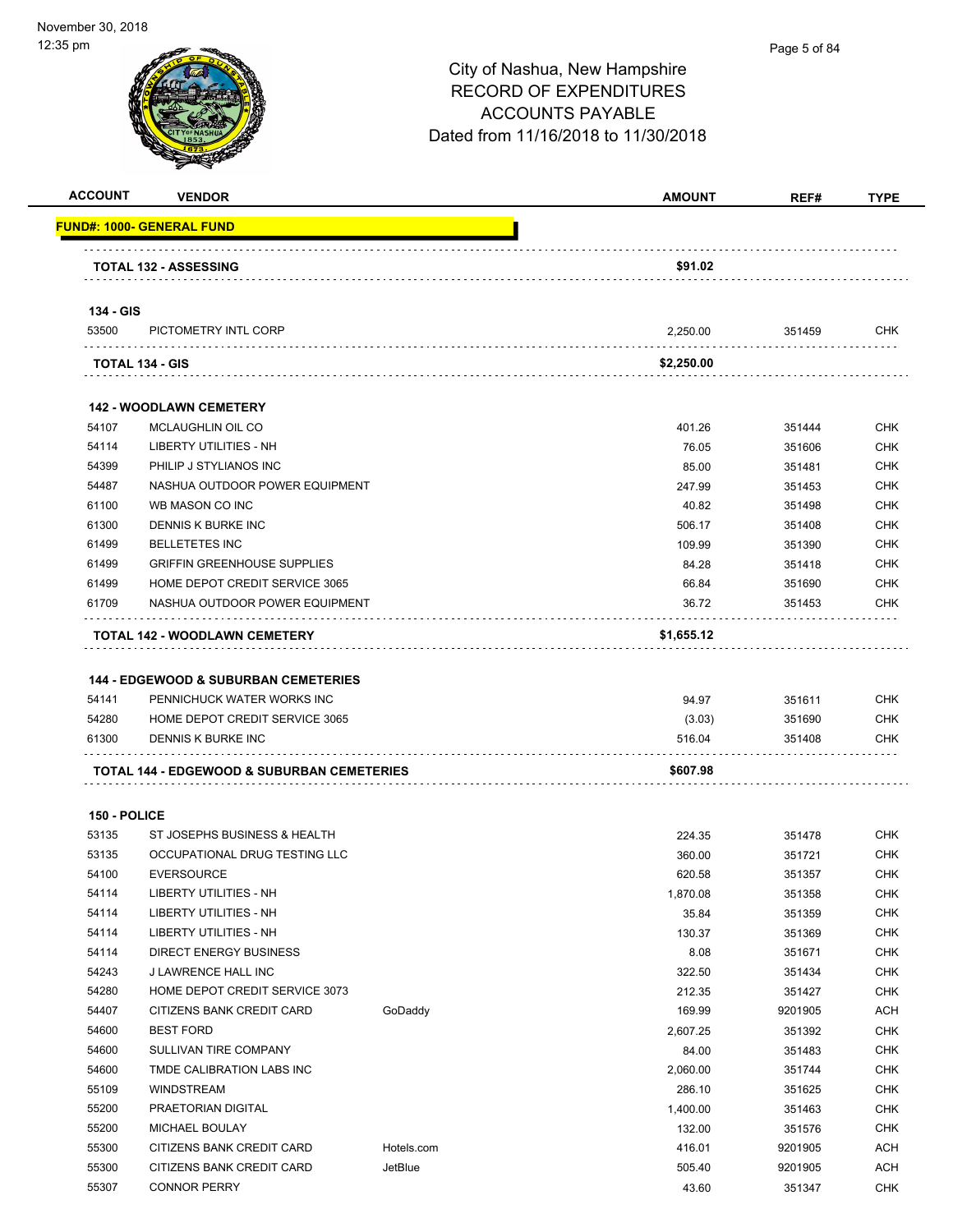| <b>ACCOUNT</b> | <b>VENDOR</b>                                   |            | <b>AMOUNT</b> | REF#    | <b>TYPE</b> |
|----------------|-------------------------------------------------|------------|---------------|---------|-------------|
|                | <u> FUND#: 1000- GENERAL FUND</u>               |            |               |         |             |
|                | <b>TOTAL 132 - ASSESSING</b>                    |            | \$91.02       |         |             |
|                |                                                 |            |               |         |             |
| 134 - GIS      |                                                 |            |               |         |             |
| 53500          | PICTOMETRY INTL CORP                            |            | 2,250.00      | 351459  | <b>CHK</b>  |
|                | TOTAL 134 - GIS                                 |            | \$2,250.00    |         |             |
|                |                                                 |            |               |         |             |
|                | <b>142 - WOODLAWN CEMETERY</b>                  |            |               |         |             |
| 54107          | MCLAUGHLIN OIL CO                               |            | 401.26        | 351444  | <b>CHK</b>  |
| 54114          | LIBERTY UTILITIES - NH                          |            | 76.05         | 351606  | <b>CHK</b>  |
| 54399          | PHILIP J STYLIANOS INC                          |            | 85.00         | 351481  | <b>CHK</b>  |
| 54487          | NASHUA OUTDOOR POWER EQUIPMENT                  |            | 247.99        | 351453  | <b>CHK</b>  |
| 61100          | WB MASON CO INC                                 |            | 40.82         | 351498  | <b>CHK</b>  |
| 61300          | DENNIS K BURKE INC                              |            | 506.17        | 351408  | <b>CHK</b>  |
| 61499          | <b>BELLETETES INC</b>                           |            | 109.99        | 351390  | <b>CHK</b>  |
| 61499          | <b>GRIFFIN GREENHOUSE SUPPLIES</b>              |            | 84.28         | 351418  | <b>CHK</b>  |
| 61499          | HOME DEPOT CREDIT SERVICE 3065                  |            | 66.84         | 351690  | <b>CHK</b>  |
| 61709          | NASHUA OUTDOOR POWER EQUIPMENT                  |            | 36.72         | 351453  | CHK         |
|                |                                                 |            |               |         |             |
|                | <b>TOTAL 142 - WOODLAWN CEMETERY</b>            |            | \$1,655.12    |         |             |
|                |                                                 |            |               |         |             |
|                | <b>144 - EDGEWOOD &amp; SUBURBAN CEMETERIES</b> |            |               |         |             |
| 54141          | PENNICHUCK WATER WORKS INC                      |            | 94.97         | 351611  | <b>CHK</b>  |
| 54280          | HOME DEPOT CREDIT SERVICE 3065                  |            | (3.03)        | 351690  | <b>CHK</b>  |
| 61300          | DENNIS K BURKE INC                              |            | 516.04        | 351408  | CHK         |
|                | TOTAL 144 - EDGEWOOD & SUBURBAN CEMETERIES      |            | \$607.98      |         |             |
|                |                                                 |            |               |         |             |
| 150 - POLICE   |                                                 |            |               |         |             |
| 53135          | ST JOSEPHS BUSINESS & HEALTH                    |            | 224.35        | 351478  | <b>CHK</b>  |
| 53135          | OCCUPATIONAL DRUG TESTING LLC                   |            | 360.00        | 351721  | <b>CHK</b>  |
| 54100          | <b>EVERSOURCE</b>                               |            | 620.58        | 351357  | <b>CHK</b>  |
| 54114          | LIBERTY UTILITIES - NH                          |            | 1,870.08      | 351358  | <b>CHK</b>  |
| 54114          | LIBERTY UTILITIES - NH                          |            | 35.84         | 351359  | <b>CHK</b>  |
| 54114          | <b>LIBERTY UTILITIES - NH</b>                   |            | 130.37        | 351369  | <b>CHK</b>  |
| 54114          | <b>DIRECT ENERGY BUSINESS</b>                   |            | 8.08          | 351671  | <b>CHK</b>  |
| 54243          | J LAWRENCE HALL INC                             |            | 322.50        | 351434  | <b>CHK</b>  |
| 54280          | HOME DEPOT CREDIT SERVICE 3073                  |            | 212.35        | 351427  | <b>CHK</b>  |
| 54407          | CITIZENS BANK CREDIT CARD                       | GoDaddy    | 169.99        | 9201905 | ACH         |
| 54600          | <b>BEST FORD</b>                                |            | 2,607.25      | 351392  | <b>CHK</b>  |
| 54600          | SULLIVAN TIRE COMPANY                           |            | 84.00         | 351483  | <b>CHK</b>  |
| 54600          | TMDE CALIBRATION LABS INC                       |            | 2,060.00      | 351744  | <b>CHK</b>  |
| 55109          | WINDSTREAM                                      |            | 286.10        | 351625  | <b>CHK</b>  |
| 55200          |                                                 |            |               |         | <b>CHK</b>  |
|                | PRAETORIAN DIGITAL                              |            | 1,400.00      | 351463  |             |
| 55200          | MICHAEL BOULAY                                  |            | 132.00        | 351576  | <b>CHK</b>  |
| 55300          | CITIZENS BANK CREDIT CARD                       | Hotels.com | 416.01        | 9201905 | ACH         |
| 55300          | CITIZENS BANK CREDIT CARD                       | JetBlue    | 505.40        | 9201905 | <b>ACH</b>  |
| 55307          | <b>CONNOR PERRY</b>                             |            | 43.60         | 351347  | <b>CHK</b>  |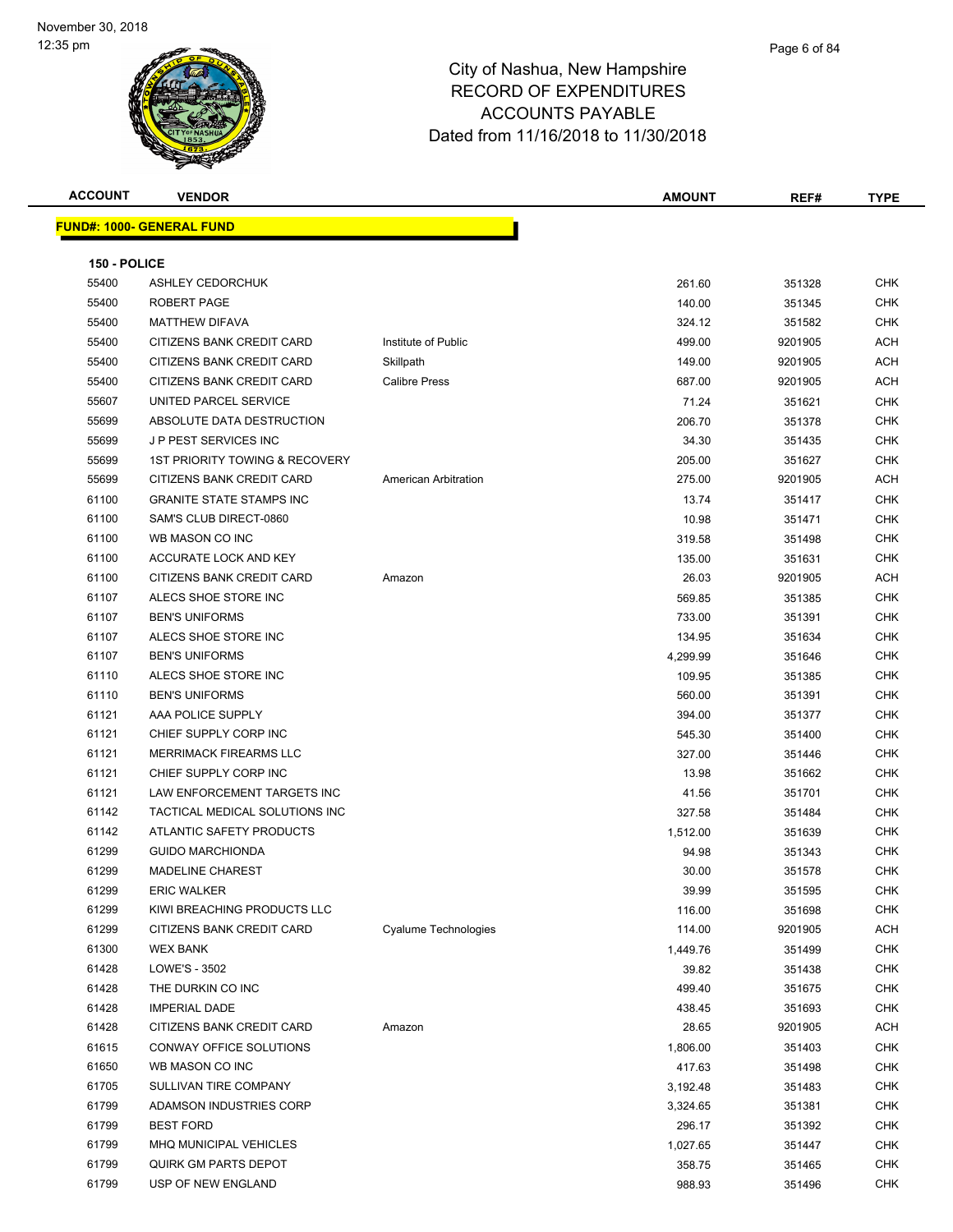| <b>ACCOUNT</b> | <b>VENDOR</b>                             |                      | <b>AMOUNT</b> | REF#    | <b>TYPE</b> |
|----------------|-------------------------------------------|----------------------|---------------|---------|-------------|
|                | <b>FUND#: 1000- GENERAL FUND</b>          |                      |               |         |             |
|                |                                           |                      |               |         |             |
| 150 - POLICE   |                                           |                      |               |         |             |
| 55400          | <b>ASHLEY CEDORCHUK</b>                   |                      | 261.60        | 351328  | <b>CHK</b>  |
| 55400          | ROBERT PAGE                               |                      | 140.00        | 351345  | CHK         |
| 55400          | <b>MATTHEW DIFAVA</b>                     |                      | 324.12        | 351582  | <b>CHK</b>  |
| 55400          | CITIZENS BANK CREDIT CARD                 | Institute of Public  | 499.00        | 9201905 | <b>ACH</b>  |
| 55400          | CITIZENS BANK CREDIT CARD                 | Skillpath            | 149.00        | 9201905 | ACH         |
| 55400          | CITIZENS BANK CREDIT CARD                 | <b>Calibre Press</b> | 687.00        | 9201905 | <b>ACH</b>  |
| 55607          | UNITED PARCEL SERVICE                     |                      | 71.24         | 351621  | <b>CHK</b>  |
| 55699          | ABSOLUTE DATA DESTRUCTION                 |                      | 206.70        | 351378  | <b>CHK</b>  |
| 55699          | J P PEST SERVICES INC                     |                      | 34.30         | 351435  | <b>CHK</b>  |
| 55699          | <b>1ST PRIORITY TOWING &amp; RECOVERY</b> |                      | 205.00        | 351627  | <b>CHK</b>  |
| 55699          | CITIZENS BANK CREDIT CARD                 | American Arbitration | 275.00        | 9201905 | <b>ACH</b>  |
| 61100          | <b>GRANITE STATE STAMPS INC</b>           |                      | 13.74         | 351417  | <b>CHK</b>  |
| 61100          | SAM'S CLUB DIRECT-0860                    |                      | 10.98         | 351471  | CHK         |
| 61100          | WB MASON CO INC                           |                      | 319.58        | 351498  | CHK         |
| 61100          | ACCURATE LOCK AND KEY                     |                      | 135.00        | 351631  | CHK         |
| 61100          | CITIZENS BANK CREDIT CARD                 | Amazon               | 26.03         | 9201905 | ACH         |
| 61107          | ALECS SHOE STORE INC                      |                      | 569.85        | 351385  | <b>CHK</b>  |
| 61107          | <b>BEN'S UNIFORMS</b>                     |                      | 733.00        | 351391  | <b>CHK</b>  |
| 61107          | ALECS SHOE STORE INC                      |                      | 134.95        | 351634  | <b>CHK</b>  |
| 61107          | <b>BEN'S UNIFORMS</b>                     |                      | 4,299.99      | 351646  | <b>CHK</b>  |
| 61110          | ALECS SHOE STORE INC                      |                      | 109.95        | 351385  | <b>CHK</b>  |
| 61110          | <b>BEN'S UNIFORMS</b>                     |                      | 560.00        | 351391  | <b>CHK</b>  |
| 61121          | AAA POLICE SUPPLY                         |                      | 394.00        | 351377  | <b>CHK</b>  |
| 61121          | CHIEF SUPPLY CORP INC                     |                      | 545.30        | 351400  | CHK         |
| 61121          | <b>MERRIMACK FIREARMS LLC</b>             |                      | 327.00        | 351446  | CHK         |
| 61121          | CHIEF SUPPLY CORP INC                     |                      | 13.98         | 351662  | CHK         |
| 61121          | LAW ENFORCEMENT TARGETS INC               |                      | 41.56         | 351701  | <b>CHK</b>  |
| 61142          | TACTICAL MEDICAL SOLUTIONS INC            |                      | 327.58        | 351484  | <b>CHK</b>  |
| 61142          | ATLANTIC SAFETY PRODUCTS                  |                      | 1,512.00      | 351639  | CHK         |
| 61299          | <b>GUIDO MARCHIONDA</b>                   |                      | 94.98         | 351343  | CHK         |
| 61299          | <b>MADELINE CHAREST</b>                   |                      | 30.00         | 351578  | <b>CHK</b>  |
| 61299          | <b>ERIC WALKER</b>                        |                      | 39.99         | 351595  | <b>CHK</b>  |
| 61299          | KIWI BREACHING PRODUCTS LLC               |                      | 116.00        | 351698  | <b>CHK</b>  |
| 61299          | CITIZENS BANK CREDIT CARD                 | Cyalume Technologies | 114.00        | 9201905 | ACH         |
| 61300          | <b>WEX BANK</b>                           |                      | 1,449.76      | 351499  | <b>CHK</b>  |
| 61428          | LOWE'S - 3502                             |                      | 39.82         | 351438  | <b>CHK</b>  |
| 61428          | THE DURKIN CO INC                         |                      | 499.40        | 351675  | CHK         |
| 61428          | <b>IMPERIAL DADE</b>                      |                      | 438.45        | 351693  | CHK         |
| 61428          | CITIZENS BANK CREDIT CARD                 | Amazon               | 28.65         | 9201905 | ACH         |
| 61615          | CONWAY OFFICE SOLUTIONS                   |                      | 1,806.00      | 351403  | <b>CHK</b>  |
| 61650          | WB MASON CO INC                           |                      | 417.63        | 351498  | <b>CHK</b>  |
| 61705          | SULLIVAN TIRE COMPANY                     |                      | 3,192.48      | 351483  | <b>CHK</b>  |
| 61799          | ADAMSON INDUSTRIES CORP                   |                      | 3,324.65      | 351381  | <b>CHK</b>  |
| 61799          | <b>BEST FORD</b>                          |                      | 296.17        | 351392  | <b>CHK</b>  |
| 61799          | MHQ MUNICIPAL VEHICLES                    |                      | 1,027.65      | 351447  | CHK         |
| 61799          | QUIRK GM PARTS DEPOT                      |                      | 358.75        | 351465  | CHK         |
| 61799          | USP OF NEW ENGLAND                        |                      | 988.93        | 351496  | <b>CHK</b>  |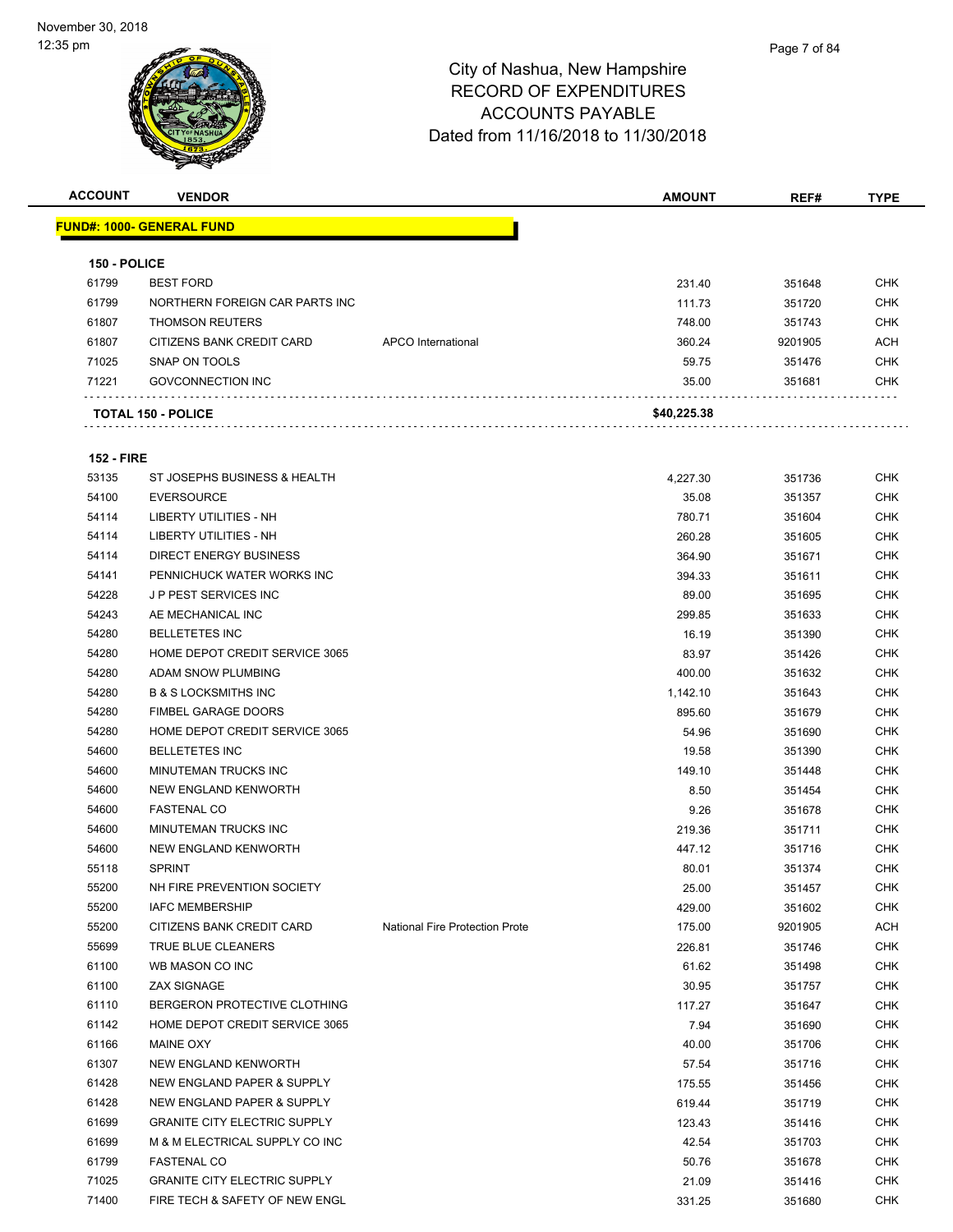

| <b>ACCOUNT</b>    | <b>VENDOR</b>                       |                                       | <b>AMOUNT</b> | REF#             | TYPE       |
|-------------------|-------------------------------------|---------------------------------------|---------------|------------------|------------|
|                   | <b>FUND#: 1000- GENERAL FUND</b>    |                                       |               |                  |            |
|                   |                                     |                                       |               |                  |            |
| 150 - POLICE      |                                     |                                       |               |                  |            |
| 61799             | <b>BEST FORD</b>                    |                                       | 231.40        | 351648           | <b>CHK</b> |
| 61799             | NORTHERN FOREIGN CAR PARTS INC      |                                       | 111.73        | 351720           | <b>CHK</b> |
| 61807             | <b>THOMSON REUTERS</b>              |                                       | 748.00        | 351743           | <b>CHK</b> |
| 61807             | CITIZENS BANK CREDIT CARD           | APCO International                    | 360.24        | 9201905          | ACH        |
| 71025             | SNAP ON TOOLS                       |                                       | 59.75         | 351476           | <b>CHK</b> |
| 71221             | <b>GOVCONNECTION INC</b>            |                                       | 35.00         | 351681           | <b>CHK</b> |
|                   | <b>TOTAL 150 - POLICE</b>           |                                       | \$40,225.38   |                  |            |
| <b>152 - FIRE</b> |                                     |                                       |               |                  |            |
| 53135             | ST JOSEPHS BUSINESS & HEALTH        |                                       | 4,227.30      | 351736           | <b>CHK</b> |
| 54100             | <b>EVERSOURCE</b>                   |                                       | 35.08         | 351357           | <b>CHK</b> |
| 54114             | <b>LIBERTY UTILITIES - NH</b>       |                                       | 780.71        | 351604           | <b>CHK</b> |
| 54114             | <b>LIBERTY UTILITIES - NH</b>       |                                       | 260.28        | 351605           | <b>CHK</b> |
| 54114             | <b>DIRECT ENERGY BUSINESS</b>       |                                       | 364.90        | 351671           | <b>CHK</b> |
| 54141             | PENNICHUCK WATER WORKS INC          |                                       | 394.33        | 351611           | <b>CHK</b> |
| 54228             | <b>JP PEST SERVICES INC</b>         |                                       | 89.00         | 351695           | <b>CHK</b> |
| 54243             | AE MECHANICAL INC                   |                                       | 299.85        | 351633           | <b>CHK</b> |
| 54280             | <b>BELLETETES INC</b>               |                                       | 16.19         | 351390           | <b>CHK</b> |
| 54280             | HOME DEPOT CREDIT SERVICE 3065      |                                       | 83.97         | 351426           | <b>CHK</b> |
| 54280             | ADAM SNOW PLUMBING                  |                                       | 400.00        | 351632           | <b>CHK</b> |
| 54280             | <b>B &amp; S LOCKSMITHS INC</b>     |                                       | 1,142.10      | 351643           | <b>CHK</b> |
| 54280             | <b>FIMBEL GARAGE DOORS</b>          |                                       | 895.60        | 351679           | <b>CHK</b> |
| 54280             | HOME DEPOT CREDIT SERVICE 3065      |                                       | 54.96         |                  | <b>CHK</b> |
| 54600             | <b>BELLETETES INC</b>               |                                       | 19.58         | 351690<br>351390 | <b>CHK</b> |
| 54600             | MINUTEMAN TRUCKS INC                |                                       | 149.10        | 351448           | <b>CHK</b> |
| 54600             | NEW ENGLAND KENWORTH                |                                       | 8.50          | 351454           | <b>CHK</b> |
| 54600             | <b>FASTENAL CO</b>                  |                                       | 9.26          | 351678           | <b>CHK</b> |
| 54600             | MINUTEMAN TRUCKS INC                |                                       | 219.36        | 351711           | <b>CHK</b> |
| 54600             | NEW ENGLAND KENWORTH                |                                       | 447.12        | 351716           | <b>CHK</b> |
| 55118             | <b>SPRINT</b>                       |                                       | 80.01         | 351374           | <b>CHK</b> |
| 55200             | NH FIRE PREVENTION SOCIETY          |                                       | 25.00         | 351457           | <b>CHK</b> |
| 55200             | <b>IAFC MEMBERSHIP</b>              |                                       | 429.00        | 351602           | <b>CHK</b> |
| 55200             | CITIZENS BANK CREDIT CARD           | <b>National Fire Protection Prote</b> | 175.00        | 9201905          | <b>ACH</b> |
| 55699             | TRUE BLUE CLEANERS                  |                                       | 226.81        | 351746           | <b>CHK</b> |
| 61100             | WB MASON CO INC                     |                                       | 61.62         | 351498           | <b>CHK</b> |
| 61100             | <b>ZAX SIGNAGE</b>                  |                                       | 30.95         | 351757           | <b>CHK</b> |
| 61110             | BERGERON PROTECTIVE CLOTHING        |                                       | 117.27        | 351647           | <b>CHK</b> |
| 61142             | HOME DEPOT CREDIT SERVICE 3065      |                                       | 7.94          | 351690           | <b>CHK</b> |
| 61166             | MAINE OXY                           |                                       | 40.00         | 351706           | <b>CHK</b> |
| 61307             | NEW ENGLAND KENWORTH                |                                       | 57.54         | 351716           | <b>CHK</b> |
| 61428             | NEW ENGLAND PAPER & SUPPLY          |                                       | 175.55        | 351456           | <b>CHK</b> |
| 61428             | NEW ENGLAND PAPER & SUPPLY          |                                       | 619.44        | 351719           | <b>CHK</b> |
| 61699             | <b>GRANITE CITY ELECTRIC SUPPLY</b> |                                       | 123.43        | 351416           | <b>CHK</b> |
| 61699             | M & M ELECTRICAL SUPPLY CO INC      |                                       | 42.54         | 351703           | <b>CHK</b> |
| 61799             | <b>FASTENAL CO</b>                  |                                       | 50.76         | 351678           | <b>CHK</b> |
| 71025             | <b>GRANITE CITY ELECTRIC SUPPLY</b> |                                       | 21.09         | 351416           | <b>CHK</b> |
| 71400             | FIRE TECH & SAFETY OF NEW ENGL      |                                       | 331.25        | 351680           | <b>CHK</b> |
|                   |                                     |                                       |               |                  |            |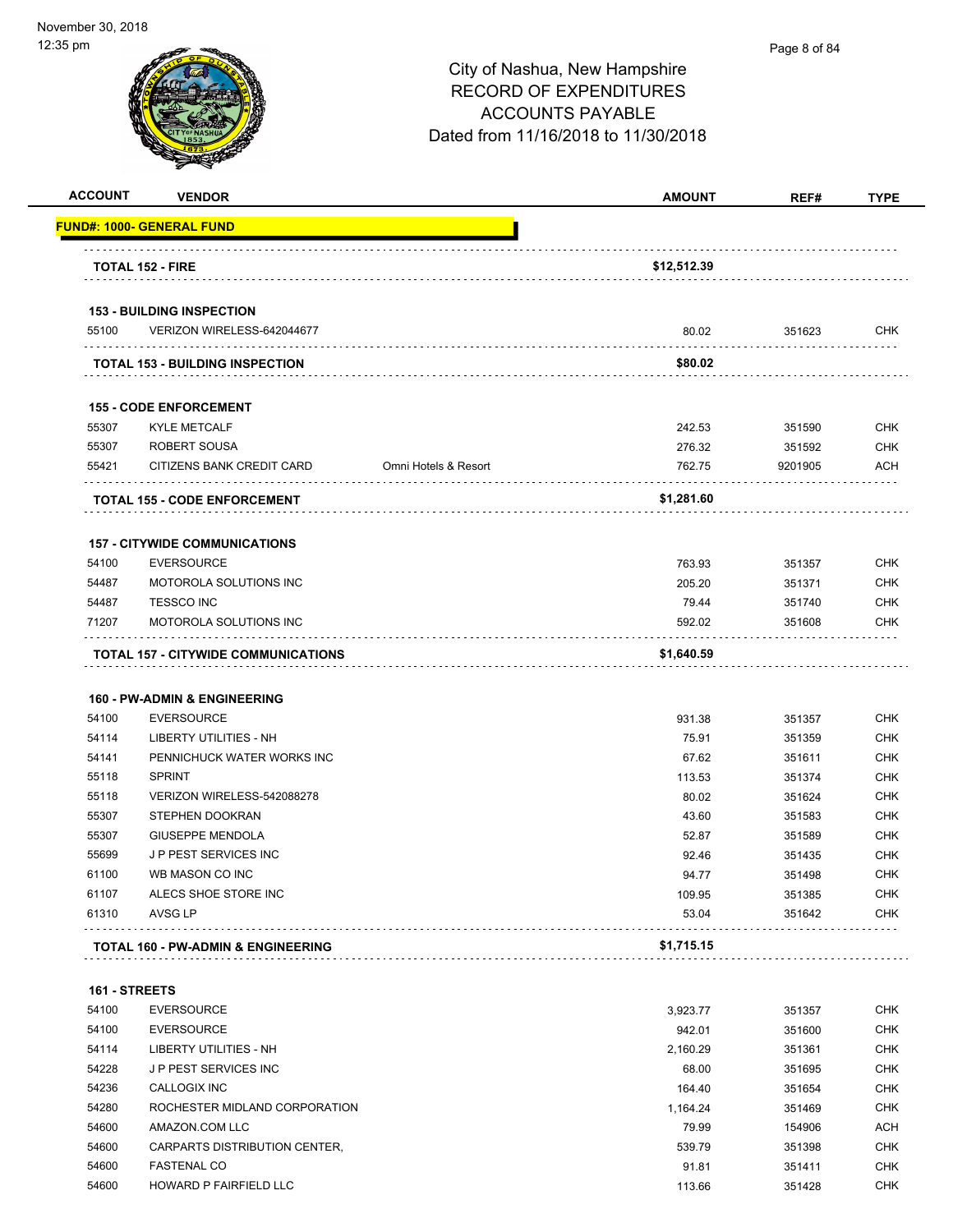| <b>ACCOUNT</b>                                                                                                                                                                  | <b>VENDOR</b>                                                                         |                      | <b>AMOUNT</b>     | REF#             | <b>TYPE</b>                                                                                                                                                                                                                                                                          |
|---------------------------------------------------------------------------------------------------------------------------------------------------------------------------------|---------------------------------------------------------------------------------------|----------------------|-------------------|------------------|--------------------------------------------------------------------------------------------------------------------------------------------------------------------------------------------------------------------------------------------------------------------------------------|
|                                                                                                                                                                                 | <u> FUND#: 1000- GENERAL FUND</u>                                                     |                      |                   |                  |                                                                                                                                                                                                                                                                                      |
|                                                                                                                                                                                 | <b>TOTAL 152 - FIRE</b>                                                               |                      | \$12,512.39       |                  |                                                                                                                                                                                                                                                                                      |
|                                                                                                                                                                                 |                                                                                       |                      |                   |                  |                                                                                                                                                                                                                                                                                      |
| 55100                                                                                                                                                                           | <b>153 - BUILDING INSPECTION</b><br>VERIZON WIRELESS-642044677                        |                      | 80.02             | 351623           | <b>CHK</b>                                                                                                                                                                                                                                                                           |
|                                                                                                                                                                                 | <b>TOTAL 153 - BUILDING INSPECTION</b>                                                |                      | \$80.02           |                  |                                                                                                                                                                                                                                                                                      |
|                                                                                                                                                                                 |                                                                                       |                      |                   |                  |                                                                                                                                                                                                                                                                                      |
|                                                                                                                                                                                 | <b>155 - CODE ENFORCEMENT</b>                                                         |                      |                   |                  |                                                                                                                                                                                                                                                                                      |
| 55307                                                                                                                                                                           | <b>KYLE METCALF</b>                                                                   |                      | 242.53            | 351590           | <b>CHK</b>                                                                                                                                                                                                                                                                           |
| 55307                                                                                                                                                                           | ROBERT SOUSA                                                                          |                      | 276.32            | 351592           | <b>CHK</b>                                                                                                                                                                                                                                                                           |
| 55421                                                                                                                                                                           | CITIZENS BANK CREDIT CARD                                                             | Omni Hotels & Resort | 762.75            | 9201905          | <b>ACH</b>                                                                                                                                                                                                                                                                           |
|                                                                                                                                                                                 | <b>TOTAL 155 - CODE ENFORCEMENT</b>                                                   |                      | \$1,281.60        |                  |                                                                                                                                                                                                                                                                                      |
|                                                                                                                                                                                 | <b>157 - CITYWIDE COMMUNICATIONS</b>                                                  |                      |                   |                  |                                                                                                                                                                                                                                                                                      |
| 54100                                                                                                                                                                           | <b>EVERSOURCE</b>                                                                     |                      | 763.93            | 351357           | <b>CHK</b>                                                                                                                                                                                                                                                                           |
| 54487                                                                                                                                                                           | MOTOROLA SOLUTIONS INC                                                                |                      | 205.20            | 351371           | <b>CHK</b>                                                                                                                                                                                                                                                                           |
| 54487                                                                                                                                                                           | <b>TESSCO INC</b>                                                                     |                      | 79.44             | 351740           | <b>CHK</b>                                                                                                                                                                                                                                                                           |
| 71207                                                                                                                                                                           | MOTOROLA SOLUTIONS INC                                                                |                      | 592.02            | 351608           | <b>CHK</b>                                                                                                                                                                                                                                                                           |
|                                                                                                                                                                                 |                                                                                       |                      |                   |                  |                                                                                                                                                                                                                                                                                      |
|                                                                                                                                                                                 | <b>TOTAL 157 - CITYWIDE COMMUNICATIONS</b><br><b>160 - PW-ADMIN &amp; ENGINEERING</b> |                      | \$1,640.59        |                  |                                                                                                                                                                                                                                                                                      |
|                                                                                                                                                                                 | <b>EVERSOURCE</b>                                                                     |                      | 931.38            | 351357           |                                                                                                                                                                                                                                                                                      |
|                                                                                                                                                                                 | <b>LIBERTY UTILITIES - NH</b>                                                         |                      | 75.91             | 351359           |                                                                                                                                                                                                                                                                                      |
|                                                                                                                                                                                 | PENNICHUCK WATER WORKS INC                                                            |                      | 67.62             | 351611           |                                                                                                                                                                                                                                                                                      |
|                                                                                                                                                                                 | <b>SPRINT</b>                                                                         |                      | 113.53            | 351374           |                                                                                                                                                                                                                                                                                      |
|                                                                                                                                                                                 | VERIZON WIRELESS-542088278                                                            |                      | 80.02             | 351624           |                                                                                                                                                                                                                                                                                      |
|                                                                                                                                                                                 | STEPHEN DOOKRAN                                                                       |                      | 43.60             | 351583           |                                                                                                                                                                                                                                                                                      |
|                                                                                                                                                                                 | <b>GIUSEPPE MENDOLA</b>                                                               |                      | 52.87             | 351589           |                                                                                                                                                                                                                                                                                      |
|                                                                                                                                                                                 | <b>JP PEST SERVICES INC</b>                                                           |                      | 92.46             | 351435           |                                                                                                                                                                                                                                                                                      |
|                                                                                                                                                                                 | WB MASON CO INC                                                                       |                      | 94.77<br>109.95   | 351498           |                                                                                                                                                                                                                                                                                      |
|                                                                                                                                                                                 | ALECS SHOE STORE INC<br>AVSG LP                                                       |                      | 53.04             | 351385<br>351642 |                                                                                                                                                                                                                                                                                      |
|                                                                                                                                                                                 | TOTAL 160 - PW-ADMIN & ENGINEERING                                                    |                      | \$1,715.15        |                  |                                                                                                                                                                                                                                                                                      |
|                                                                                                                                                                                 |                                                                                       |                      |                   |                  |                                                                                                                                                                                                                                                                                      |
|                                                                                                                                                                                 | <b>EVERSOURCE</b>                                                                     |                      | 3,923.77          | 351357           |                                                                                                                                                                                                                                                                                      |
|                                                                                                                                                                                 | <b>EVERSOURCE</b>                                                                     |                      | 942.01            | 351600           |                                                                                                                                                                                                                                                                                      |
|                                                                                                                                                                                 | LIBERTY UTILITIES - NH                                                                |                      | 2,160.29          | 351361           |                                                                                                                                                                                                                                                                                      |
|                                                                                                                                                                                 | J P PEST SERVICES INC                                                                 |                      | 68.00             | 351695           |                                                                                                                                                                                                                                                                                      |
|                                                                                                                                                                                 | CALLOGIX INC                                                                          |                      | 164.40            | 351654           |                                                                                                                                                                                                                                                                                      |
|                                                                                                                                                                                 | ROCHESTER MIDLAND CORPORATION                                                         |                      |                   |                  |                                                                                                                                                                                                                                                                                      |
|                                                                                                                                                                                 | AMAZON.COM LLC                                                                        |                      | 1,164.24<br>79.99 | 351469           |                                                                                                                                                                                                                                                                                      |
| 54100<br>54114<br>54141<br>55118<br>55118<br>55307<br>55307<br>55699<br>61100<br>61107<br>61310<br>161 - STREETS<br>54100<br>54100<br>54114<br>54228<br>54236<br>54280<br>54600 |                                                                                       |                      |                   | 154906           |                                                                                                                                                                                                                                                                                      |
| 54600<br>54600                                                                                                                                                                  | CARPARTS DISTRIBUTION CENTER,<br><b>FASTENAL CO</b>                                   |                      | 539.79<br>91.81   | 351398<br>351411 | <b>CHK</b><br><b>CHK</b><br><b>CHK</b><br><b>CHK</b><br><b>CHK</b><br><b>CHK</b><br><b>CHK</b><br><b>CHK</b><br><b>CHK</b><br><b>CHK</b><br><b>CHK</b><br><b>CHK</b><br><b>CHK</b><br><b>CHK</b><br><b>CHK</b><br><b>CHK</b><br><b>CHK</b><br><b>ACH</b><br><b>CHK</b><br><b>CHK</b> |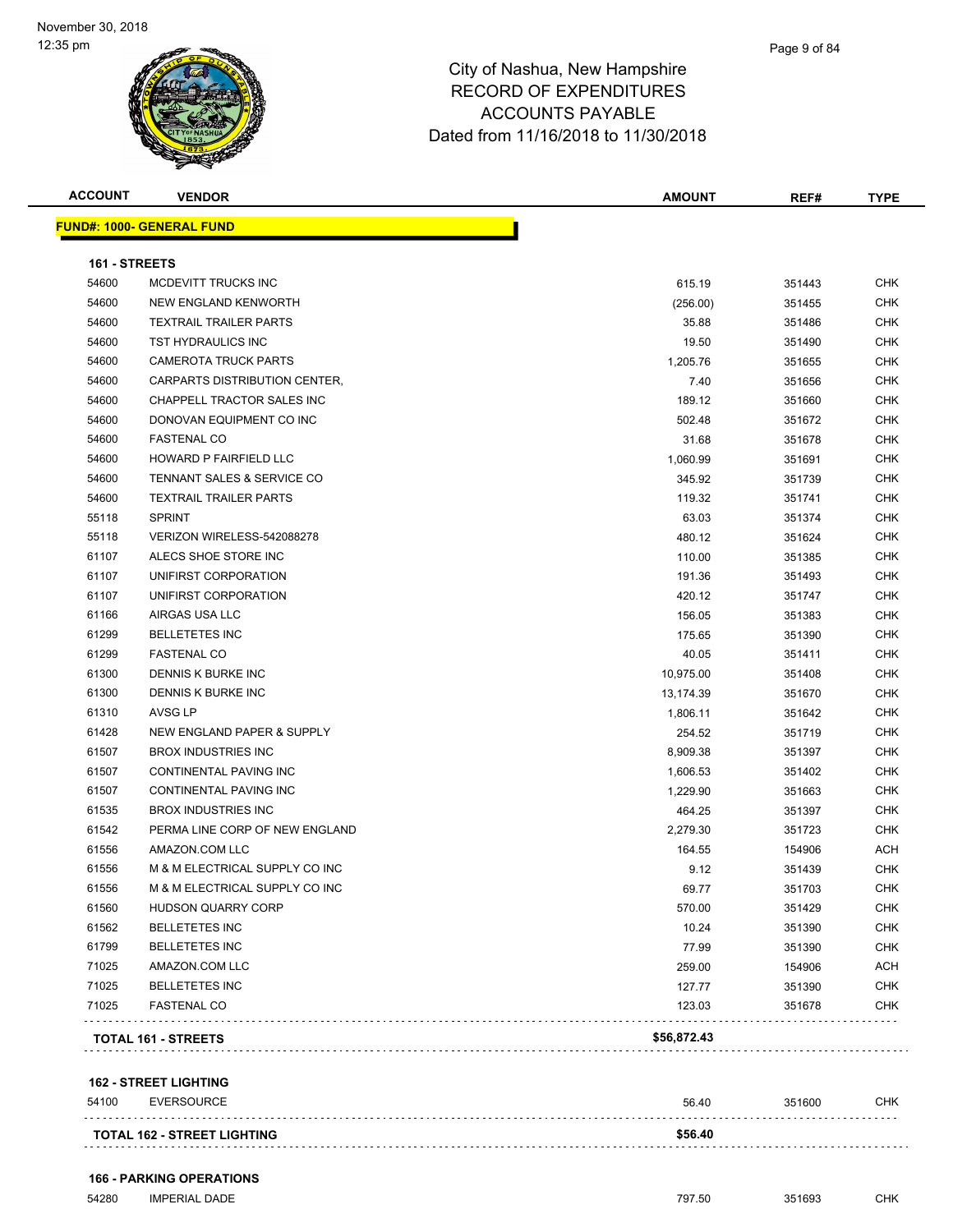| <b>FUND#: 1000- GENERAL FUND</b><br>161 - STREETS<br>54600<br>615.19<br>MCDEVITT TRUCKS INC<br>351443<br>54600<br>NEW ENGLAND KENWORTH<br>(256.00)<br>351455<br>54600<br><b>TEXTRAIL TRAILER PARTS</b><br>35.88<br>351486<br>54600<br>TST HYDRAULICS INC<br>19.50<br>351490<br>54600<br><b>CAMEROTA TRUCK PARTS</b><br>1,205.76<br>351655<br>CARPARTS DISTRIBUTION CENTER,<br>54600<br>7.40<br>351656<br>54600<br>CHAPPELL TRACTOR SALES INC<br>189.12<br>351660<br>54600<br>DONOVAN EQUIPMENT CO INC<br>502.48<br>351672<br>54600<br><b>FASTENAL CO</b><br>31.68<br>351678<br>HOWARD P FAIRFIELD LLC<br>54600<br>1,060.99<br>351691<br>54600<br>TENNANT SALES & SERVICE CO<br>345.92<br>351739<br>54600<br><b>TEXTRAIL TRAILER PARTS</b><br>119.32<br>351741<br>55118<br><b>SPRINT</b><br>63.03<br>351374<br>55118<br>480.12<br>VERIZON WIRELESS-542088278<br>351624<br>61107<br>ALECS SHOE STORE INC<br>110.00<br>351385<br>61107<br>UNIFIRST CORPORATION<br>191.36<br>351493<br>61107<br>UNIFIRST CORPORATION<br>420.12<br>351747<br>61166<br>AIRGAS USA LLC<br>156.05<br>351383<br>61299<br><b>BELLETETES INC</b><br>175.65<br>351390<br>61299<br><b>FASTENAL CO</b><br>40.05<br>351411<br>61300<br>DENNIS K BURKE INC<br>10,975.00<br>351408<br>61300<br>DENNIS K BURKE INC<br>13,174.39<br>351670<br>61310<br>AVSG LP<br>1,806.11<br>351642<br>61428<br>NEW ENGLAND PAPER & SUPPLY<br>254.52<br>351719<br>61507<br><b>BROX INDUSTRIES INC</b><br>8,909.38<br>351397<br>61507<br>CONTINENTAL PAVING INC<br>1,606.53<br>351402<br>61507<br>CONTINENTAL PAVING INC<br>1,229.90<br>351663<br>61535<br><b>BROX INDUSTRIES INC</b><br>464.25<br>351397<br>PERMA LINE CORP OF NEW ENGLAND<br>61542<br>2,279.30<br>351723<br>61556<br>AMAZON.COM LLC<br>164.55<br>154906<br>M & M ELECTRICAL SUPPLY CO INC<br>61556<br>9.12<br>351439<br>61556<br>M & M ELECTRICAL SUPPLY CO INC<br>69.77<br>351703<br>61560<br>HUDSON QUARRY CORP<br>570.00<br>351429<br>61562<br><b>BELLETETES INC</b><br>10.24<br>351390<br>61799<br><b>BELLETETES INC</b><br>77.99<br>351390<br>71025<br>AMAZON.COM LLC<br>259.00<br>154906<br>71025<br><b>BELLETETES INC</b><br>127.77<br>351390<br>71025<br><b>FASTENAL CO</b><br>123.03<br>351678<br>\$56,872.43<br><b>TOTAL 161 - STREETS</b> | <b>ACCOUNT</b> | <b>VENDOR</b> | <b>AMOUNT</b> | REF# | <b>TYPE</b> |
|---------------------------------------------------------------------------------------------------------------------------------------------------------------------------------------------------------------------------------------------------------------------------------------------------------------------------------------------------------------------------------------------------------------------------------------------------------------------------------------------------------------------------------------------------------------------------------------------------------------------------------------------------------------------------------------------------------------------------------------------------------------------------------------------------------------------------------------------------------------------------------------------------------------------------------------------------------------------------------------------------------------------------------------------------------------------------------------------------------------------------------------------------------------------------------------------------------------------------------------------------------------------------------------------------------------------------------------------------------------------------------------------------------------------------------------------------------------------------------------------------------------------------------------------------------------------------------------------------------------------------------------------------------------------------------------------------------------------------------------------------------------------------------------------------------------------------------------------------------------------------------------------------------------------------------------------------------------------------------------------------------------------------------------------------------------------------------------------------------------------------------------------------------------------------------------------------------------------------------------------------------------------|----------------|---------------|---------------|------|-------------|
|                                                                                                                                                                                                                                                                                                                                                                                                                                                                                                                                                                                                                                                                                                                                                                                                                                                                                                                                                                                                                                                                                                                                                                                                                                                                                                                                                                                                                                                                                                                                                                                                                                                                                                                                                                                                                                                                                                                                                                                                                                                                                                                                                                                                                                                                     |                |               |               |      |             |
|                                                                                                                                                                                                                                                                                                                                                                                                                                                                                                                                                                                                                                                                                                                                                                                                                                                                                                                                                                                                                                                                                                                                                                                                                                                                                                                                                                                                                                                                                                                                                                                                                                                                                                                                                                                                                                                                                                                                                                                                                                                                                                                                                                                                                                                                     |                |               |               |      |             |
|                                                                                                                                                                                                                                                                                                                                                                                                                                                                                                                                                                                                                                                                                                                                                                                                                                                                                                                                                                                                                                                                                                                                                                                                                                                                                                                                                                                                                                                                                                                                                                                                                                                                                                                                                                                                                                                                                                                                                                                                                                                                                                                                                                                                                                                                     |                |               |               |      | <b>CHK</b>  |
|                                                                                                                                                                                                                                                                                                                                                                                                                                                                                                                                                                                                                                                                                                                                                                                                                                                                                                                                                                                                                                                                                                                                                                                                                                                                                                                                                                                                                                                                                                                                                                                                                                                                                                                                                                                                                                                                                                                                                                                                                                                                                                                                                                                                                                                                     |                |               |               |      | <b>CHK</b>  |
|                                                                                                                                                                                                                                                                                                                                                                                                                                                                                                                                                                                                                                                                                                                                                                                                                                                                                                                                                                                                                                                                                                                                                                                                                                                                                                                                                                                                                                                                                                                                                                                                                                                                                                                                                                                                                                                                                                                                                                                                                                                                                                                                                                                                                                                                     |                |               |               |      | <b>CHK</b>  |
|                                                                                                                                                                                                                                                                                                                                                                                                                                                                                                                                                                                                                                                                                                                                                                                                                                                                                                                                                                                                                                                                                                                                                                                                                                                                                                                                                                                                                                                                                                                                                                                                                                                                                                                                                                                                                                                                                                                                                                                                                                                                                                                                                                                                                                                                     |                |               |               |      | <b>CHK</b>  |
|                                                                                                                                                                                                                                                                                                                                                                                                                                                                                                                                                                                                                                                                                                                                                                                                                                                                                                                                                                                                                                                                                                                                                                                                                                                                                                                                                                                                                                                                                                                                                                                                                                                                                                                                                                                                                                                                                                                                                                                                                                                                                                                                                                                                                                                                     |                |               |               |      | <b>CHK</b>  |
|                                                                                                                                                                                                                                                                                                                                                                                                                                                                                                                                                                                                                                                                                                                                                                                                                                                                                                                                                                                                                                                                                                                                                                                                                                                                                                                                                                                                                                                                                                                                                                                                                                                                                                                                                                                                                                                                                                                                                                                                                                                                                                                                                                                                                                                                     |                |               |               |      | <b>CHK</b>  |
|                                                                                                                                                                                                                                                                                                                                                                                                                                                                                                                                                                                                                                                                                                                                                                                                                                                                                                                                                                                                                                                                                                                                                                                                                                                                                                                                                                                                                                                                                                                                                                                                                                                                                                                                                                                                                                                                                                                                                                                                                                                                                                                                                                                                                                                                     |                |               |               |      | <b>CHK</b>  |
|                                                                                                                                                                                                                                                                                                                                                                                                                                                                                                                                                                                                                                                                                                                                                                                                                                                                                                                                                                                                                                                                                                                                                                                                                                                                                                                                                                                                                                                                                                                                                                                                                                                                                                                                                                                                                                                                                                                                                                                                                                                                                                                                                                                                                                                                     |                |               |               |      | <b>CHK</b>  |
|                                                                                                                                                                                                                                                                                                                                                                                                                                                                                                                                                                                                                                                                                                                                                                                                                                                                                                                                                                                                                                                                                                                                                                                                                                                                                                                                                                                                                                                                                                                                                                                                                                                                                                                                                                                                                                                                                                                                                                                                                                                                                                                                                                                                                                                                     |                |               |               |      | <b>CHK</b>  |
|                                                                                                                                                                                                                                                                                                                                                                                                                                                                                                                                                                                                                                                                                                                                                                                                                                                                                                                                                                                                                                                                                                                                                                                                                                                                                                                                                                                                                                                                                                                                                                                                                                                                                                                                                                                                                                                                                                                                                                                                                                                                                                                                                                                                                                                                     |                |               |               |      | CHK         |
|                                                                                                                                                                                                                                                                                                                                                                                                                                                                                                                                                                                                                                                                                                                                                                                                                                                                                                                                                                                                                                                                                                                                                                                                                                                                                                                                                                                                                                                                                                                                                                                                                                                                                                                                                                                                                                                                                                                                                                                                                                                                                                                                                                                                                                                                     |                |               |               |      | <b>CHK</b>  |
|                                                                                                                                                                                                                                                                                                                                                                                                                                                                                                                                                                                                                                                                                                                                                                                                                                                                                                                                                                                                                                                                                                                                                                                                                                                                                                                                                                                                                                                                                                                                                                                                                                                                                                                                                                                                                                                                                                                                                                                                                                                                                                                                                                                                                                                                     |                |               |               |      | <b>CHK</b>  |
|                                                                                                                                                                                                                                                                                                                                                                                                                                                                                                                                                                                                                                                                                                                                                                                                                                                                                                                                                                                                                                                                                                                                                                                                                                                                                                                                                                                                                                                                                                                                                                                                                                                                                                                                                                                                                                                                                                                                                                                                                                                                                                                                                                                                                                                                     |                |               |               |      | <b>CHK</b>  |
|                                                                                                                                                                                                                                                                                                                                                                                                                                                                                                                                                                                                                                                                                                                                                                                                                                                                                                                                                                                                                                                                                                                                                                                                                                                                                                                                                                                                                                                                                                                                                                                                                                                                                                                                                                                                                                                                                                                                                                                                                                                                                                                                                                                                                                                                     |                |               |               |      | <b>CHK</b>  |
|                                                                                                                                                                                                                                                                                                                                                                                                                                                                                                                                                                                                                                                                                                                                                                                                                                                                                                                                                                                                                                                                                                                                                                                                                                                                                                                                                                                                                                                                                                                                                                                                                                                                                                                                                                                                                                                                                                                                                                                                                                                                                                                                                                                                                                                                     |                |               |               |      | <b>CHK</b>  |
|                                                                                                                                                                                                                                                                                                                                                                                                                                                                                                                                                                                                                                                                                                                                                                                                                                                                                                                                                                                                                                                                                                                                                                                                                                                                                                                                                                                                                                                                                                                                                                                                                                                                                                                                                                                                                                                                                                                                                                                                                                                                                                                                                                                                                                                                     |                |               |               |      | <b>CHK</b>  |
|                                                                                                                                                                                                                                                                                                                                                                                                                                                                                                                                                                                                                                                                                                                                                                                                                                                                                                                                                                                                                                                                                                                                                                                                                                                                                                                                                                                                                                                                                                                                                                                                                                                                                                                                                                                                                                                                                                                                                                                                                                                                                                                                                                                                                                                                     |                |               |               |      | <b>CHK</b>  |
|                                                                                                                                                                                                                                                                                                                                                                                                                                                                                                                                                                                                                                                                                                                                                                                                                                                                                                                                                                                                                                                                                                                                                                                                                                                                                                                                                                                                                                                                                                                                                                                                                                                                                                                                                                                                                                                                                                                                                                                                                                                                                                                                                                                                                                                                     |                |               |               |      | <b>CHK</b>  |
|                                                                                                                                                                                                                                                                                                                                                                                                                                                                                                                                                                                                                                                                                                                                                                                                                                                                                                                                                                                                                                                                                                                                                                                                                                                                                                                                                                                                                                                                                                                                                                                                                                                                                                                                                                                                                                                                                                                                                                                                                                                                                                                                                                                                                                                                     |                |               |               |      | <b>CHK</b>  |
|                                                                                                                                                                                                                                                                                                                                                                                                                                                                                                                                                                                                                                                                                                                                                                                                                                                                                                                                                                                                                                                                                                                                                                                                                                                                                                                                                                                                                                                                                                                                                                                                                                                                                                                                                                                                                                                                                                                                                                                                                                                                                                                                                                                                                                                                     |                |               |               |      | CHK         |
|                                                                                                                                                                                                                                                                                                                                                                                                                                                                                                                                                                                                                                                                                                                                                                                                                                                                                                                                                                                                                                                                                                                                                                                                                                                                                                                                                                                                                                                                                                                                                                                                                                                                                                                                                                                                                                                                                                                                                                                                                                                                                                                                                                                                                                                                     |                |               |               |      | CHK         |
|                                                                                                                                                                                                                                                                                                                                                                                                                                                                                                                                                                                                                                                                                                                                                                                                                                                                                                                                                                                                                                                                                                                                                                                                                                                                                                                                                                                                                                                                                                                                                                                                                                                                                                                                                                                                                                                                                                                                                                                                                                                                                                                                                                                                                                                                     |                |               |               |      | <b>CHK</b>  |
|                                                                                                                                                                                                                                                                                                                                                                                                                                                                                                                                                                                                                                                                                                                                                                                                                                                                                                                                                                                                                                                                                                                                                                                                                                                                                                                                                                                                                                                                                                                                                                                                                                                                                                                                                                                                                                                                                                                                                                                                                                                                                                                                                                                                                                                                     |                |               |               |      | <b>CHK</b>  |
|                                                                                                                                                                                                                                                                                                                                                                                                                                                                                                                                                                                                                                                                                                                                                                                                                                                                                                                                                                                                                                                                                                                                                                                                                                                                                                                                                                                                                                                                                                                                                                                                                                                                                                                                                                                                                                                                                                                                                                                                                                                                                                                                                                                                                                                                     |                |               |               |      | <b>CHK</b>  |
|                                                                                                                                                                                                                                                                                                                                                                                                                                                                                                                                                                                                                                                                                                                                                                                                                                                                                                                                                                                                                                                                                                                                                                                                                                                                                                                                                                                                                                                                                                                                                                                                                                                                                                                                                                                                                                                                                                                                                                                                                                                                                                                                                                                                                                                                     |                |               |               |      | <b>CHK</b>  |
|                                                                                                                                                                                                                                                                                                                                                                                                                                                                                                                                                                                                                                                                                                                                                                                                                                                                                                                                                                                                                                                                                                                                                                                                                                                                                                                                                                                                                                                                                                                                                                                                                                                                                                                                                                                                                                                                                                                                                                                                                                                                                                                                                                                                                                                                     |                |               |               |      | <b>CHK</b>  |
|                                                                                                                                                                                                                                                                                                                                                                                                                                                                                                                                                                                                                                                                                                                                                                                                                                                                                                                                                                                                                                                                                                                                                                                                                                                                                                                                                                                                                                                                                                                                                                                                                                                                                                                                                                                                                                                                                                                                                                                                                                                                                                                                                                                                                                                                     |                |               |               |      | <b>CHK</b>  |
|                                                                                                                                                                                                                                                                                                                                                                                                                                                                                                                                                                                                                                                                                                                                                                                                                                                                                                                                                                                                                                                                                                                                                                                                                                                                                                                                                                                                                                                                                                                                                                                                                                                                                                                                                                                                                                                                                                                                                                                                                                                                                                                                                                                                                                                                     |                |               |               |      | <b>CHK</b>  |
|                                                                                                                                                                                                                                                                                                                                                                                                                                                                                                                                                                                                                                                                                                                                                                                                                                                                                                                                                                                                                                                                                                                                                                                                                                                                                                                                                                                                                                                                                                                                                                                                                                                                                                                                                                                                                                                                                                                                                                                                                                                                                                                                                                                                                                                                     |                |               |               |      | <b>CHK</b>  |
|                                                                                                                                                                                                                                                                                                                                                                                                                                                                                                                                                                                                                                                                                                                                                                                                                                                                                                                                                                                                                                                                                                                                                                                                                                                                                                                                                                                                                                                                                                                                                                                                                                                                                                                                                                                                                                                                                                                                                                                                                                                                                                                                                                                                                                                                     |                |               |               |      | <b>ACH</b>  |
|                                                                                                                                                                                                                                                                                                                                                                                                                                                                                                                                                                                                                                                                                                                                                                                                                                                                                                                                                                                                                                                                                                                                                                                                                                                                                                                                                                                                                                                                                                                                                                                                                                                                                                                                                                                                                                                                                                                                                                                                                                                                                                                                                                                                                                                                     |                |               |               |      | CHK         |
|                                                                                                                                                                                                                                                                                                                                                                                                                                                                                                                                                                                                                                                                                                                                                                                                                                                                                                                                                                                                                                                                                                                                                                                                                                                                                                                                                                                                                                                                                                                                                                                                                                                                                                                                                                                                                                                                                                                                                                                                                                                                                                                                                                                                                                                                     |                |               |               |      | <b>CHK</b>  |
|                                                                                                                                                                                                                                                                                                                                                                                                                                                                                                                                                                                                                                                                                                                                                                                                                                                                                                                                                                                                                                                                                                                                                                                                                                                                                                                                                                                                                                                                                                                                                                                                                                                                                                                                                                                                                                                                                                                                                                                                                                                                                                                                                                                                                                                                     |                |               |               |      | <b>CHK</b>  |
|                                                                                                                                                                                                                                                                                                                                                                                                                                                                                                                                                                                                                                                                                                                                                                                                                                                                                                                                                                                                                                                                                                                                                                                                                                                                                                                                                                                                                                                                                                                                                                                                                                                                                                                                                                                                                                                                                                                                                                                                                                                                                                                                                                                                                                                                     |                |               |               |      | <b>CHK</b>  |
|                                                                                                                                                                                                                                                                                                                                                                                                                                                                                                                                                                                                                                                                                                                                                                                                                                                                                                                                                                                                                                                                                                                                                                                                                                                                                                                                                                                                                                                                                                                                                                                                                                                                                                                                                                                                                                                                                                                                                                                                                                                                                                                                                                                                                                                                     |                |               |               |      | <b>CHK</b>  |
|                                                                                                                                                                                                                                                                                                                                                                                                                                                                                                                                                                                                                                                                                                                                                                                                                                                                                                                                                                                                                                                                                                                                                                                                                                                                                                                                                                                                                                                                                                                                                                                                                                                                                                                                                                                                                                                                                                                                                                                                                                                                                                                                                                                                                                                                     |                |               |               |      | <b>ACH</b>  |
|                                                                                                                                                                                                                                                                                                                                                                                                                                                                                                                                                                                                                                                                                                                                                                                                                                                                                                                                                                                                                                                                                                                                                                                                                                                                                                                                                                                                                                                                                                                                                                                                                                                                                                                                                                                                                                                                                                                                                                                                                                                                                                                                                                                                                                                                     |                |               |               |      | <b>CHK</b>  |
|                                                                                                                                                                                                                                                                                                                                                                                                                                                                                                                                                                                                                                                                                                                                                                                                                                                                                                                                                                                                                                                                                                                                                                                                                                                                                                                                                                                                                                                                                                                                                                                                                                                                                                                                                                                                                                                                                                                                                                                                                                                                                                                                                                                                                                                                     |                |               |               |      | <b>CHK</b>  |
|                                                                                                                                                                                                                                                                                                                                                                                                                                                                                                                                                                                                                                                                                                                                                                                                                                                                                                                                                                                                                                                                                                                                                                                                                                                                                                                                                                                                                                                                                                                                                                                                                                                                                                                                                                                                                                                                                                                                                                                                                                                                                                                                                                                                                                                                     |                |               |               |      |             |

#### **162 - STREET LIGHTING**

| 54100 | EVERSOURCE                         | 56.40   | 351600 | <b>CHK</b> |
|-------|------------------------------------|---------|--------|------------|
|       | <b>TOTAL 162 - STREET LIGHTING</b> | \$56.40 |        |            |

#### **166 - PARKING OPERATIONS**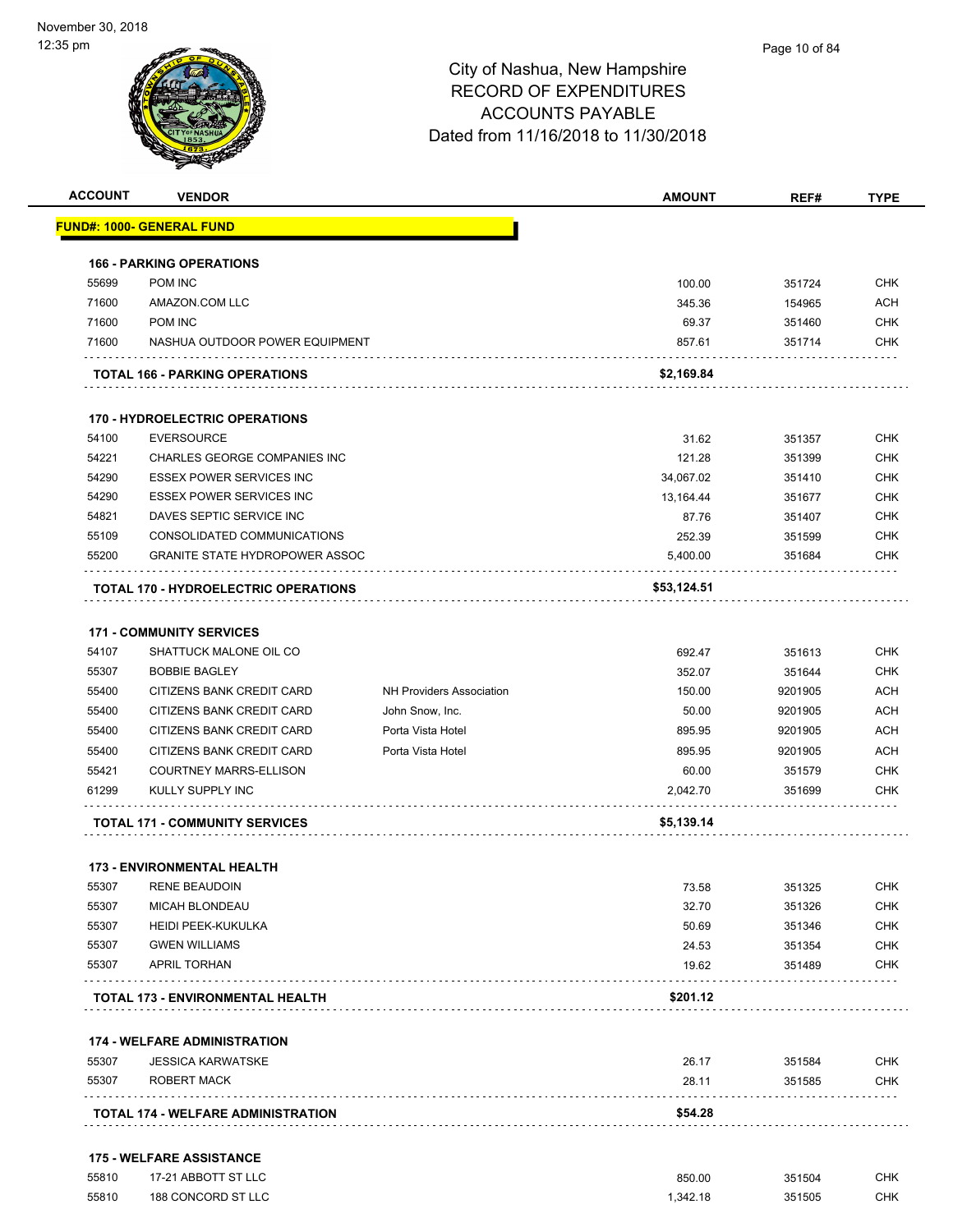

| <b>ACCOUNT</b> | <b>VENDOR</b>                                             |                                 | <b>AMOUNT</b> | REF#    | <b>TYPE</b> |
|----------------|-----------------------------------------------------------|---------------------------------|---------------|---------|-------------|
|                | <u> FUND#: 1000- GENERAL FUND</u>                         |                                 |               |         |             |
|                | <b>166 - PARKING OPERATIONS</b>                           |                                 |               |         |             |
| 55699          | POM INC                                                   |                                 | 100.00        | 351724  | <b>CHK</b>  |
| 71600          | AMAZON.COM LLC                                            |                                 | 345.36        | 154965  | <b>ACH</b>  |
| 71600          | POM INC                                                   |                                 | 69.37         | 351460  | <b>CHK</b>  |
| 71600          | NASHUA OUTDOOR POWER EQUIPMENT                            |                                 | 857.61        | 351714  | <b>CHK</b>  |
|                | <b>TOTAL 166 - PARKING OPERATIONS</b>                     |                                 | \$2,169.84    |         |             |
|                | <b>170 - HYDROELECTRIC OPERATIONS</b>                     |                                 |               |         |             |
| 54100          | <b>EVERSOURCE</b>                                         |                                 | 31.62         | 351357  | <b>CHK</b>  |
| 54221          | CHARLES GEORGE COMPANIES INC                              |                                 | 121.28        | 351399  | <b>CHK</b>  |
| 54290          | ESSEX POWER SERVICES INC                                  |                                 | 34,067.02     | 351410  | <b>CHK</b>  |
| 54290          | <b>ESSEX POWER SERVICES INC</b>                           |                                 | 13,164.44     | 351677  | <b>CHK</b>  |
| 54821          | DAVES SEPTIC SERVICE INC                                  |                                 | 87.76         | 351407  | <b>CHK</b>  |
| 55109          | CONSOLIDATED COMMUNICATIONS                               |                                 | 252.39        | 351599  | <b>CHK</b>  |
| 55200          | <b>GRANITE STATE HYDROPOWER ASSOC</b>                     |                                 | 5,400.00      | 351684  | CHK         |
|                | <b>TOTAL 170 - HYDROELECTRIC OPERATIONS</b>               |                                 | \$53,124.51   |         |             |
|                |                                                           |                                 |               |         |             |
|                | <b>171 - COMMUNITY SERVICES</b>                           |                                 |               |         |             |
| 54107          | SHATTUCK MALONE OIL CO                                    |                                 | 692.47        | 351613  | <b>CHK</b>  |
| 55307          | <b>BOBBIE BAGLEY</b>                                      |                                 | 352.07        | 351644  | <b>CHK</b>  |
| 55400          | CITIZENS BANK CREDIT CARD                                 | <b>NH Providers Association</b> | 150.00        | 9201905 | <b>ACH</b>  |
| 55400          | CITIZENS BANK CREDIT CARD                                 | John Snow, Inc.                 | 50.00         | 9201905 | <b>ACH</b>  |
| 55400          | CITIZENS BANK CREDIT CARD                                 | Porta Vista Hotel               | 895.95        | 9201905 | <b>ACH</b>  |
| 55400          | CITIZENS BANK CREDIT CARD                                 | Porta Vista Hotel               | 895.95        | 9201905 | <b>ACH</b>  |
| 55421          | <b>COURTNEY MARRS-ELLISON</b>                             |                                 | 60.00         | 351579  | <b>CHK</b>  |
| 61299          | KULLY SUPPLY INC                                          |                                 | 2,042.70      | 351699  | <b>CHK</b>  |
|                | <b>TOTAL 171 - COMMUNITY SERVICES</b>                     |                                 | \$5,139.14    |         |             |
|                |                                                           |                                 |               |         |             |
| 55307          | <b>173 - ENVIRONMENTAL HEALTH</b><br><b>RENE BEAUDOIN</b> |                                 | 73.58         | 351325  | CHK         |
| 55307          | MICAH BLONDEAU                                            |                                 | 32.70         | 351326  | CHK         |
| 55307          | <b>HEIDI PEEK-KUKULKA</b>                                 |                                 | 50.69         | 351346  | <b>CHK</b>  |
| 55307          | <b>GWEN WILLIAMS</b>                                      |                                 | 24.53         | 351354  | <b>CHK</b>  |
| 55307          | <b>APRIL TORHAN</b>                                       |                                 | 19.62         | 351489  | CHK         |
|                | TOTAL 173 - ENVIRONMENTAL HEALTH                          |                                 | \$201.12      |         |             |
|                |                                                           |                                 |               |         |             |
|                | <b>174 - WELFARE ADMINISTRATION</b>                       |                                 |               |         |             |
| 55307          | <b>JESSICA KARWATSKE</b>                                  |                                 | 26.17         | 351584  | <b>CHK</b>  |
| 55307          | ROBERT MACK                                               |                                 | 28.11         | 351585  | <b>CHK</b>  |
|                | <b>TOTAL 174 - WELFARE ADMINISTRATION</b>                 |                                 | \$54.28       |         |             |
|                | <b>175 - WELFARE ASSISTANCE</b>                           |                                 |               |         |             |
| 55810          | 17-21 ABBOTT ST LLC                                       |                                 | 850.00        | 351504  | <b>CHK</b>  |
| 55810          | 188 CONCORD ST LLC                                        |                                 | 1,342.18      | 351505  | <b>CHK</b>  |
|                |                                                           |                                 |               |         |             |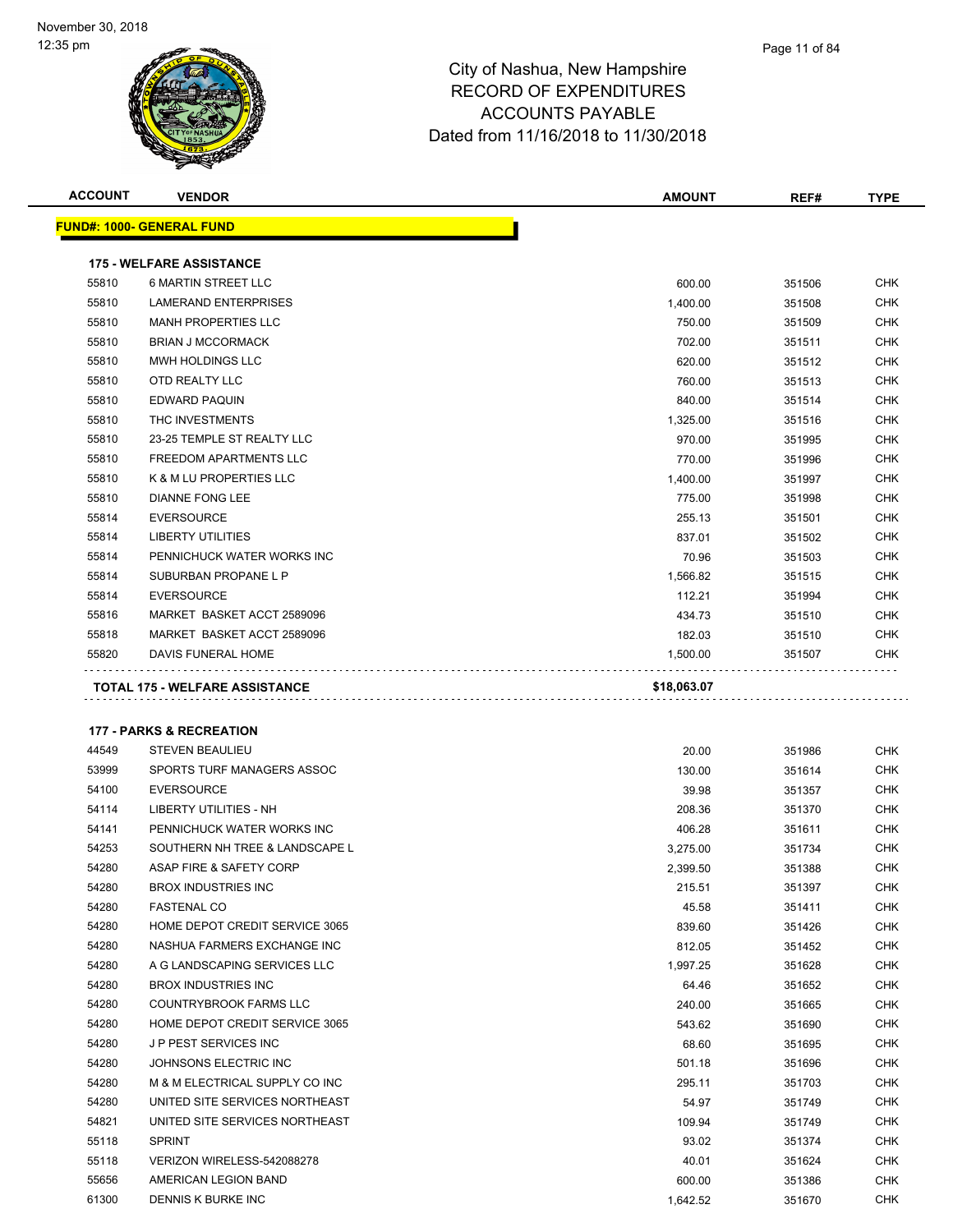

| <b>ACCOUNT</b> | <b>VENDOR</b>                                               | <b>AMOUNT</b>    | REF#             | <b>TYPE</b>              |
|----------------|-------------------------------------------------------------|------------------|------------------|--------------------------|
|                | <u> FUND#: 1000- GENERAL FUND</u>                           |                  |                  |                          |
|                | <b>175 - WELFARE ASSISTANCE</b>                             |                  |                  |                          |
| 55810          | <b>6 MARTIN STREET LLC</b>                                  | 600.00           | 351506           | <b>CHK</b>               |
| 55810          | <b>LAMERAND ENTERPRISES</b>                                 | 1,400.00         | 351508           | <b>CHK</b>               |
| 55810          | <b>MANH PROPERTIES LLC</b>                                  | 750.00           | 351509           | <b>CHK</b>               |
| 55810          | <b>BRIAN J MCCORMACK</b>                                    | 702.00           | 351511           | <b>CHK</b>               |
| 55810          | MWH HOLDINGS LLC                                            | 620.00           | 351512           | <b>CHK</b>               |
| 55810          | OTD REALTY LLC                                              | 760.00           | 351513           | <b>CHK</b>               |
| 55810          | EDWARD PAQUIN                                               | 840.00           | 351514           | <b>CHK</b>               |
| 55810          | THC INVESTMENTS                                             | 1,325.00         | 351516           | <b>CHK</b>               |
| 55810          | 23-25 TEMPLE ST REALTY LLC                                  | 970.00           | 351995           | <b>CHK</b>               |
| 55810          | FREEDOM APARTMENTS LLC                                      | 770.00           | 351996           | <b>CHK</b>               |
| 55810          | K & M LU PROPERTIES LLC                                     | 1,400.00         | 351997           | <b>CHK</b>               |
| 55810          | <b>DIANNE FONG LEE</b>                                      | 775.00           | 351998           | <b>CHK</b>               |
| 55814          | <b>EVERSOURCE</b>                                           | 255.13           | 351501           | <b>CHK</b>               |
| 55814          | <b>LIBERTY UTILITIES</b>                                    | 837.01           | 351502           | <b>CHK</b>               |
| 55814          | PENNICHUCK WATER WORKS INC                                  | 70.96            | 351503           | <b>CHK</b>               |
| 55814          | SUBURBAN PROPANE L P                                        | 1,566.82         | 351515           | <b>CHK</b>               |
| 55814          | <b>EVERSOURCE</b>                                           | 112.21           | 351994           | <b>CHK</b>               |
| 55816          | MARKET BASKET ACCT 2589096                                  | 434.73           | 351510           | CHK                      |
| 55818          | MARKET BASKET ACCT 2589096                                  | 182.03           | 351510           | <b>CHK</b>               |
| 55820          | DAVIS FUNERAL HOME                                          | 1,500.00         | 351507           | CHK                      |
|                | <b>177 - PARKS &amp; RECREATION</b>                         |                  |                  |                          |
| 44549          | <b>STEVEN BEAULIEU</b>                                      | 20.00            | 351986           | CHK                      |
| 53999          | SPORTS TURF MANAGERS ASSOC                                  | 130.00           | 351614           | <b>CHK</b>               |
| 54100          | <b>EVERSOURCE</b>                                           | 39.98            | 351357           | <b>CHK</b>               |
| 54114          | <b>LIBERTY UTILITIES - NH</b>                               | 208.36           | 351370           | <b>CHK</b>               |
| 54141          | PENNICHUCK WATER WORKS INC                                  | 406.28           | 351611           | <b>CHK</b>               |
| 54253          | SOUTHERN NH TREE & LANDSCAPE L                              | 3,275.00         | 351734           | <b>CHK</b>               |
| 54280          | ASAP FIRE & SAFETY CORP                                     | 2,399.50         | 351388           | <b>CHK</b>               |
| 54280          | BROX INDUSTRIES INC                                         | 215.51           | 351397           | <b>CHK</b>               |
| 54280          | <b>FASTENAL CO</b>                                          | 45.58            | 351411           | CHK                      |
| 54280          | HOME DEPOT CREDIT SERVICE 3065                              | 839.60           | 351426           | <b>CHK</b>               |
| 54280          | NASHUA FARMERS EXCHANGE INC<br>A G LANDSCAPING SERVICES LLC | 812.05           | 351452           | <b>CHK</b>               |
| 54280<br>54280 | <b>BROX INDUSTRIES INC</b>                                  | 1,997.25         | 351628           | <b>CHK</b>               |
| 54280          | COUNTRYBROOK FARMS LLC                                      | 64.46            | 351652           | <b>CHK</b><br><b>CHK</b> |
| 54280          | HOME DEPOT CREDIT SERVICE 3065                              | 240.00<br>543.62 | 351665<br>351690 | <b>CHK</b>               |
| 54280          | J P PEST SERVICES INC                                       | 68.60            | 351695           | <b>CHK</b>               |
| 54280          | JOHNSONS ELECTRIC INC                                       | 501.18           | 351696           | <b>CHK</b>               |
| 54280          | M & M ELECTRICAL SUPPLY CO INC                              | 295.11           | 351703           | <b>CHK</b>               |
| 54280          | UNITED SITE SERVICES NORTHEAST                              | 54.97            | 351749           | <b>CHK</b>               |
| 54821          | UNITED SITE SERVICES NORTHEAST                              | 109.94           | 351749           | <b>CHK</b>               |
| 55118          | <b>SPRINT</b>                                               | 93.02            | 351374           | <b>CHK</b>               |
| 55118          | VERIZON WIRELESS-542088278                                  | 40.01            | 351624           | CHK                      |
| 55656          | AMERICAN LEGION BAND                                        | 600.00           | 351386           | <b>CHK</b>               |
| 61300          | DENNIS K BURKE INC                                          | 1,642.52         | 351670           | <b>CHK</b>               |
|                |                                                             |                  |                  |                          |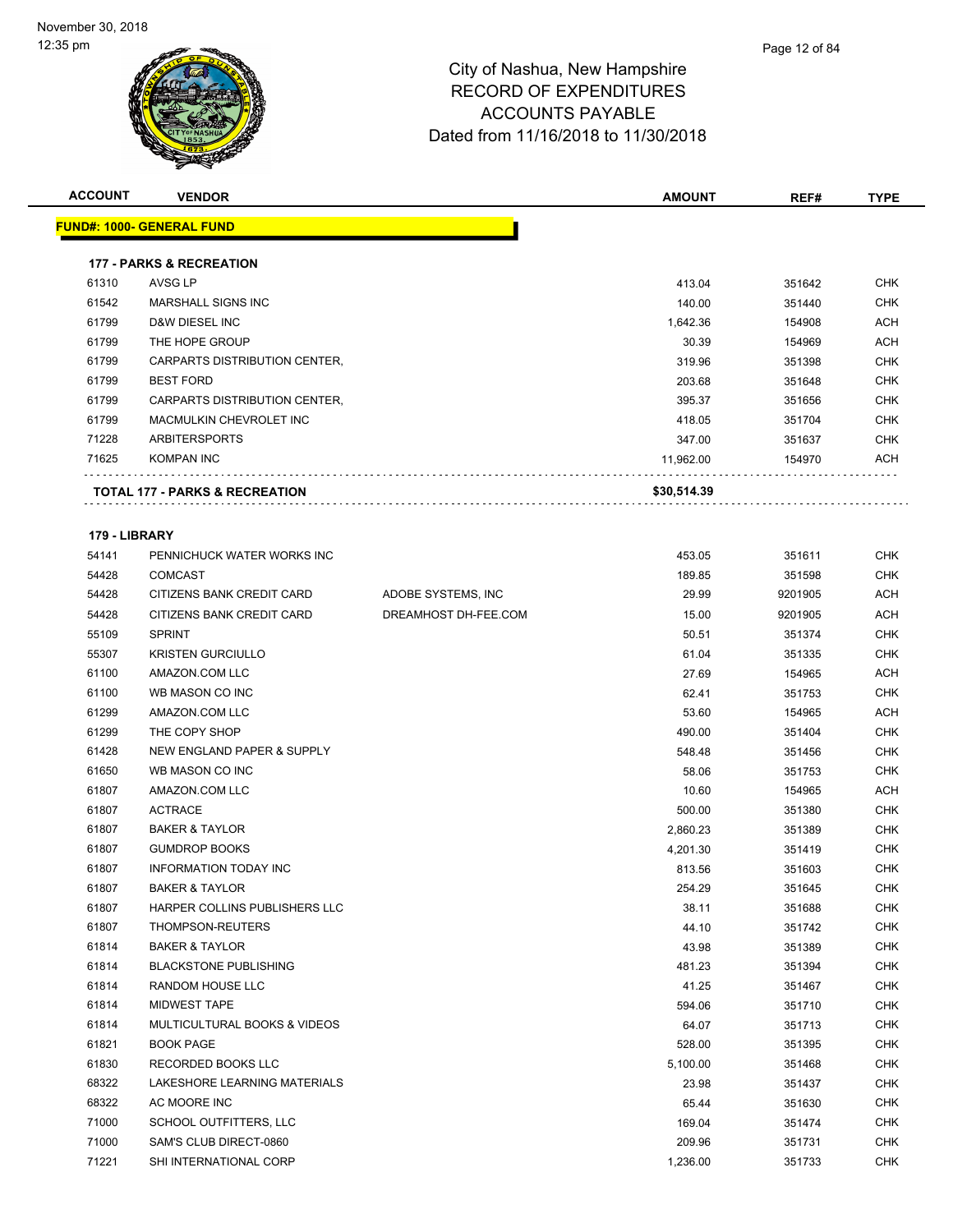| <b>ACCOUNT</b> | <b>VENDOR</b>                             |                      | <b>AMOUNT</b> | REF#    | <b>TYPE</b> |
|----------------|-------------------------------------------|----------------------|---------------|---------|-------------|
|                | <b>FUND#: 1000- GENERAL FUND</b>          |                      |               |         |             |
|                |                                           |                      |               |         |             |
|                | <b>177 - PARKS &amp; RECREATION</b>       |                      |               |         |             |
| 61310          | AVSG LP                                   |                      | 413.04        | 351642  | <b>CHK</b>  |
| 61542          | <b>MARSHALL SIGNS INC</b>                 |                      | 140.00        | 351440  | CHK         |
| 61799          | D&W DIESEL INC                            |                      | 1,642.36      | 154908  | <b>ACH</b>  |
| 61799          | THE HOPE GROUP                            |                      | 30.39         | 154969  | ACH         |
| 61799          | CARPARTS DISTRIBUTION CENTER,             |                      | 319.96        | 351398  | <b>CHK</b>  |
| 61799          | <b>BEST FORD</b>                          |                      | 203.68        | 351648  | <b>CHK</b>  |
| 61799          | CARPARTS DISTRIBUTION CENTER,             |                      | 395.37        | 351656  | CHK         |
| 61799          | MACMULKIN CHEVROLET INC                   |                      | 418.05        | 351704  | CHK         |
| 71228          | <b>ARBITERSPORTS</b>                      |                      | 347.00        | 351637  | CHK         |
| 71625          | <b>KOMPAN INC</b>                         |                      | 11,962.00     | 154970  | ACH         |
|                | <b>TOTAL 177 - PARKS &amp; RECREATION</b> |                      | \$30,514.39   |         |             |
| 179 - LIBRARY  |                                           |                      |               |         |             |
| 54141          | PENNICHUCK WATER WORKS INC                |                      | 453.05        | 351611  | <b>CHK</b>  |
| 54428          | <b>COMCAST</b>                            |                      | 189.85        | 351598  | <b>CHK</b>  |
| 54428          | CITIZENS BANK CREDIT CARD                 | ADOBE SYSTEMS, INC   | 29.99         | 9201905 | ACH         |
| 54428          | CITIZENS BANK CREDIT CARD                 | DREAMHOST DH-FEE.COM | 15.00         | 9201905 | ACH         |
| 55109          | <b>SPRINT</b>                             |                      | 50.51         | 351374  | CHK         |
| 55307          | <b>KRISTEN GURCIULLO</b>                  |                      | 61.04         | 351335  | <b>CHK</b>  |
| 61100          | AMAZON.COM LLC                            |                      | 27.69         | 154965  | ACH         |
| 61100          | WB MASON CO INC                           |                      | 62.41         | 351753  | CHK         |
| 61299          | AMAZON.COM LLC                            |                      | 53.60         | 154965  | ACH         |
| 61299          | THE COPY SHOP                             |                      | 490.00        | 351404  | CHK         |
| 61428          | NEW ENGLAND PAPER & SUPPLY                |                      | 548.48        | 351456  | <b>CHK</b>  |
| 61650          | WB MASON CO INC                           |                      | 58.06         | 351753  | CHK         |
| 61807          | AMAZON.COM LLC                            |                      | 10.60         | 154965  | ACH         |
| 61807          | <b>ACTRACE</b>                            |                      | 500.00        | 351380  | <b>CHK</b>  |
| 61807          | <b>BAKER &amp; TAYLOR</b>                 |                      | 2,860.23      | 351389  | CHK         |
| 61807          | <b>GUMDROP BOOKS</b>                      |                      | 4,201.30      | 351419  | CHK         |
| 61807          | <b>INFORMATION TODAY INC</b>              |                      | 813.56        | 351603  | <b>CHK</b>  |
| 61807          | <b>BAKER &amp; TAYLOR</b>                 |                      | 254.29        | 351645  | CHK         |
| 61807          | HARPER COLLINS PUBLISHERS LLC             |                      | 38.11         | 351688  | <b>CHK</b>  |
| 61807          | THOMPSON-REUTERS                          |                      | 44.10         | 351742  | <b>CHK</b>  |
| 61814          | <b>BAKER &amp; TAYLOR</b>                 |                      | 43.98         | 351389  | <b>CHK</b>  |
| 61814          | <b>BLACKSTONE PUBLISHING</b>              |                      | 481.23        | 351394  | <b>CHK</b>  |
| 61814          | RANDOM HOUSE LLC                          |                      | 41.25         | 351467  | <b>CHK</b>  |
| 61814          | MIDWEST TAPE                              |                      | 594.06        | 351710  | <b>CHK</b>  |
| 61814          | MULTICULTURAL BOOKS & VIDEOS              |                      | 64.07         | 351713  | CHK         |
| 61821          | <b>BOOK PAGE</b>                          |                      | 528.00        | 351395  | CHK         |
| 61830          | RECORDED BOOKS LLC                        |                      | 5,100.00      | 351468  | CHK         |
| 68322          | LAKESHORE LEARNING MATERIALS              |                      | 23.98         | 351437  | <b>CHK</b>  |
| 68322          | AC MOORE INC                              |                      | 65.44         | 351630  | <b>CHK</b>  |
| 71000          | SCHOOL OUTFITTERS, LLC                    |                      | 169.04        | 351474  | <b>CHK</b>  |
| 71000          | SAM'S CLUB DIRECT-0860                    |                      | 209.96        | 351731  | CHK         |
| 71221          | SHI INTERNATIONAL CORP                    |                      | 1,236.00      | 351733  | <b>CHK</b>  |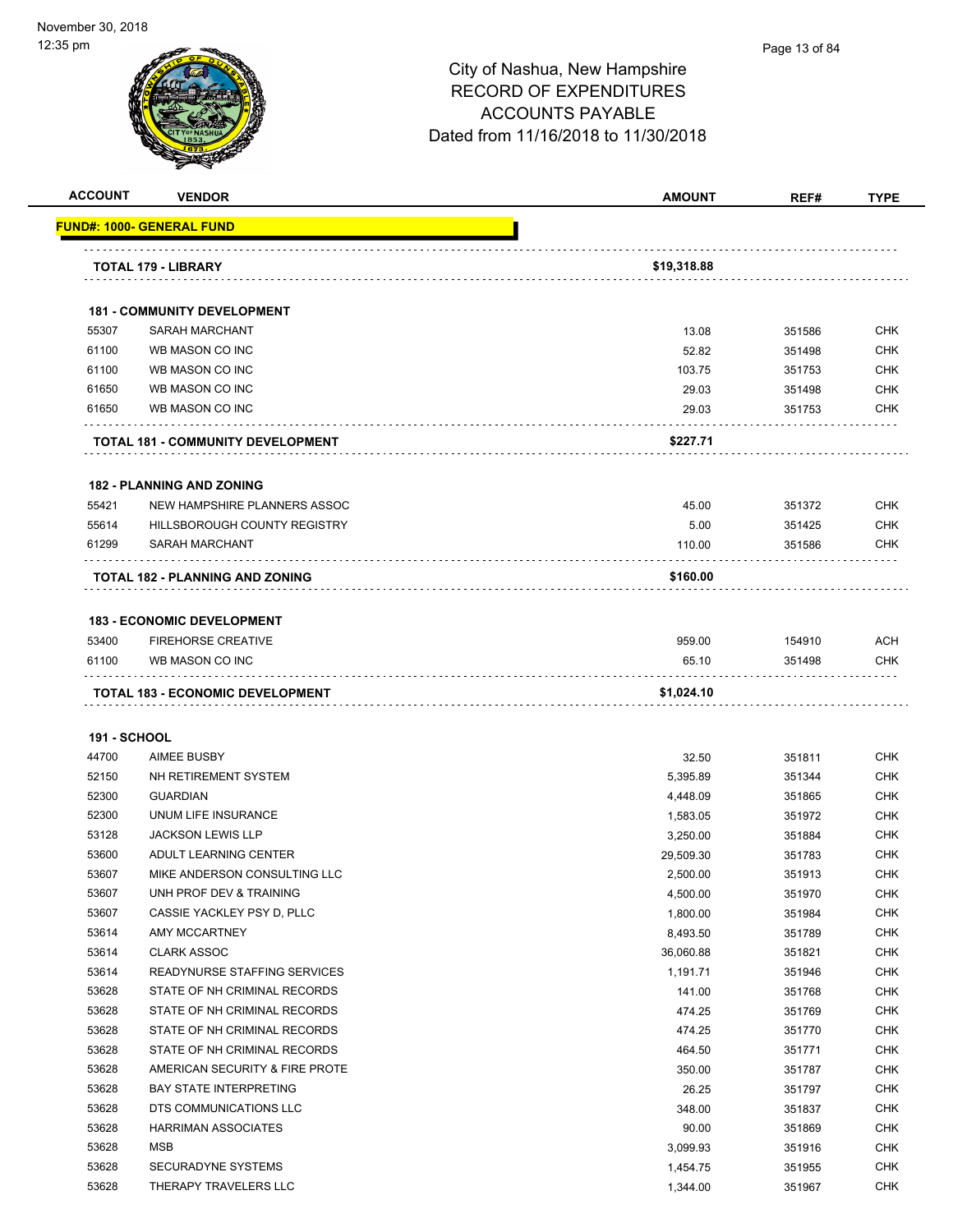#### Page 13 of 84

|                              | <b>VENDOR</b>                                                  | <b>AMOUNT</b>        | REF#             | <b>TYPE</b>              |
|------------------------------|----------------------------------------------------------------|----------------------|------------------|--------------------------|
|                              | <u> FUND#: 1000- GENERAL FUND</u>                              |                      |                  |                          |
|                              | TOTAL 179 - LIBRARY                                            | \$19,318.88          |                  |                          |
|                              |                                                                |                      |                  |                          |
|                              | <b>181 - COMMUNITY DEVELOPMENT</b>                             |                      |                  |                          |
| 55307                        | <b>SARAH MARCHANT</b>                                          | 13.08                | 351586           | <b>CHK</b>               |
| 61100                        | WB MASON CO INC                                                | 52.82                | 351498           | <b>CHK</b>               |
| 61100                        | WB MASON CO INC                                                | 103.75               | 351753           | CHK                      |
| 61650                        | WB MASON CO INC                                                | 29.03                | 351498           | <b>CHK</b>               |
| 61650                        | WB MASON CO INC                                                | 29.03                | 351753           | <b>CHK</b>               |
|                              | TOTAL 181 - COMMUNITY DEVELOPMENT                              | \$227.71             |                  |                          |
|                              | <b>182 - PLANNING AND ZONING</b>                               |                      |                  |                          |
| 55421                        | NEW HAMPSHIRE PLANNERS ASSOC                                   | 45.00                | 351372           | CHK                      |
| 55614                        | <b>HILLSBOROUGH COUNTY REGISTRY</b>                            | 5.00                 | 351425           | <b>CHK</b>               |
| 61299                        | SARAH MARCHANT                                                 | 110.00               | 351586           | CHK                      |
|                              | <b>TOTAL 182 - PLANNING AND ZONING</b>                         | \$160.00             |                  |                          |
|                              |                                                                |                      |                  |                          |
|                              | <b>183 - ECONOMIC DEVELOPMENT</b><br><b>FIREHORSE CREATIVE</b> | 959.00               |                  | ACH                      |
|                              |                                                                |                      | 154910           |                          |
| 53400                        |                                                                |                      |                  |                          |
| 61100                        | WB MASON CO INC                                                | 65.10                | 351498           | CHK                      |
|                              | TOTAL 183 - ECONOMIC DEVELOPMENT                               | \$1,024.10           |                  |                          |
|                              |                                                                |                      |                  |                          |
| <b>191 - SCHOOL</b><br>44700 | <b>AIMEE BUSBY</b>                                             | 32.50                | 351811           | <b>CHK</b>               |
| 52150                        | NH RETIREMENT SYSTEM                                           |                      |                  |                          |
|                              |                                                                | 5,395.89             | 351344           | <b>CHK</b>               |
| 52300<br>52300               | <b>GUARDIAN</b>                                                | 4,448.09             | 351865           | <b>CHK</b>               |
| 53128                        | UNUM LIFE INSURANCE<br><b>JACKSON LEWIS LLP</b>                | 1,583.05             | 351972<br>351884 | CHK<br>CHK               |
| 53600                        | ADULT LEARNING CENTER                                          | 3,250.00             |                  | <b>CHK</b>               |
| 53607                        | MIKE ANDERSON CONSULTING LLC                                   | 29,509.30            | 351783           |                          |
|                              |                                                                | 2,500.00             | 351913           | <b>CHK</b>               |
| 53607<br>53607               | UNH PROF DEV & TRAINING                                        | 4,500.00             | 351970           | CHK                      |
|                              | CASSIE YACKLEY PSY D, PLLC<br>AMY MCCARTNEY                    | 1,800.00             | 351984           | <b>CHK</b>               |
| 53614                        | <b>CLARK ASSOC</b>                                             | 8,493.50             | 351789           | <b>CHK</b>               |
| 53614                        |                                                                | 36,060.88            | 351821           | <b>CHK</b>               |
| 53614                        | READYNURSE STAFFING SERVICES                                   | 1,191.71             | 351946           | <b>CHK</b>               |
| 53628                        | STATE OF NH CRIMINAL RECORDS                                   | 141.00               | 351768           | <b>CHK</b>               |
| 53628                        | STATE OF NH CRIMINAL RECORDS                                   | 474.25               | 351769           | <b>CHK</b>               |
| 53628                        | STATE OF NH CRIMINAL RECORDS<br>STATE OF NH CRIMINAL RECORDS   | 474.25               | 351770           | <b>CHK</b>               |
| 53628<br>53628               | AMERICAN SECURITY & FIRE PROTE                                 | 464.50               | 351771           | <b>CHK</b>               |
|                              |                                                                | 350.00               | 351787           | <b>CHK</b>               |
| 53628                        | <b>BAY STATE INTERPRETING</b>                                  | 26.25                | 351797           | <b>CHK</b>               |
| 53628                        | DTS COMMUNICATIONS LLC                                         | 348.00               | 351837           | <b>CHK</b>               |
| 53628                        | <b>HARRIMAN ASSOCIATES</b>                                     | 90.00                | 351869           | <b>CHK</b>               |
| 53628<br>53628               | MSB<br><b>SECURADYNE SYSTEMS</b>                               | 3,099.93<br>1,454.75 | 351916<br>351955 | <b>CHK</b><br><b>CHK</b> |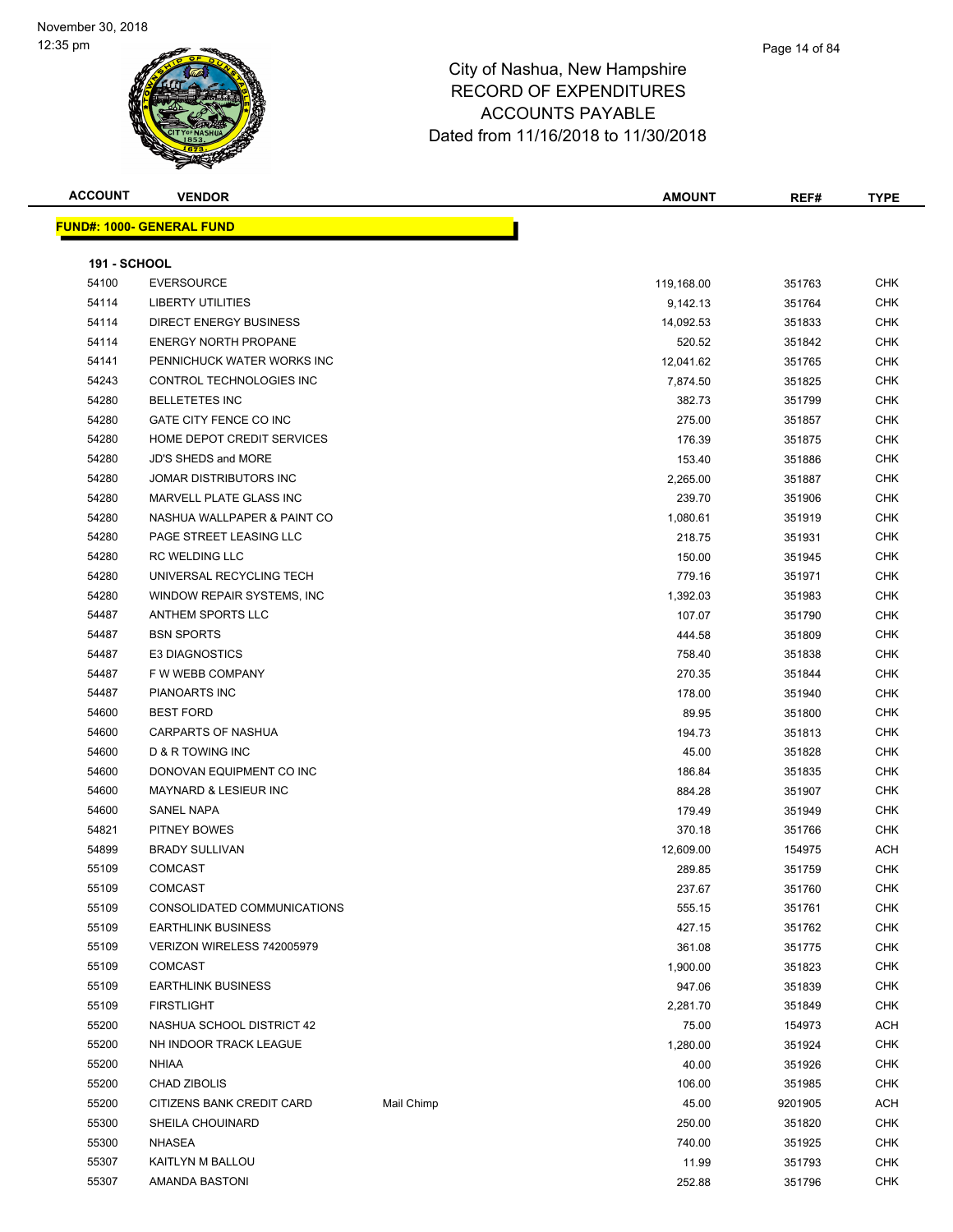| <b>ACCOUNT</b>      | <b>VENDOR</b>                    |            | <b>AMOUNT</b> | REF#    | <b>TYPE</b> |
|---------------------|----------------------------------|------------|---------------|---------|-------------|
|                     | <b>FUND#: 1000- GENERAL FUND</b> |            |               |         |             |
|                     |                                  |            |               |         |             |
| <b>191 - SCHOOL</b> |                                  |            |               |         |             |
| 54100               | <b>EVERSOURCE</b>                |            | 119,168.00    | 351763  | <b>CHK</b>  |
| 54114               | <b>LIBERTY UTILITIES</b>         |            | 9,142.13      | 351764  | <b>CHK</b>  |
| 54114               | <b>DIRECT ENERGY BUSINESS</b>    |            | 14,092.53     | 351833  | <b>CHK</b>  |
| 54114               | <b>ENERGY NORTH PROPANE</b>      |            | 520.52        | 351842  | <b>CHK</b>  |
| 54141               | PENNICHUCK WATER WORKS INC       |            | 12,041.62     | 351765  | CHK         |
| 54243               | CONTROL TECHNOLOGIES INC         |            | 7,874.50      | 351825  | <b>CHK</b>  |
| 54280               | <b>BELLETETES INC</b>            |            | 382.73        | 351799  | <b>CHK</b>  |
| 54280               | GATE CITY FENCE CO INC           |            | 275.00        | 351857  | <b>CHK</b>  |
| 54280               | HOME DEPOT CREDIT SERVICES       |            | 176.39        | 351875  | <b>CHK</b>  |
| 54280               | <b>JD'S SHEDS and MORE</b>       |            | 153.40        | 351886  | CHK         |
| 54280               | JOMAR DISTRIBUTORS INC           |            | 2,265.00      | 351887  | <b>CHK</b>  |
| 54280               | MARVELL PLATE GLASS INC          |            | 239.70        | 351906  | <b>CHK</b>  |
| 54280               | NASHUA WALLPAPER & PAINT CO      |            | 1,080.61      | 351919  | <b>CHK</b>  |
| 54280               | PAGE STREET LEASING LLC          |            | 218.75        | 351931  | <b>CHK</b>  |
| 54280               | <b>RC WELDING LLC</b>            |            | 150.00        | 351945  | <b>CHK</b>  |
| 54280               | UNIVERSAL RECYCLING TECH         |            | 779.16        | 351971  | CHK         |
| 54280               | WINDOW REPAIR SYSTEMS, INC       |            | 1,392.03      | 351983  | <b>CHK</b>  |
| 54487               | <b>ANTHEM SPORTS LLC</b>         |            | 107.07        | 351790  | <b>CHK</b>  |
| 54487               | <b>BSN SPORTS</b>                |            | 444.58        | 351809  | <b>CHK</b>  |
| 54487               | <b>E3 DIAGNOSTICS</b>            |            | 758.40        | 351838  | CHK         |
| 54487               | F W WEBB COMPANY                 |            | 270.35        | 351844  | <b>CHK</b>  |
| 54487               | PIANOARTS INC                    |            | 178.00        | 351940  | CHK         |
| 54600               | <b>BEST FORD</b>                 |            | 89.95         | 351800  | CHK         |
| 54600               | CARPARTS OF NASHUA               |            | 194.73        | 351813  | <b>CHK</b>  |
| 54600               | <b>D &amp; R TOWING INC</b>      |            | 45.00         | 351828  | <b>CHK</b>  |
| 54600               | DONOVAN EQUIPMENT CO INC         |            | 186.84        | 351835  | <b>CHK</b>  |
| 54600               | MAYNARD & LESIEUR INC            |            | 884.28        | 351907  | <b>CHK</b>  |
| 54600               | <b>SANEL NAPA</b>                |            | 179.49        | 351949  | <b>CHK</b>  |
| 54821               | PITNEY BOWES                     |            | 370.18        | 351766  | <b>CHK</b>  |
| 54899               | <b>BRADY SULLIVAN</b>            |            | 12,609.00     | 154975  | ACH         |
| 55109               | <b>COMCAST</b>                   |            | 289.85        | 351759  | <b>CHK</b>  |
| 55109               | COMCAST                          |            | 237.67        | 351760  | <b>CHK</b>  |
| 55109               | CONSOLIDATED COMMUNICATIONS      |            | 555.15        | 351761  | CHK         |
| 55109               | <b>EARTHLINK BUSINESS</b>        |            | 427.15        | 351762  | <b>CHK</b>  |
| 55109               | VERIZON WIRELESS 742005979       |            | 361.08        | 351775  | CHK         |
| 55109               | COMCAST                          |            | 1,900.00      | 351823  | <b>CHK</b>  |
| 55109               | <b>EARTHLINK BUSINESS</b>        |            | 947.06        | 351839  | <b>CHK</b>  |
| 55109               | <b>FIRSTLIGHT</b>                |            | 2,281.70      | 351849  | CHK         |
| 55200               | NASHUA SCHOOL DISTRICT 42        |            | 75.00         | 154973  | <b>ACH</b>  |
| 55200               | NH INDOOR TRACK LEAGUE           |            | 1,280.00      | 351924  | <b>CHK</b>  |
| 55200               | <b>NHIAA</b>                     |            | 40.00         | 351926  | <b>CHK</b>  |
| 55200               | <b>CHAD ZIBOLIS</b>              |            | 106.00        | 351985  | <b>CHK</b>  |
| 55200               | CITIZENS BANK CREDIT CARD        | Mail Chimp | 45.00         | 9201905 | ACH         |
| 55300               | SHEILA CHOUINARD                 |            | 250.00        | 351820  | <b>CHK</b>  |
| 55300               | NHASEA                           |            | 740.00        | 351925  | <b>CHK</b>  |
| 55307               | KAITLYN M BALLOU                 |            | 11.99         | 351793  | CHK         |
| 55307               | AMANDA BASTONI                   |            | 252.88        | 351796  | <b>CHK</b>  |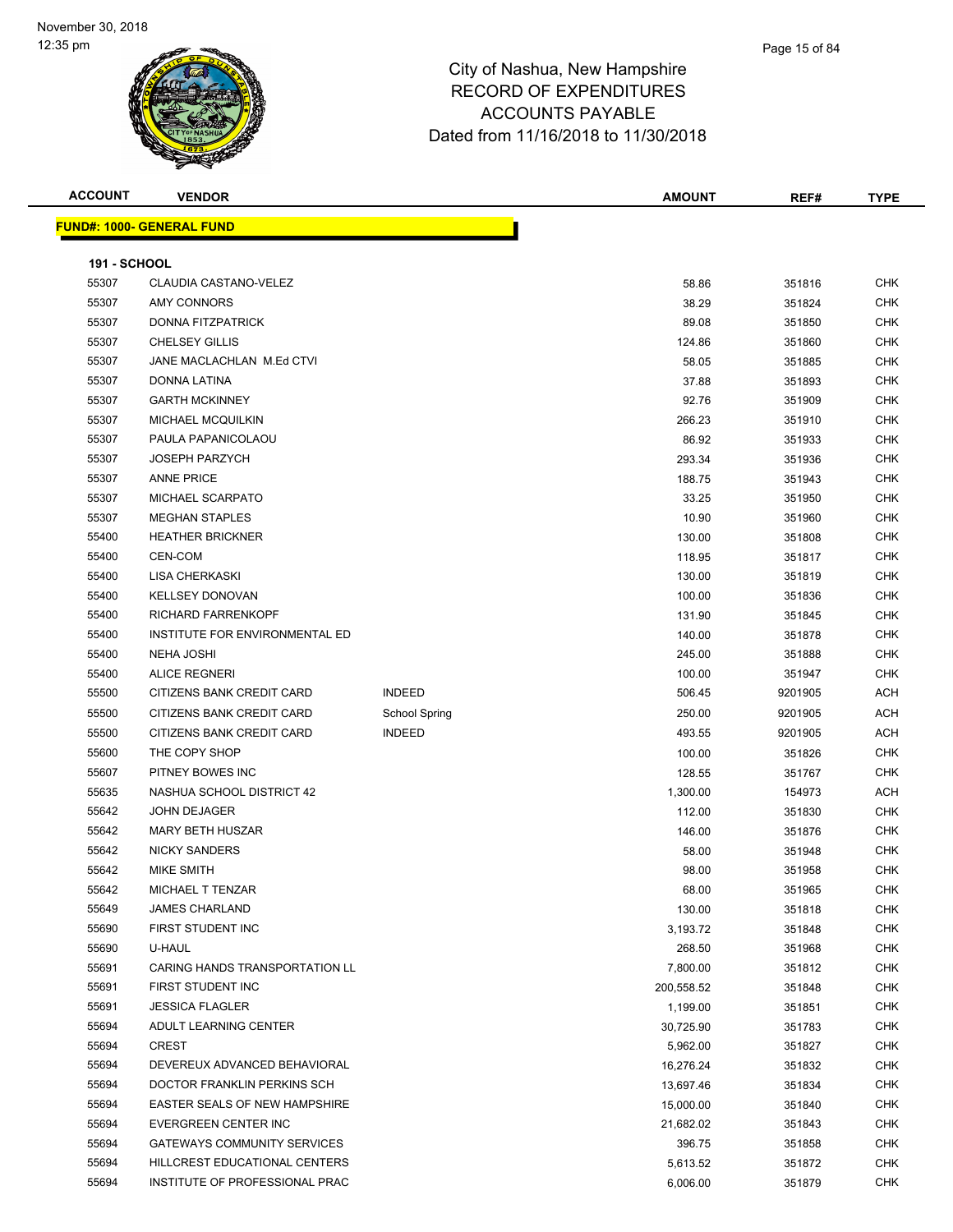| <b>ACCOUNT</b>      | <b>VENDOR</b>                      |                      | <b>AMOUNT</b> | REF#    | <b>TYPE</b> |
|---------------------|------------------------------------|----------------------|---------------|---------|-------------|
|                     | <b>FUND#: 1000- GENERAL FUND</b>   |                      |               |         |             |
|                     |                                    |                      |               |         |             |
| <b>191 - SCHOOL</b> |                                    |                      |               |         |             |
| 55307               | <b>CLAUDIA CASTANO-VELEZ</b>       |                      | 58.86         | 351816  | <b>CHK</b>  |
| 55307               | <b>AMY CONNORS</b>                 |                      | 38.29         | 351824  | <b>CHK</b>  |
| 55307               | DONNA FITZPATRICK                  |                      | 89.08         | 351850  | <b>CHK</b>  |
| 55307               | <b>CHELSEY GILLIS</b>              |                      | 124.86        | 351860  | <b>CHK</b>  |
| 55307               | JANE MACLACHLAN M.Ed CTVI          |                      | 58.05         | 351885  | <b>CHK</b>  |
| 55307               | DONNA LATINA                       |                      | 37.88         | 351893  | <b>CHK</b>  |
| 55307               | <b>GARTH MCKINNEY</b>              |                      | 92.76         | 351909  | <b>CHK</b>  |
| 55307               | MICHAEL MCQUILKIN                  |                      | 266.23        | 351910  | <b>CHK</b>  |
| 55307               | PAULA PAPANICOLAOU                 |                      | 86.92         | 351933  | <b>CHK</b>  |
| 55307               | <b>JOSEPH PARZYCH</b>              |                      | 293.34        | 351936  | <b>CHK</b>  |
| 55307               | <b>ANNE PRICE</b>                  |                      | 188.75        | 351943  | <b>CHK</b>  |
| 55307               | MICHAEL SCARPATO                   |                      | 33.25         | 351950  | <b>CHK</b>  |
| 55307               | <b>MEGHAN STAPLES</b>              |                      | 10.90         | 351960  | <b>CHK</b>  |
| 55400               | <b>HEATHER BRICKNER</b>            |                      | 130.00        | 351808  | <b>CHK</b>  |
| 55400               | CEN-COM                            |                      | 118.95        | 351817  | <b>CHK</b>  |
| 55400               | LISA CHERKASKI                     |                      | 130.00        | 351819  | <b>CHK</b>  |
| 55400               | <b>KELLSEY DONOVAN</b>             |                      | 100.00        | 351836  | <b>CHK</b>  |
| 55400               | <b>RICHARD FARRENKOPF</b>          |                      | 131.90        | 351845  | <b>CHK</b>  |
| 55400               | INSTITUTE FOR ENVIRONMENTAL ED     |                      | 140.00        | 351878  | <b>CHK</b>  |
| 55400               | <b>NEHA JOSHI</b>                  |                      | 245.00        | 351888  | <b>CHK</b>  |
| 55400               | <b>ALICE REGNERI</b>               |                      | 100.00        | 351947  | <b>CHK</b>  |
| 55500               | CITIZENS BANK CREDIT CARD          | <b>INDEED</b>        | 506.45        | 9201905 | ACH         |
| 55500               | CITIZENS BANK CREDIT CARD          | <b>School Spring</b> | 250.00        | 9201905 | <b>ACH</b>  |
| 55500               | CITIZENS BANK CREDIT CARD          | <b>INDEED</b>        | 493.55        | 9201905 | ACH         |
| 55600               | THE COPY SHOP                      |                      | 100.00        | 351826  | <b>CHK</b>  |
| 55607               | PITNEY BOWES INC                   |                      | 128.55        | 351767  | <b>CHK</b>  |
| 55635               | NASHUA SCHOOL DISTRICT 42          |                      | 1,300.00      | 154973  | ACH         |
| 55642               | <b>JOHN DEJAGER</b>                |                      | 112.00        | 351830  | <b>CHK</b>  |
| 55642               | MARY BETH HUSZAR                   |                      | 146.00        | 351876  | <b>CHK</b>  |
| 55642               | <b>NICKY SANDERS</b>               |                      | 58.00         | 351948  | <b>CHK</b>  |
| 55642               | <b>MIKE SMITH</b>                  |                      | 98.00         | 351958  | <b>CHK</b>  |
| 55642               | MICHAEL T TENZAR                   |                      | 68.00         | 351965  | <b>CHK</b>  |
| 55649               | <b>JAMES CHARLAND</b>              |                      | 130.00        | 351818  | <b>CHK</b>  |
| 55690               | FIRST STUDENT INC                  |                      | 3,193.72      | 351848  | <b>CHK</b>  |
| 55690               | U-HAUL                             |                      | 268.50        | 351968  | <b>CHK</b>  |
| 55691               | CARING HANDS TRANSPORTATION LL     |                      | 7,800.00      | 351812  | <b>CHK</b>  |
| 55691               | FIRST STUDENT INC                  |                      | 200,558.52    | 351848  | <b>CHK</b>  |
| 55691               | <b>JESSICA FLAGLER</b>             |                      | 1,199.00      | 351851  | <b>CHK</b>  |
| 55694               | ADULT LEARNING CENTER              |                      | 30,725.90     | 351783  | <b>CHK</b>  |
| 55694               | <b>CREST</b>                       |                      | 5,962.00      | 351827  | <b>CHK</b>  |
| 55694               | DEVEREUX ADVANCED BEHAVIORAL       |                      | 16,276.24     | 351832  | <b>CHK</b>  |
| 55694               | DOCTOR FRANKLIN PERKINS SCH        |                      | 13,697.46     | 351834  | <b>CHK</b>  |
| 55694               | EASTER SEALS OF NEW HAMPSHIRE      |                      | 15,000.00     | 351840  | <b>CHK</b>  |
| 55694               | EVERGREEN CENTER INC               |                      | 21,682.02     | 351843  | <b>CHK</b>  |
| 55694               | <b>GATEWAYS COMMUNITY SERVICES</b> |                      | 396.75        | 351858  | <b>CHK</b>  |
| 55694               | HILLCREST EDUCATIONAL CENTERS      |                      | 5,613.52      | 351872  | <b>CHK</b>  |
| 55694               | INSTITUTE OF PROFESSIONAL PRAC     |                      | 6,006.00      | 351879  | <b>CHK</b>  |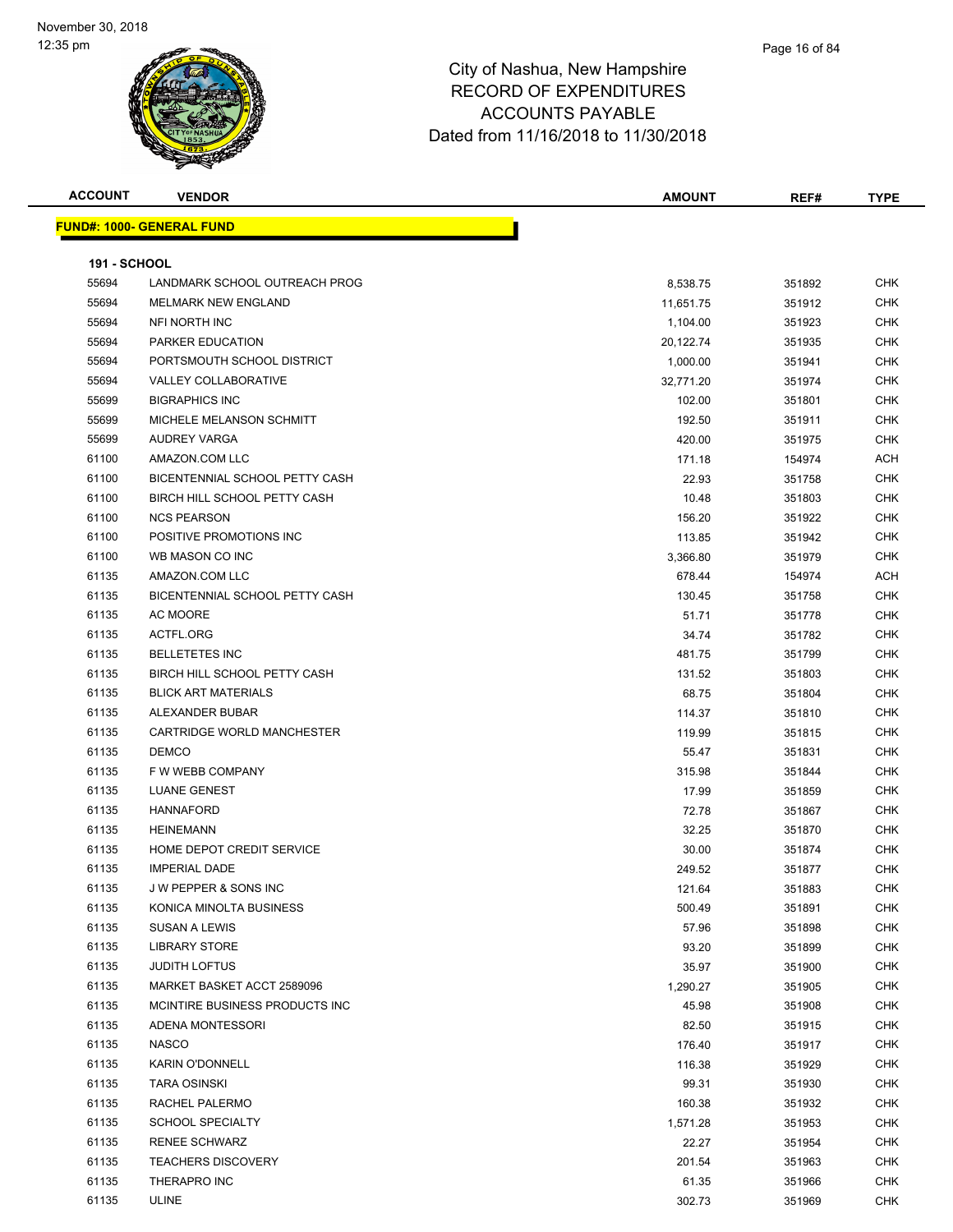| <b>ACCOUNT</b>      | <b>VENDOR</b>                    | <b>AMOUNT</b> | REF#   | <b>TYPE</b> |
|---------------------|----------------------------------|---------------|--------|-------------|
|                     | <b>FUND#: 1000- GENERAL FUND</b> |               |        |             |
|                     |                                  |               |        |             |
| <b>191 - SCHOOL</b> |                                  |               |        |             |
| 55694               | LANDMARK SCHOOL OUTREACH PROG    | 8,538.75      | 351892 | <b>CHK</b>  |
| 55694               | <b>MELMARK NEW ENGLAND</b>       | 11,651.75     | 351912 | <b>CHK</b>  |
| 55694               | NFI NORTH INC                    | 1,104.00      | 351923 | CHK         |
| 55694               | <b>PARKER EDUCATION</b>          | 20,122.74     | 351935 | <b>CHK</b>  |
| 55694               | PORTSMOUTH SCHOOL DISTRICT       | 1,000.00      | 351941 | <b>CHK</b>  |
| 55694               | <b>VALLEY COLLABORATIVE</b>      | 32,771.20     | 351974 | CHK         |
| 55699               | <b>BIGRAPHICS INC</b>            | 102.00        | 351801 | <b>CHK</b>  |
| 55699               | MICHELE MELANSON SCHMITT         | 192.50        | 351911 | CHK         |
| 55699               | AUDREY VARGA                     | 420.00        | 351975 | CHK         |
| 61100               | AMAZON.COM LLC                   | 171.18        | 154974 | <b>ACH</b>  |
| 61100               | BICENTENNIAL SCHOOL PETTY CASH   | 22.93         | 351758 | <b>CHK</b>  |
| 61100               | BIRCH HILL SCHOOL PETTY CASH     | 10.48         | 351803 | <b>CHK</b>  |
| 61100               | <b>NCS PEARSON</b>               | 156.20        | 351922 | <b>CHK</b>  |
| 61100               | POSITIVE PROMOTIONS INC          | 113.85        | 351942 | CHK         |
| 61100               | WB MASON CO INC                  | 3,366.80      | 351979 | CHK         |
| 61135               | AMAZON.COM LLC                   | 678.44        | 154974 | ACH         |
| 61135               | BICENTENNIAL SCHOOL PETTY CASH   | 130.45        | 351758 | CHK         |
| 61135               | AC MOORE                         | 51.71         | 351778 | CHK         |
| 61135               | ACTFL.ORG                        | 34.74         | 351782 | CHK         |
| 61135               | <b>BELLETETES INC</b>            | 481.75        | 351799 | CHK         |
| 61135               | BIRCH HILL SCHOOL PETTY CASH     | 131.52        | 351803 | CHK         |
| 61135               | <b>BLICK ART MATERIALS</b>       | 68.75         | 351804 | CHK         |
| 61135               | ALEXANDER BUBAR                  | 114.37        | 351810 | <b>CHK</b>  |
| 61135               | CARTRIDGE WORLD MANCHESTER       | 119.99        | 351815 | CHK         |
| 61135               | <b>DEMCO</b>                     | 55.47         | 351831 | CHK         |
| 61135               | F W WEBB COMPANY                 | 315.98        | 351844 | CHK         |
| 61135               | <b>LUANE GENEST</b>              | 17.99         | 351859 | CHK         |
| 61135               | <b>HANNAFORD</b>                 | 72.78         | 351867 | CHK         |
| 61135               | <b>HEINEMANN</b>                 | 32.25         | 351870 | CHK         |
| 61135               | HOME DEPOT CREDIT SERVICE        | 30.00         | 351874 | CHK         |
| 61135               | <b>IMPERIAL DADE</b>             | 249.52        | 351877 | CHK         |
| 61135               | J W PEPPER & SONS INC            | 121.64        | 351883 | CHK         |
| 61135               | KONICA MINOLTA BUSINESS          | 500.49        | 351891 | CHK         |
| 61135               | <b>SUSAN A LEWIS</b>             | 57.96         | 351898 | <b>CHK</b>  |
| 61135               | <b>LIBRARY STORE</b>             | 93.20         | 351899 | <b>CHK</b>  |
| 61135               | <b>JUDITH LOFTUS</b>             | 35.97         | 351900 | CHK         |
| 61135               | MARKET BASKET ACCT 2589096       | 1,290.27      | 351905 | <b>CHK</b>  |
| 61135               | MCINTIRE BUSINESS PRODUCTS INC   | 45.98         | 351908 | CHK         |
| 61135               | ADENA MONTESSORI                 | 82.50         | 351915 | CHK         |
| 61135               | <b>NASCO</b>                     | 176.40        | 351917 | CHK         |
| 61135               | <b>KARIN O'DONNELL</b>           | 116.38        | 351929 | CHK         |
| 61135               | <b>TARA OSINSKI</b>              | 99.31         | 351930 | CHK         |
| 61135               | RACHEL PALERMO                   | 160.38        | 351932 | CHK         |
| 61135               | <b>SCHOOL SPECIALTY</b>          | 1,571.28      | 351953 | CHK         |
| 61135               | <b>RENEE SCHWARZ</b>             | 22.27         | 351954 | <b>CHK</b>  |
| 61135               | <b>TEACHERS DISCOVERY</b>        | 201.54        | 351963 | <b>CHK</b>  |
| 61135               | THERAPRO INC                     | 61.35         | 351966 | CHK         |
| 61135               | ULINE                            | 302.73        | 351969 | <b>CHK</b>  |
|                     |                                  |               |        |             |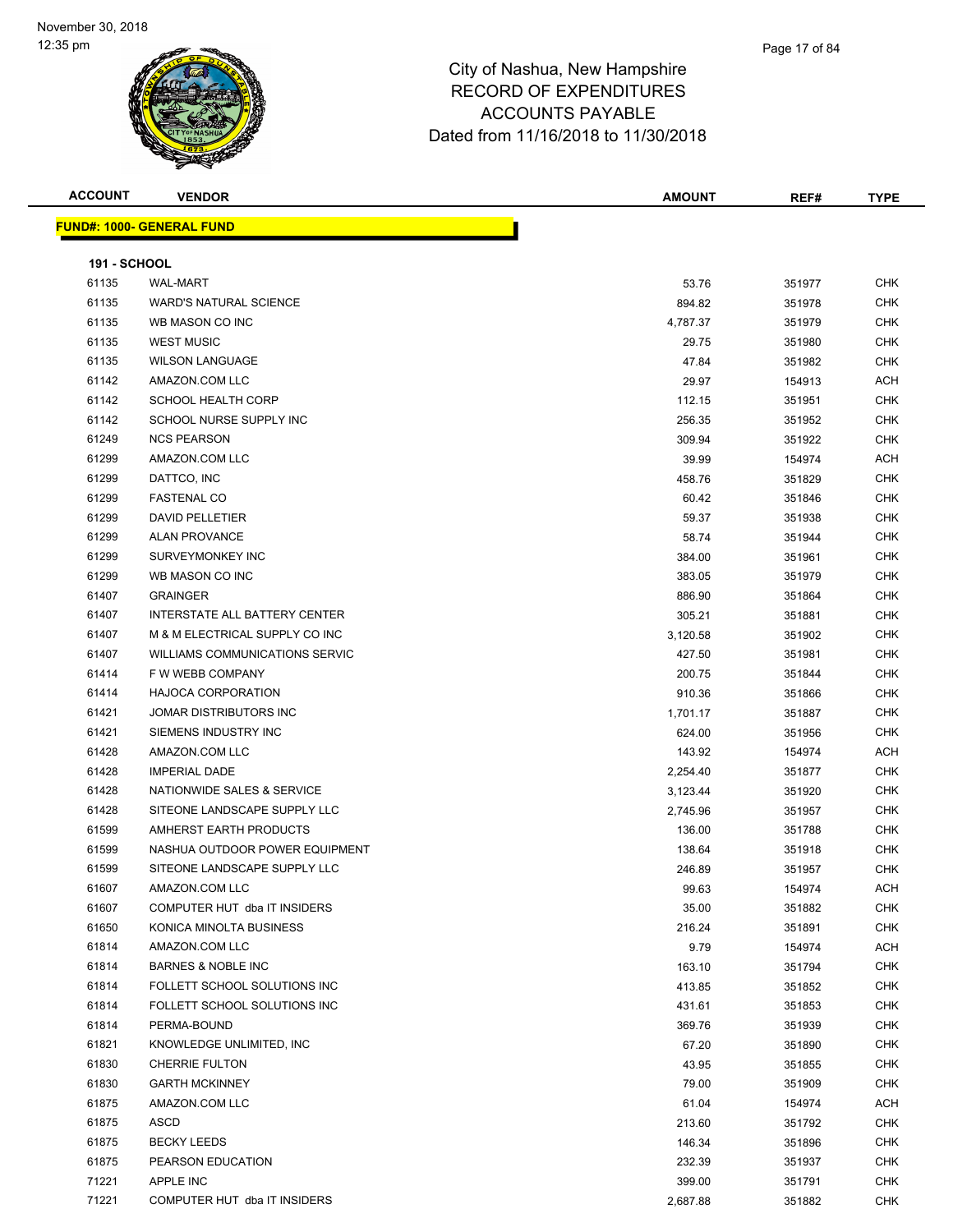| <b>ACCOUNT</b>      | <b>VENDOR</b>                         | <b>AMOUNT</b> | REF#   | <b>TYPE</b> |
|---------------------|---------------------------------------|---------------|--------|-------------|
|                     | <b>FUND#: 1000- GENERAL FUND</b>      |               |        |             |
|                     |                                       |               |        |             |
| <b>191 - SCHOOL</b> |                                       |               |        |             |
| 61135               | <b>WAL-MART</b>                       | 53.76         | 351977 | <b>CHK</b>  |
| 61135               | <b>WARD'S NATURAL SCIENCE</b>         | 894.82        | 351978 | <b>CHK</b>  |
| 61135               | WB MASON CO INC                       | 4,787.37      | 351979 | <b>CHK</b>  |
| 61135               | <b>WEST MUSIC</b>                     | 29.75         | 351980 | <b>CHK</b>  |
| 61135               | <b>WILSON LANGUAGE</b>                | 47.84         | 351982 | <b>CHK</b>  |
| 61142               | AMAZON.COM LLC                        | 29.97         | 154913 | <b>ACH</b>  |
| 61142               | <b>SCHOOL HEALTH CORP</b>             | 112.15        | 351951 | <b>CHK</b>  |
| 61142               | SCHOOL NURSE SUPPLY INC               | 256.35        | 351952 | <b>CHK</b>  |
| 61249               | <b>NCS PEARSON</b>                    | 309.94        | 351922 | <b>CHK</b>  |
| 61299               | AMAZON.COM LLC                        | 39.99         | 154974 | <b>ACH</b>  |
| 61299               | DATTCO, INC                           | 458.76        | 351829 | <b>CHK</b>  |
| 61299               | <b>FASTENAL CO</b>                    | 60.42         | 351846 | <b>CHK</b>  |
| 61299               | DAVID PELLETIER                       | 59.37         | 351938 | <b>CHK</b>  |
| 61299               | <b>ALAN PROVANCE</b>                  | 58.74         | 351944 | <b>CHK</b>  |
| 61299               | SURVEYMONKEY INC                      | 384.00        | 351961 | CHK         |
| 61299               | WB MASON CO INC                       | 383.05        | 351979 | <b>CHK</b>  |
| 61407               | <b>GRAINGER</b>                       | 886.90        | 351864 | <b>CHK</b>  |
| 61407               | INTERSTATE ALL BATTERY CENTER         | 305.21        | 351881 | <b>CHK</b>  |
| 61407               | M & M ELECTRICAL SUPPLY CO INC        | 3,120.58      | 351902 | <b>CHK</b>  |
| 61407               | <b>WILLIAMS COMMUNICATIONS SERVIC</b> | 427.50        | 351981 | <b>CHK</b>  |
| 61414               | F W WEBB COMPANY                      | 200.75        | 351844 | <b>CHK</b>  |
| 61414               | <b>HAJOCA CORPORATION</b>             | 910.36        | 351866 | <b>CHK</b>  |
| 61421               | JOMAR DISTRIBUTORS INC                | 1,701.17      | 351887 | <b>CHK</b>  |
| 61421               | SIEMENS INDUSTRY INC                  | 624.00        | 351956 | <b>CHK</b>  |
| 61428               | AMAZON.COM LLC                        | 143.92        | 154974 | ACH         |
| 61428               | <b>IMPERIAL DADE</b>                  | 2,254.40      | 351877 | <b>CHK</b>  |
| 61428               | NATIONWIDE SALES & SERVICE            | 3,123.44      | 351920 | <b>CHK</b>  |
| 61428               | SITEONE LANDSCAPE SUPPLY LLC          | 2,745.96      | 351957 | <b>CHK</b>  |
| 61599               | AMHERST EARTH PRODUCTS                | 136.00        | 351788 | <b>CHK</b>  |
| 61599               | NASHUA OUTDOOR POWER EQUIPMENT        | 138.64        | 351918 | <b>CHK</b>  |
| 61599               | SITEONE LANDSCAPE SUPPLY LLC          | 246.89        | 351957 | <b>CHK</b>  |
| 61607               | AMAZON.COM LLC                        |               |        | ACH         |
| 61607               | COMPUTER HUT dba IT INSIDERS          | 99.63         | 154974 |             |
|                     | KONICA MINOLTA BUSINESS               | 35.00         | 351882 | <b>CHK</b>  |
| 61650               |                                       | 216.24        | 351891 | <b>CHK</b>  |
| 61814               | AMAZON.COM LLC                        | 9.79          | 154974 | ACH         |
| 61814               | <b>BARNES &amp; NOBLE INC</b>         | 163.10        | 351794 | <b>CHK</b>  |
| 61814               | FOLLETT SCHOOL SOLUTIONS INC          | 413.85        | 351852 | <b>CHK</b>  |
| 61814               | FOLLETT SCHOOL SOLUTIONS INC          | 431.61        | 351853 | <b>CHK</b>  |
| 61814               | PERMA-BOUND                           | 369.76        | 351939 | <b>CHK</b>  |
| 61821               | KNOWLEDGE UNLIMITED, INC              | 67.20         | 351890 | <b>CHK</b>  |
| 61830               | <b>CHERRIE FULTON</b>                 | 43.95         | 351855 | <b>CHK</b>  |
| 61830               | <b>GARTH MCKINNEY</b>                 | 79.00         | 351909 | <b>CHK</b>  |
| 61875               | AMAZON.COM LLC                        | 61.04         | 154974 | ACH         |
| 61875               | <b>ASCD</b>                           | 213.60        | 351792 | CHK         |
| 61875               | <b>BECKY LEEDS</b>                    | 146.34        | 351896 | <b>CHK</b>  |
| 61875               | PEARSON EDUCATION                     | 232.39        | 351937 | CHK         |
| 71221               | APPLE INC                             | 399.00        | 351791 | CHK         |
| 71221               | COMPUTER HUT dba IT INSIDERS          | 2,687.88      | 351882 | <b>CHK</b>  |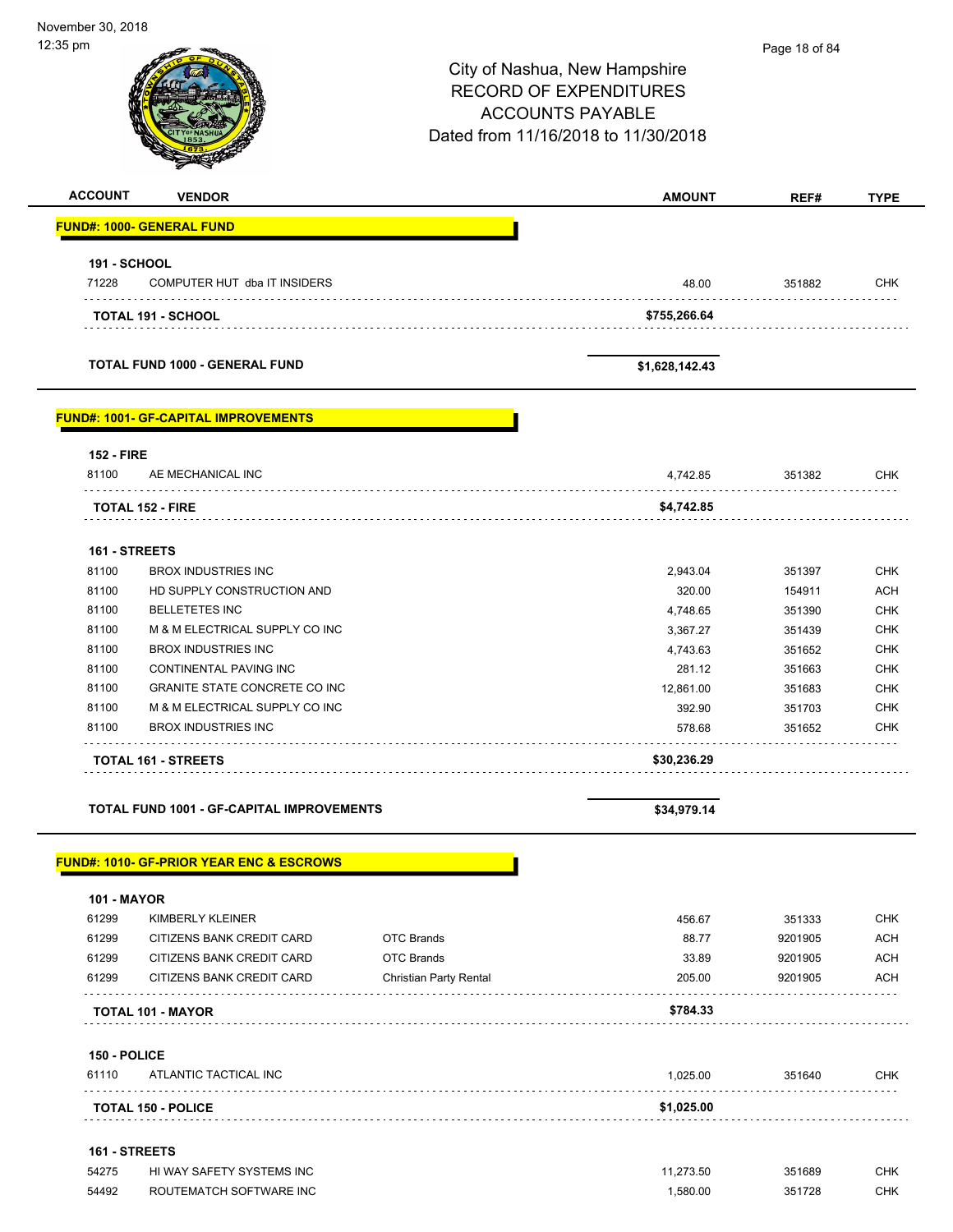| 12:35 pm            |                                                     |                               |                                     | Page 18 of 84 |                                        |
|---------------------|-----------------------------------------------------|-------------------------------|-------------------------------------|---------------|----------------------------------------|
|                     |                                                     |                               | City of Nashua, New Hampshire       |               |                                        |
|                     |                                                     |                               | <b>RECORD OF EXPENDITURES</b>       |               |                                        |
|                     |                                                     |                               | <b>ACCOUNTS PAYABLE</b>             |               |                                        |
|                     |                                                     |                               | Dated from 11/16/2018 to 11/30/2018 |               |                                        |
|                     |                                                     |                               |                                     |               |                                        |
| <b>ACCOUNT</b>      | <b>VENDOR</b>                                       |                               | <b>AMOUNT</b>                       | REF#          | <b>TYPE</b>                            |
|                     | <b>FUND#: 1000- GENERAL FUND</b>                    |                               |                                     |               |                                        |
| <b>191 - SCHOOL</b> |                                                     |                               |                                     |               |                                        |
| 71228               | COMPUTER HUT dba IT INSIDERS                        |                               | 48.00                               | 351882        | <b>CHK</b>                             |
|                     | <b>TOTAL 191 - SCHOOL</b>                           |                               | \$755,266.64                        | .             |                                        |
|                     | TOTAL FUND 1000 - GENERAL FUND                      |                               | \$1,628,142.43                      |               |                                        |
|                     | <b>FUND#: 1001- GF-CAPITAL IMPROVEMENTS</b>         |                               |                                     |               |                                        |
| <b>152 - FIRE</b>   |                                                     |                               |                                     |               |                                        |
| 81100               | AE MECHANICAL INC                                   |                               | 4,742.85                            | 351382        | <b>CHK</b>                             |
|                     | <b>TOTAL 152 - FIRE</b>                             |                               | \$4,742.85                          |               |                                        |
| 161 - STREETS       |                                                     |                               |                                     |               |                                        |
| 81100               | <b>BROX INDUSTRIES INC</b>                          |                               | 2,943.04                            | 351397        | <b>CHK</b>                             |
| 81100               | HD SUPPLY CONSTRUCTION AND                          |                               | 320.00                              | 154911        | <b>ACH</b>                             |
| 81100               | <b>BELLETETES INC</b>                               |                               | 4,748.65                            | 351390        | <b>CHK</b>                             |
| 81100               | M & M ELECTRICAL SUPPLY CO INC                      |                               | 3,367.27                            | 351439        | <b>CHK</b>                             |
| 81100               | <b>BROX INDUSTRIES INC</b>                          |                               |                                     |               | <b>CHK</b>                             |
|                     |                                                     |                               | 4,743.63                            | 351652        |                                        |
| 81100               | CONTINENTAL PAVING INC                              |                               | 281.12                              | 351663        | <b>CHK</b>                             |
| 81100               | <b>GRANITE STATE CONCRETE CO INC</b>                |                               | 12,861.00                           | 351683        | <b>CHK</b>                             |
| 81100               | M & M ELECTRICAL SUPPLY CO INC                      |                               | 392.90                              | 351703        | <b>CHK</b>                             |
| 81100               | <b>BROX INDUSTRIES INC</b>                          |                               | 578.68                              | 351652        | <b>CHK</b>                             |
|                     | <b>TOTAL 161 - STREETS</b>                          |                               | \$30,236.29                         |               |                                        |
|                     | TOTAL FUND 1001 - GF-CAPITAL IMPROVEMENTS           |                               | \$34,979.14                         |               |                                        |
|                     |                                                     |                               |                                     |               |                                        |
|                     |                                                     |                               |                                     |               |                                        |
|                     | <b>FUND#: 1010- GF-PRIOR YEAR ENC &amp; ESCROWS</b> |                               |                                     |               |                                        |
| <b>101 - MAYOR</b>  |                                                     |                               |                                     |               |                                        |
| 61299               | KIMBERLY KLEINER                                    |                               | 456.67                              | 351333        |                                        |
| 61299               | CITIZENS BANK CREDIT CARD                           | <b>OTC Brands</b>             | 88.77                               | 9201905       | <b>CHK</b><br><b>ACH</b>               |
| 61299               | CITIZENS BANK CREDIT CARD                           | <b>OTC Brands</b>             | 33.89                               | 9201905       |                                        |
| 61299               | CITIZENS BANK CREDIT CARD                           | <b>Christian Party Rental</b> | 205.00                              | 9201905       |                                        |
|                     | TOTAL 101 - MAYOR                                   |                               | \$784.33                            |               |                                        |
| 150 - POLICE        |                                                     |                               |                                     |               |                                        |
| 61110               | ATLANTIC TACTICAL INC                               |                               | 1,025.00                            | 351640        |                                        |
|                     | <b>TOTAL 150 - POLICE</b>                           |                               | \$1,025.00                          |               | <b>ACH</b><br><b>ACH</b><br><b>CHK</b> |
| 161 - STREETS       |                                                     |                               |                                     |               |                                        |
| 54275               | HI WAY SAFETY SYSTEMS INC                           |                               | 11,273.50                           | 351689        | <b>CHK</b><br><b>CHK</b>               |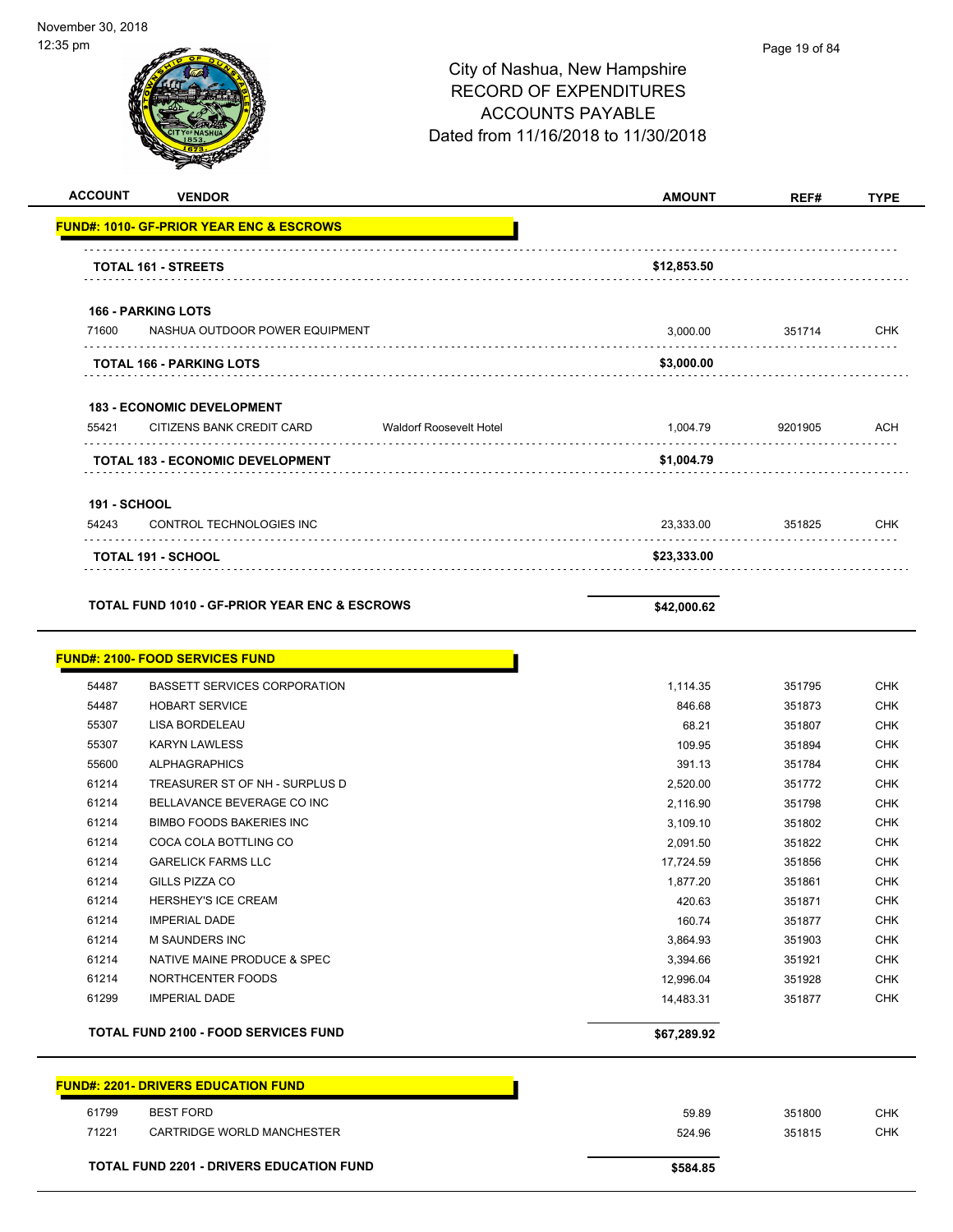| <b>ACCOUNT</b>               | <b>VENDOR</b>                                               | <b>AMOUNT</b> | REF#    | <b>TYPE</b> |
|------------------------------|-------------------------------------------------------------|---------------|---------|-------------|
|                              | <b>FUND#: 1010- GF-PRIOR YEAR ENC &amp; ESCROWS</b>         |               |         |             |
|                              | <b>TOTAL 161 - STREETS</b>                                  | \$12,853.50   |         |             |
|                              | <b>166 - PARKING LOTS</b>                                   |               |         |             |
| 71600                        | NASHUA OUTDOOR POWER EQUIPMENT                              | 3,000.00      | 351714  | <b>CHK</b>  |
|                              | TOTAL 166 - PARKING LOTS                                    | \$3,000.00    |         |             |
|                              | 183 - ECONOMIC DEVELOPMENT                                  |               |         |             |
| 55421                        | CITIZENS BANK CREDIT CARD<br><b>Waldorf Roosevelt Hotel</b> | 1,004.79      | 9201905 | <b>ACH</b>  |
|                              | TOTAL 183 - ECONOMIC DEVELOPMENT                            | \$1,004.79    |         |             |
|                              |                                                             |               |         |             |
| <b>191 - SCHOOL</b><br>54243 | CONTROL TECHNOLOGIES INC                                    | 23,333.00     | 351825  | <b>CHK</b>  |
|                              | <b>TOTAL 191 - SCHOOL</b>                                   | \$23,333.00   |         |             |
|                              |                                                             |               |         |             |
|                              | <b>TOTAL FUND 1010 - GF-PRIOR YEAR ENC &amp; ESCROWS</b>    | \$42,000.62   |         |             |
|                              | <b>FUND#: 2100- FOOD SERVICES FUND</b>                      |               |         |             |
| 54487                        | BASSETT SERVICES CORPORATION                                | 1,114.35      | 351795  | <b>CHK</b>  |
| 54487                        | <b>HOBART SERVICE</b>                                       | 846.68        | 351873  | <b>CHK</b>  |
| 55307                        | LISA BORDELEAU                                              | 68.21         | 351807  | <b>CHK</b>  |
| 55307                        | <b>KARYN LAWLESS</b>                                        | 109.95        | 351894  | <b>CHK</b>  |
| 55600                        | <b>ALPHAGRAPHICS</b>                                        | 391.13        | 351784  | <b>CHK</b>  |
| 61214                        | TREASURER ST OF NH - SURPLUS D                              | 2,520.00      | 351772  | <b>CHK</b>  |
| 61214                        | BELLAVANCE BEVERAGE CO INC                                  | 2,116.90      | 351798  | <b>CHK</b>  |
| 61214                        | <b>BIMBO FOODS BAKERIES INC</b>                             | 3,109.10      | 351802  | <b>CHK</b>  |
| 61214                        | COCA COLA BOTTLING CO                                       | 2,091.50      | 351822  | <b>CHK</b>  |
| 61214                        | <b>GARELICK FARMS LLC</b>                                   | 17,724.59     | 351856  | <b>CHK</b>  |
| 61214                        | GILLS PIZZA CO                                              | 1,877.20      | 351861  | <b>CHK</b>  |
| 61214                        | HERSHEY'S ICE CREAM                                         | 420.63        | 351871  | <b>CHK</b>  |
| 61214                        | <b>IMPERIAL DADE</b>                                        | 160.74        | 351877  | <b>CHK</b>  |
| 61214                        | <b>M SAUNDERS INC</b>                                       | 3,864.93      | 351903  | <b>CHK</b>  |
| 61214                        | NATIVE MAINE PRODUCE & SPEC                                 | 3,394.66      | 351921  | <b>CHK</b>  |
| 61214                        | NORTHCENTER FOODS                                           | 12,996.04     | 351928  | <b>CHK</b>  |
| 61299                        | <b>IMPERIAL DADE</b>                                        | 14,483.31     | 351877  | <b>CHK</b>  |
|                              | <b>TOTAL FUND 2100 - FOOD SERVICES FUND</b>                 | \$67,289.92   |         |             |
|                              | <b>FUND#: 2201- DRIVERS EDUCATION FUND</b>                  |               |         |             |
|                              |                                                             |               |         |             |
| 61799                        | <b>BEST FORD</b>                                            | 59.89         | 351800  | CHK         |
| 71221                        | CARTRIDGE WORLD MANCHESTER                                  | 524.96        | 351815  | <b>CHK</b>  |
|                              | TOTAL FUND 2201 - DRIVERS EDUCATION FUND                    | \$584.85      |         |             |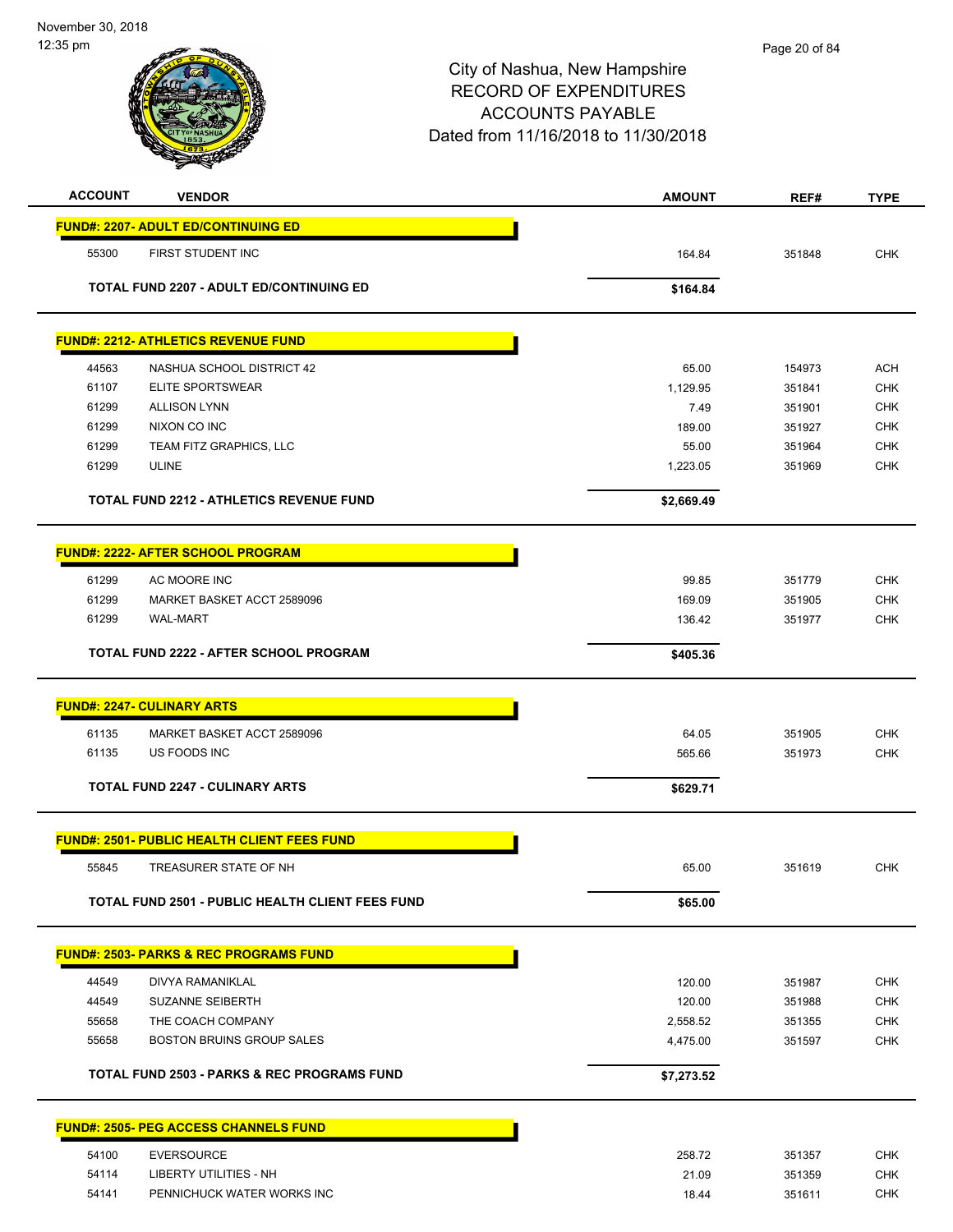| <b>ACCOUNT</b> | <b>VENDOR</b>                                           | <b>AMOUNT</b> | REF#   | <b>TYPE</b> |
|----------------|---------------------------------------------------------|---------------|--------|-------------|
|                | <b>FUND#: 2207- ADULT ED/CONTINUING ED</b>              |               |        |             |
| 55300          | FIRST STUDENT INC                                       | 164.84        | 351848 | <b>CHK</b>  |
|                | TOTAL FUND 2207 - ADULT ED/CONTINUING ED                |               |        |             |
|                |                                                         | \$164.84      |        |             |
|                | <b>FUND#: 2212- ATHLETICS REVENUE FUND</b>              |               |        |             |
| 44563          | NASHUA SCHOOL DISTRICT 42                               | 65.00         | 154973 | <b>ACH</b>  |
| 61107          | <b>ELITE SPORTSWEAR</b>                                 | 1,129.95      | 351841 | <b>CHK</b>  |
| 61299          | <b>ALLISON LYNN</b>                                     | 7.49          | 351901 | <b>CHK</b>  |
| 61299          | NIXON CO INC                                            | 189.00        | 351927 | <b>CHK</b>  |
| 61299          | TEAM FITZ GRAPHICS, LLC                                 | 55.00         | 351964 | <b>CHK</b>  |
| 61299          | <b>ULINE</b>                                            | 1,223.05      | 351969 | <b>CHK</b>  |
|                | <b>TOTAL FUND 2212 - ATHLETICS REVENUE FUND</b>         | \$2,669.49    |        |             |
|                | <b>FUND#: 2222- AFTER SCHOOL PROGRAM</b>                |               |        |             |
| 61299          | AC MOORE INC                                            | 99.85         | 351779 | <b>CHK</b>  |
| 61299          | MARKET BASKET ACCT 2589096                              | 169.09        | 351905 | CHK         |
| 61299          | <b>WAL-MART</b>                                         | 136.42        | 351977 | <b>CHK</b>  |
|                | <b>TOTAL FUND 2222 - AFTER SCHOOL PROGRAM</b>           | \$405.36      |        |             |
|                |                                                         |               |        |             |
|                | <b>FUND#: 2247- CULINARY ARTS</b>                       |               |        |             |
| 61135          | MARKET BASKET ACCT 2589096                              | 64.05         | 351905 | <b>CHK</b>  |
| 61135          | US FOODS INC                                            | 565.66        | 351973 | <b>CHK</b>  |
|                | <b>TOTAL FUND 2247 - CULINARY ARTS</b>                  | \$629.71      |        |             |
|                | <b>FUND#: 2501- PUBLIC HEALTH CLIENT FEES FUND</b>      |               |        |             |
| 55845          | TREASURER STATE OF NH                                   | 65.00         | 351619 | <b>CHK</b>  |
|                | <b>TOTAL FUND 2501 - PUBLIC HEALTH CLIENT FEES FUND</b> | \$65.00       |        |             |
|                |                                                         |               |        |             |
|                | <b>FUND#: 2503- PARKS &amp; REC PROGRAMS FUND</b>       |               |        |             |
| 44549          | <b>DIVYA RAMANIKLAL</b>                                 | 120.00        | 351987 | <b>CHK</b>  |
| 44549          | <b>SUZANNE SEIBERTH</b>                                 | 120.00        | 351988 | <b>CHK</b>  |
| 55658          | THE COACH COMPANY                                       | 2,558.52      | 351355 | <b>CHK</b>  |
| 55658          | BOSTON BRUINS GROUP SALES                               | 4,475.00      | 351597 | <b>CHK</b>  |
|                | <b>TOTAL FUND 2503 - PARKS &amp; REC PROGRAMS FUND</b>  | \$7,273.52    |        |             |
|                | <u> FUND#: 2505- PEG ACCESS CHANNELS FUND</u>           |               |        |             |
| 54100          | <b>EVERSOURCE</b>                                       | 258.72        | 351357 | <b>CHK</b>  |
| 54114          | LIBERTY UTILITIES - NH                                  | 21.09         | 351359 | <b>CHK</b>  |
| 54141          | PENNICHUCK WATER WORKS INC                              | 18.44         | 351611 | <b>CHK</b>  |
|                |                                                         |               |        |             |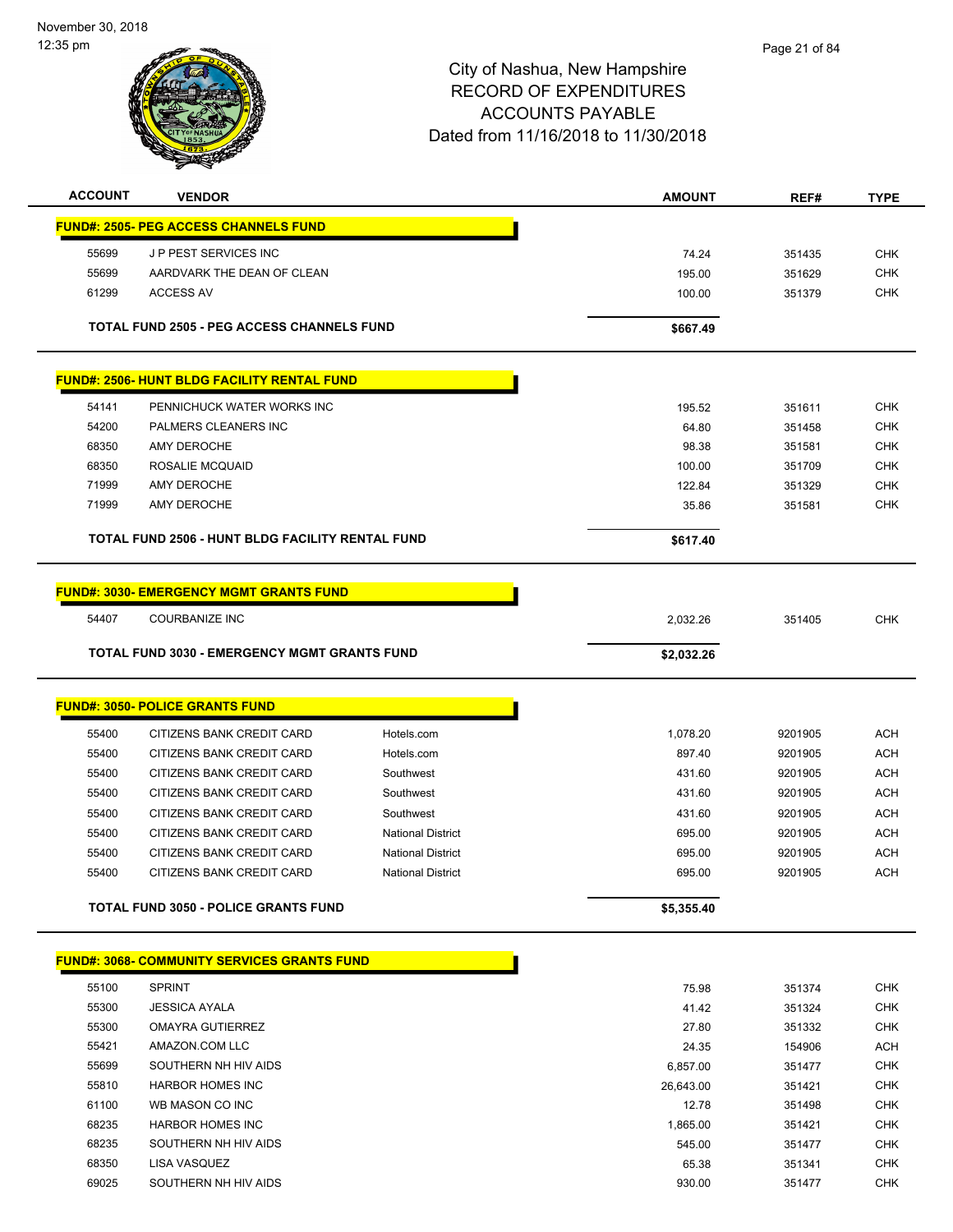| <b>ACCOUNT</b> | <b>VENDOR</b>                                           |                          | <b>AMOUNT</b> | REF#    | <b>TYPE</b> |
|----------------|---------------------------------------------------------|--------------------------|---------------|---------|-------------|
|                | <b>FUND#: 2505- PEG ACCESS CHANNELS FUND</b>            |                          |               |         |             |
| 55699          | J P PEST SERVICES INC                                   |                          | 74.24         | 351435  | <b>CHK</b>  |
| 55699          | AARDVARK THE DEAN OF CLEAN                              |                          | 195.00        | 351629  | <b>CHK</b>  |
| 61299          | <b>ACCESS AV</b>                                        |                          | 100.00        | 351379  | <b>CHK</b>  |
|                | <b>TOTAL FUND 2505 - PEG ACCESS CHANNELS FUND</b>       |                          | \$667.49      |         |             |
|                | <b>FUND#: 2506- HUNT BLDG FACILITY RENTAL FUND</b>      |                          |               |         |             |
| 54141          | PENNICHUCK WATER WORKS INC                              |                          | 195.52        | 351611  | <b>CHK</b>  |
| 54200          | PALMERS CLEANERS INC                                    |                          | 64.80         | 351458  | <b>CHK</b>  |
| 68350          | AMY DEROCHE                                             |                          | 98.38         | 351581  | <b>CHK</b>  |
| 68350          | ROSALIE MCQUAID                                         |                          | 100.00        | 351709  | <b>CHK</b>  |
| 71999          | AMY DEROCHE                                             |                          | 122.84        | 351329  | <b>CHK</b>  |
| 71999          | AMY DEROCHE                                             |                          | 35.86         | 351581  | <b>CHK</b>  |
|                | <b>TOTAL FUND 2506 - HUNT BLDG FACILITY RENTAL FUND</b> |                          | \$617.40      |         |             |
|                | <u> FUND#: 3030- EMERGENCY MGMT GRANTS FUND</u>         |                          |               |         |             |
| 54407          | <b>COURBANIZE INC</b>                                   |                          | 2,032.26      | 351405  | <b>CHK</b>  |
|                | <b>TOTAL FUND 3030 - EMERGENCY MGMT GRANTS FUND</b>     |                          | \$2,032.26    |         |             |
|                | <u> FUND#: 3050- POLICE GRANTS FUND</u>                 |                          |               |         |             |
| 55400          | CITIZENS BANK CREDIT CARD                               | Hotels.com               | 1,078.20      | 9201905 | <b>ACH</b>  |
| 55400          | CITIZENS BANK CREDIT CARD                               | Hotels.com               | 897.40        | 9201905 | <b>ACH</b>  |
| 55400          | CITIZENS BANK CREDIT CARD                               | Southwest                | 431.60        | 9201905 | <b>ACH</b>  |
| 55400          | CITIZENS BANK CREDIT CARD                               | Southwest                | 431.60        | 9201905 | <b>ACH</b>  |
| 55400          | CITIZENS BANK CREDIT CARD                               | Southwest                | 431.60        | 9201905 | <b>ACH</b>  |
| 55400          | CITIZENS BANK CREDIT CARD                               | <b>National District</b> | 695.00        | 9201905 | <b>ACH</b>  |
| 55400          | CITIZENS BANK CREDIT CARD                               | <b>National District</b> | 695.00        | 9201905 | ACH         |
| 55400          | CITIZENS BANK CREDIT CARD                               | <b>National District</b> | 695.00        | 9201905 | <b>ACH</b>  |
|                | <b>TOTAL FUND 3050 - POLICE GRANTS FUND</b>             |                          | \$5,355.40    |         |             |
|                | <b>FUND#: 3068- COMMUNITY SERVICES GRANTS FUND</b>      |                          |               |         |             |
| 55100          | <b>SPRINT</b>                                           |                          | 75.98         | 351374  | <b>CHK</b>  |
| 55300          | <b>JESSICA AYALA</b>                                    |                          | 41.42         | 351324  | <b>CHK</b>  |
| 55300          | <b>OMAYRA GUTIERREZ</b>                                 |                          | 27.80         | 351332  | <b>CHK</b>  |
| 55421          | AMAZON.COM LLC                                          |                          | 24.35         | 154906  | <b>ACH</b>  |
| 55699          | SOUTHERN NH HIV AIDS                                    |                          | 6,857.00      | 351477  | <b>CHK</b>  |
| 55810          | <b>HARBOR HOMES INC</b>                                 |                          | 26,643.00     | 351421  | <b>CHK</b>  |
| 61100          | WB MASON CO INC                                         |                          | 12.78         | 351498  | <b>CHK</b>  |
| 68235          | <b>HARBOR HOMES INC</b>                                 |                          | 1,865.00      | 351421  | <b>CHK</b>  |
| 68235          | SOUTHERN NH HIV AIDS                                    |                          | 545.00        | 351477  | <b>CHK</b>  |
| 68350          | LISA VASQUEZ                                            |                          | 65.38         | 351341  | <b>CHK</b>  |
| 69025          | SOUTHERN NH HIV AIDS                                    |                          | 930.00        | 351477  | <b>CHK</b>  |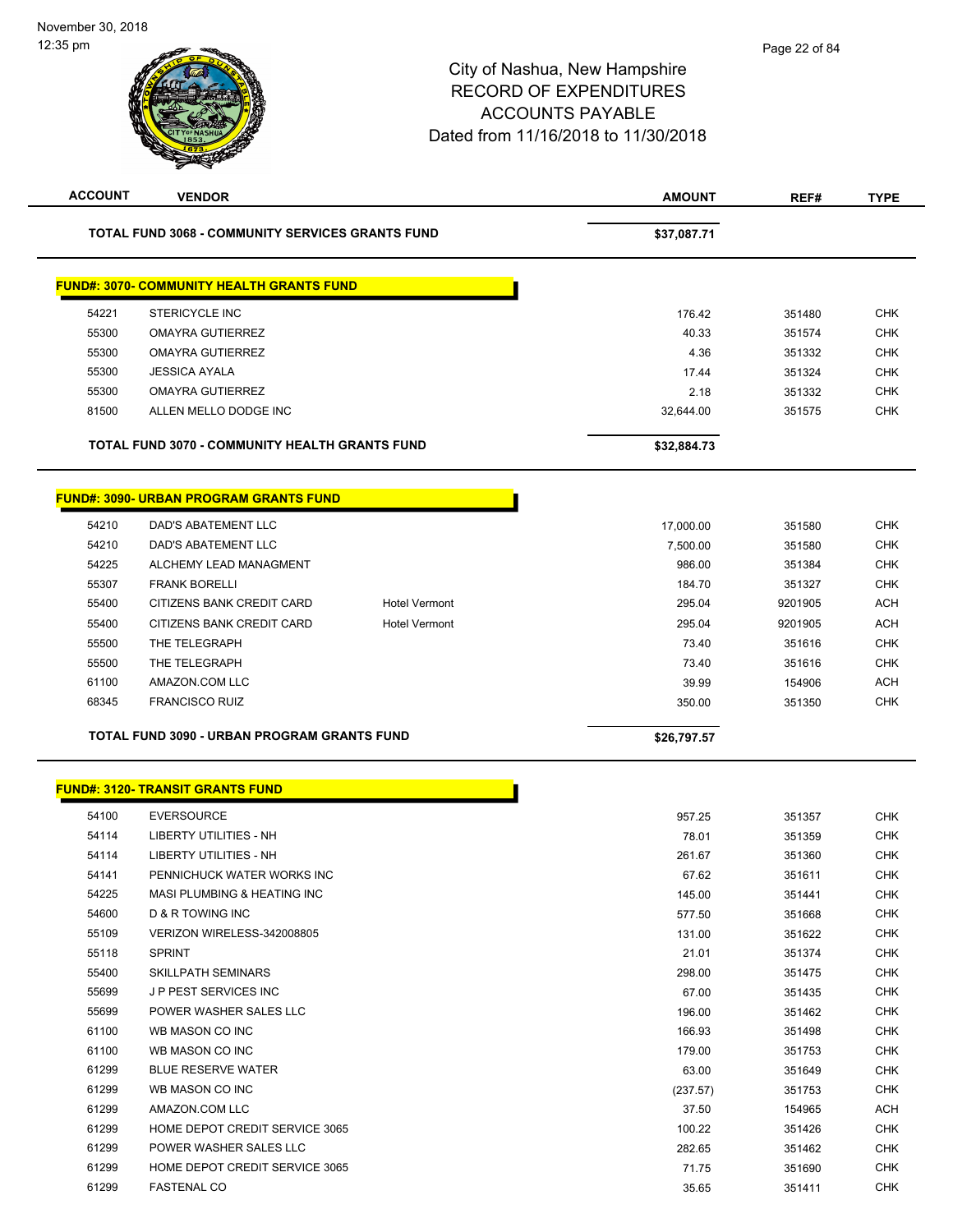| <b>ACCOUNT</b> | <b>VENDOR</b>                                           |                      | <b>AMOUNT</b> | REF#    | <b>TYPE</b> |
|----------------|---------------------------------------------------------|----------------------|---------------|---------|-------------|
|                | <b>TOTAL FUND 3068 - COMMUNITY SERVICES GRANTS FUND</b> |                      | \$37,087.71   |         |             |
|                | <b>FUND#: 3070- COMMUNITY HEALTH GRANTS FUND</b>        |                      |               |         |             |
| 54221          | <b>STERICYCLE INC</b>                                   |                      | 176.42        | 351480  | <b>CHK</b>  |
| 55300          | <b>OMAYRA GUTIERREZ</b>                                 |                      | 40.33         | 351574  | <b>CHK</b>  |
| 55300          | <b>OMAYRA GUTIERREZ</b>                                 |                      | 4.36          | 351332  | <b>CHK</b>  |
| 55300          | <b>JESSICA AYALA</b>                                    |                      | 17.44         | 351324  | <b>CHK</b>  |
| 55300          | <b>OMAYRA GUTIERREZ</b>                                 |                      | 2.18          | 351332  | <b>CHK</b>  |
| 81500          | ALLEN MELLO DODGE INC                                   |                      | 32,644.00     | 351575  | <b>CHK</b>  |
|                | TOTAL FUND 3070 - COMMUNITY HEALTH GRANTS FUND          |                      | \$32,884.73   |         |             |
|                | <b>FUND#: 3090- URBAN PROGRAM GRANTS FUND</b>           |                      |               |         |             |
| 54210          | DAD'S ABATEMENT LLC                                     |                      | 17,000.00     | 351580  | <b>CHK</b>  |
| 54210          | DAD'S ABATEMENT LLC                                     |                      | 7,500.00      | 351580  | <b>CHK</b>  |
| 54225          | ALCHEMY LEAD MANAGMENT                                  |                      | 986.00        | 351384  | <b>CHK</b>  |
| 55307          | <b>FRANK BORELLI</b>                                    |                      | 184.70        | 351327  | <b>CHK</b>  |
| 55400          | CITIZENS BANK CREDIT CARD                               | <b>Hotel Vermont</b> | 295.04        | 9201905 | <b>ACH</b>  |
| 55400          | CITIZENS BANK CREDIT CARD                               | <b>Hotel Vermont</b> | 295.04        | 9201905 | <b>ACH</b>  |
| 55500          | THE TELEGRAPH                                           |                      | 73.40         | 351616  | <b>CHK</b>  |
| 55500          | THE TELEGRAPH                                           |                      | 73.40         | 351616  | <b>CHK</b>  |
| 61100          | AMAZON.COM LLC                                          |                      | 39.99         | 154906  | <b>ACH</b>  |
| 68345          | <b>FRANCISCO RUIZ</b>                                   |                      | 350.00        | 351350  | <b>CHK</b>  |
|                | TOTAL FUND 3090 - URBAN PROGRAM GRANTS FUND             |                      | \$26,797.57   |         |             |
|                |                                                         |                      |               |         |             |
|                | <u> FUND#: 3120- TRANSIT GRANTS FUND</u>                |                      |               |         |             |
| 54100          | <b>EVERSOURCE</b>                                       |                      | 957.25        | 351357  | <b>CHK</b>  |
| 54114          | LIBERTY UTILITIES - NH                                  |                      | 78.01         | 351359  | <b>CHK</b>  |
| 54114          | <b>LIBERTY UTILITIES - NH</b>                           |                      | 261.67        | 351360  | <b>CHK</b>  |
| 54141          | PENNICHUCK WATER WORKS INC                              |                      | 67.62         | 351611  | <b>CHK</b>  |
| 54225          | MASI PLUMBING & HEATING INC                             |                      | 145.00        | 351441  | <b>CHK</b>  |
| 54600          | D & R TOWING INC                                        |                      | 577.50        | 351668  | <b>CHK</b>  |
| 55109          | VERIZON WIRELESS-342008805                              |                      | 131.00        | 351622  | <b>CHK</b>  |
| 55118          | <b>SPRINT</b>                                           |                      | 21.01         | 351374  | <b>CHK</b>  |
| 55400          | <b>SKILLPATH SEMINARS</b>                               |                      | 298.00        | 351475  | <b>CHK</b>  |
| 55699          | J P PEST SERVICES INC                                   |                      | 67.00         | 351435  | <b>CHK</b>  |
| 55699          | POWER WASHER SALES LLC                                  |                      | 196.00        | 351462  | <b>CHK</b>  |
| 61100          | WB MASON CO INC                                         |                      | 166.93        | 351498  | <b>CHK</b>  |
| 61100          | WB MASON CO INC                                         |                      | 179.00        | 351753  | <b>CHK</b>  |
| 61299          | <b>BLUE RESERVE WATER</b>                               |                      | 63.00         | 351649  | <b>CHK</b>  |
| 61299          | WB MASON CO INC                                         |                      | (237.57)      | 351753  | <b>CHK</b>  |
| 61299          | AMAZON.COM LLC                                          |                      | 37.50         | 154965  | ACH         |
| 61299          | HOME DEPOT CREDIT SERVICE 3065                          |                      | 100.22        | 351426  | <b>CHK</b>  |
| 61299          | POWER WASHER SALES LLC                                  |                      | 282.65        | 351462  | <b>CHK</b>  |
| 61299          | HOME DEPOT CREDIT SERVICE 3065                          |                      | 71.75         | 351690  | <b>CHK</b>  |
| 61299          | <b>FASTENAL CO</b>                                      |                      | 35.65         | 351411  | <b>CHK</b>  |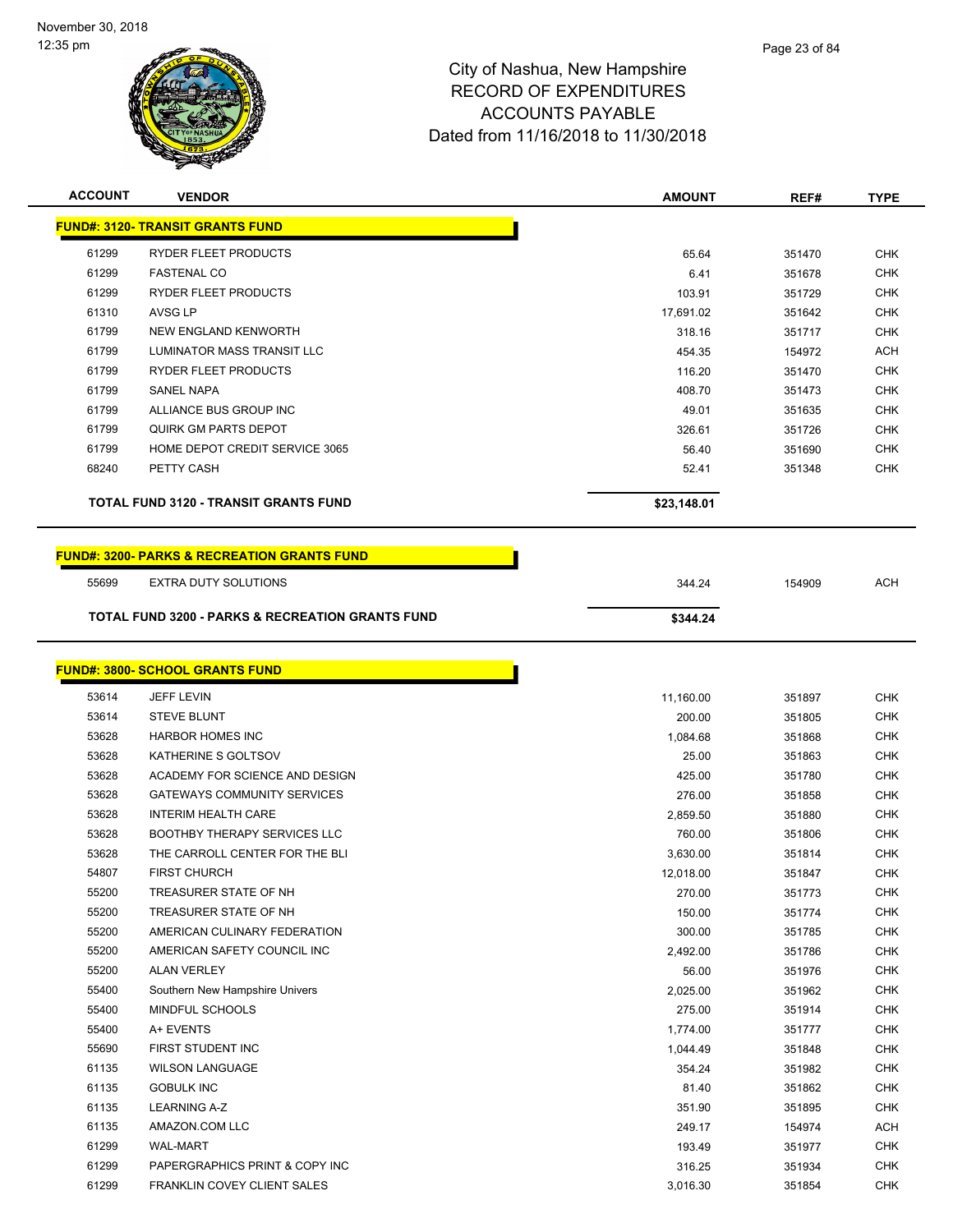

| <b>ACCOUNT</b> | <b>VENDOR</b>                                               | <b>AMOUNT</b>    | REF#             | <b>TYPE</b>              |
|----------------|-------------------------------------------------------------|------------------|------------------|--------------------------|
|                | <b>FUND#: 3120- TRANSIT GRANTS FUND</b>                     |                  |                  |                          |
| 61299          | RYDER FLEET PRODUCTS                                        |                  |                  | <b>CHK</b>               |
| 61299          | <b>FASTENAL CO</b>                                          | 65.64<br>6.41    | 351470<br>351678 | <b>CHK</b>               |
| 61299          | RYDER FLEET PRODUCTS                                        |                  |                  | <b>CHK</b>               |
| 61310          | <b>AVSG LP</b>                                              | 103.91           | 351729           | <b>CHK</b>               |
| 61799          | NEW ENGLAND KENWORTH                                        | 17,691.02        | 351642           | <b>CHK</b>               |
| 61799          | LUMINATOR MASS TRANSIT LLC                                  | 318.16           | 351717           |                          |
| 61799          | RYDER FLEET PRODUCTS                                        | 454.35           | 154972           | <b>ACH</b><br><b>CHK</b> |
| 61799          | <b>SANEL NAPA</b>                                           | 116.20<br>408.70 | 351470           | <b>CHK</b>               |
| 61799          | ALLIANCE BUS GROUP INC                                      | 49.01            | 351473<br>351635 | <b>CHK</b>               |
| 61799          | <b>QUIRK GM PARTS DEPOT</b>                                 | 326.61           | 351726           | <b>CHK</b>               |
| 61799          | HOME DEPOT CREDIT SERVICE 3065                              | 56.40            | 351690           | <b>CHK</b>               |
| 68240          | PETTY CASH                                                  | 52.41            | 351348           | <b>CHK</b>               |
|                |                                                             |                  |                  |                          |
|                | TOTAL FUND 3120 - TRANSIT GRANTS FUND                       | \$23,148.01      |                  |                          |
|                | <b>FUND#: 3200- PARKS &amp; RECREATION GRANTS FUND</b>      |                  |                  |                          |
| 55699          | EXTRA DUTY SOLUTIONS                                        | 344.24           | 154909           | <b>ACH</b>               |
|                | <b>TOTAL FUND 3200 - PARKS &amp; RECREATION GRANTS FUND</b> |                  |                  |                          |
|                |                                                             | \$344.24         |                  |                          |
|                |                                                             |                  |                  |                          |
|                | <b>FUND#: 3800- SCHOOL GRANTS FUND</b>                      |                  |                  |                          |
| 53614          | <b>JEFF LEVIN</b>                                           | 11,160.00        | 351897           | <b>CHK</b>               |
| 53614          | <b>STEVE BLUNT</b>                                          | 200.00           | 351805           | <b>CHK</b>               |
| 53628          | <b>HARBOR HOMES INC</b>                                     | 1,084.68         | 351868           | <b>CHK</b>               |
| 53628          | KATHERINE S GOLTSOV                                         | 25.00            | 351863           | <b>CHK</b>               |
| 53628          | ACADEMY FOR SCIENCE AND DESIGN                              | 425.00           | 351780           | <b>CHK</b>               |
| 53628          | <b>GATEWAYS COMMUNITY SERVICES</b>                          | 276.00           | 351858           | <b>CHK</b>               |
| 53628          | <b>INTERIM HEALTH CARE</b>                                  | 2,859.50         | 351880           | <b>CHK</b>               |
| 53628          | <b>BOOTHBY THERAPY SERVICES LLC</b>                         | 760.00           | 351806           | <b>CHK</b>               |
| 53628          | THE CARROLL CENTER FOR THE BLI                              | 3,630.00         | 351814           | <b>CHK</b>               |
| 54807          | <b>FIRST CHURCH</b>                                         | 12,018.00        | 351847           | <b>CHK</b>               |
| 55200          | TREASURER STATE OF NH                                       | 270.00           | 351773           | <b>CHK</b>               |
| 55200          | TREASURER STATE OF NH                                       | 150.00           | 351774           | <b>CHK</b>               |
| 55200          | AMERICAN CULINARY FEDERATION                                | 300.00           | 351785           | <b>CHK</b>               |
| 55200          | AMERICAN SAFETY COUNCIL INC                                 | 2,492.00         | 351786           | <b>CHK</b>               |
| 55200          | <b>ALAN VERLEY</b>                                          | 56.00            | 351976           | <b>CHK</b>               |
| 55400          | Southern New Hampshire Univers                              | 2,025.00         | 351962           | <b>CHK</b>               |
| 55400          | MINDFUL SCHOOLS                                             | 275.00           | 351914           | <b>CHK</b>               |
| 55400          | A+ EVENTS                                                   | 1,774.00         | 351777           | <b>CHK</b>               |
| 55690          | FIRST STUDENT INC                                           | 1,044.49         | 351848           | <b>CHK</b>               |
| 61135          | <b>WILSON LANGUAGE</b>                                      | 354.24           | 351982           | <b>CHK</b>               |
| 61135          | <b>GOBULK INC</b>                                           | 81.40            | 351862           | <b>CHK</b>               |
| 61135          | <b>LEARNING A-Z</b>                                         | 351.90           | 351895           | <b>CHK</b>               |
| 61135          | AMAZON.COM LLC                                              | 249.17           | 154974           | <b>ACH</b>               |

 WAL-MART 193.49 351977 CHK PAPERGRAPHICS PRINT & COPY INC 316.25 351934 CHK FRANKLIN COVEY CLIENT SALES 3,016.30 351854 CHK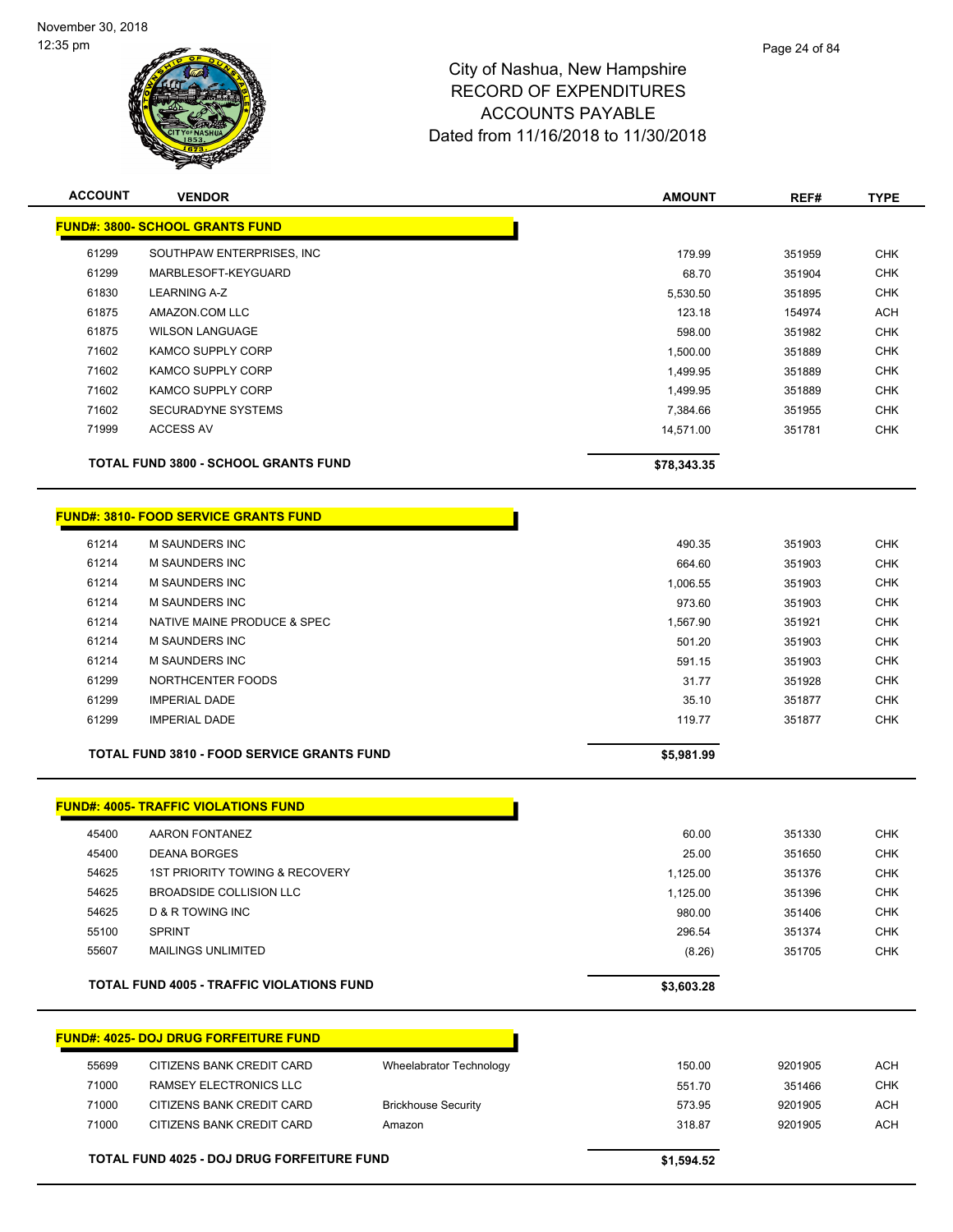

| <b>ACCOUNT</b> | <b>VENDOR</b>                                     |                            | <b>AMOUNT</b> | REF#    | <b>TYPE</b> |
|----------------|---------------------------------------------------|----------------------------|---------------|---------|-------------|
|                | <b>FUND#: 3800- SCHOOL GRANTS FUND</b>            |                            |               |         |             |
| 61299          | SOUTHPAW ENTERPRISES, INC                         |                            | 179.99        | 351959  | <b>CHK</b>  |
| 61299          | MARBLESOFT-KEYGUARD                               |                            | 68.70         | 351904  | <b>CHK</b>  |
| 61830          | <b>LEARNING A-Z</b>                               |                            | 5,530.50      | 351895  | <b>CHK</b>  |
| 61875          | AMAZON.COM LLC                                    |                            | 123.18        | 154974  | <b>ACH</b>  |
| 61875          | <b>WILSON LANGUAGE</b>                            |                            | 598.00        | 351982  | <b>CHK</b>  |
| 71602          | KAMCO SUPPLY CORP                                 |                            | 1,500.00      | 351889  | <b>CHK</b>  |
| 71602          | KAMCO SUPPLY CORP                                 |                            | 1,499.95      | 351889  | <b>CHK</b>  |
| 71602          | KAMCO SUPPLY CORP                                 |                            | 1,499.95      | 351889  | <b>CHK</b>  |
| 71602          | <b>SECURADYNE SYSTEMS</b>                         |                            | 7,384.66      | 351955  | <b>CHK</b>  |
| 71999          | <b>ACCESS AV</b>                                  |                            | 14,571.00     | 351781  | <b>CHK</b>  |
|                | <b>TOTAL FUND 3800 - SCHOOL GRANTS FUND</b>       |                            | \$78,343.35   |         |             |
|                | <b>FUND#: 3810- FOOD SERVICE GRANTS FUND</b>      |                            |               |         |             |
|                |                                                   |                            |               |         |             |
| 61214          | <b>M SAUNDERS INC</b>                             |                            | 490.35        | 351903  | <b>CHK</b>  |
| 61214          | <b>M SAUNDERS INC</b>                             |                            | 664.60        | 351903  | <b>CHK</b>  |
| 61214          | M SAUNDERS INC                                    |                            | 1,006.55      | 351903  | <b>CHK</b>  |
| 61214          | <b>M SAUNDERS INC</b>                             |                            | 973.60        | 351903  | <b>CHK</b>  |
| 61214          | NATIVE MAINE PRODUCE & SPEC                       |                            | 1,567.90      | 351921  | <b>CHK</b>  |
| 61214          | <b>M SAUNDERS INC</b>                             |                            | 501.20        | 351903  | <b>CHK</b>  |
| 61214          | <b>M SAUNDERS INC</b>                             |                            | 591.15        | 351903  | <b>CHK</b>  |
| 61299          | NORTHCENTER FOODS                                 |                            | 31.77         | 351928  | <b>CHK</b>  |
| 61299          | <b>IMPERIAL DADE</b>                              |                            | 35.10         | 351877  | <b>CHK</b>  |
| 61299          | <b>IMPERIAL DADE</b>                              |                            | 119.77        | 351877  | <b>CHK</b>  |
|                | <b>TOTAL FUND 3810 - FOOD SERVICE GRANTS FUND</b> |                            | \$5,981.99    |         |             |
|                | <b>FUND#: 4005- TRAFFIC VIOLATIONS FUND</b>       |                            |               |         |             |
| 45400          | <b>AARON FONTANEZ</b>                             |                            | 60.00         | 351330  | <b>CHK</b>  |
| 45400          | <b>DEANA BORGES</b>                               |                            | 25.00         | 351650  | <b>CHK</b>  |
| 54625          | 1ST PRIORITY TOWING & RECOVERY                    |                            | 1,125.00      | 351376  | <b>CHK</b>  |
| 54625          | <b>BROADSIDE COLLISION LLC</b>                    |                            | 1,125.00      | 351396  | <b>CHK</b>  |
| 54625          | D & R TOWING INC                                  |                            | 980.00        | 351406  | <b>CHK</b>  |
| 55100          | <b>SPRINT</b>                                     |                            | 296.54        | 351374  | <b>CHK</b>  |
| 55607          | <b>MAILINGS UNLIMITED</b>                         |                            | (8.26)        | 351705  | <b>CHK</b>  |
|                | <b>TOTAL FUND 4005 - TRAFFIC VIOLATIONS FUND</b>  |                            | \$3,603.28    |         |             |
|                |                                                   |                            |               |         |             |
|                | <b>FUND#: 4025- DOJ DRUG FORFEITURE FUND</b>      |                            |               |         |             |
| 55699          | CITIZENS BANK CREDIT CARD                         | Wheelabrator Technology    | 150.00        | 9201905 | <b>ACH</b>  |
| 71000          | RAMSEY ELECTRONICS LLC                            |                            | 551.70        | 351466  | <b>CHK</b>  |
| 71000          | CITIZENS BANK CREDIT CARD                         | <b>Brickhouse Security</b> | 573.95        | 9201905 | <b>ACH</b>  |
| 71000          | CITIZENS BANK CREDIT CARD                         | Amazon                     | 318.87        | 9201905 | ACH         |
|                | TOTAL FUND 4025 - DOJ DRUG FORFEITURE FUND        |                            | \$1,594.52    |         |             |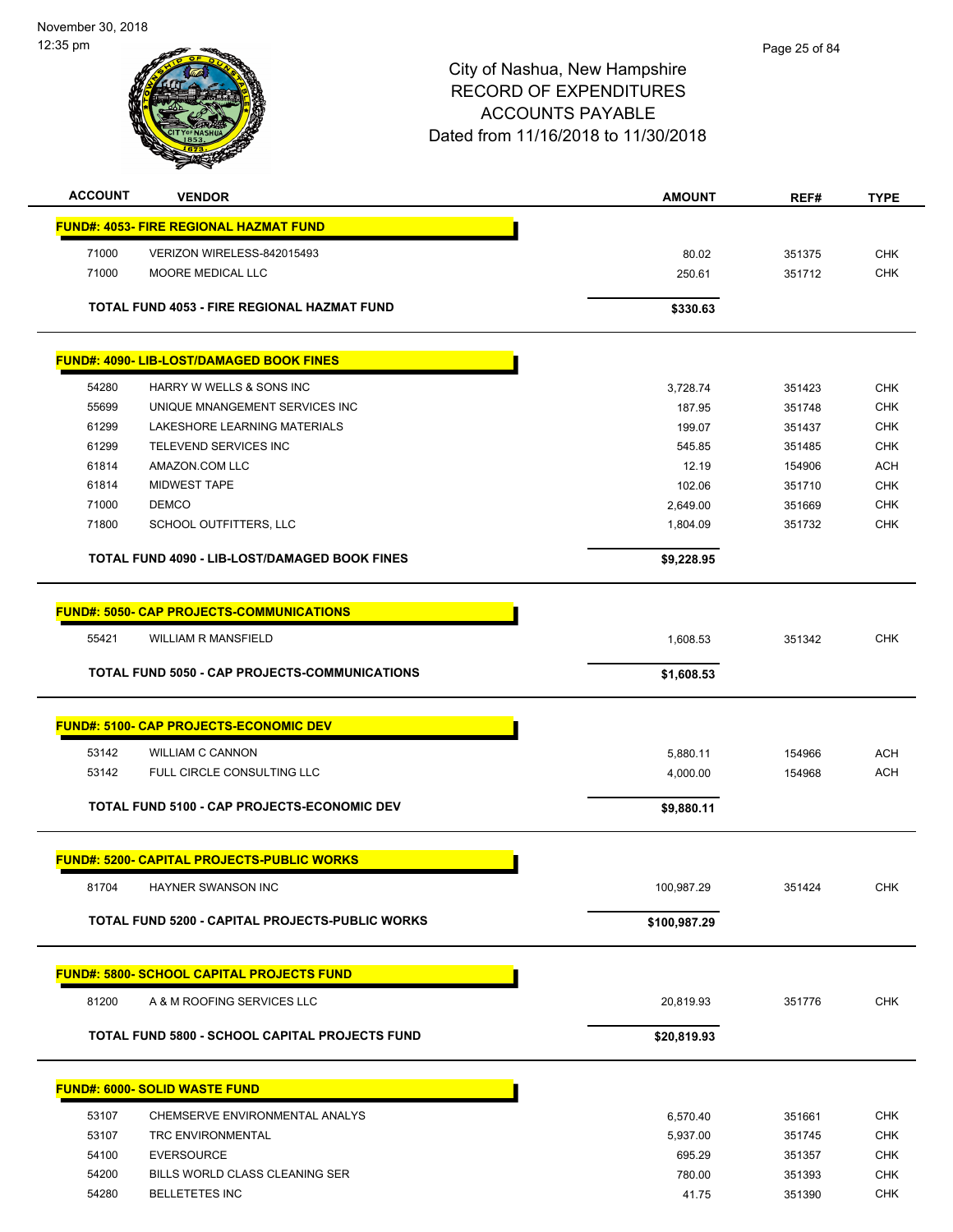November 30, 2018 12:35 pm



| <b>ACCOUNT</b> | <b>VENDOR</b>                                        | <b>AMOUNT</b> | REF#   | <b>TYPE</b> |
|----------------|------------------------------------------------------|---------------|--------|-------------|
|                | <b>FUND#: 4053- FIRE REGIONAL HAZMAT FUND</b>        |               |        |             |
| 71000          | VERIZON WIRELESS-842015493                           | 80.02         | 351375 | <b>CHK</b>  |
| 71000          | <b>MOORE MEDICAL LLC</b>                             | 250.61        | 351712 | CHK         |
|                |                                                      |               |        |             |
|                | TOTAL FUND 4053 - FIRE REGIONAL HAZMAT FUND          | \$330.63      |        |             |
|                |                                                      |               |        |             |
|                | <b>FUND#: 4090- LIB-LOST/DAMAGED BOOK FINES</b>      |               |        |             |
| 54280          | HARRY W WELLS & SONS INC                             | 3,728.74      | 351423 | <b>CHK</b>  |
| 55699          | UNIQUE MNANGEMENT SERVICES INC                       | 187.95        | 351748 | <b>CHK</b>  |
| 61299          | LAKESHORE LEARNING MATERIALS                         | 199.07        | 351437 | <b>CHK</b>  |
| 61299          | TELEVEND SERVICES INC                                | 545.85        | 351485 | <b>CHK</b>  |
| 61814          | AMAZON.COM LLC                                       | 12.19         | 154906 | <b>ACH</b>  |
| 61814          | <b>MIDWEST TAPE</b>                                  | 102.06        | 351710 | <b>CHK</b>  |
| 71000          | <b>DEMCO</b>                                         | 2,649.00      | 351669 | <b>CHK</b>  |
| 71800          | SCHOOL OUTFITTERS, LLC                               | 1,804.09      | 351732 | <b>CHK</b>  |
|                | <b>TOTAL FUND 4090 - LIB-LOST/DAMAGED BOOK FINES</b> | \$9,228.95    |        |             |
|                | <b>FUND#: 5050- CAP PROJECTS-COMMUNICATIONS</b>      |               |        |             |
| 55421          | <b>WILLIAM R MANSFIELD</b>                           | 1,608.53      | 351342 | <b>CHK</b>  |
|                |                                                      |               |        |             |
|                | TOTAL FUND 5050 - CAP PROJECTS-COMMUNICATIONS        | \$1,608.53    |        |             |
|                | <b>FUND#: 5100- CAP PROJECTS-ECONOMIC DEV</b>        |               |        |             |
| 53142          | <b>WILLIAM C CANNON</b>                              | 5,880.11      | 154966 | <b>ACH</b>  |
| 53142          | FULL CIRCLE CONSULTING LLC                           | 4,000.00      | 154968 | <b>ACH</b>  |
|                |                                                      |               |        |             |
|                | <b>TOTAL FUND 5100 - CAP PROJECTS-ECONOMIC DEV</b>   | \$9,880.11    |        |             |
|                | <b>FUND#: 5200- CAPITAL PROJECTS-PUBLIC WORKS</b>    |               |        |             |
| 81704          | HAYNER SWANSON INC                                   | 100,987.29    | 351424 | <b>CHK</b>  |
|                | TOTAL FUND 5200 - CAPITAL PROJECTS-PUBLIC WORKS      |               |        |             |
|                |                                                      | \$100,987.29  |        |             |
|                | <b>FUND#: 5800- SCHOOL CAPITAL PROJECTS FUND</b>     |               |        |             |
| 81200          | A & M ROOFING SERVICES LLC                           | 20,819.93     | 351776 | <b>CHK</b>  |
|                | TOTAL FUND 5800 - SCHOOL CAPITAL PROJECTS FUND       | \$20,819.93   |        |             |
|                |                                                      |               |        |             |
|                | <b>FUND#: 6000- SOLID WASTE FUND</b>                 |               |        |             |
| 53107          | CHEMSERVE ENVIRONMENTAL ANALYS                       | 6,570.40      | 351661 | <b>CHK</b>  |
| 53107          | TRC ENVIRONMENTAL                                    | 5,937.00      | 351745 | <b>CHK</b>  |
| 54100          | <b>EVERSOURCE</b>                                    | 695.29        | 351357 | <b>CHK</b>  |
| 54200          | BILLS WORLD CLASS CLEANING SER                       | 780.00        | 351393 | <b>CHK</b>  |
| 54280          | <b>BELLETETES INC</b>                                | 41.75         | 351390 | <b>CHK</b>  |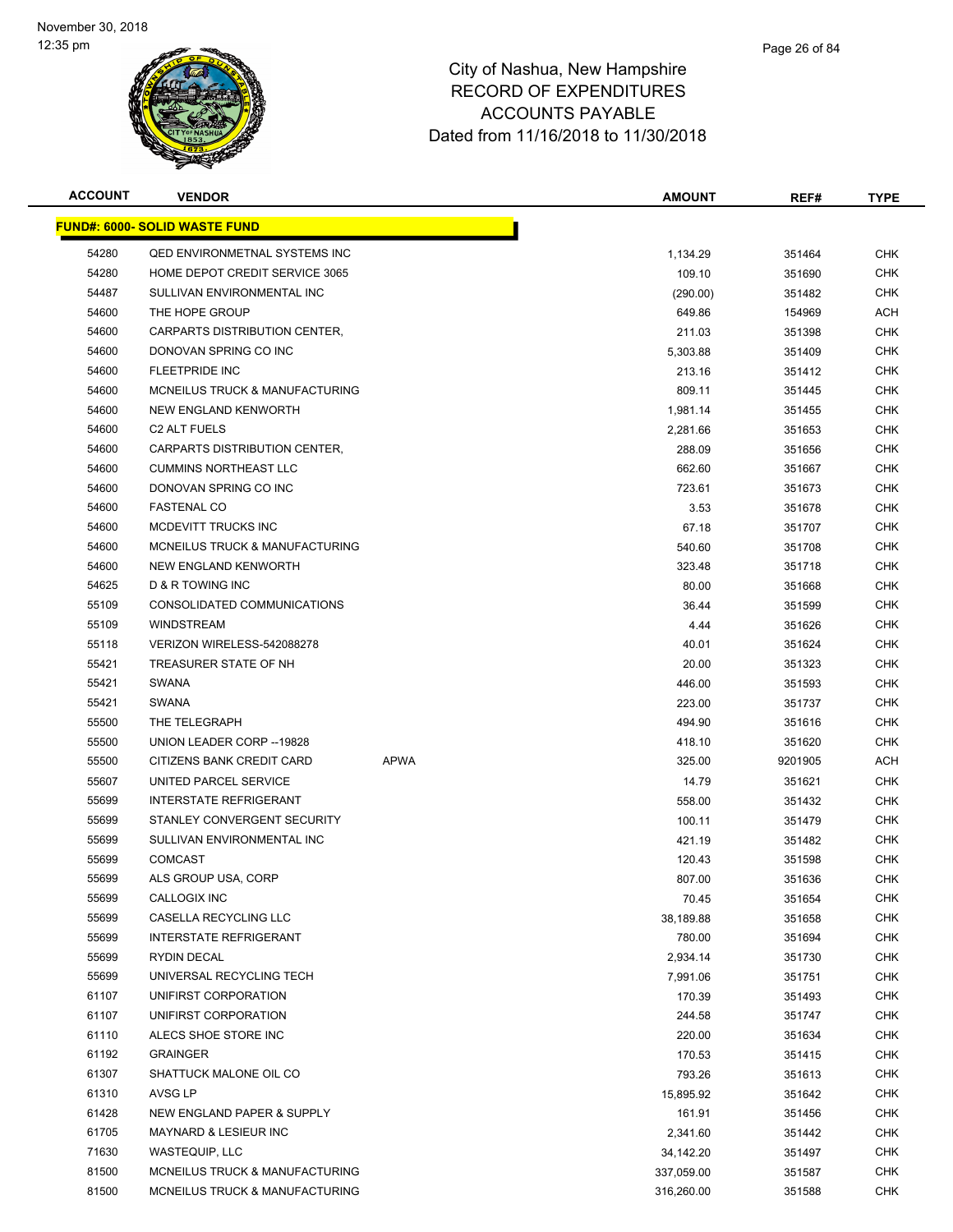

| <b>ACCOUNT</b> | <b>VENDOR</b>                         |             | <b>AMOUNT</b> | REF#    | <b>TYPE</b> |
|----------------|---------------------------------------|-------------|---------------|---------|-------------|
|                | <u> FUND#: 6000- SOLID WASTE FUND</u> |             |               |         |             |
| 54280          | <b>QED ENVIRONMETNAL SYSTEMS INC</b>  |             | 1,134.29      | 351464  | <b>CHK</b>  |
| 54280          | HOME DEPOT CREDIT SERVICE 3065        |             | 109.10        | 351690  | <b>CHK</b>  |
| 54487          | SULLIVAN ENVIRONMENTAL INC            |             | (290.00)      | 351482  | CHK         |
| 54600          | THE HOPE GROUP                        |             | 649.86        | 154969  | ACH         |
| 54600          | CARPARTS DISTRIBUTION CENTER,         |             | 211.03        | 351398  | <b>CHK</b>  |
| 54600          | DONOVAN SPRING CO INC                 |             | 5,303.88      | 351409  | <b>CHK</b>  |
| 54600          | <b>FLEETPRIDE INC</b>                 |             | 213.16        | 351412  | <b>CHK</b>  |
| 54600          | MCNEILUS TRUCK & MANUFACTURING        |             | 809.11        | 351445  | CHK         |
| 54600          | <b>NEW ENGLAND KENWORTH</b>           |             | 1,981.14      | 351455  | CHK         |
| 54600          | C <sub>2</sub> ALT FUELS              |             | 2,281.66      | 351653  | CHK         |
| 54600          | CARPARTS DISTRIBUTION CENTER,         |             | 288.09        | 351656  | CHK         |
| 54600          | <b>CUMMINS NORTHEAST LLC</b>          |             | 662.60        | 351667  | CHK         |
| 54600          | DONOVAN SPRING CO INC                 |             | 723.61        | 351673  | CHK         |
| 54600          | <b>FASTENAL CO</b>                    |             | 3.53          | 351678  | CHK         |
| 54600          | MCDEVITT TRUCKS INC                   |             | 67.18         | 351707  | <b>CHK</b>  |
| 54600          | MCNEILUS TRUCK & MANUFACTURING        |             | 540.60        | 351708  | <b>CHK</b>  |
| 54600          | NEW ENGLAND KENWORTH                  |             | 323.48        | 351718  | <b>CHK</b>  |
| 54625          | D & R TOWING INC                      |             | 80.00         | 351668  | <b>CHK</b>  |
| 55109          | CONSOLIDATED COMMUNICATIONS           |             | 36.44         | 351599  | <b>CHK</b>  |
| 55109          | <b>WINDSTREAM</b>                     |             | 4.44          | 351626  | <b>CHK</b>  |
| 55118          | VERIZON WIRELESS-542088278            |             | 40.01         | 351624  | <b>CHK</b>  |
| 55421          | TREASURER STATE OF NH                 |             | 20.00         | 351323  | CHK         |
| 55421          | <b>SWANA</b>                          |             | 446.00        | 351593  | <b>CHK</b>  |
| 55421          | <b>SWANA</b>                          |             | 223.00        | 351737  | <b>CHK</b>  |
| 55500          | THE TELEGRAPH                         |             | 494.90        | 351616  | CHK         |
| 55500          | UNION LEADER CORP -- 19828            |             | 418.10        | 351620  | <b>CHK</b>  |
| 55500          | CITIZENS BANK CREDIT CARD             | <b>APWA</b> | 325.00        | 9201905 | ACH         |
| 55607          | UNITED PARCEL SERVICE                 |             | 14.79         | 351621  | <b>CHK</b>  |
| 55699          | <b>INTERSTATE REFRIGERANT</b>         |             | 558.00        | 351432  | <b>CHK</b>  |
| 55699          | STANLEY CONVERGENT SECURITY           |             | 100.11        | 351479  | <b>CHK</b>  |
| 55699          | SULLIVAN ENVIRONMENTAL INC            |             | 421.19        | 351482  | CHK         |
| 55699          | <b>COMCAST</b>                        |             | 120.43        | 351598  | <b>CHK</b>  |
| 55699          | ALS GROUP USA, CORP                   |             | 807.00        | 351636  | <b>CHK</b>  |
| 55699          | CALLOGIX INC                          |             | 70.45         | 351654  | <b>CHK</b>  |
| 55699          | CASELLA RECYCLING LLC                 |             | 38,189.88     | 351658  | <b>CHK</b>  |
| 55699          | <b>INTERSTATE REFRIGERANT</b>         |             | 780.00        | 351694  | <b>CHK</b>  |
| 55699          | RYDIN DECAL                           |             | 2,934.14      | 351730  | <b>CHK</b>  |
| 55699          | UNIVERSAL RECYCLING TECH              |             | 7,991.06      | 351751  | <b>CHK</b>  |
| 61107          | UNIFIRST CORPORATION                  |             | 170.39        | 351493  | <b>CHK</b>  |
| 61107          | UNIFIRST CORPORATION                  |             | 244.58        | 351747  | <b>CHK</b>  |
| 61110          | ALECS SHOE STORE INC                  |             | 220.00        | 351634  | <b>CHK</b>  |
| 61192          | <b>GRAINGER</b>                       |             | 170.53        | 351415  | <b>CHK</b>  |
| 61307          | SHATTUCK MALONE OIL CO                |             | 793.26        | 351613  | <b>CHK</b>  |
| 61310          | AVSG LP                               |             | 15,895.92     | 351642  | <b>CHK</b>  |
| 61428          | NEW ENGLAND PAPER & SUPPLY            |             | 161.91        | 351456  | <b>CHK</b>  |
| 61705          | MAYNARD & LESIEUR INC                 |             | 2,341.60      | 351442  | CHK         |
| 71630          | WASTEQUIP, LLC                        |             | 34,142.20     | 351497  | <b>CHK</b>  |
| 81500          | MCNEILUS TRUCK & MANUFACTURING        |             | 337,059.00    | 351587  | <b>CHK</b>  |
| 81500          | MCNEILUS TRUCK & MANUFACTURING        |             | 316,260.00    | 351588  | <b>CHK</b>  |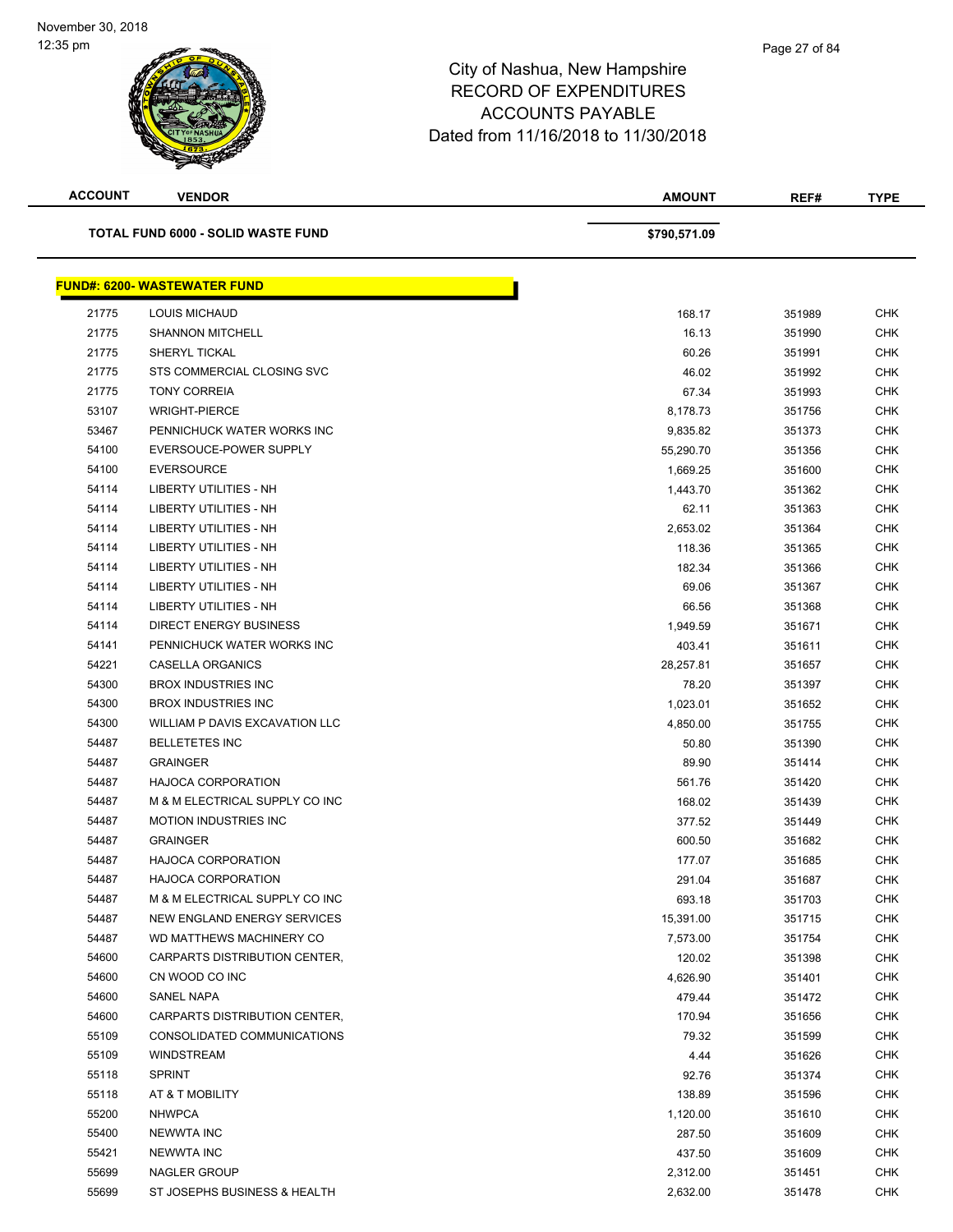| <b>ACCOUNT</b> | <b>VENDOR</b>                             | <b>AMOUNT</b> | REF#   | <b>TYPE</b> |
|----------------|-------------------------------------------|---------------|--------|-------------|
|                | <b>TOTAL FUND 6000 - SOLID WASTE FUND</b> | \$790,571.09  |        |             |
|                | <b>FUND#: 6200- WASTEWATER FUND</b>       |               |        |             |
| 21775          | <b>LOUIS MICHAUD</b>                      | 168.17        | 351989 | <b>CHK</b>  |
| 21775          | <b>SHANNON MITCHELL</b>                   | 16.13         | 351990 | <b>CHK</b>  |
| 21775          | <b>SHERYL TICKAL</b>                      | 60.26         | 351991 | <b>CHK</b>  |
| 21775          | STS COMMERCIAL CLOSING SVC                | 46.02         | 351992 | CHK         |
| 21775          | <b>TONY CORREIA</b>                       | 67.34         | 351993 | CHK         |
| 53107          | <b>WRIGHT-PIERCE</b>                      | 8,178.73      | 351756 | CHK         |
| 53467          | PENNICHUCK WATER WORKS INC                | 9,835.82      | 351373 | <b>CHK</b>  |
| 54100          | EVERSOUCE-POWER SUPPLY                    | 55,290.70     | 351356 | <b>CHK</b>  |
| 54100          | <b>EVERSOURCE</b>                         | 1,669.25      | 351600 | <b>CHK</b>  |
| 54114          | LIBERTY UTILITIES - NH                    | 1,443.70      | 351362 | <b>CHK</b>  |
| 54114          | <b>LIBERTY UTILITIES - NH</b>             | 62.11         | 351363 | <b>CHK</b>  |
| 54114          | <b>LIBERTY UTILITIES - NH</b>             | 2,653.02      | 351364 | <b>CHK</b>  |
| 54114          | <b>LIBERTY UTILITIES - NH</b>             | 118.36        | 351365 | <b>CHK</b>  |
| 54114          | <b>LIBERTY UTILITIES - NH</b>             | 182.34        | 351366 | <b>CHK</b>  |
| 54114          | <b>LIBERTY UTILITIES - NH</b>             | 69.06         | 351367 | <b>CHK</b>  |
| 54114          | LIBERTY UTILITIES - NH                    | 66.56         | 351368 | <b>CHK</b>  |
| 54114          | <b>DIRECT ENERGY BUSINESS</b>             | 1,949.59      | 351671 | <b>CHK</b>  |
| 54141          | PENNICHUCK WATER WORKS INC                | 403.41        | 351611 | <b>CHK</b>  |
| 54221          | CASELLA ORGANICS                          | 28,257.81     | 351657 | <b>CHK</b>  |
| 54300          | <b>BROX INDUSTRIES INC</b>                | 78.20         | 351397 | <b>CHK</b>  |
| 54300          | <b>BROX INDUSTRIES INC</b>                | 1,023.01      | 351652 | <b>CHK</b>  |
| 54300          | WILLIAM P DAVIS EXCAVATION LLC            | 4,850.00      | 351755 | <b>CHK</b>  |
| 54487          | <b>BELLETETES INC</b>                     | 50.80         | 351390 | <b>CHK</b>  |
| 54487          | <b>GRAINGER</b>                           | 89.90         | 351414 | <b>CHK</b>  |
| 54487          | <b>HAJOCA CORPORATION</b>                 | 561.76        | 351420 | <b>CHK</b>  |
| 54487          | M & M ELECTRICAL SUPPLY CO INC            | 168.02        | 351439 | CHK         |
| 54487          | <b>MOTION INDUSTRIES INC</b>              | 377.52        | 351449 | <b>CHK</b>  |
| 54487          | <b>GRAINGER</b>                           | 600.50        | 351682 | CHK         |
| 54487          | <b>HAJOCA CORPORATION</b>                 | 177.07        | 351685 | <b>CHK</b>  |
| 54487          | <b>HAJOCA CORPORATION</b>                 | 291.04        | 351687 | <b>CHK</b>  |
| 54487          | M & M ELECTRICAL SUPPLY CO INC            | 693.18        | 351703 | <b>CHK</b>  |
| 54487          | NEW ENGLAND ENERGY SERVICES               | 15,391.00     | 351715 | <b>CHK</b>  |
| 54487          | WD MATTHEWS MACHINERY CO                  | 7,573.00      | 351754 | <b>CHK</b>  |
| 54600          | CARPARTS DISTRIBUTION CENTER,             | 120.02        | 351398 | <b>CHK</b>  |
| 54600          | CN WOOD CO INC                            | 4,626.90      | 351401 | <b>CHK</b>  |
| 54600          | SANEL NAPA                                | 479.44        | 351472 | CHK         |
| 54600          | CARPARTS DISTRIBUTION CENTER,             | 170.94        | 351656 | CHK         |
| 55109          | CONSOLIDATED COMMUNICATIONS               | 79.32         | 351599 | <b>CHK</b>  |
| 55109          | <b>WINDSTREAM</b>                         | 4.44          | 351626 | CHK         |
| 55118          | <b>SPRINT</b>                             | 92.76         | 351374 | <b>CHK</b>  |
| 55118          | AT & T MOBILITY                           | 138.89        | 351596 | <b>CHK</b>  |
| 55200          | <b>NHWPCA</b>                             | 1,120.00      | 351610 | <b>CHK</b>  |
| 55400          | <b>NEWWTA INC</b>                         | 287.50        | 351609 | <b>CHK</b>  |
| 55421          | <b>NEWWTA INC</b>                         | 437.50        | 351609 | <b>CHK</b>  |
| 55699          | NAGLER GROUP                              | 2,312.00      | 351451 | <b>CHK</b>  |
| 55699          | ST JOSEPHS BUSINESS & HEALTH              | 2,632.00      | 351478 | <b>CHK</b>  |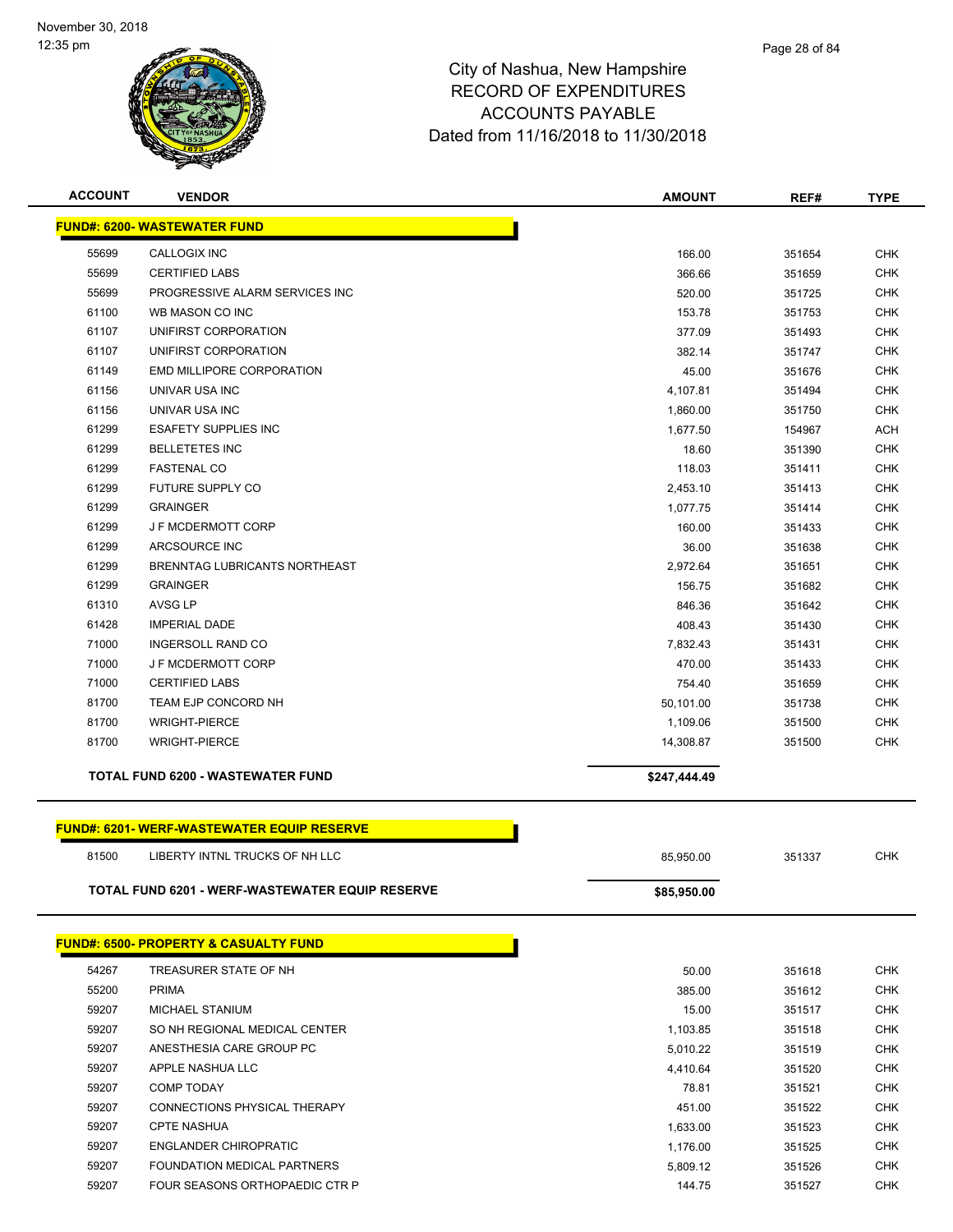

| <b>ACCOUNT</b> | <b>VENDOR</b>                                    | <b>AMOUNT</b> | REF#   | <b>TYPE</b> |
|----------------|--------------------------------------------------|---------------|--------|-------------|
|                | <b>FUND#: 6200- WASTEWATER FUND</b>              |               |        |             |
| 55699          | <b>CALLOGIX INC</b>                              | 166.00        | 351654 | <b>CHK</b>  |
| 55699          | <b>CERTIFIED LABS</b>                            | 366.66        | 351659 | <b>CHK</b>  |
| 55699          | PROGRESSIVE ALARM SERVICES INC                   | 520.00        | 351725 | <b>CHK</b>  |
| 61100          | WB MASON CO INC                                  | 153.78        | 351753 | <b>CHK</b>  |
| 61107          | UNIFIRST CORPORATION                             | 377.09        | 351493 | <b>CHK</b>  |
| 61107          | UNIFIRST CORPORATION                             | 382.14        | 351747 | <b>CHK</b>  |
| 61149          | EMD MILLIPORE CORPORATION                        | 45.00         | 351676 | <b>CHK</b>  |
| 61156          | UNIVAR USA INC                                   | 4,107.81      | 351494 | <b>CHK</b>  |
| 61156          | UNIVAR USA INC                                   | 1,860.00      | 351750 | <b>CHK</b>  |
| 61299          | <b>ESAFETY SUPPLIES INC</b>                      | 1,677.50      | 154967 | <b>ACH</b>  |
| 61299          | <b>BELLETETES INC</b>                            | 18.60         | 351390 | <b>CHK</b>  |
| 61299          | <b>FASTENAL CO</b>                               | 118.03        | 351411 | <b>CHK</b>  |
| 61299          | FUTURE SUPPLY CO                                 | 2,453.10      | 351413 | <b>CHK</b>  |
| 61299          | <b>GRAINGER</b>                                  | 1,077.75      | 351414 | <b>CHK</b>  |
| 61299          | J F MCDERMOTT CORP                               | 160.00        | 351433 | <b>CHK</b>  |
| 61299          | ARCSOURCE INC                                    | 36.00         | 351638 | <b>CHK</b>  |
| 61299          | BRENNTAG LUBRICANTS NORTHEAST                    | 2,972.64      | 351651 | <b>CHK</b>  |
| 61299          | <b>GRAINGER</b>                                  | 156.75        | 351682 | <b>CHK</b>  |
| 61310          | <b>AVSG LP</b>                                   | 846.36        | 351642 | <b>CHK</b>  |
| 61428          | <b>IMPERIAL DADE</b>                             | 408.43        | 351430 | <b>CHK</b>  |
| 71000          | <b>INGERSOLL RAND CO</b>                         | 7,832.43      | 351431 | <b>CHK</b>  |
| 71000          | <b>J F MCDERMOTT CORP</b>                        | 470.00        | 351433 | <b>CHK</b>  |
| 71000          | <b>CERTIFIED LABS</b>                            | 754.40        | 351659 | <b>CHK</b>  |
| 81700          | <b>TEAM EJP CONCORD NH</b>                       | 50,101.00     | 351738 | <b>CHK</b>  |
| 81700          | <b>WRIGHT-PIERCE</b>                             | 1,109.06      | 351500 | <b>CHK</b>  |
| 81700          | <b>WRIGHT-PIERCE</b>                             | 14,308.87     | 351500 | <b>CHK</b>  |
|                | TOTAL FUND 6200 - WASTEWATER FUND                | \$247,444.49  |        |             |
|                | <b>FUND#: 6201-WERF-WASTEWATER EQUIP RESERVE</b> |               |        |             |
| 81500          | LIBERTY INTNL TRUCKS OF NH LLC                   | 85,950.00     | 351337 | <b>CHK</b>  |
|                | TOTAL FUND 6201 - WERF-WASTEWATER EQUIP RESERVE  | \$85,950.00   |        |             |
|                |                                                  |               |        |             |
|                | <b>FUND#: 6500- PROPERTY &amp; CASUALTY FUND</b> |               |        |             |
| 54267          | TREASURER STATE OF NH                            | 50.00         | 351618 | <b>CHK</b>  |
| 55200          | <b>PRIMA</b>                                     | 385.00        | 351612 | <b>CHK</b>  |
| 59207          | MICHAEL STANIUM                                  | 15.00         | 351517 | <b>CHK</b>  |
| 59207          | SO NH REGIONAL MEDICAL CENTER                    | 1,103.85      | 351518 | <b>CHK</b>  |
| 59207          | ANESTHESIA CARE GROUP PC                         | 5,010.22      | 351519 | <b>CHK</b>  |
| 59207          | APPLE NASHUA LLC                                 | 4,410.64      | 351520 | <b>CHK</b>  |
| 59207          | <b>COMP TODAY</b>                                | 78.81         | 351521 | <b>CHK</b>  |
| 59207          | CONNECTIONS PHYSICAL THERAPY                     | 451.00        | 351522 | <b>CHK</b>  |
| 59207          | <b>CPTE NASHUA</b>                               | 1,633.00      | 351523 | <b>CHK</b>  |
| 59207          | <b>ENGLANDER CHIROPRATIC</b>                     | 1,176.00      | 351525 | <b>CHK</b>  |
| 59207          | FOUNDATION MEDICAL PARTNERS                      | 5,809.12      | 351526 | <b>CHK</b>  |

59207 FOUR SEASONS ORTHOPAEDIC CTR P 144.75 144.75 351527 CHK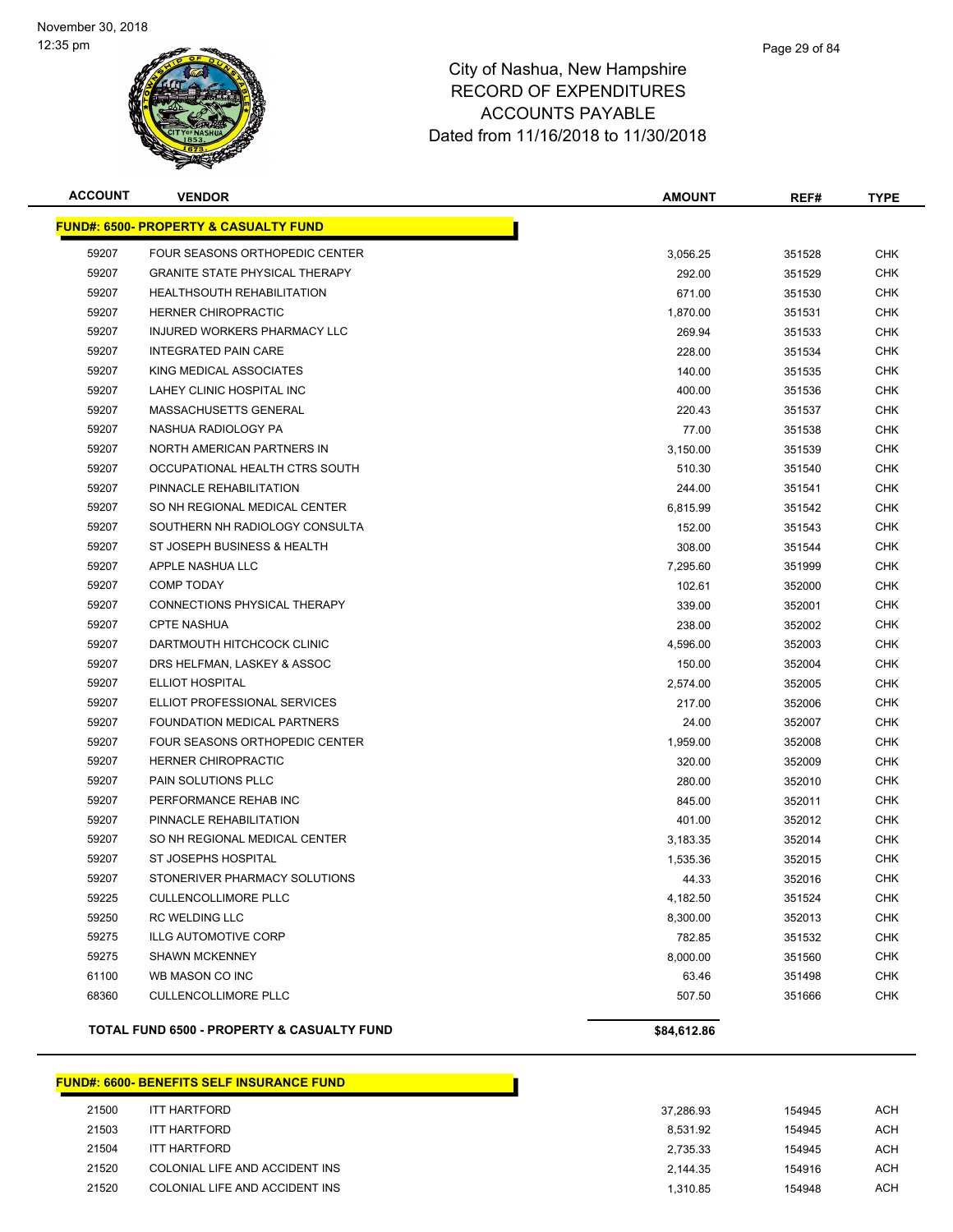

| <b>ACCOUNT</b> | <b>VENDOR</b>                                    | <b>AMOUNT</b> | REF#   | <b>TYPE</b> |
|----------------|--------------------------------------------------|---------------|--------|-------------|
|                | <b>FUND#: 6500- PROPERTY &amp; CASUALTY FUND</b> |               |        |             |
| 59207          | FOUR SEASONS ORTHOPEDIC CENTER                   | 3,056.25      | 351528 | <b>CHK</b>  |
| 59207          | <b>GRANITE STATE PHYSICAL THERAPY</b>            | 292.00        | 351529 | <b>CHK</b>  |
| 59207          | <b>HEALTHSOUTH REHABILITATION</b>                | 671.00        | 351530 | <b>CHK</b>  |
| 59207          | <b>HERNER CHIROPRACTIC</b>                       | 1,870.00      | 351531 | CHK         |
| 59207          | INJURED WORKERS PHARMACY LLC                     | 269.94        | 351533 | <b>CHK</b>  |
| 59207          | <b>INTEGRATED PAIN CARE</b>                      | 228.00        | 351534 | <b>CHK</b>  |
| 59207          | KING MEDICAL ASSOCIATES                          | 140.00        | 351535 | <b>CHK</b>  |
| 59207          | LAHEY CLINIC HOSPITAL INC                        | 400.00        | 351536 | <b>CHK</b>  |
| 59207          | MASSACHUSETTS GENERAL                            | 220.43        | 351537 | CHK         |
| 59207          | NASHUA RADIOLOGY PA                              | 77.00         | 351538 | <b>CHK</b>  |
| 59207          | NORTH AMERICAN PARTNERS IN                       | 3,150.00      | 351539 | CHK         |
| 59207          | OCCUPATIONAL HEALTH CTRS SOUTH                   | 510.30        | 351540 | CHK         |
| 59207          | PINNACLE REHABILITATION                          | 244.00        | 351541 | <b>CHK</b>  |
| 59207          | SO NH REGIONAL MEDICAL CENTER                    | 6,815.99      | 351542 | <b>CHK</b>  |
| 59207          | SOUTHERN NH RADIOLOGY CONSULTA                   | 152.00        | 351543 | CHK         |
| 59207          | ST JOSEPH BUSINESS & HEALTH                      | 308.00        | 351544 | <b>CHK</b>  |
| 59207          | APPLE NASHUA LLC                                 | 7,295.60      | 351999 | <b>CHK</b>  |
| 59207          | <b>COMP TODAY</b>                                | 102.61        | 352000 | <b>CHK</b>  |
| 59207          | CONNECTIONS PHYSICAL THERAPY                     | 339.00        | 352001 | <b>CHK</b>  |
| 59207          | <b>CPTE NASHUA</b>                               | 238.00        | 352002 | CHK         |
| 59207          | DARTMOUTH HITCHCOCK CLINIC                       | 4,596.00      | 352003 | <b>CHK</b>  |
| 59207          | DRS HELFMAN, LASKEY & ASSOC                      | 150.00        | 352004 | CHK         |
| 59207          | ELLIOT HOSPITAL                                  | 2,574.00      | 352005 | <b>CHK</b>  |
| 59207          | ELLIOT PROFESSIONAL SERVICES                     | 217.00        | 352006 | <b>CHK</b>  |
| 59207          | FOUNDATION MEDICAL PARTNERS                      | 24.00         | 352007 | <b>CHK</b>  |
| 59207          | FOUR SEASONS ORTHOPEDIC CENTER                   | 1,959.00      | 352008 | CHK         |
| 59207          | <b>HERNER CHIROPRACTIC</b>                       | 320.00        | 352009 | <b>CHK</b>  |
| 59207          | PAIN SOLUTIONS PLLC                              | 280.00        | 352010 | <b>CHK</b>  |
| 59207          | PERFORMANCE REHAB INC                            | 845.00        | 352011 | <b>CHK</b>  |
| 59207          | PINNACLE REHABILITATION                          | 401.00        | 352012 | CHK         |
| 59207          | SO NH REGIONAL MEDICAL CENTER                    | 3,183.35      | 352014 | <b>CHK</b>  |
| 59207          | ST JOSEPHS HOSPITAL                              | 1,535.36      | 352015 | <b>CHK</b>  |
| 59207          | STONERIVER PHARMACY SOLUTIONS                    | 44.33         | 352016 | <b>CHK</b>  |
| 59225          | <b>CULLENCOLLIMORE PLLC</b>                      | 4,182.50      | 351524 | <b>CHK</b>  |
| 59250          | RC WELDING LLC                                   | 8,300.00      | 352013 | <b>CHK</b>  |
| 59275          | <b>ILLG AUTOMOTIVE CORP</b>                      | 782.85        | 351532 | <b>CHK</b>  |
| 59275          | <b>SHAWN MCKENNEY</b>                            | 8,000.00      | 351560 | <b>CHK</b>  |
| 61100          | WB MASON CO INC                                  | 63.46         | 351498 | <b>CHK</b>  |
| 68360          | <b>CULLENCOLLIMORE PLLC</b>                      | 507.50        | 351666 | <b>CHK</b>  |
|                | TOTAL FUND 6500 - PROPERTY & CASUALTY FUND       | \$84,612.86   |        |             |

| FUND#: 6600- BENEFITS SELF INSURANCE FUND_ |
|--------------------------------------------|
| <b>ITT HARTFORD</b>                        |
| <b>ITT HARTFORD</b>                        |
| <b>ITT HARTFORD</b>                        |
| COLONIAL LIFE AND ACCIDENT INS             |
| COLONIAL LIFE AND ACCIDENT INS             |
|                                            |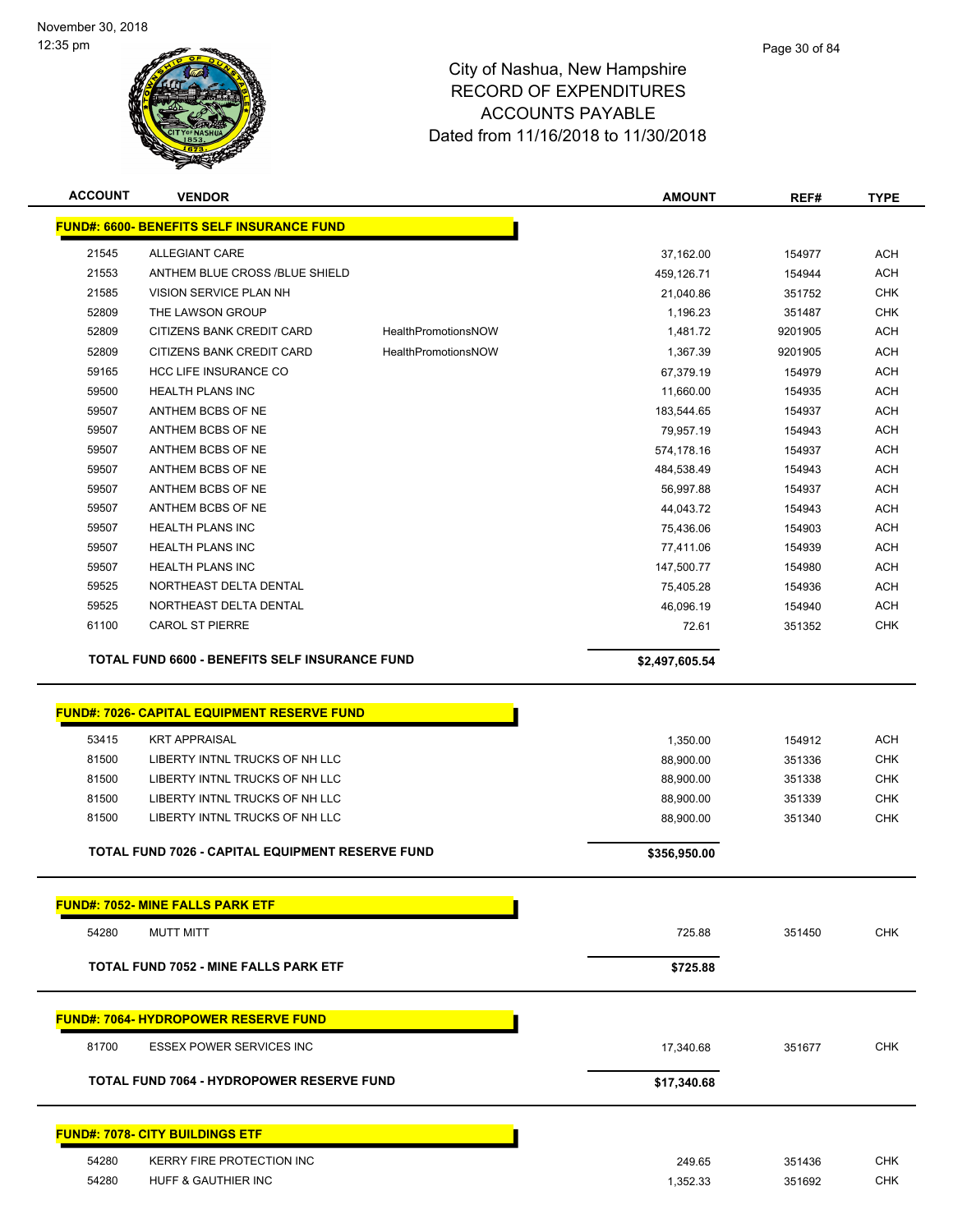

| <b>ACCOUNT</b> | <b>VENDOR</b>                                           |                            | <b>AMOUNT</b>  | REF#    | <b>TYPE</b>              |
|----------------|---------------------------------------------------------|----------------------------|----------------|---------|--------------------------|
|                | <b>FUND#: 6600- BENEFITS SELF INSURANCE FUND</b>        |                            |                |         |                          |
| 21545          | ALLEGIANT CARE                                          |                            | 37,162.00      | 154977  | <b>ACH</b>               |
| 21553          | ANTHEM BLUE CROSS /BLUE SHIELD                          |                            | 459,126.71     | 154944  | <b>ACH</b>               |
| 21585          | VISION SERVICE PLAN NH                                  |                            | 21,040.86      | 351752  | <b>CHK</b>               |
| 52809          | THE LAWSON GROUP                                        |                            | 1,196.23       | 351487  | <b>CHK</b>               |
| 52809          | CITIZENS BANK CREDIT CARD                               | <b>HealthPromotionsNOW</b> | 1,481.72       | 9201905 | <b>ACH</b>               |
| 52809          | CITIZENS BANK CREDIT CARD                               | <b>HealthPromotionsNOW</b> | 1,367.39       | 9201905 | <b>ACH</b>               |
| 59165          | <b>HCC LIFE INSURANCE CO</b>                            |                            | 67,379.19      | 154979  | <b>ACH</b>               |
| 59500          | <b>HEALTH PLANS INC</b>                                 |                            | 11,660.00      | 154935  | <b>ACH</b>               |
| 59507          | ANTHEM BCBS OF NE                                       |                            | 183,544.65     | 154937  | <b>ACH</b>               |
| 59507          | ANTHEM BCBS OF NE                                       |                            | 79,957.19      | 154943  | <b>ACH</b>               |
| 59507          | ANTHEM BCBS OF NE                                       |                            | 574,178.16     | 154937  | <b>ACH</b>               |
| 59507          | ANTHEM BCBS OF NE                                       |                            | 484,538.49     | 154943  | <b>ACH</b>               |
| 59507          | ANTHEM BCBS OF NE                                       |                            | 56,997.88      | 154937  | <b>ACH</b>               |
| 59507          | ANTHEM BCBS OF NE                                       |                            | 44,043.72      | 154943  | <b>ACH</b>               |
| 59507          | <b>HEALTH PLANS INC</b>                                 |                            | 75,436.06      | 154903  | <b>ACH</b>               |
| 59507          | <b>HEALTH PLANS INC</b>                                 |                            | 77,411.06      | 154939  | <b>ACH</b>               |
| 59507          | <b>HEALTH PLANS INC</b>                                 |                            | 147,500.77     | 154980  | <b>ACH</b>               |
| 59525          | NORTHEAST DELTA DENTAL                                  |                            | 75,405.28      | 154936  | <b>ACH</b>               |
| 59525          | NORTHEAST DELTA DENTAL                                  |                            | 46,096.19      | 154940  | <b>ACH</b>               |
| 61100          | <b>CAROL ST PIERRE</b>                                  |                            | 72.61          | 351352  | <b>CHK</b>               |
|                | TOTAL FUND 6600 - BENEFITS SELF INSURANCE FUND          |                            | \$2,497,605.54 |         |                          |
|                |                                                         |                            |                |         |                          |
|                | <b>FUND#: 7026- CAPITAL EQUIPMENT RESERVE FUND</b>      |                            |                |         |                          |
| 53415          | <b>KRT APPRAISAL</b>                                    |                            | 1,350.00       | 154912  | <b>ACH</b>               |
| 81500          | LIBERTY INTNL TRUCKS OF NH LLC                          |                            | 88,900.00      | 351336  | <b>CHK</b>               |
| 81500          | LIBERTY INTNL TRUCKS OF NH LLC                          |                            | 88,900.00      | 351338  | <b>CHK</b>               |
| 81500          | LIBERTY INTNL TRUCKS OF NH LLC                          |                            | 88,900.00      | 351339  | <b>CHK</b>               |
| 81500          | LIBERTY INTNL TRUCKS OF NH LLC                          |                            | 88,900.00      | 351340  | <b>CHK</b>               |
|                | <b>TOTAL FUND 7026 - CAPITAL EQUIPMENT RESERVE FUND</b> |                            | \$356,950.00   |         |                          |
|                |                                                         |                            |                |         |                          |
|                | <b>FUND#: 7052- MINE FALLS PARK ETF</b>                 |                            |                |         |                          |
| 54280          | <b>MUTT MITT</b>                                        |                            | 725.88         | 351450  | <b>CHK</b>               |
|                | <b>TOTAL FUND 7052 - MINE FALLS PARK ETF</b>            |                            | \$725.88       |         |                          |
|                |                                                         |                            |                |         |                          |
|                | <b>FUND#: 7064- HYDROPOWER RESERVE FUND</b>             |                            |                |         |                          |
| 81700          | <b>ESSEX POWER SERVICES INC</b>                         |                            | 17,340.68      | 351677  | <b>CHK</b>               |
|                | <b>TOTAL FUND 7064 - HYDROPOWER RESERVE FUND</b>        |                            | \$17,340.68    |         |                          |
|                | <b>FUND#: 7078- CITY BUILDINGS ETF</b>                  |                            |                |         |                          |
|                |                                                         |                            |                |         |                          |
| 54280<br>54280 | KERRY FIRE PROTECTION INC                               |                            | 249.65         | 351436  | <b>CHK</b><br><b>CHK</b> |
|                | HUFF & GAUTHIER INC                                     |                            | 1,352.33       | 351692  |                          |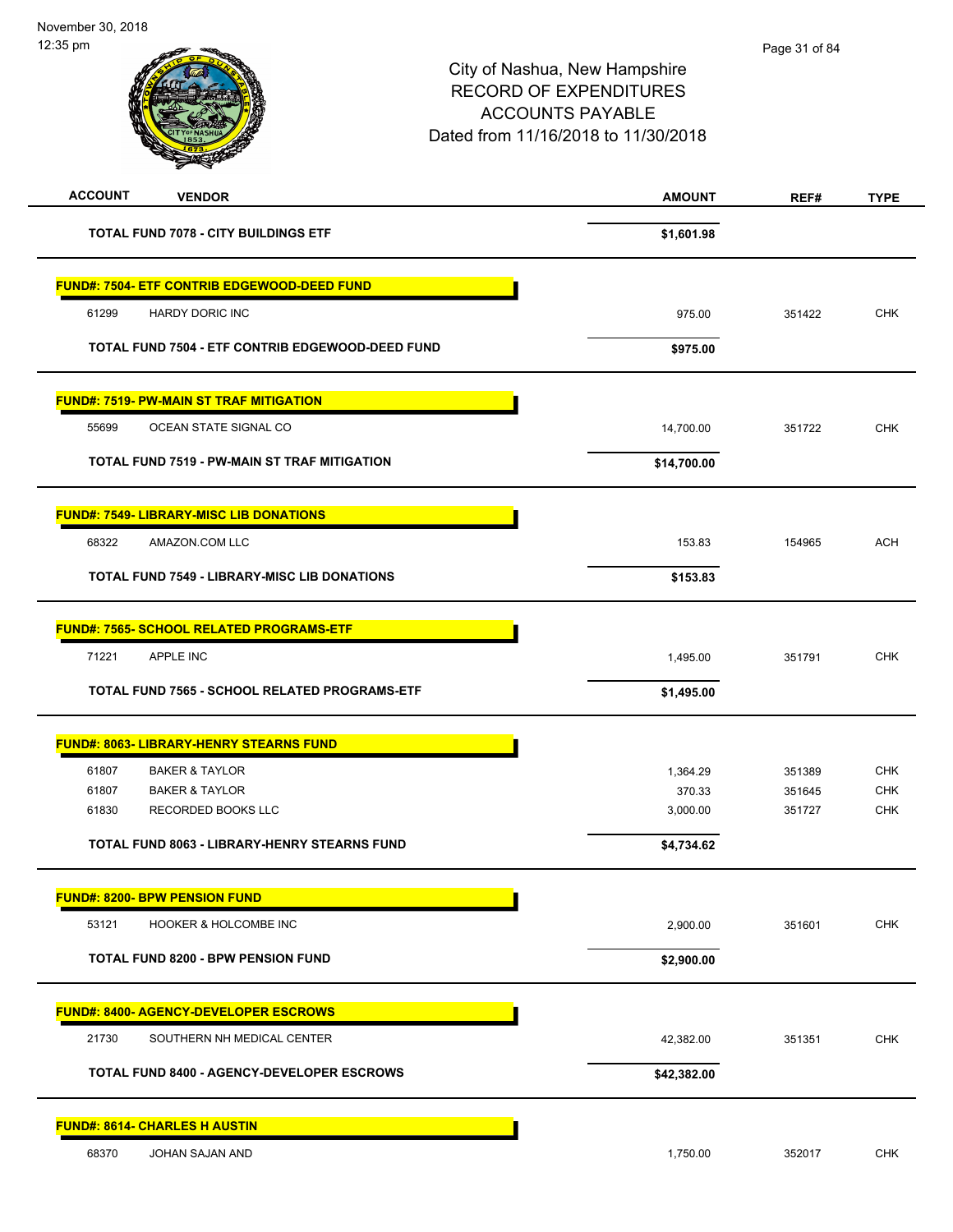| <b>ACCOUNT</b><br><b>VENDOR</b>                                   | <b>AMOUNT</b>      | REF#             | <b>TYPE</b>              |
|-------------------------------------------------------------------|--------------------|------------------|--------------------------|
| <b>TOTAL FUND 7078 - CITY BUILDINGS ETF</b>                       | \$1,601.98         |                  |                          |
| <b>FUND#: 7504- ETF CONTRIB EDGEWOOD-DEED FUND</b>                |                    |                  |                          |
| 61299<br><b>HARDY DORIC INC</b>                                   | 975.00             | 351422           | <b>CHK</b>               |
| TOTAL FUND 7504 - ETF CONTRIB EDGEWOOD-DEED FUND                  | \$975.00           |                  |                          |
| <b>FUND#: 7519- PW-MAIN ST TRAF MITIGATION</b>                    |                    |                  |                          |
| OCEAN STATE SIGNAL CO<br>55699                                    | 14,700.00          | 351722           | <b>CHK</b>               |
| TOTAL FUND 7519 - PW-MAIN ST TRAF MITIGATION                      | \$14,700.00        |                  |                          |
| <b>FUND#: 7549- LIBRARY-MISC LIB DONATIONS</b>                    |                    |                  |                          |
| 68322<br>AMAZON.COM LLC                                           | 153.83             | 154965           | <b>ACH</b>               |
| <b>TOTAL FUND 7549 - LIBRARY-MISC LIB DONATIONS</b>               | \$153.83           |                  |                          |
| FUND#: 7565- SCHOOL RELATED PROGRAMS-ETF                          |                    |                  |                          |
| 71221<br><b>APPLE INC</b>                                         | 1,495.00           | 351791           | <b>CHK</b>               |
| TOTAL FUND 7565 - SCHOOL RELATED PROGRAMS-ETF                     | \$1,495.00         |                  |                          |
| <b>FUND#: 8063- LIBRARY-HENRY STEARNS FUND</b>                    |                    |                  |                          |
| <b>BAKER &amp; TAYLOR</b><br>61807                                | 1,364.29           | 351389           | <b>CHK</b>               |
| 61807<br><b>BAKER &amp; TAYLOR</b><br>61830<br>RECORDED BOOKS LLC | 370.33<br>3,000.00 | 351645<br>351727 | <b>CHK</b><br><b>CHK</b> |
| <b>TOTAL FUND 8063 - LIBRARY-HENRY STEARNS FUND</b>               | \$4,734.62         |                  |                          |
| <b>FUND#: 8200- BPW PENSION FUND</b>                              |                    |                  |                          |
| 53121<br><b>HOOKER &amp; HOLCOMBE INC</b>                         | 2,900.00           | 351601           | CHK                      |
| <b>TOTAL FUND 8200 - BPW PENSION FUND</b>                         | \$2,900.00         |                  |                          |
| <b>FUND#: 8400- AGENCY-DEVELOPER ESCROWS</b>                      |                    |                  |                          |
| 21730<br>SOUTHERN NH MEDICAL CENTER                               | 42,382.00          | 351351           | <b>CHK</b>               |
| TOTAL FUND 8400 - AGENCY-DEVELOPER ESCROWS                        | \$42,382.00        |                  |                          |
| <b>FUND#: 8614- CHARLES H AUSTIN</b>                              |                    |                  |                          |
| 68370<br>JOHAN SAJAN AND                                          | 1,750.00           | 352017           | <b>CHK</b>               |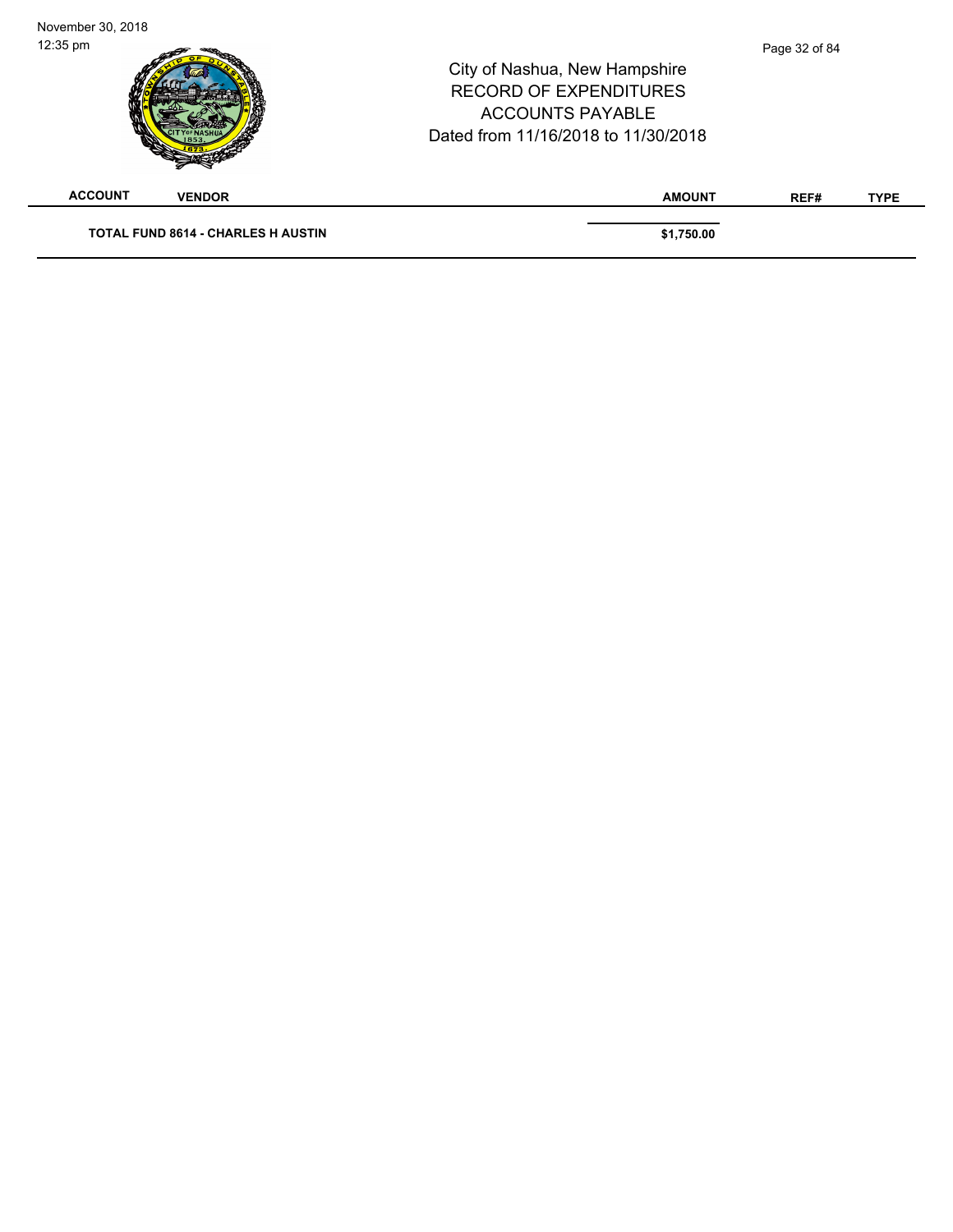| November 30, 2018  |                                           |                                                                                                                                  |               |             |
|--------------------|-------------------------------------------|----------------------------------------------------------------------------------------------------------------------------------|---------------|-------------|
| $12:35 \text{ pm}$ |                                           | City of Nashua, New Hampshire<br><b>RECORD OF EXPENDITURES</b><br><b>ACCOUNTS PAYABLE</b><br>Dated from 11/16/2018 to 11/30/2018 | Page 32 of 84 |             |
| <b>ACCOUNT</b>     | <b>VENDOR</b>                             | <b>AMOUNT</b>                                                                                                                    | REF#          | <b>TYPE</b> |
|                    | <b>TOTAL FUND 8614 - CHARLES H AUSTIN</b> | \$1,750.00                                                                                                                       |               |             |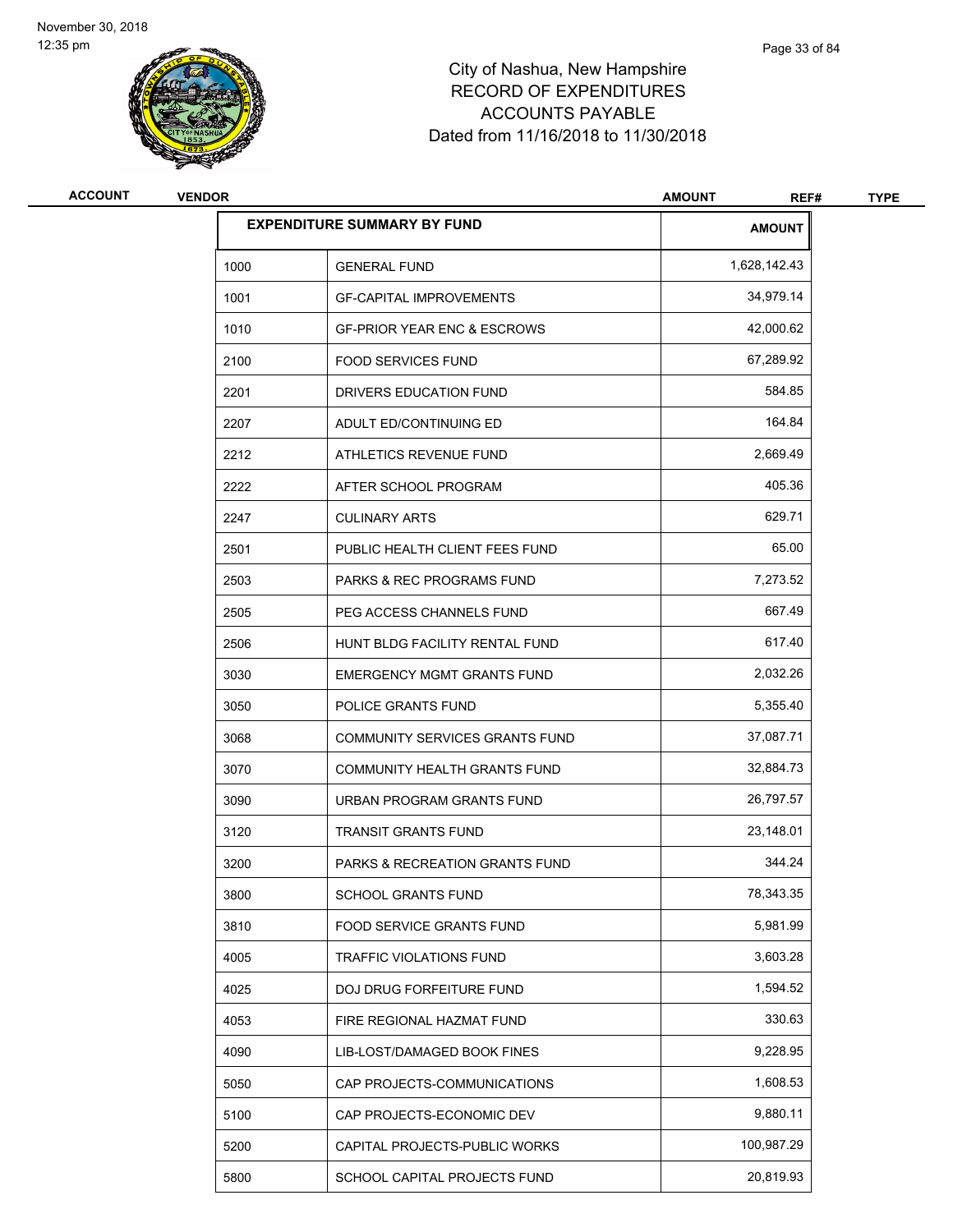

| <b>ACCOUNT</b> | <b>VENDOR</b> | <b>AMOUNT</b>                             |               |  |
|----------------|---------------|-------------------------------------------|---------------|--|
|                |               | <b>EXPENDITURE SUMMARY BY FUND</b>        | <b>AMOUNT</b> |  |
|                | 1000          | <b>GENERAL FUND</b>                       | 1,628,142.43  |  |
|                | 1001          | <b>GF-CAPITAL IMPROVEMENTS</b>            | 34,979.14     |  |
|                | 1010          | <b>GF-PRIOR YEAR ENC &amp; ESCROWS</b>    | 42,000.62     |  |
|                | 2100          | <b>FOOD SERVICES FUND</b>                 | 67,289.92     |  |
|                | 2201          | DRIVERS EDUCATION FUND                    | 584.85        |  |
|                | 2207          | ADULT ED/CONTINUING ED                    | 164.84        |  |
|                | 2212          | ATHLETICS REVENUE FUND                    | 2,669.49      |  |
|                | 2222          | AFTER SCHOOL PROGRAM                      | 405.36        |  |
|                | 2247          | <b>CULINARY ARTS</b>                      | 629.71        |  |
|                | 2501          | PUBLIC HEALTH CLIENT FEES FUND            | 65.00         |  |
|                | 2503          | <b>PARKS &amp; REC PROGRAMS FUND</b>      | 7,273.52      |  |
|                | 2505          | PEG ACCESS CHANNELS FUND                  | 667.49        |  |
|                | 2506          | HUNT BLDG FACILITY RENTAL FUND            | 617.40        |  |
|                | 3030          | <b>EMERGENCY MGMT GRANTS FUND</b>         | 2,032.26      |  |
|                | 3050          | POLICE GRANTS FUND                        | 5,355.40      |  |
|                | 3068          | COMMUNITY SERVICES GRANTS FUND            | 37,087.71     |  |
|                | 3070          | COMMUNITY HEALTH GRANTS FUND              | 32,884.73     |  |
|                | 3090          | URBAN PROGRAM GRANTS FUND                 | 26,797.57     |  |
|                | 3120          | <b>TRANSIT GRANTS FUND</b>                | 23,148.01     |  |
|                | 3200          | <b>PARKS &amp; RECREATION GRANTS FUND</b> | 344.24        |  |
|                | 3800          | SCHOOL GRANTS FUND                        | 78,343.35     |  |
|                | 3810          | FOOD SERVICE GRANTS FUND                  | 5,981.99      |  |
|                | 4005          | TRAFFIC VIOLATIONS FUND                   | 3,603.28      |  |
|                | 4025          | DOJ DRUG FORFEITURE FUND                  | 1,594.52      |  |
|                | 4053          | FIRE REGIONAL HAZMAT FUND                 | 330.63        |  |
|                | 4090          | LIB-LOST/DAMAGED BOOK FINES               | 9,228.95      |  |
|                | 5050          | CAP PROJECTS-COMMUNICATIONS               | 1,608.53      |  |
|                | 5100          | CAP PROJECTS-ECONOMIC DEV                 | 9,880.11      |  |
|                | 5200          | CAPITAL PROJECTS-PUBLIC WORKS             | 100,987.29    |  |
|                | 5800          | SCHOOL CAPITAL PROJECTS FUND              | 20,819.93     |  |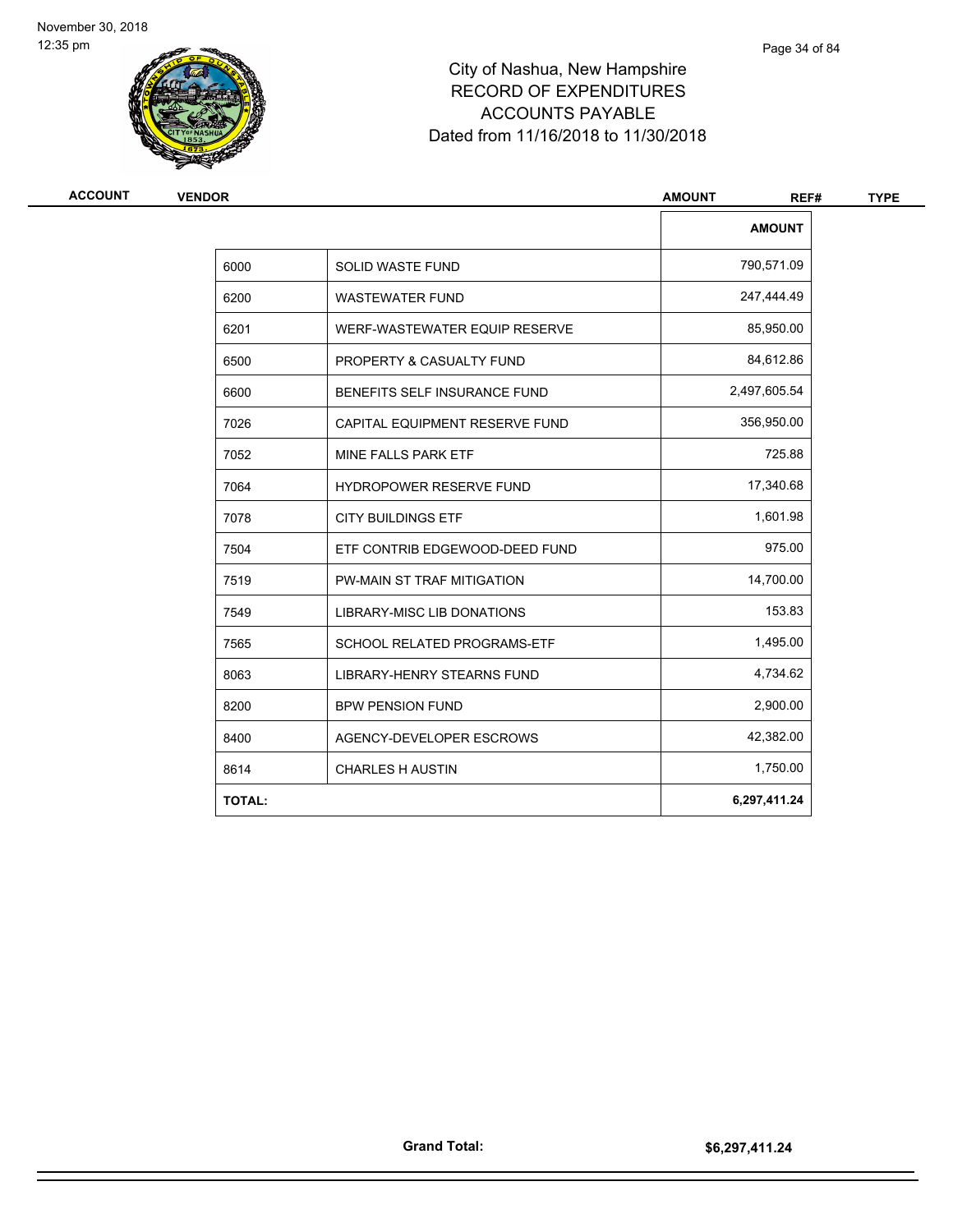

| <b>VENDOR</b> | <b>AMOUNT</b>                     |               |  |
|---------------|-----------------------------------|---------------|--|
|               |                                   | <b>AMOUNT</b> |  |
| 6000          | <b>SOLID WASTE FUND</b>           | 790,571.09    |  |
| 6200          | <b>WASTEWATER FUND</b>            | 247,444.49    |  |
| 6201          | WERF-WASTEWATER EQUIP RESERVE     | 85,950.00     |  |
| 6500          | PROPERTY & CASUALTY FUND          | 84,612.86     |  |
| 6600          | BENEFITS SELF INSURANCE FUND      | 2,497,605.54  |  |
| 7026          | CAPITAL EQUIPMENT RESERVE FUND    | 356,950.00    |  |
| 7052          | MINE FALLS PARK ETF               | 725.88        |  |
| 7064          | <b>HYDROPOWER RESERVE FUND</b>    | 17,340.68     |  |
| 7078          | <b>CITY BUILDINGS ETF</b>         | 1,601.98      |  |
| 7504          | ETF CONTRIB EDGEWOOD-DEED FUND    | 975.00        |  |
| 7519          | PW-MAIN ST TRAF MITIGATION        | 14,700.00     |  |
| 7549          | <b>LIBRARY-MISC LIB DONATIONS</b> | 153.83        |  |
| 7565          | SCHOOL RELATED PROGRAMS-ETF       | 1,495.00      |  |
| 8063          | <b>LIBRARY-HENRY STEARNS FUND</b> | 4,734.62      |  |
| 8200          | <b>BPW PENSION FUND</b>           | 2,900.00      |  |
| 8400          | AGENCY-DEVELOPER ESCROWS          | 42,382.00     |  |
| 8614          | <b>CHARLES H AUSTIN</b>           | 1,750.00      |  |
| <b>TOTAL:</b> |                                   | 6,297,411.24  |  |
|               |                                   |               |  |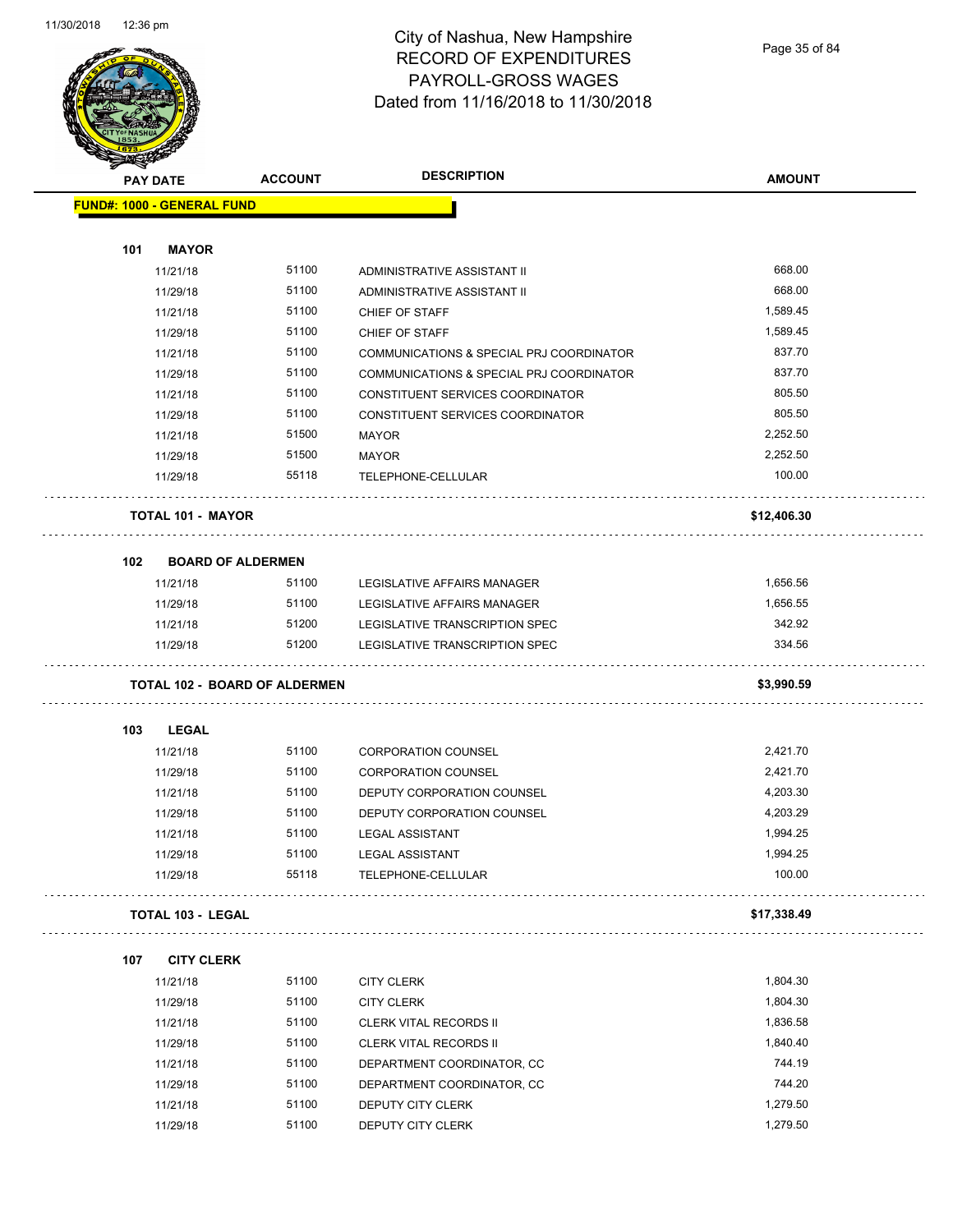

#### City of Nashua, New Hampshire RECORD OF EXPENDITURES PAYROLL-GROSS WAGES Dated from 11/16/2018 to 11/30/2018

Page 35 of 84

| <b>PAY DATE</b>                      | <b>ACCOUNT</b> | <b>DESCRIPTION</b>                       | <b>AMOUNT</b> |
|--------------------------------------|----------------|------------------------------------------|---------------|
| <b>FUND#: 1000 - GENERAL FUND</b>    |                |                                          |               |
|                                      |                |                                          |               |
| <b>MAYOR</b><br>101                  |                |                                          |               |
| 11/21/18                             | 51100          | ADMINISTRATIVE ASSISTANT II              | 668.00        |
| 11/29/18                             | 51100          | ADMINISTRATIVE ASSISTANT II              | 668.00        |
| 11/21/18                             | 51100          | CHIEF OF STAFF                           | 1,589.45      |
| 11/29/18                             | 51100          | CHIEF OF STAFF                           | 1,589.45      |
| 11/21/18                             | 51100          | COMMUNICATIONS & SPECIAL PRJ COORDINATOR | 837.70        |
| 11/29/18                             | 51100          | COMMUNICATIONS & SPECIAL PRJ COORDINATOR | 837.70        |
| 11/21/18                             | 51100          | CONSTITUENT SERVICES COORDINATOR         | 805.50        |
| 11/29/18                             | 51100          | CONSTITUENT SERVICES COORDINATOR         | 805.50        |
| 11/21/18                             | 51500          | <b>MAYOR</b>                             | 2,252.50      |
| 11/29/18                             | 51500          | <b>MAYOR</b>                             | 2,252.50      |
| 11/29/18                             | 55118          | TELEPHONE-CELLULAR                       | 100.00        |
| <b>TOTAL 101 - MAYOR</b>             |                |                                          | \$12,406.30   |
| 102<br><b>BOARD OF ALDERMEN</b>      |                |                                          |               |
| 11/21/18                             | 51100          | LEGISLATIVE AFFAIRS MANAGER              | 1,656.56      |
| 11/29/18                             | 51100          | LEGISLATIVE AFFAIRS MANAGER              | 1,656.55      |
| 11/21/18                             | 51200          | LEGISLATIVE TRANSCRIPTION SPEC           | 342.92        |
| 11/29/18                             | 51200          | LEGISLATIVE TRANSCRIPTION SPEC           | 334.56        |
|                                      |                |                                          |               |
| <b>TOTAL 102 - BOARD OF ALDERMEN</b> |                |                                          | \$3,990.59    |
| 103<br><b>LEGAL</b>                  |                |                                          |               |
| 11/21/18                             | 51100          | <b>CORPORATION COUNSEL</b>               | 2,421.70      |
| 11/29/18                             | 51100          | <b>CORPORATION COUNSEL</b>               | 2,421.70      |
| 11/21/18                             | 51100          | DEPUTY CORPORATION COUNSEL               | 4,203.30      |
| 11/29/18                             | 51100          | DEPUTY CORPORATION COUNSEL               | 4,203.29      |
| 11/21/18                             | 51100          | <b>LEGAL ASSISTANT</b>                   | 1,994.25      |
| 11/29/18                             | 51100          | <b>LEGAL ASSISTANT</b>                   | 1,994.25      |
| 11/29/18                             | 55118          | TELEPHONE-CELLULAR                       | 100.00        |
| <b>TOTAL 103 - LEGAL</b>             |                |                                          | \$17,338.49   |
|                                      |                |                                          |               |
| <b>CITY CLERK</b><br>107             |                |                                          |               |
| 11/21/18                             | 51100          | <b>CITY CLERK</b>                        | 1,804.30      |
| 11/29/18                             | 51100          | <b>CITY CLERK</b>                        | 1,804.30      |
| 11/21/18                             | 51100          | CLERK VITAL RECORDS II                   | 1,836.58      |
| 11/29/18                             | 51100          | CLERK VITAL RECORDS II                   | 1,840.40      |
| 11/21/18                             | 51100          | DEPARTMENT COORDINATOR, CC               | 744.19        |
| 11/29/18                             | 51100          | DEPARTMENT COORDINATOR, CC               | 744.20        |
| 11/21/18                             | 51100          | DEPUTY CITY CLERK                        | 1,279.50      |
| 11/29/18                             | 51100          | DEPUTY CITY CLERK                        | 1,279.50      |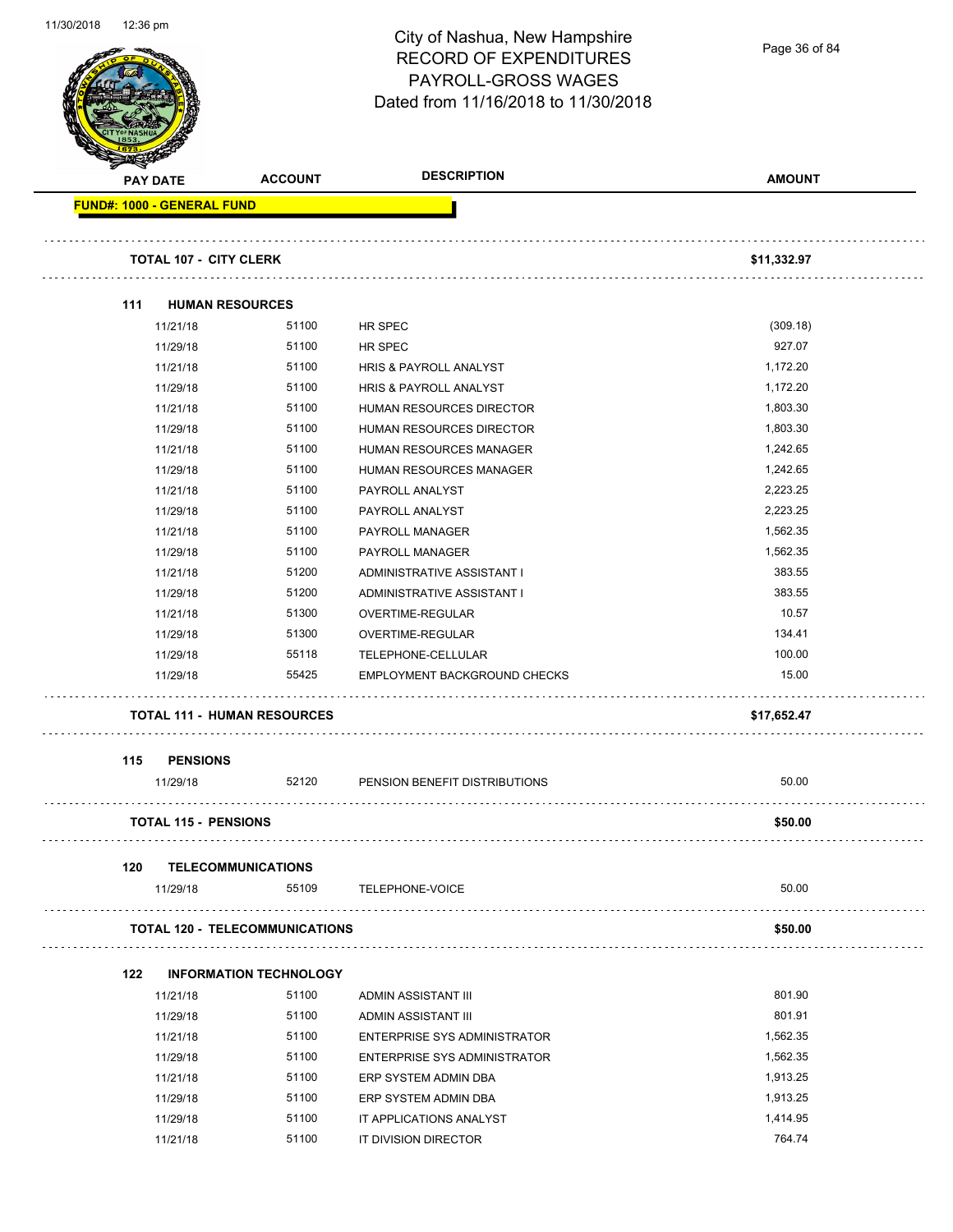### City of Nashua, New Hampshire RECORD OF EXPENDITURES PAYROLL-GROSS WAGES Dated from 11/16/2018 to 11/30/2018

Page 36 of 84

| Dated from Throizo to to Thouzo to |                                   |                                            |                                |               |
|------------------------------------|-----------------------------------|--------------------------------------------|--------------------------------|---------------|
|                                    | <b>PAY DATE</b>                   | <b>ACCOUNT</b>                             | <b>DESCRIPTION</b>             | <b>AMOUNT</b> |
|                                    | <b>FUND#: 1000 - GENERAL FUND</b> |                                            |                                |               |
|                                    | <b>TOTAL 107 - CITY CLERK</b>     |                                            |                                | \$11,332.97   |
| 111                                | <b>HUMAN RESOURCES</b>            |                                            |                                |               |
|                                    | 11/21/18                          | 51100                                      | HR SPEC                        | (309.18)      |
|                                    | 11/29/18                          | 51100                                      | HR SPEC                        | 927.07        |
|                                    | 11/21/18                          | 51100                                      | HRIS & PAYROLL ANALYST         | 1,172.20      |
|                                    | 11/29/18                          | 51100                                      | HRIS & PAYROLL ANALYST         | 1,172.20      |
|                                    | 11/21/18                          | 51100                                      | HUMAN RESOURCES DIRECTOR       | 1,803.30      |
|                                    | 11/29/18                          | 51100                                      | HUMAN RESOURCES DIRECTOR       | 1,803.30      |
|                                    | 11/21/18                          | 51100                                      | <b>HUMAN RESOURCES MANAGER</b> | 1,242.65      |
|                                    | 11/29/18                          | 51100                                      | HUMAN RESOURCES MANAGER        | 1,242.65      |
|                                    | 11/21/18                          | 51100                                      | PAYROLL ANALYST                | 2,223.25      |
|                                    | 11/29/18                          | 51100                                      | PAYROLL ANALYST                | 2,223.25      |
|                                    | 11/21/18                          | 51100                                      | PAYROLL MANAGER                | 1,562.35      |
|                                    | 11/29/18                          | 51100                                      | PAYROLL MANAGER                | 1,562.35      |
|                                    | 11/21/18                          | 51200                                      | ADMINISTRATIVE ASSISTANT I     | 383.55        |
|                                    | 11/29/18                          | 51200                                      | ADMINISTRATIVE ASSISTANT I     | 383.55        |
|                                    | 11/21/18                          | 51300                                      | OVERTIME-REGULAR               | 10.57         |
|                                    | 11/29/18                          | 51300                                      | OVERTIME-REGULAR               | 134.41        |
|                                    | 11/29/18                          | 55118                                      | TELEPHONE-CELLULAR             | 100.00        |
|                                    | 11/29/18                          | 55425                                      | EMPLOYMENT BACKGROUND CHECKS   | 15.00         |
|                                    |                                   | <b>TOTAL 111 - HUMAN RESOURCES</b>         |                                | \$17,652.47   |
| 115                                | <b>PENSIONS</b>                   |                                            |                                |               |
|                                    | 11/29/18                          | 52120                                      | PENSION BENEFIT DISTRIBUTIONS  | 50.00         |
|                                    | <b>TOTAL 115 - PENSIONS</b>       |                                            |                                | \$50.00       |
| 120                                |                                   | <b>TELECOMMUNICATIONS</b>                  |                                |               |
|                                    | 11/29/18                          | 55109                                      | TELEPHONE-VOICE                | 50.00         |
|                                    |                                   | .<br><b>TOTAL 120 - TELECOMMUNICATIONS</b> |                                | \$50.00       |
| 122                                |                                   | <b>INFORMATION TECHNOLOGY</b>              |                                |               |
|                                    | 11/21/18                          | 51100                                      | ADMIN ASSISTANT III            | 801.90        |
|                                    | 11/29/18                          | 51100                                      | ADMIN ASSISTANT III            | 801.91        |
|                                    | 11/21/18                          | 51100                                      | ENTERPRISE SYS ADMINISTRATOR   | 1,562.35      |
|                                    | 11/29/18                          | 51100                                      | ENTERPRISE SYS ADMINISTRATOR   | 1,562.35      |
|                                    | 11/21/18                          | 51100                                      | ERP SYSTEM ADMIN DBA           | 1,913.25      |
|                                    | 11/29/18                          | 51100                                      | ERP SYSTEM ADMIN DBA           | 1,913.25      |
|                                    | 11/29/18                          | 51100                                      | IT APPLICATIONS ANALYST        | 1,414.95      |
|                                    | 11/21/18                          | 51100                                      | IT DIVISION DIRECTOR           | 764.74        |
|                                    |                                   |                                            |                                |               |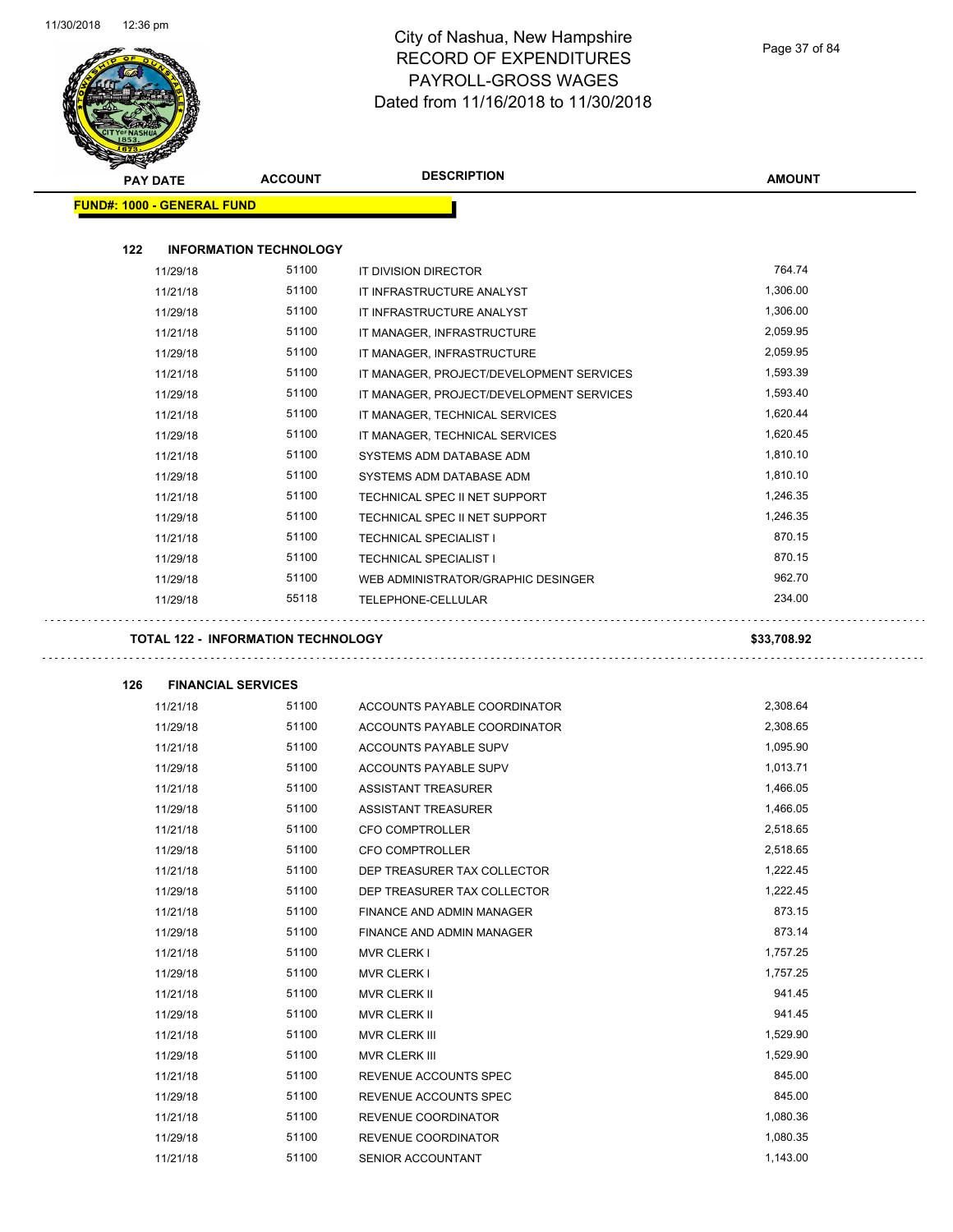

Page 37 of 84

| <b>PAY DATE</b>                   | <b>ACCOUNT</b>                | <b>DESCRIPTION</b>                       | <b>AMOUNT</b>        |
|-----------------------------------|-------------------------------|------------------------------------------|----------------------|
| <b>FUND#: 1000 - GENERAL FUND</b> |                               |                                          |                      |
|                                   |                               |                                          |                      |
| 122                               | <b>INFORMATION TECHNOLOGY</b> |                                          |                      |
| 11/29/18                          | 51100                         | IT DIVISION DIRECTOR                     | 764.74               |
| 11/21/18                          | 51100                         | IT INFRASTRUCTURE ANALYST                | 1,306.00             |
| 11/29/18                          | 51100                         | IT INFRASTRUCTURE ANALYST                | 1,306.00             |
| 11/21/18                          | 51100                         | IT MANAGER, INFRASTRUCTURE               | 2,059.95             |
| 11/29/18                          | 51100                         | IT MANAGER, INFRASTRUCTURE               | 2,059.95             |
| 11/21/18                          | 51100                         | IT MANAGER, PROJECT/DEVELOPMENT SERVICES | 1,593.39             |
| 11/29/18                          | 51100                         | IT MANAGER, PROJECT/DEVELOPMENT SERVICES | 1,593.40             |
| 11/21/18                          | 51100                         | IT MANAGER, TECHNICAL SERVICES           | 1,620.44             |
| 11/29/18                          | 51100                         | IT MANAGER, TECHNICAL SERVICES           | 1,620.45             |
| 11/21/18                          | 51100                         | SYSTEMS ADM DATABASE ADM                 | 1,810.10             |
| 11/29/18                          | 51100                         | SYSTEMS ADM DATABASE ADM                 | 1,810.10             |
| 11/21/18                          | 51100                         | TECHNICAL SPEC II NET SUPPORT            | 1,246.35             |
| 11/29/18                          | 51100                         | TECHNICAL SPEC II NET SUPPORT            | 1,246.35             |
| 11/21/18                          | 51100                         | <b>TECHNICAL SPECIALIST I</b>            | 870.15               |
| 11/29/18                          | 51100                         | <b>TECHNICAL SPECIALIST I</b>            | 870.15               |
| 11/29/18                          | 51100                         | WEB ADMINISTRATOR/GRAPHIC DESINGER       | 962.70               |
| 11/29/18                          | 55118                         | TELEPHONE-CELLULAR                       | 234.00               |
| 126                               | <b>FINANCIAL SERVICES</b>     |                                          |                      |
| 11/21/18                          | 51100                         | ACCOUNTS PAYABLE COORDINATOR             | 2,308.64             |
| 11/29/18                          | 51100                         | ACCOUNTS PAYABLE COORDINATOR             | 2,308.65             |
| 11/21/18                          | 51100                         | <b>ACCOUNTS PAYABLE SUPV</b>             | 1,095.90             |
| 11/29/18                          | 51100                         | <b>ACCOUNTS PAYABLE SUPV</b>             | 1,013.71             |
| 11/21/18                          | 51100                         | <b>ASSISTANT TREASURER</b>               | 1,466.05             |
| 11/29/18                          | 51100                         | <b>ASSISTANT TREASURER</b>               | 1,466.05             |
| 11/21/18                          | 51100                         | <b>CFO COMPTROLLER</b>                   | 2,518.65             |
| 11/29/18                          |                               |                                          |                      |
|                                   | 51100                         | CFO COMPTROLLER                          | 2,518.65             |
| 11/21/18                          | 51100                         | DEP TREASURER TAX COLLECTOR              | 1,222.45             |
| 11/29/18                          | 51100                         | DEP TREASURER TAX COLLECTOR              | 1,222.45             |
| 11/21/18                          | 51100                         | <b>FINANCE AND ADMIN MANAGER</b>         | 873.15               |
| 11/29/18                          | 51100                         | FINANCE AND ADMIN MANAGER                | 873.14               |
| 11/21/18                          | 51100                         | <b>MVR CLERK I</b>                       | 1,757.25             |
| 11/29/18                          | 51100                         | <b>MVR CLERK I</b>                       | 1,757.25             |
| 11/21/18                          | 51100                         | MVR CLERK II                             | 941.45               |
| 11/29/18                          | 51100                         | <b>MVR CLERK II</b>                      | 941.45               |
| 11/21/18                          | 51100                         | MVR CLERK III                            | 1,529.90             |
| 11/29/18                          | 51100                         | MVR CLERK III                            | 1,529.90             |
| 11/21/18                          | 51100                         | REVENUE ACCOUNTS SPEC                    | 845.00               |
| 11/29/18                          | 51100                         | REVENUE ACCOUNTS SPEC                    | 845.00               |
| 11/21/18                          | 51100                         | REVENUE COORDINATOR                      | 1,080.36             |
| 11/29/18<br>11/21/18              | 51100<br>51100                | REVENUE COORDINATOR<br>SENIOR ACCOUNTANT | 1,080.35<br>1,143.00 |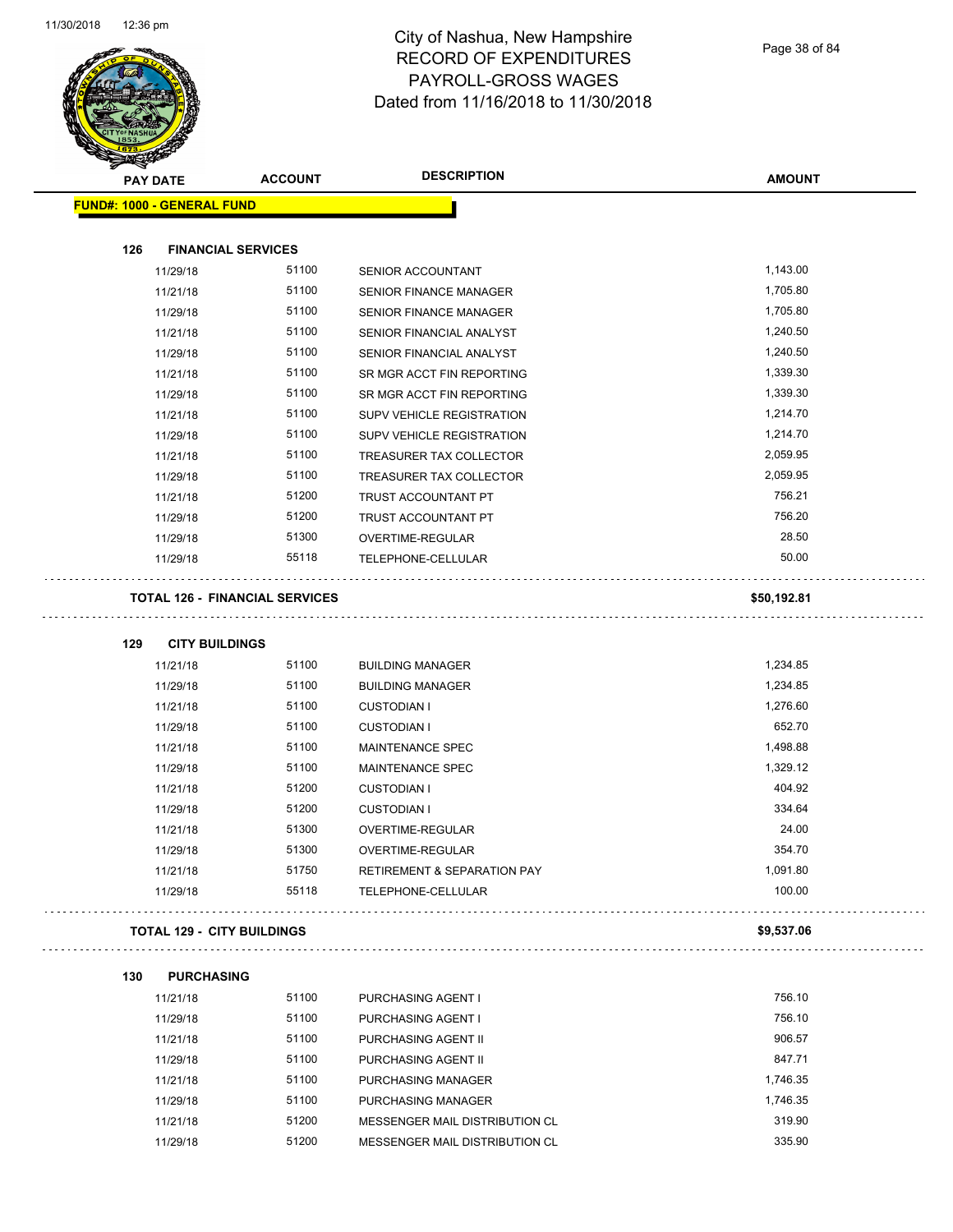

Page 38 of 84

| <b>PAY DATE</b>                   | <b>ACCOUNT</b>                        | <b>DESCRIPTION</b>                     | <b>AMOUNT</b> |
|-----------------------------------|---------------------------------------|----------------------------------------|---------------|
| <b>FUND#: 1000 - GENERAL FUND</b> |                                       |                                        |               |
| 126                               | <b>FINANCIAL SERVICES</b>             |                                        |               |
| 11/29/18                          | 51100                                 | SENIOR ACCOUNTANT                      | 1,143.00      |
| 11/21/18                          | 51100                                 | <b>SENIOR FINANCE MANAGER</b>          | 1,705.80      |
| 11/29/18                          | 51100                                 | <b>SENIOR FINANCE MANAGER</b>          | 1,705.80      |
| 11/21/18                          | 51100                                 | SENIOR FINANCIAL ANALYST               | 1,240.50      |
| 11/29/18                          | 51100                                 | SENIOR FINANCIAL ANALYST               | 1,240.50      |
| 11/21/18                          | 51100                                 | SR MGR ACCT FIN REPORTING              | 1,339.30      |
| 11/29/18                          | 51100                                 | SR MGR ACCT FIN REPORTING              | 1,339.30      |
| 11/21/18                          | 51100                                 | SUPV VEHICLE REGISTRATION              | 1,214.70      |
| 11/29/18                          | 51100                                 | SUPV VEHICLE REGISTRATION              | 1,214.70      |
| 11/21/18                          | 51100                                 | TREASURER TAX COLLECTOR                | 2,059.95      |
| 11/29/18                          | 51100                                 | TREASURER TAX COLLECTOR                | 2,059.95      |
| 11/21/18                          | 51200                                 | TRUST ACCOUNTANT PT                    | 756.21        |
| 11/29/18                          | 51200                                 | TRUST ACCOUNTANT PT                    | 756.20        |
| 11/29/18                          | 51300                                 | OVERTIME-REGULAR                       | 28.50         |
| 11/29/18                          | 55118                                 | TELEPHONE-CELLULAR                     | 50.00         |
|                                   | <b>TOTAL 126 - FINANCIAL SERVICES</b> |                                        | \$50,192.81   |
| 129                               | <b>CITY BUILDINGS</b>                 |                                        |               |
| 11/21/18                          | 51100                                 | <b>BUILDING MANAGER</b>                | 1,234.85      |
| 11/29/18                          | 51100                                 | <b>BUILDING MANAGER</b>                | 1,234.85      |
| 11/21/18                          | 51100                                 | <b>CUSTODIAN I</b>                     | 1,276.60      |
| 11/29/18                          | 51100                                 | <b>CUSTODIAN I</b>                     | 652.70        |
| 11/21/18                          | 51100                                 | <b>MAINTENANCE SPEC</b>                | 1,498.88      |
| 11/29/18                          | 51100                                 | <b>MAINTENANCE SPEC</b>                | 1,329.12      |
| 11/21/18                          | 51200                                 | <b>CUSTODIAN I</b>                     | 404.92        |
| 11/29/18                          | 51200                                 | <b>CUSTODIAN I</b>                     | 334.64        |
| 11/21/18                          | 51300                                 | OVERTIME-REGULAR                       | 24.00         |
| 11/29/18                          | 51300                                 | OVERTIME-REGULAR                       | 354.70        |
| 11/21/18                          | 51750                                 | <b>RETIREMENT &amp; SEPARATION PAY</b> | 1,091.80      |
| 11/29/18                          | 55118                                 | TELEPHONE-CELLULAR                     | 100.00        |
|                                   | <b>TOTAL 129 - CITY BUILDINGS</b>     |                                        | \$9,537.06    |
| <b>PURCHASING</b><br>130          |                                       |                                        |               |
| 11/21/18                          | 51100                                 | PURCHASING AGENT I                     | 756.10        |
| 11/29/18                          | 51100                                 | PURCHASING AGENT I                     | 756.10        |
| 11/21/18                          | 51100                                 | PURCHASING AGENT II                    | 906.57        |
| 11/29/18                          | 51100                                 | PURCHASING AGENT II                    | 847.71        |
| 11/21/18                          | 51100                                 | PURCHASING MANAGER                     | 1,746.35      |
| 11/29/18                          | 51100                                 | PURCHASING MANAGER                     | 1,746.35      |
| 11/21/18                          | 51200                                 | MESSENGER MAIL DISTRIBUTION CL         | 319.90        |
| 11/29/18                          | 51200                                 | MESSENGER MAIL DISTRIBUTION CL         | 335.90        |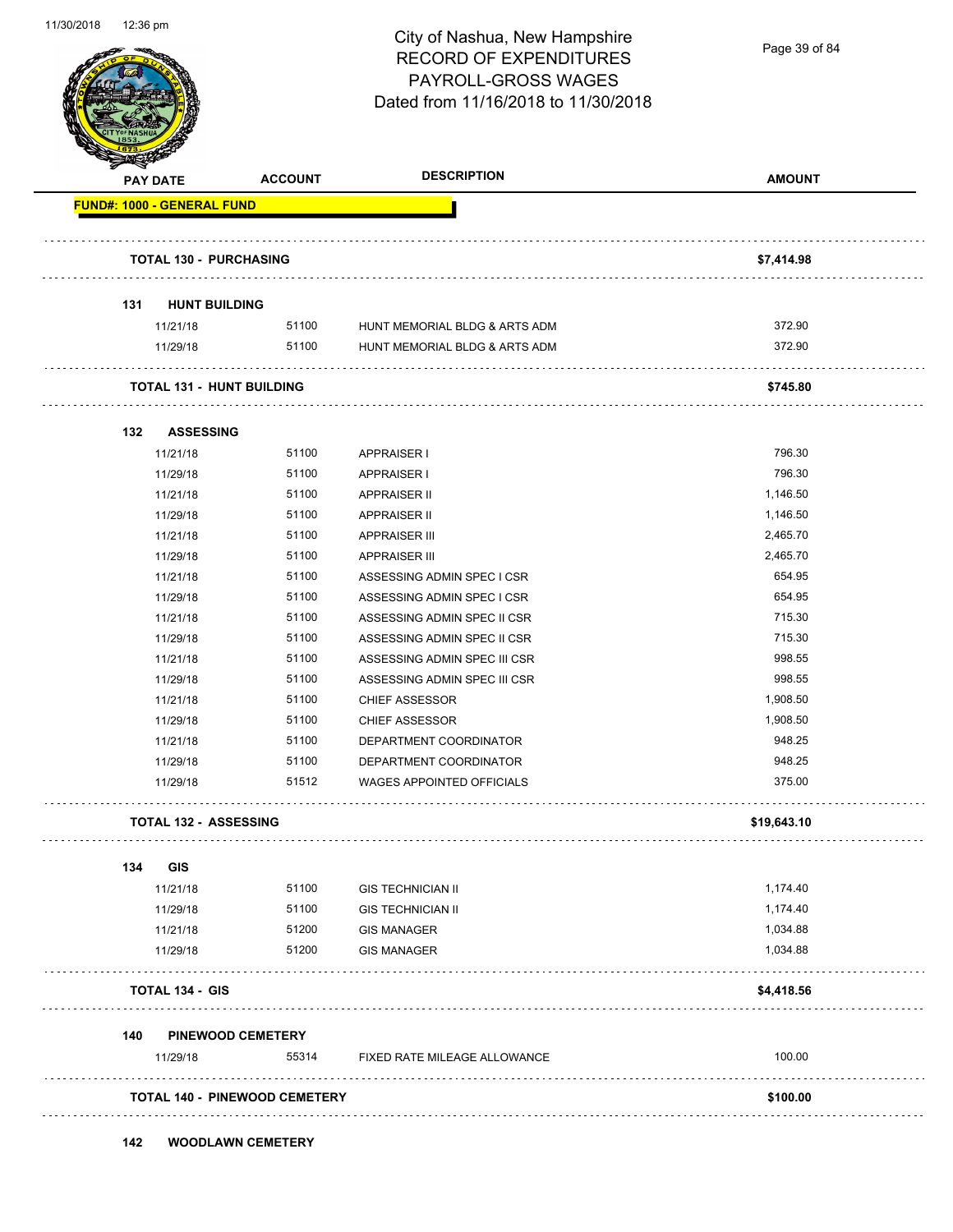

Page 39 of 84

| <b>PAY DATE</b>                   | <b>ACCOUNT</b>                       | <b>DESCRIPTION</b>               | <b>AMOUNT</b> |
|-----------------------------------|--------------------------------------|----------------------------------|---------------|
| <b>FUND#: 1000 - GENERAL FUND</b> |                                      |                                  |               |
| <b>TOTAL 130 - PURCHASING</b>     |                                      |                                  | \$7,414.98    |
| 131<br><b>HUNT BUILDING</b>       |                                      |                                  |               |
| 11/21/18                          | 51100                                | HUNT MEMORIAL BLDG & ARTS ADM    | 372.90        |
| 11/29/18                          | 51100                                | HUNT MEMORIAL BLDG & ARTS ADM    | 372.90        |
| <b>TOTAL 131 - HUNT BUILDING</b>  |                                      |                                  | \$745.80      |
| <b>ASSESSING</b><br>132           |                                      |                                  |               |
| 11/21/18                          | 51100                                | <b>APPRAISER I</b>               | 796.30        |
| 11/29/18                          | 51100                                | <b>APPRAISER I</b>               | 796.30        |
| 11/21/18                          | 51100                                | <b>APPRAISER II</b>              | 1,146.50      |
| 11/29/18                          | 51100                                | <b>APPRAISER II</b>              | 1,146.50      |
| 11/21/18                          | 51100                                | <b>APPRAISER III</b>             | 2,465.70      |
| 11/29/18                          | 51100                                | <b>APPRAISER III</b>             | 2,465.70      |
| 11/21/18                          | 51100                                | ASSESSING ADMIN SPEC I CSR       | 654.95        |
| 11/29/18                          | 51100                                | ASSESSING ADMIN SPEC I CSR       | 654.95        |
| 11/21/18                          | 51100                                | ASSESSING ADMIN SPEC II CSR      | 715.30        |
| 11/29/18                          | 51100                                | ASSESSING ADMIN SPEC II CSR      | 715.30        |
| 11/21/18                          | 51100                                | ASSESSING ADMIN SPEC III CSR     | 998.55        |
| 11/29/18                          | 51100                                | ASSESSING ADMIN SPEC III CSR     | 998.55        |
| 11/21/18                          | 51100                                | <b>CHIEF ASSESSOR</b>            | 1,908.50      |
| 11/29/18                          | 51100                                | <b>CHIEF ASSESSOR</b>            | 1,908.50      |
| 11/21/18                          | 51100                                | DEPARTMENT COORDINATOR           | 948.25        |
| 11/29/18                          | 51100                                | DEPARTMENT COORDINATOR           | 948.25        |
| 11/29/18                          | 51512                                | <b>WAGES APPOINTED OFFICIALS</b> | 375.00        |
| <b>TOTAL 132 - ASSESSING</b>      |                                      |                                  | \$19,643.10   |
| <b>GIS</b><br>134                 |                                      |                                  |               |
| 11/21/18                          | 51100                                | <b>GIS TECHNICIAN II</b>         | 1,174.40      |
| 11/29/18                          | 51100                                | <b>GIS TECHNICIAN II</b>         | 1,174.40      |
| 11/21/18                          | 51200                                | <b>GIS MANAGER</b>               | 1,034.88      |
| 11/29/18                          | 51200                                | <b>GIS MANAGER</b>               | 1,034.88      |
| <b>TOTAL 134 - GIS</b>            |                                      |                                  | \$4,418.56    |
| .<br>140                          | <b>PINEWOOD CEMETERY</b>             |                                  |               |
| 11/29/18                          | 55314                                | FIXED RATE MILEAGE ALLOWANCE     | 100.00        |
|                                   | <b>TOTAL 140 - PINEWOOD CEMETERY</b> |                                  | \$100.00      |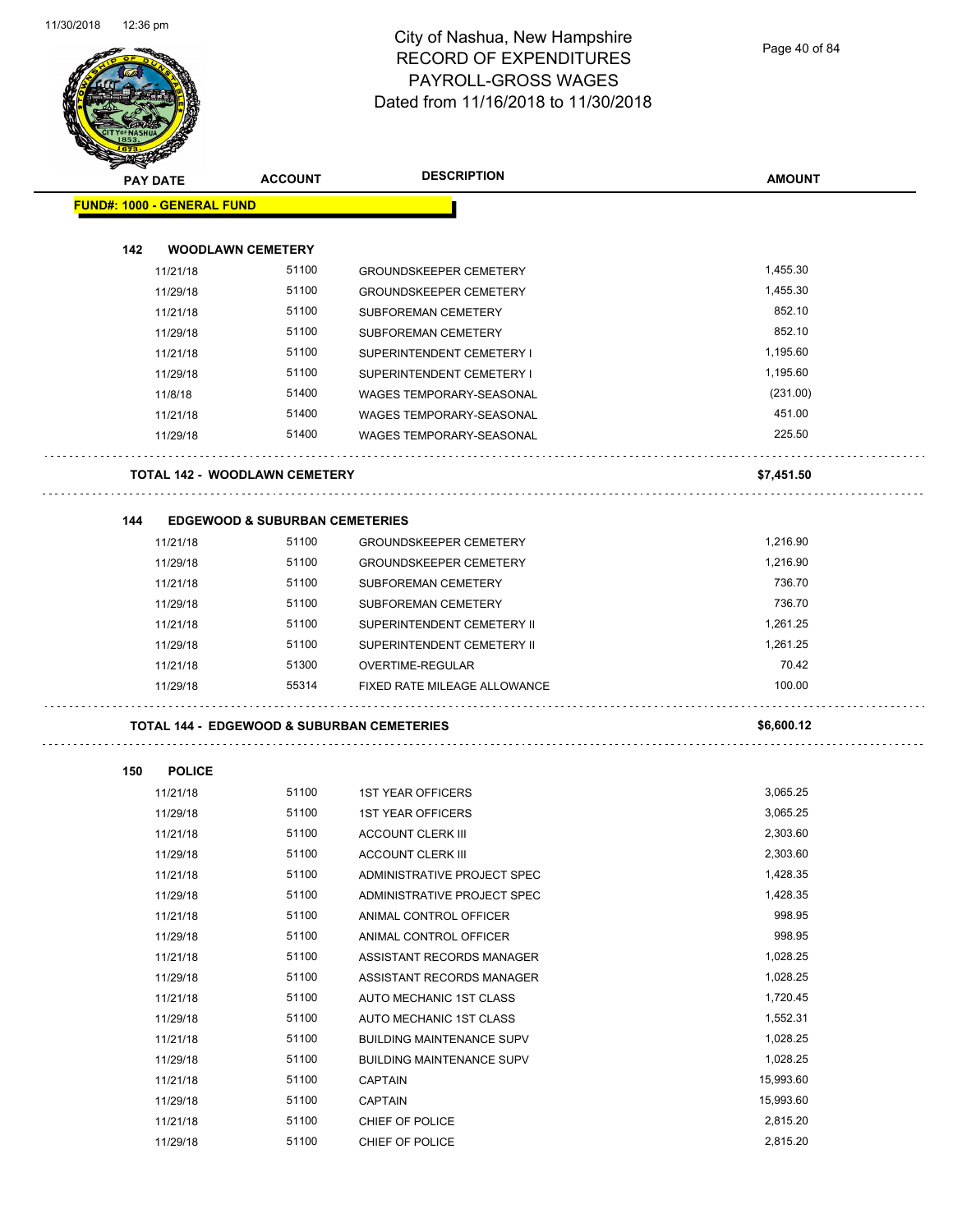

Page 40 of 84

| <b>STATERS</b>  |                                           |                |                                                       |               |
|-----------------|-------------------------------------------|----------------|-------------------------------------------------------|---------------|
| <b>PAY DATE</b> |                                           | <b>ACCOUNT</b> | <b>DESCRIPTION</b>                                    | <b>AMOUNT</b> |
|                 | <b>FUND#: 1000 - GENERAL FUND</b>         |                |                                                       |               |
|                 |                                           |                |                                                       |               |
| 142             | <b>WOODLAWN CEMETERY</b>                  |                |                                                       |               |
|                 | 11/21/18                                  | 51100          | <b>GROUNDSKEEPER CEMETERY</b>                         | 1,455.30      |
|                 | 11/29/18                                  | 51100          | <b>GROUNDSKEEPER CEMETERY</b>                         | 1,455.30      |
|                 | 11/21/18                                  | 51100          | SUBFOREMAN CEMETERY                                   | 852.10        |
|                 | 11/29/18                                  | 51100          | SUBFOREMAN CEMETERY                                   | 852.10        |
|                 | 11/21/18                                  | 51100          | SUPERINTENDENT CEMETERY I                             | 1,195.60      |
|                 | 11/29/18                                  | 51100          | SUPERINTENDENT CEMETERY I                             | 1,195.60      |
|                 | 11/8/18                                   | 51400          | WAGES TEMPORARY-SEASONAL                              | (231.00)      |
|                 | 11/21/18                                  | 51400          | WAGES TEMPORARY-SEASONAL                              | 451.00        |
|                 | 11/29/18                                  | 51400          | WAGES TEMPORARY-SEASONAL                              | 225.50        |
|                 |                                           |                |                                                       |               |
|                 | <b>TOTAL 142 - WOODLAWN CEMETERY</b>      |                |                                                       | \$7,451.50    |
|                 |                                           |                |                                                       |               |
| 144             | <b>EDGEWOOD &amp; SUBURBAN CEMETERIES</b> |                |                                                       |               |
|                 | 11/21/18                                  | 51100          | <b>GROUNDSKEEPER CEMETERY</b>                         | 1,216.90      |
|                 | 11/29/18                                  | 51100          | <b>GROUNDSKEEPER CEMETERY</b>                         | 1,216.90      |
|                 | 11/21/18                                  | 51100          | SUBFOREMAN CEMETERY                                   | 736.70        |
|                 | 11/29/18                                  | 51100          | SUBFOREMAN CEMETERY                                   | 736.70        |
|                 | 11/21/18                                  | 51100          | SUPERINTENDENT CEMETERY II                            | 1,261.25      |
|                 | 11/29/18                                  | 51100          | SUPERINTENDENT CEMETERY II                            | 1,261.25      |
|                 | 11/21/18                                  | 51300          | OVERTIME-REGULAR                                      | 70.42         |
|                 | 11/29/18                                  | 55314          | FIXED RATE MILEAGE ALLOWANCE                          | 100.00        |
|                 |                                           |                | <b>TOTAL 144 - EDGEWOOD &amp; SUBURBAN CEMETERIES</b> | \$6,600.12    |
|                 |                                           |                |                                                       |               |
| 150             | <b>POLICE</b>                             |                |                                                       |               |
|                 | 11/21/18                                  | 51100          | <b>1ST YEAR OFFICERS</b>                              | 3,065.25      |
|                 | 11/29/18                                  | 51100          | <b>1ST YEAR OFFICERS</b>                              | 3,065.25      |
|                 | 11/21/18                                  | 51100          | <b>ACCOUNT CLERK III</b>                              | 2,303.60      |
|                 | 11/29/18                                  | 51100          | ACCOUNT CLERK III                                     | 2,303.60      |
|                 | 11/21/18                                  | 51100          | ADMINISTRATIVE PROJECT SPEC                           | 1,428.35      |
|                 | 11/29/18                                  | 51100          | ADMINISTRATIVE PROJECT SPEC                           | 1,428.35      |
|                 | 11/21/18                                  | 51100          | ANIMAL CONTROL OFFICER                                | 998.95        |
|                 | 11/29/18                                  | 51100          | ANIMAL CONTROL OFFICER                                | 998.95        |
|                 | 11/21/18                                  | 51100          | ASSISTANT RECORDS MANAGER                             | 1,028.25      |
|                 | 11/29/18                                  | 51100          | ASSISTANT RECORDS MANAGER                             | 1,028.25      |
|                 | 11/21/18                                  | 51100          | AUTO MECHANIC 1ST CLASS                               | 1,720.45      |
|                 | 11/29/18                                  | 51100          | AUTO MECHANIC 1ST CLASS                               | 1,552.31      |
|                 | 11/21/18                                  | 51100          | <b>BUILDING MAINTENANCE SUPV</b>                      | 1,028.25      |
|                 | 11/29/18                                  | 51100          | <b>BUILDING MAINTENANCE SUPV</b>                      | 1,028.25      |
|                 | 11/21/18                                  | 51100          | CAPTAIN                                               | 15,993.60     |
|                 | 11/29/18                                  | 51100          | CAPTAIN                                               | 15,993.60     |
|                 | 11/21/18                                  | 51100          | CHIEF OF POLICE                                       | 2,815.20      |
|                 | 11/29/18                                  | 51100          | CHIEF OF POLICE                                       | 2,815.20      |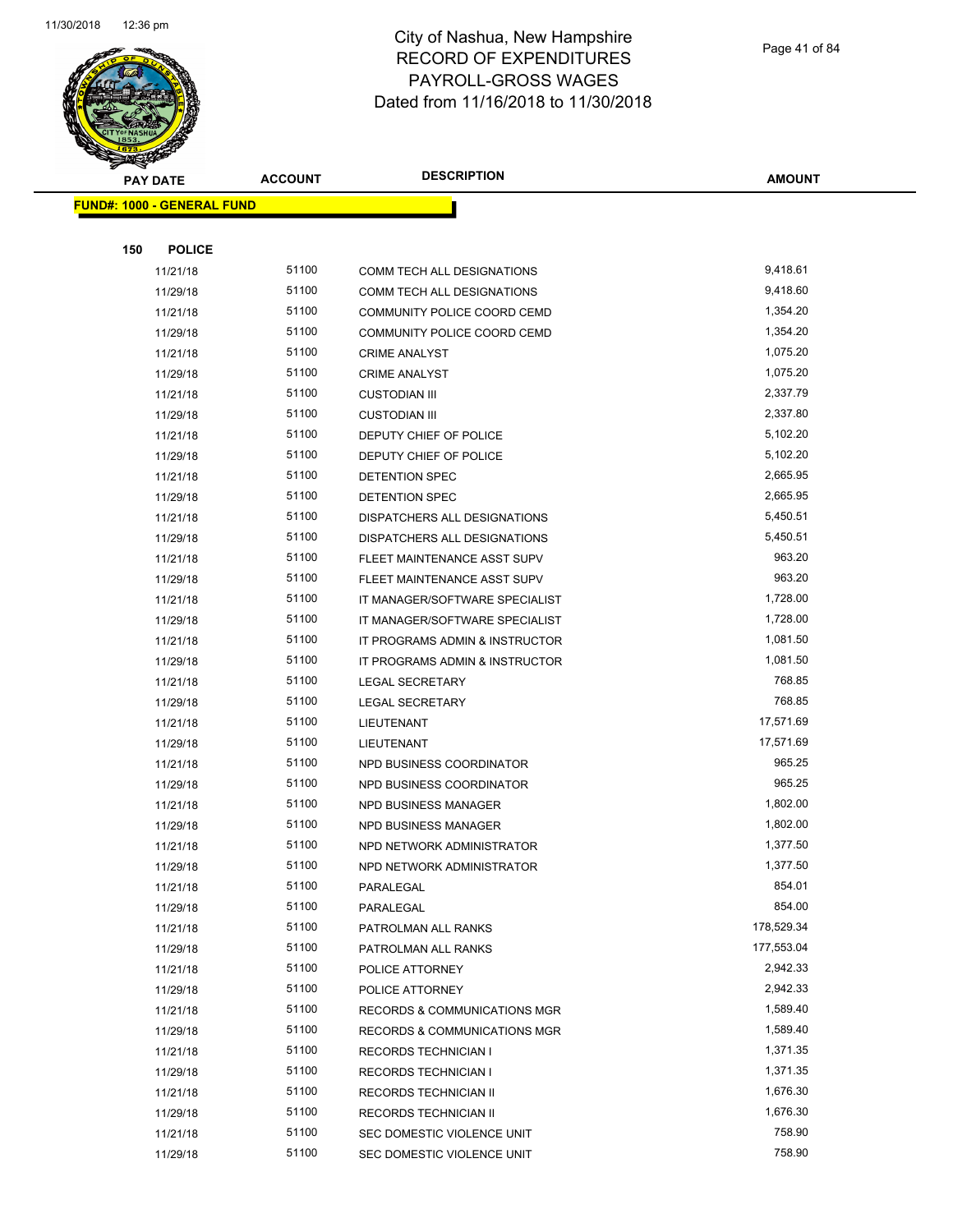

Page 41 of 84

| <b>PAY DATE</b>                   | <b>ACCOUNT</b> | <b>DESCRIPTION</b>             | <b>AMOUNT</b> |
|-----------------------------------|----------------|--------------------------------|---------------|
| <b>FUND#: 1000 - GENERAL FUND</b> |                |                                |               |
|                                   |                |                                |               |
| 150<br><b>POLICE</b>              |                |                                |               |
| 11/21/18                          | 51100          | COMM TECH ALL DESIGNATIONS     | 9,418.61      |
| 11/29/18                          | 51100          | COMM TECH ALL DESIGNATIONS     | 9,418.60      |
| 11/21/18                          | 51100          | COMMUNITY POLICE COORD CEMD    | 1,354.20      |
| 11/29/18                          | 51100          | COMMUNITY POLICE COORD CEMD    | 1,354.20      |
| 11/21/18                          | 51100          | <b>CRIME ANALYST</b>           | 1,075.20      |
| 11/29/18                          | 51100          | <b>CRIME ANALYST</b>           | 1,075.20      |
| 11/21/18                          | 51100          | <b>CUSTODIAN III</b>           | 2,337.79      |
| 11/29/18                          | 51100          | <b>CUSTODIAN III</b>           | 2,337.80      |
| 11/21/18                          | 51100          | DEPUTY CHIEF OF POLICE         | 5,102.20      |
| 11/29/18                          | 51100          | DEPUTY CHIEF OF POLICE         | 5,102.20      |
| 11/21/18                          | 51100          | DETENTION SPEC                 | 2,665.95      |
| 11/29/18                          | 51100          | DETENTION SPEC                 | 2,665.95      |
| 11/21/18                          | 51100          | DISPATCHERS ALL DESIGNATIONS   | 5,450.51      |
| 11/29/18                          | 51100          | DISPATCHERS ALL DESIGNATIONS   | 5,450.51      |
| 11/21/18                          | 51100          | FLEET MAINTENANCE ASST SUPV    | 963.20        |
| 11/29/18                          | 51100          | FLEET MAINTENANCE ASST SUPV    | 963.20        |
| 11/21/18                          | 51100          | IT MANAGER/SOFTWARE SPECIALIST | 1,728.00      |
| 11/29/18                          | 51100          | IT MANAGER/SOFTWARE SPECIALIST | 1,728.00      |
| 11/21/18                          | 51100          | IT PROGRAMS ADMIN & INSTRUCTOR | 1,081.50      |
| 11/29/18                          | 51100          | IT PROGRAMS ADMIN & INSTRUCTOR | 1,081.50      |
| 11/21/18                          | 51100          | <b>LEGAL SECRETARY</b>         | 768.85        |
| 11/29/18                          | 51100          | <b>LEGAL SECRETARY</b>         | 768.85        |
| 11/21/18                          | 51100          | LIEUTENANT                     | 17,571.69     |
| 11/29/18                          | 51100          | LIEUTENANT                     | 17,571.69     |
| 11/21/18                          | 51100          | NPD BUSINESS COORDINATOR       | 965.25        |
| 11/29/18                          | 51100          | NPD BUSINESS COORDINATOR       | 965.25        |
| 11/21/18                          | 51100          | NPD BUSINESS MANAGER           | 1,802.00      |
| 11/29/18                          | 51100          | NPD BUSINESS MANAGER           | 1,802.00      |
| 11/21/18                          | 51100          | NPD NETWORK ADMINISTRATOR      | 1,377.50      |
| 11/29/18                          | 51100          | NPD NETWORK ADMINISTRATOR      | 1,377.50      |
| 11/21/18                          | 51100          | PARALEGAL                      | 854.01        |
| 11/29/18                          | 51100          | PARALEGAL                      | 854.00        |
| 11/21/18                          | 51100          | PATROLMAN ALL RANKS            | 178,529.34    |
| 11/29/18                          | 51100          | PATROLMAN ALL RANKS            | 177,553.04    |
| 11/21/18                          | 51100          | POLICE ATTORNEY                | 2,942.33      |
| 11/29/18                          | 51100          | POLICE ATTORNEY                | 2,942.33      |
| 11/21/18                          | 51100          | RECORDS & COMMUNICATIONS MGR   | 1,589.40      |
| 11/29/18                          | 51100          | RECORDS & COMMUNICATIONS MGR   | 1,589.40      |
| 11/21/18                          | 51100          | <b>RECORDS TECHNICIAN I</b>    | 1,371.35      |
| 11/29/18                          | 51100          | <b>RECORDS TECHNICIAN I</b>    | 1,371.35      |
| 11/21/18                          | 51100          | RECORDS TECHNICIAN II          | 1,676.30      |
| 11/29/18                          | 51100          | RECORDS TECHNICIAN II          | 1,676.30      |
| 11/21/18                          | 51100          | SEC DOMESTIC VIOLENCE UNIT     | 758.90        |
| 11/29/18                          | 51100          | SEC DOMESTIC VIOLENCE UNIT     | 758.90        |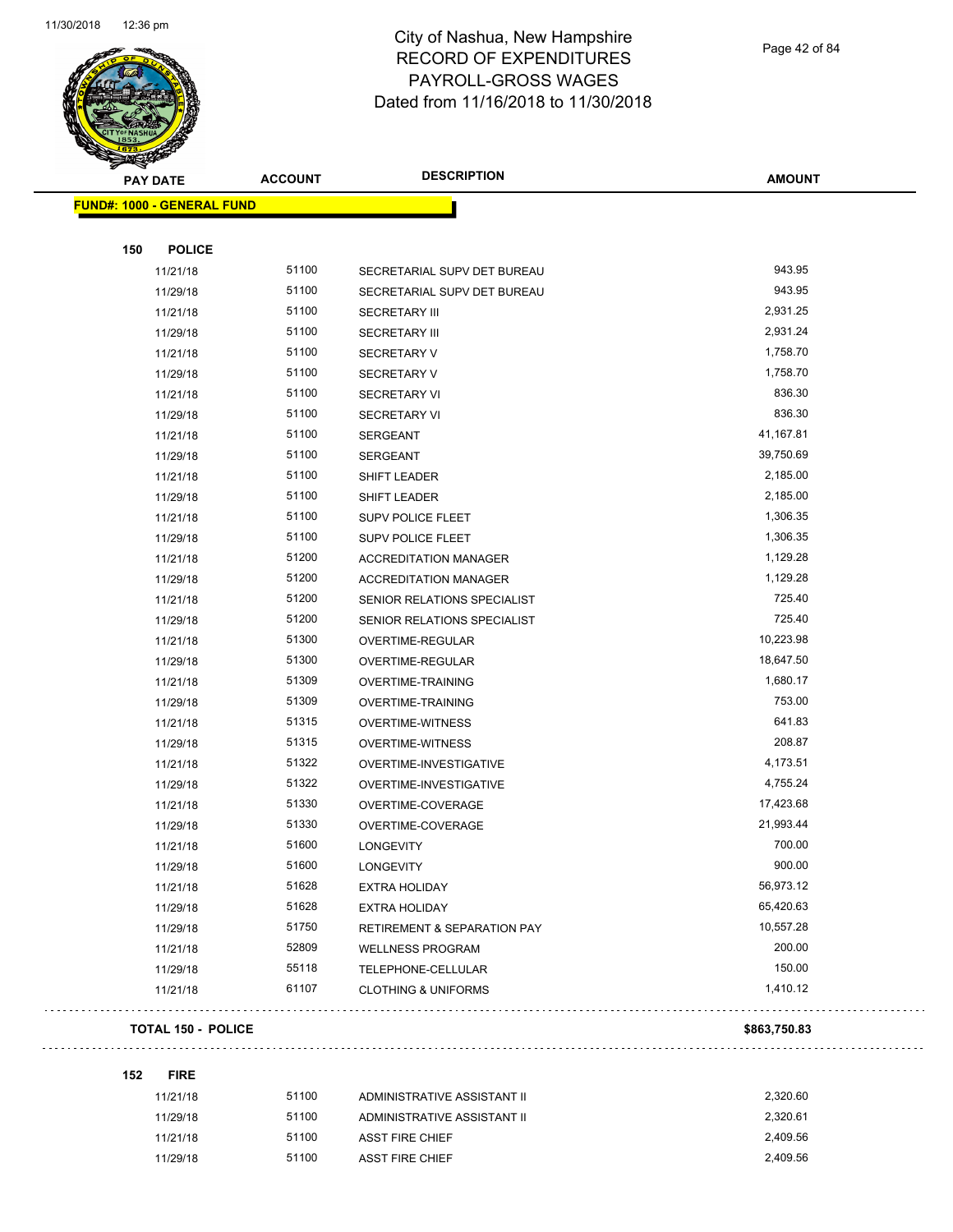

Page 42 of 84

| <b>PAY DATE</b>                   | <b>ACCOUNT</b> | <b>DESCRIPTION</b>                     | <b>AMOUNT</b> |
|-----------------------------------|----------------|----------------------------------------|---------------|
| <b>FUND#: 1000 - GENERAL FUND</b> |                |                                        |               |
|                                   |                |                                        |               |
| 150<br><b>POLICE</b>              |                |                                        |               |
| 11/21/18                          | 51100          | SECRETARIAL SUPV DET BUREAU            | 943.95        |
| 11/29/18                          | 51100          | SECRETARIAL SUPV DET BUREAU            | 943.95        |
| 11/21/18                          | 51100          | <b>SECRETARY III</b>                   | 2,931.25      |
| 11/29/18                          | 51100          | <b>SECRETARY III</b>                   | 2,931.24      |
| 11/21/18                          | 51100          | <b>SECRETARY V</b>                     | 1,758.70      |
| 11/29/18                          | 51100          | <b>SECRETARY V</b>                     | 1,758.70      |
| 11/21/18                          | 51100          | <b>SECRETARY VI</b>                    | 836.30        |
| 11/29/18                          | 51100          | <b>SECRETARY VI</b>                    | 836.30        |
| 11/21/18                          | 51100          | <b>SERGEANT</b>                        | 41,167.81     |
| 11/29/18                          | 51100          | SERGEANT                               | 39,750.69     |
| 11/21/18                          | 51100          | SHIFT LEADER                           | 2,185.00      |
| 11/29/18                          | 51100          | SHIFT LEADER                           | 2,185.00      |
| 11/21/18                          | 51100          | SUPV POLICE FLEET                      | 1,306.35      |
| 11/29/18                          | 51100          | <b>SUPV POLICE FLEET</b>               | 1,306.35      |
| 11/21/18                          | 51200          | <b>ACCREDITATION MANAGER</b>           | 1,129.28      |
| 11/29/18                          | 51200          | <b>ACCREDITATION MANAGER</b>           | 1,129.28      |
| 11/21/18                          | 51200          | SENIOR RELATIONS SPECIALIST            | 725.40        |
| 11/29/18                          | 51200          | SENIOR RELATIONS SPECIALIST            | 725.40        |
| 11/21/18                          | 51300          | OVERTIME-REGULAR                       | 10,223.98     |
| 11/29/18                          | 51300          | OVERTIME-REGULAR                       | 18,647.50     |
| 11/21/18                          | 51309          | OVERTIME-TRAINING                      | 1,680.17      |
| 11/29/18                          | 51309          | OVERTIME-TRAINING                      | 753.00        |
| 11/21/18                          | 51315          | OVERTIME-WITNESS                       | 641.83        |
| 11/29/18                          | 51315          | OVERTIME-WITNESS                       | 208.87        |
| 11/21/18                          | 51322          | OVERTIME-INVESTIGATIVE                 | 4,173.51      |
| 11/29/18                          | 51322          | OVERTIME-INVESTIGATIVE                 | 4,755.24      |
| 11/21/18                          | 51330          | OVERTIME-COVERAGE                      | 17,423.68     |
| 11/29/18                          | 51330          | OVERTIME-COVERAGE                      | 21,993.44     |
| 11/21/18                          | 51600          | <b>LONGEVITY</b>                       | 700.00        |
| 11/29/18                          | 51600          | <b>LONGEVITY</b>                       | 900.00        |
| 11/21/18                          | 51628          | EXTRA HOLIDAY                          | 56,973.12     |
| 11/29/18                          | 51628          | EXTRA HOLIDAY                          | 65,420.63     |
| 11/29/18                          | 51750          | <b>RETIREMENT &amp; SEPARATION PAY</b> | 10,557.28     |
| 11/21/18                          | 52809          | WELLNESS PROGRAM                       | 200.00        |
| 11/29/18                          | 55118          | TELEPHONE-CELLULAR                     | 150.00        |
| 11/21/18                          | 61107          | <b>CLOTHING &amp; UNIFORMS</b>         | 1,410.12      |
| <b>TOTAL 150 - POLICE</b>         |                |                                        | \$863,750.83  |

**152 FIRE**

. . . . . . . . . . . . .

. . . . . . . . . . . . . . . . . .

| 11/21/18 | 51100 | ADMINISTRATIVE ASSISTANT II | 2.320.60 |
|----------|-------|-----------------------------|----------|
| 11/29/18 | 51100 | ADMINISTRATIVE ASSISTANT II | 2.320.61 |
| 11/21/18 | 51100 | <b>ASST FIRE CHIEF</b>      | 2.409.56 |
| 11/29/18 | 51100 | <b>ASST FIRE CHIEF</b>      | 2.409.56 |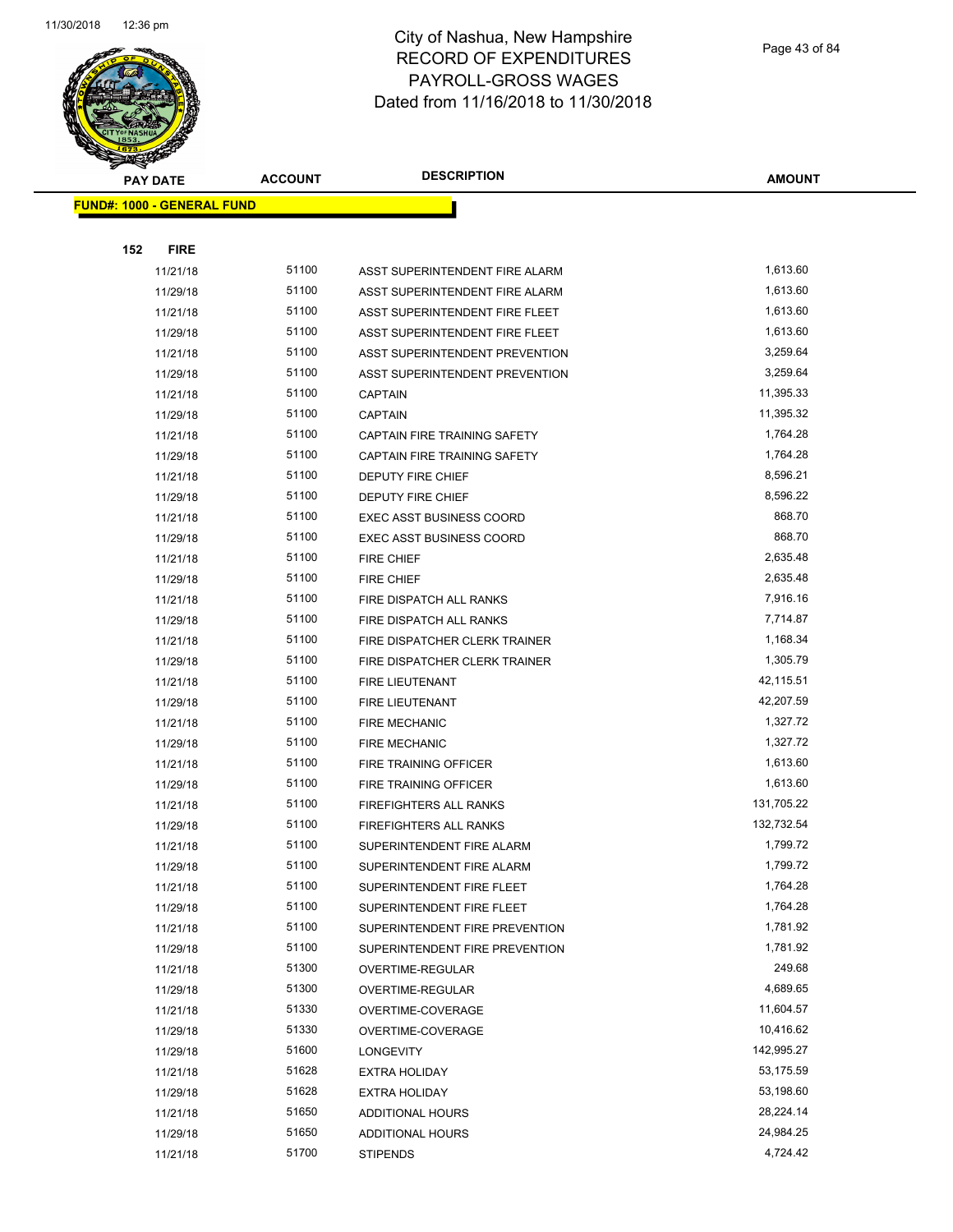

| <b>PAY DATE</b>                   | <b>ACCOUNT</b> | <b>DESCRIPTION</b>              | <b>AMOUNT</b> |
|-----------------------------------|----------------|---------------------------------|---------------|
| <b>FUND#: 1000 - GENERAL FUND</b> |                |                                 |               |
|                                   |                |                                 |               |
| <b>FIRE</b><br>152                |                |                                 |               |
| 11/21/18                          | 51100          | ASST SUPERINTENDENT FIRE ALARM  | 1,613.60      |
| 11/29/18                          | 51100          | ASST SUPERINTENDENT FIRE ALARM  | 1,613.60      |
| 11/21/18                          | 51100          | ASST SUPERINTENDENT FIRE FLEET  | 1,613.60      |
| 11/29/18                          | 51100          | ASST SUPERINTENDENT FIRE FLEET  | 1,613.60      |
| 11/21/18                          | 51100          | ASST SUPERINTENDENT PREVENTION  | 3,259.64      |
| 11/29/18                          | 51100          | ASST SUPERINTENDENT PREVENTION  | 3,259.64      |
| 11/21/18                          | 51100          | <b>CAPTAIN</b>                  | 11,395.33     |
| 11/29/18                          | 51100          | <b>CAPTAIN</b>                  | 11,395.32     |
| 11/21/18                          | 51100          | CAPTAIN FIRE TRAINING SAFETY    | 1,764.28      |
| 11/29/18                          | 51100          | CAPTAIN FIRE TRAINING SAFETY    | 1,764.28      |
| 11/21/18                          | 51100          | DEPUTY FIRE CHIEF               | 8,596.21      |
| 11/29/18                          | 51100          | <b>DEPUTY FIRE CHIEF</b>        | 8,596.22      |
| 11/21/18                          | 51100          | <b>EXEC ASST BUSINESS COORD</b> | 868.70        |
| 11/29/18                          | 51100          | EXEC ASST BUSINESS COORD        | 868.70        |
| 11/21/18                          | 51100          | FIRE CHIEF                      | 2,635.48      |
| 11/29/18                          | 51100          | <b>FIRE CHIEF</b>               | 2,635.48      |
| 11/21/18                          | 51100          | FIRE DISPATCH ALL RANKS         | 7,916.16      |
| 11/29/18                          | 51100          | FIRE DISPATCH ALL RANKS         | 7,714.87      |
| 11/21/18                          | 51100          | FIRE DISPATCHER CLERK TRAINER   | 1,168.34      |
| 11/29/18                          | 51100          | FIRE DISPATCHER CLERK TRAINER   | 1,305.79      |
| 11/21/18                          | 51100          | <b>FIRE LIEUTENANT</b>          | 42,115.51     |
| 11/29/18                          | 51100          | <b>FIRE LIEUTENANT</b>          | 42,207.59     |
| 11/21/18                          | 51100          | <b>FIRE MECHANIC</b>            | 1,327.72      |
| 11/29/18                          | 51100          | <b>FIRE MECHANIC</b>            | 1,327.72      |
| 11/21/18                          | 51100          | FIRE TRAINING OFFICER           | 1,613.60      |
| 11/29/18                          | 51100          | <b>FIRE TRAINING OFFICER</b>    | 1,613.60      |
| 11/21/18                          | 51100          | FIREFIGHTERS ALL RANKS          | 131,705.22    |
| 11/29/18                          | 51100          | FIREFIGHTERS ALL RANKS          | 132,732.54    |
| 11/21/18                          | 51100          | SUPERINTENDENT FIRE ALARM       | 1,799.72      |
| 11/29/18                          | 51100          | SUPERINTENDENT FIRE ALARM       | 1,799.72      |
| 11/21/18                          | 51100          | SUPERINTENDENT FIRE FLEET       | 1,764.28      |
| 11/29/18                          | 51100          | SUPERINTENDENT FIRE FLEET       | 1,764.28      |
| 11/21/18                          | 51100          | SUPERINTENDENT FIRE PREVENTION  | 1,781.92      |
| 11/29/18                          | 51100          | SUPERINTENDENT FIRE PREVENTION  | 1,781.92      |
| 11/21/18                          | 51300          | OVERTIME-REGULAR                | 249.68        |
| 11/29/18                          | 51300          | OVERTIME-REGULAR                | 4,689.65      |
| 11/21/18                          | 51330          | OVERTIME-COVERAGE               | 11,604.57     |
| 11/29/18                          | 51330          | OVERTIME-COVERAGE               | 10,416.62     |
| 11/29/18                          | 51600          | <b>LONGEVITY</b>                | 142,995.27    |
| 11/21/18                          | 51628          | <b>EXTRA HOLIDAY</b>            | 53,175.59     |
| 11/29/18                          | 51628          | <b>EXTRA HOLIDAY</b>            | 53,198.60     |
| 11/21/18                          | 51650          | <b>ADDITIONAL HOURS</b>         | 28,224.14     |
| 11/29/18                          | 51650          | ADDITIONAL HOURS                | 24,984.25     |
| 11/21/18                          | 51700          | <b>STIPENDS</b>                 | 4,724.42      |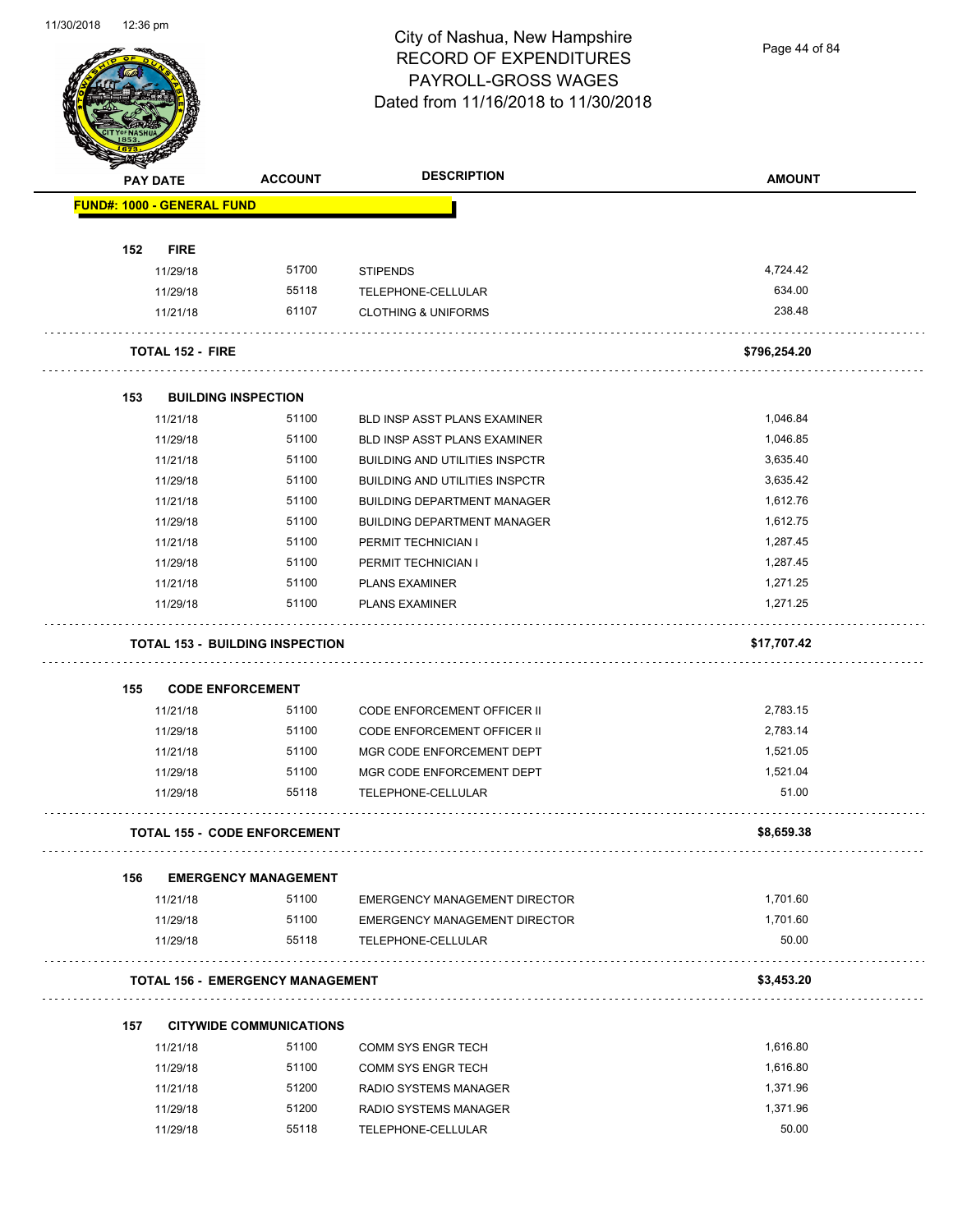Page 44 of 84

|     | <b>PAY DATE</b>                   | <b>ACCOUNT</b>                          | <b>DESCRIPTION</b>                                         | <b>AMOUNT</b>        |
|-----|-----------------------------------|-----------------------------------------|------------------------------------------------------------|----------------------|
|     | <b>FUND#: 1000 - GENERAL FUND</b> |                                         |                                                            |                      |
|     |                                   |                                         |                                                            |                      |
| 152 | <b>FIRE</b><br>11/29/18           | 51700                                   | <b>STIPENDS</b>                                            | 4,724.42             |
|     | 11/29/18                          | 55118                                   | TELEPHONE-CELLULAR                                         | 634.00               |
|     | 11/21/18                          | 61107                                   | <b>CLOTHING &amp; UNIFORMS</b>                             | 238.48               |
|     | <b>TOTAL 152 - FIRE</b>           |                                         |                                                            | \$796,254.20         |
|     |                                   |                                         |                                                            |                      |
| 153 |                                   | <b>BUILDING INSPECTION</b>              |                                                            |                      |
|     | 11/21/18                          | 51100                                   | <b>BLD INSP ASST PLANS EXAMINER</b>                        | 1,046.84             |
|     | 11/29/18                          | 51100                                   | BLD INSP ASST PLANS EXAMINER                               | 1,046.85             |
|     | 11/21/18                          | 51100                                   | <b>BUILDING AND UTILITIES INSPCTR</b>                      | 3,635.40             |
|     | 11/29/18                          | 51100                                   | <b>BUILDING AND UTILITIES INSPCTR</b>                      | 3,635.42             |
|     | 11/21/18                          | 51100                                   | <b>BUILDING DEPARTMENT MANAGER</b>                         | 1,612.76             |
|     | 11/29/18                          | 51100                                   | <b>BUILDING DEPARTMENT MANAGER</b>                         | 1,612.75             |
|     | 11/21/18                          | 51100                                   | PERMIT TECHNICIAN I                                        | 1,287.45             |
|     | 11/29/18                          | 51100                                   | PERMIT TECHNICIAN I                                        | 1,287.45             |
|     | 11/21/18                          | 51100                                   | <b>PLANS EXAMINER</b>                                      | 1,271.25             |
|     | 11/29/18                          | 51100                                   | <b>PLANS EXAMINER</b>                                      | 1,271.25             |
|     |                                   | <b>TOTAL 153 - BUILDING INSPECTION</b>  |                                                            | \$17,707.42          |
| 155 | <b>CODE ENFORCEMENT</b>           |                                         |                                                            |                      |
|     | 11/21/18                          | 51100                                   | CODE ENFORCEMENT OFFICER II                                | 2,783.15             |
|     | 11/29/18                          | 51100                                   | <b>CODE ENFORCEMENT OFFICER II</b>                         | 2,783.14             |
|     | 11/21/18                          | 51100                                   | MGR CODE ENFORCEMENT DEPT                                  | 1,521.05             |
|     | 11/29/18                          | 51100                                   | MGR CODE ENFORCEMENT DEPT                                  | 1,521.04             |
|     | 11/29/18                          | 55118                                   | TELEPHONE-CELLULAR                                         | 51.00                |
|     |                                   | <b>TOTAL 155 - CODE ENFORCEMENT</b>     |                                                            | \$8,659.38           |
|     |                                   |                                         |                                                            |                      |
|     |                                   | <b>EMERGENCY MANAGEMENT</b>             |                                                            |                      |
| 156 | 11/21/18                          | 51100                                   | <b>EMERGENCY MANAGEMENT DIRECTOR</b>                       | 1,701.60             |
|     |                                   |                                         |                                                            |                      |
|     | 11/29/18<br>11/29/18              | 51100<br>55118                          | <b>EMERGENCY MANAGEMENT DIRECTOR</b><br>TELEPHONE-CELLULAR | 1,701.60<br>50.00    |
|     |                                   | <b>TOTAL 156 - EMERGENCY MANAGEMENT</b> |                                                            | \$3,453.20           |
|     |                                   |                                         |                                                            |                      |
| 157 |                                   | <b>CITYWIDE COMMUNICATIONS</b><br>51100 |                                                            | 1,616.80             |
|     | 11/21/18                          |                                         | <b>COMM SYS ENGR TECH</b>                                  |                      |
|     | 11/29/18                          | 51100                                   | <b>COMM SYS ENGR TECH</b>                                  | 1,616.80             |
|     | 11/21/18<br>11/29/18              | 51200<br>51200                          | RADIO SYSTEMS MANAGER<br>RADIO SYSTEMS MANAGER             | 1,371.96<br>1,371.96 |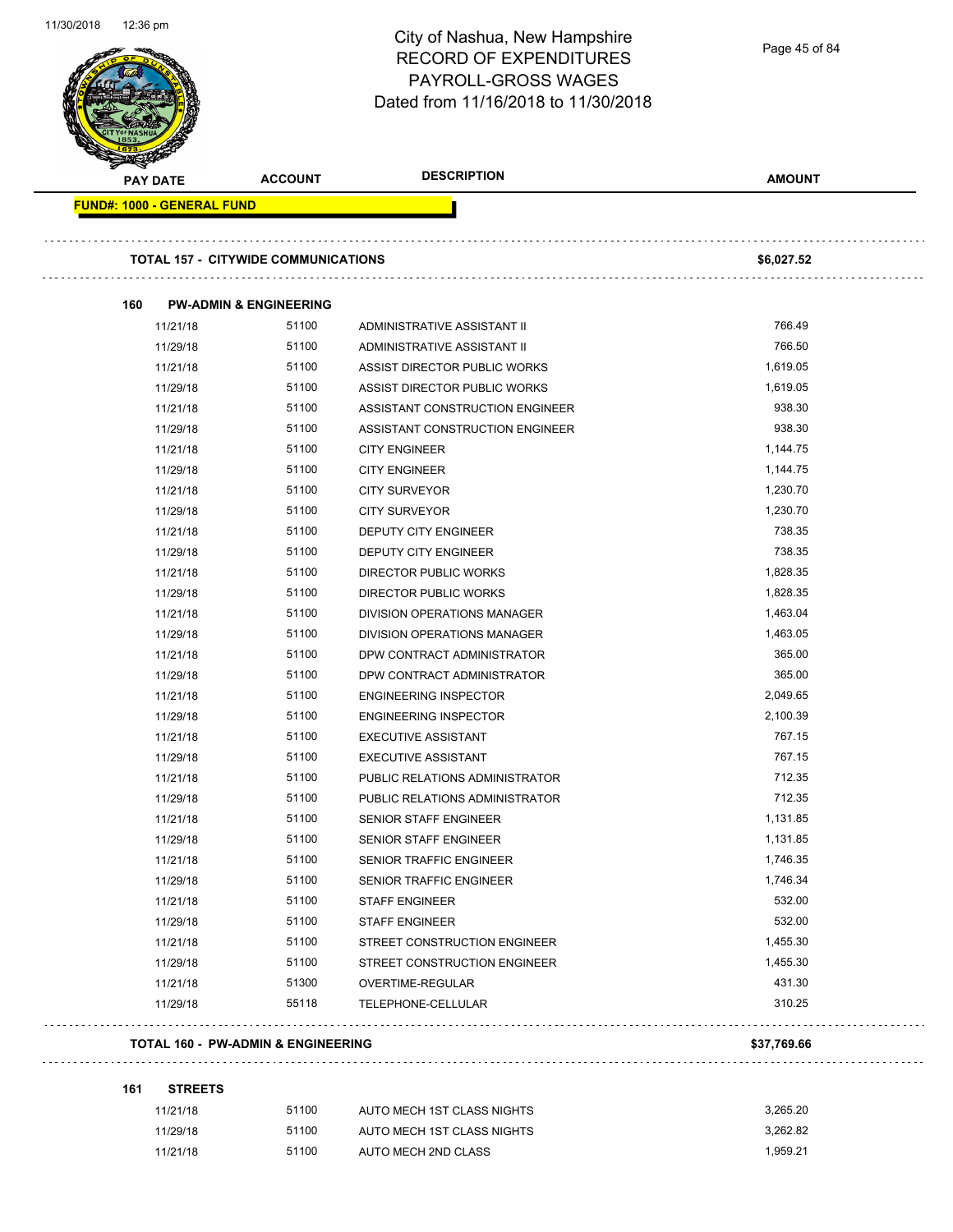

Page 45 of 84

|     | <b>PAY DATE</b>                            | <b>ACCOUNT</b> | <b>DESCRIPTION</b>                     | <b>AMOUNT</b> |
|-----|--------------------------------------------|----------------|----------------------------------------|---------------|
|     | <b>FUND#: 1000 - GENERAL FUND</b>          |                |                                        |               |
|     |                                            |                |                                        |               |
|     | <b>TOTAL 157 - CITYWIDE COMMUNICATIONS</b> |                |                                        | \$6,027.52    |
| 160 | <b>PW-ADMIN &amp; ENGINEERING</b>          |                |                                        |               |
|     | 11/21/18                                   | 51100          | ADMINISTRATIVE ASSISTANT II            | 766.49        |
|     | 11/29/18                                   | 51100          | ADMINISTRATIVE ASSISTANT II            | 766.50        |
|     | 11/21/18                                   | 51100          | ASSIST DIRECTOR PUBLIC WORKS           | 1,619.05      |
|     | 11/29/18                                   | 51100          | ASSIST DIRECTOR PUBLIC WORKS           | 1,619.05      |
|     | 11/21/18                                   | 51100          | ASSISTANT CONSTRUCTION ENGINEER        | 938.30        |
|     | 11/29/18                                   | 51100          | ASSISTANT CONSTRUCTION ENGINEER        | 938.30        |
|     | 11/21/18                                   | 51100          | <b>CITY ENGINEER</b>                   | 1,144.75      |
|     | 11/29/18                                   | 51100          | <b>CITY ENGINEER</b>                   | 1,144.75      |
|     | 11/21/18                                   | 51100          | <b>CITY SURVEYOR</b>                   | 1,230.70      |
|     | 11/29/18                                   | 51100          | <b>CITY SURVEYOR</b>                   | 1,230.70      |
|     | 11/21/18                                   | 51100          | <b>DEPUTY CITY ENGINEER</b>            | 738.35        |
|     | 11/29/18                                   | 51100          | <b>DEPUTY CITY ENGINEER</b>            | 738.35        |
|     | 11/21/18                                   | 51100          | DIRECTOR PUBLIC WORKS                  | 1,828.35      |
|     | 11/29/18                                   | 51100          | <b>DIRECTOR PUBLIC WORKS</b>           | 1,828.35      |
|     | 11/21/18                                   | 51100          | DIVISION OPERATIONS MANAGER            | 1,463.04      |
|     | 11/29/18                                   | 51100          | DIVISION OPERATIONS MANAGER            | 1,463.05      |
|     | 11/21/18                                   | 51100          | DPW CONTRACT ADMINISTRATOR             | 365.00        |
|     | 11/29/18                                   | 51100          | DPW CONTRACT ADMINISTRATOR             | 365.00        |
|     | 11/21/18                                   | 51100          | <b>ENGINEERING INSPECTOR</b>           | 2,049.65      |
|     | 11/29/18                                   | 51100          | <b>ENGINEERING INSPECTOR</b>           | 2,100.39      |
|     | 11/21/18                                   | 51100          | <b>EXECUTIVE ASSISTANT</b>             | 767.15        |
|     | 11/29/18                                   | 51100          | <b>EXECUTIVE ASSISTANT</b>             | 767.15        |
|     | 11/21/18                                   | 51100          | PUBLIC RELATIONS ADMINISTRATOR         | 712.35        |
|     | 11/29/18                                   | 51100          | PUBLIC RELATIONS ADMINISTRATOR         | 712.35        |
|     | 11/21/18                                   | 51100          | SENIOR STAFF ENGINEER                  | 1,131.85      |
|     | 11/29/18                                   | 51100          | <b>SENIOR STAFF ENGINEER</b>           | 1,131.85      |
|     | 11/21/18                                   | 51100          | SENIOR TRAFFIC ENGINEER                | 1,746.35      |
|     | 11/29/18                                   | 51100          | SENIOR TRAFFIC ENGINEER                | 1,746.34      |
|     | 11/21/18                                   | 51100          | <b>STAFF ENGINEER</b>                  | 532.00        |
|     | 11/29/18                                   | 51100          | <b>STAFF ENGINEER</b>                  | 532.00        |
|     | 11/21/18                                   | 51100          | STREET CONSTRUCTION ENGINEER           | 1,455.30      |
|     | 11/29/18                                   | 51100          | STREET CONSTRUCTION ENGINEER           | 1,455.30      |
|     |                                            | 51300          |                                        | 431.30        |
|     | 11/21/18<br>11/29/18                       | 55118          | OVERTIME-REGULAR<br>TELEPHONE-CELLULAR | 310.25        |
|     |                                            |                |                                        |               |
|     | TOTAL 160 - PW-ADMIN & ENGINEERING         |                |                                        | \$37,769.66   |
| 161 | <b>STREETS</b>                             |                |                                        |               |
|     | 11/21/18                                   | 51100          | AUTO MECH 1ST CLASS NIGHTS             | 3,265.20      |
|     | 11/29/18                                   | 51100          | AUTO MECH 1ST CLASS NIGHTS             | 3,262.82      |
|     | 11/21/18                                   | 51100          | AUTO MECH 2ND CLASS                    | 1,959.21      |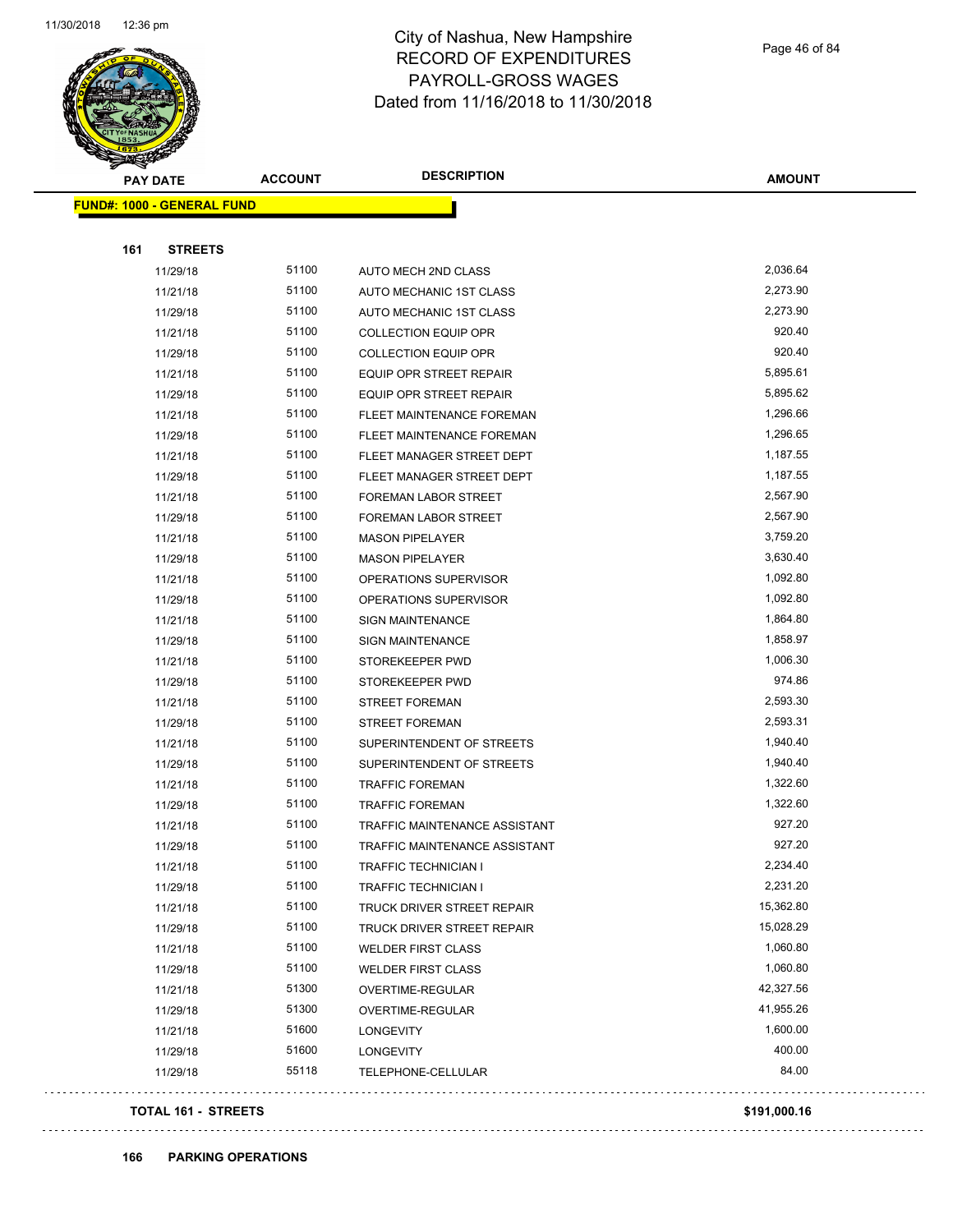

Page 46 of 84

| <b>PAY DATE</b>                   | <b>ACCOUNT</b> | <b>DESCRIPTION</b>             | <b>AMOUNT</b> |
|-----------------------------------|----------------|--------------------------------|---------------|
| <b>FUND#: 1000 - GENERAL FUND</b> |                |                                |               |
|                                   |                |                                |               |
| 161<br><b>STREETS</b>             |                |                                |               |
| 11/29/18                          | 51100          | AUTO MECH 2ND CLASS            | 2,036.64      |
| 11/21/18                          | 51100          | AUTO MECHANIC 1ST CLASS        | 2,273.90      |
| 11/29/18                          | 51100          | AUTO MECHANIC 1ST CLASS        | 2,273.90      |
| 11/21/18                          | 51100          | <b>COLLECTION EQUIP OPR</b>    | 920.40        |
| 11/29/18                          | 51100          | <b>COLLECTION EQUIP OPR</b>    | 920.40        |
| 11/21/18                          | 51100          | <b>EQUIP OPR STREET REPAIR</b> | 5,895.61      |
| 11/29/18                          | 51100          | EQUIP OPR STREET REPAIR        | 5,895.62      |
| 11/21/18                          | 51100          | FLEET MAINTENANCE FOREMAN      | 1,296.66      |
| 11/29/18                          | 51100          | FLEET MAINTENANCE FOREMAN      | 1,296.65      |
| 11/21/18                          | 51100          | FLEET MANAGER STREET DEPT      | 1,187.55      |
| 11/29/18                          | 51100          | FLEET MANAGER STREET DEPT      | 1,187.55      |
| 11/21/18                          | 51100          | FOREMAN LABOR STREET           | 2,567.90      |
| 11/29/18                          | 51100          | <b>FOREMAN LABOR STREET</b>    | 2,567.90      |
| 11/21/18                          | 51100          | <b>MASON PIPELAYER</b>         | 3,759.20      |
| 11/29/18                          | 51100          | <b>MASON PIPELAYER</b>         | 3,630.40      |
| 11/21/18                          | 51100          | OPERATIONS SUPERVISOR          | 1,092.80      |
| 11/29/18                          | 51100          | OPERATIONS SUPERVISOR          | 1,092.80      |
| 11/21/18                          | 51100          | <b>SIGN MAINTENANCE</b>        | 1,864.80      |
| 11/29/18                          | 51100          | <b>SIGN MAINTENANCE</b>        | 1,858.97      |
| 11/21/18                          | 51100          | STOREKEEPER PWD                | 1,006.30      |
| 11/29/18                          | 51100          | STOREKEEPER PWD                | 974.86        |
| 11/21/18                          | 51100          | <b>STREET FOREMAN</b>          | 2,593.30      |
| 11/29/18                          | 51100          | <b>STREET FOREMAN</b>          | 2,593.31      |
| 11/21/18                          | 51100          | SUPERINTENDENT OF STREETS      | 1,940.40      |
| 11/29/18                          | 51100          | SUPERINTENDENT OF STREETS      | 1,940.40      |
| 11/21/18                          | 51100          | <b>TRAFFIC FOREMAN</b>         | 1,322.60      |
| 11/29/18                          | 51100          | <b>TRAFFIC FOREMAN</b>         | 1,322.60      |
| 11/21/18                          | 51100          | TRAFFIC MAINTENANCE ASSISTANT  | 927.20        |
| 11/29/18                          | 51100          | TRAFFIC MAINTENANCE ASSISTANT  | 927.20        |
| 11/21/18                          | 51100          | TRAFFIC TECHNICIAN I           | 2,234.40      |
| 11/29/18                          | 51100          | <b>TRAFFIC TECHNICIAN I</b>    | 2,231.20      |
| 11/21/18                          | 51100          | TRUCK DRIVER STREET REPAIR     | 15,362.80     |
| 11/29/18                          | 51100          | TRUCK DRIVER STREET REPAIR     | 15,028.29     |
| 11/21/18                          | 51100          | <b>WELDER FIRST CLASS</b>      | 1,060.80      |
| 11/29/18                          | 51100          | <b>WELDER FIRST CLASS</b>      | 1,060.80      |
| 11/21/18                          | 51300          | OVERTIME-REGULAR               | 42,327.56     |
| 11/29/18                          | 51300          | OVERTIME-REGULAR               | 41,955.26     |
| 11/21/18                          | 51600          | LONGEVITY                      | 1,600.00      |
| 11/29/18                          | 51600          | LONGEVITY                      | 400.00        |
| 11/29/18                          | 55118          | TELEPHONE-CELLULAR             | 84.00         |
|                                   |                |                                |               |

#### **TOTAL 161 - STREETS \$191,000.16**

 $\bar{\omega}$  .

. . . .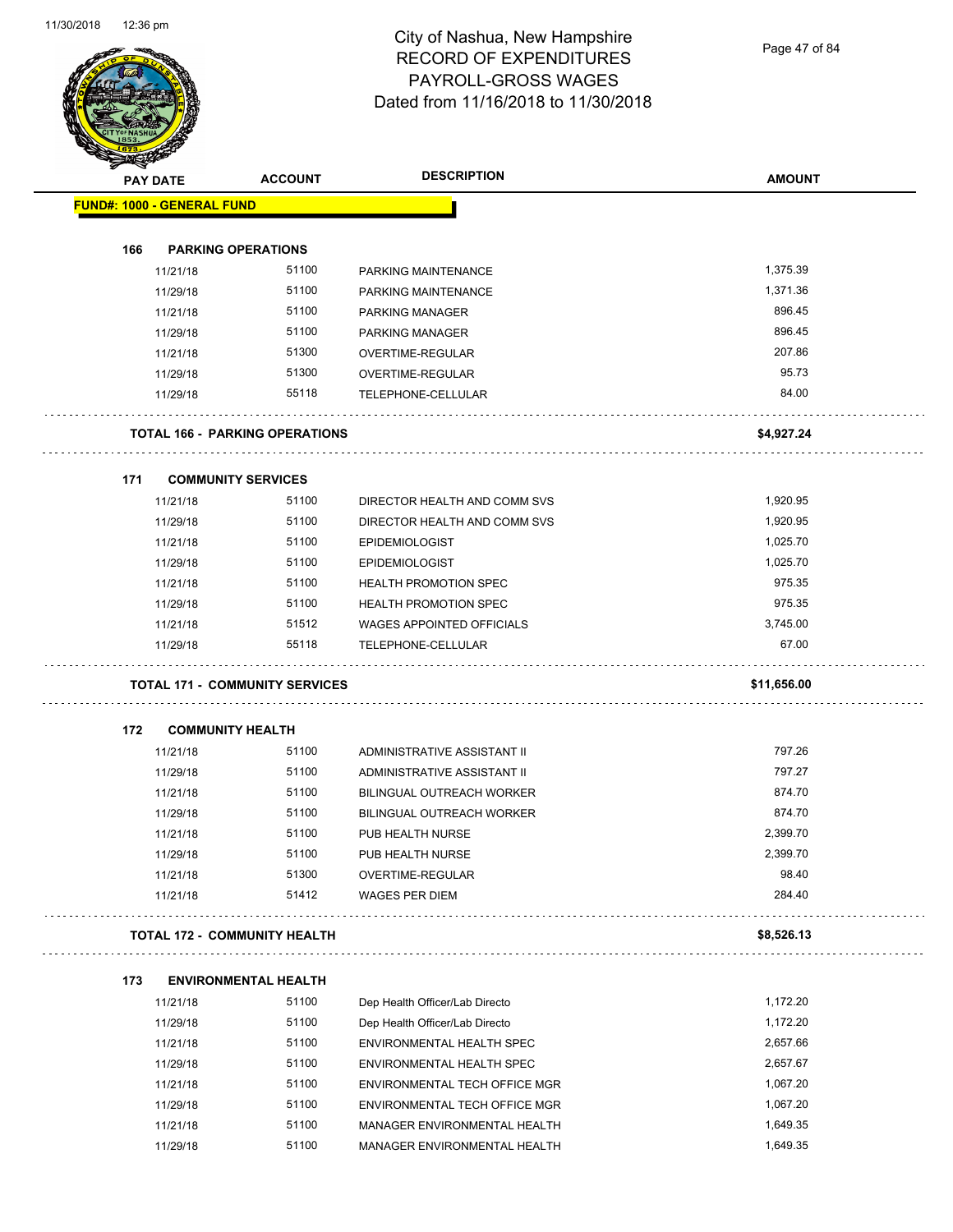Page 47 of 84

| <b>PAY DATE</b>                   |          | <b>ACCOUNT</b>                        | <b>DESCRIPTION</b>               | <b>AMOUNT</b> |
|-----------------------------------|----------|---------------------------------------|----------------------------------|---------------|
| <b>FUND#: 1000 - GENERAL FUND</b> |          |                                       |                                  |               |
|                                   |          |                                       |                                  |               |
| 166                               |          | <b>PARKING OPERATIONS</b>             |                                  |               |
|                                   | 11/21/18 | 51100                                 | PARKING MAINTENANCE              | 1,375.39      |
|                                   | 11/29/18 | 51100                                 | PARKING MAINTENANCE              | 1,371.36      |
|                                   | 11/21/18 | 51100                                 | <b>PARKING MANAGER</b>           | 896.45        |
|                                   | 11/29/18 | 51100                                 | PARKING MANAGER                  | 896.45        |
|                                   | 11/21/18 | 51300                                 | OVERTIME-REGULAR                 | 207.86        |
|                                   | 11/29/18 | 51300                                 | OVERTIME-REGULAR                 | 95.73         |
|                                   | 11/29/18 | 55118                                 | TELEPHONE-CELLULAR               | 84.00         |
|                                   |          | <b>TOTAL 166 - PARKING OPERATIONS</b> |                                  | \$4,927.24    |
| 171                               |          | <b>COMMUNITY SERVICES</b>             |                                  |               |
|                                   | 11/21/18 | 51100                                 | DIRECTOR HEALTH AND COMM SVS     | 1,920.95      |
|                                   | 11/29/18 | 51100                                 | DIRECTOR HEALTH AND COMM SVS     | 1,920.95      |
|                                   | 11/21/18 | 51100                                 | <b>EPIDEMIOLOGIST</b>            | 1,025.70      |
|                                   | 11/29/18 | 51100                                 | <b>EPIDEMIOLOGIST</b>            | 1,025.70      |
|                                   | 11/21/18 | 51100                                 | <b>HEALTH PROMOTION SPEC</b>     | 975.35        |
|                                   | 11/29/18 | 51100                                 | <b>HEALTH PROMOTION SPEC</b>     | 975.35        |
|                                   | 11/21/18 | 51512                                 | <b>WAGES APPOINTED OFFICIALS</b> | 3,745.00      |
|                                   | 11/29/18 | 55118                                 | TELEPHONE-CELLULAR               | 67.00         |
|                                   |          | <b>TOTAL 171 - COMMUNITY SERVICES</b> |                                  | \$11,656.00   |
| 172                               |          | <b>COMMUNITY HEALTH</b>               |                                  |               |
|                                   | 11/21/18 | 51100                                 | ADMINISTRATIVE ASSISTANT II      | 797.26        |
|                                   | 11/29/18 | 51100                                 | ADMINISTRATIVE ASSISTANT II      | 797.27        |
|                                   | 11/21/18 | 51100                                 | <b>BILINGUAL OUTREACH WORKER</b> | 874.70        |
|                                   | 11/29/18 | 51100                                 | <b>BILINGUAL OUTREACH WORKER</b> | 874.70        |
|                                   | 11/21/18 | 51100                                 | PUB HEALTH NURSE                 | 2,399.70      |
|                                   | 11/29/18 | 51100                                 | PUB HEALTH NURSE                 | 2,399.70      |
|                                   | 11/21/18 | 51300                                 | OVERTIME-REGULAR                 | 98.40         |
|                                   | 11/21/18 | 51412                                 | <b>WAGES PER DIEM</b>            | 284.40        |
|                                   |          | <b>TOTAL 172 - COMMUNITY HEALTH</b>   |                                  | \$8,526.13    |
| 173                               |          | <b>ENVIRONMENTAL HEALTH</b>           |                                  |               |
|                                   | 11/21/18 | 51100                                 | Dep Health Officer/Lab Directo   | 1,172.20      |
|                                   | 11/29/18 | 51100                                 | Dep Health Officer/Lab Directo   | 1,172.20      |
|                                   | 11/21/18 | 51100                                 | ENVIRONMENTAL HEALTH SPEC        | 2,657.66      |
|                                   | 11/29/18 | 51100                                 | ENVIRONMENTAL HEALTH SPEC        | 2,657.67      |
|                                   | 11/21/18 | 51100                                 | ENVIRONMENTAL TECH OFFICE MGR    | 1,067.20      |
|                                   |          |                                       |                                  |               |
|                                   | 11/29/18 | 51100                                 | ENVIRONMENTAL TECH OFFICE MGR    | 1,067.20      |
|                                   | 11/21/18 | 51100                                 | MANAGER ENVIRONMENTAL HEALTH     | 1,649.35      |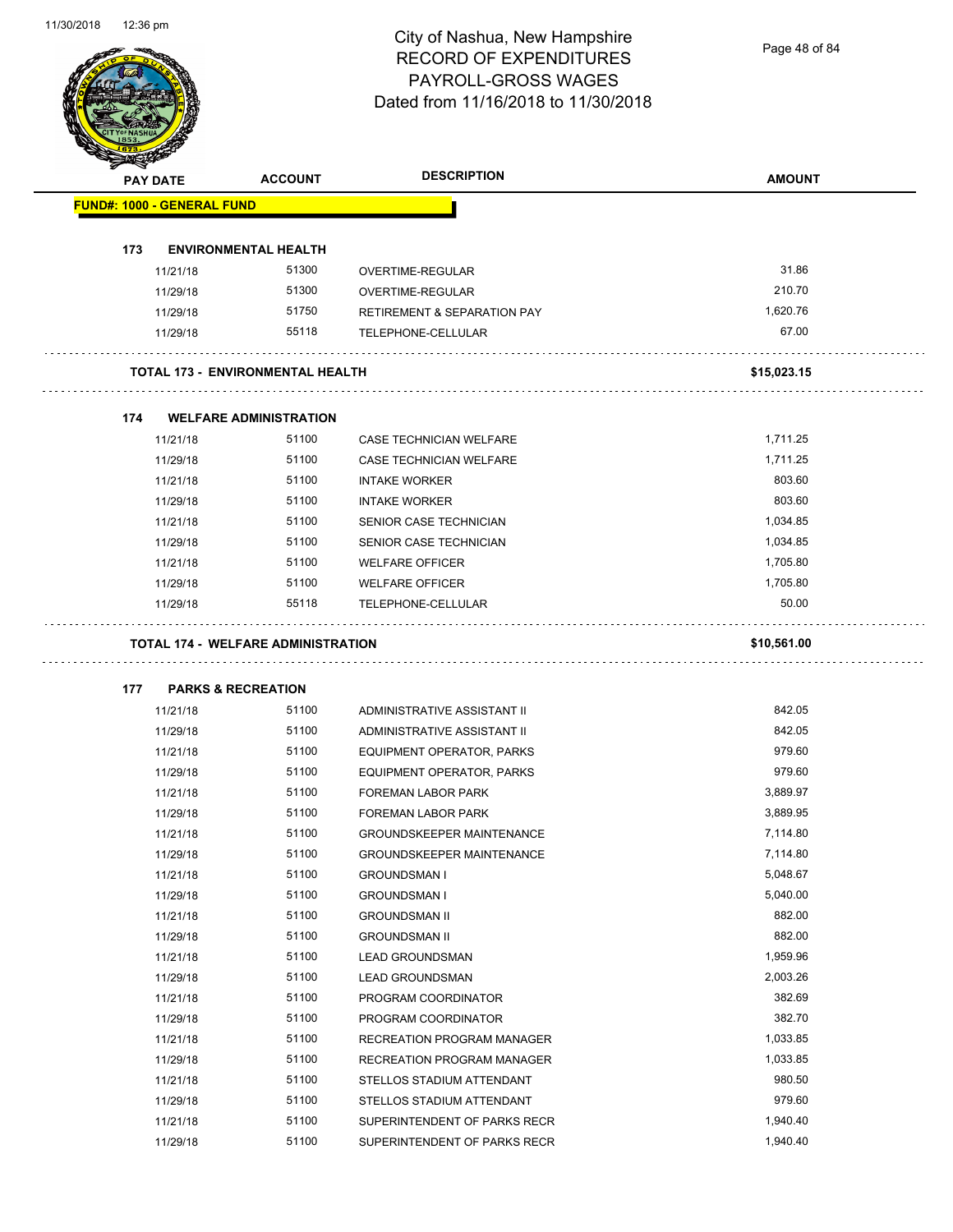Page 48 of 84

| <b>PAY DATE</b>                   | <b>ACCOUNT</b>                            | <b>DESCRIPTION</b>                                        | <b>AMOUNT</b>        |
|-----------------------------------|-------------------------------------------|-----------------------------------------------------------|----------------------|
| <b>FUND#: 1000 - GENERAL FUND</b> |                                           |                                                           |                      |
| 173                               | <b>ENVIRONMENTAL HEALTH</b>               |                                                           |                      |
| 11/21/18                          | 51300                                     | OVERTIME-REGULAR                                          | 31.86                |
| 11/29/18                          | 51300                                     | OVERTIME-REGULAR                                          | 210.70               |
| 11/29/18                          | 51750                                     | <b>RETIREMENT &amp; SEPARATION PAY</b>                    | 1,620.76             |
| 11/29/18                          | 55118                                     | TELEPHONE-CELLULAR                                        | 67.00                |
|                                   | <b>TOTAL 173 - ENVIRONMENTAL HEALTH</b>   |                                                           | \$15,023.15          |
| 174                               | <b>WELFARE ADMINISTRATION</b>             |                                                           |                      |
| 11/21/18                          | 51100                                     | CASE TECHNICIAN WELFARE                                   | 1,711.25             |
| 11/29/18                          | 51100                                     | CASE TECHNICIAN WELFARE                                   | 1,711.25             |
| 11/21/18                          | 51100                                     | <b>INTAKE WORKER</b>                                      | 803.60               |
| 11/29/18                          | 51100                                     | <b>INTAKE WORKER</b>                                      | 803.60               |
| 11/21/18                          | 51100                                     | SENIOR CASE TECHNICIAN                                    | 1,034.85             |
| 11/29/18                          | 51100                                     | SENIOR CASE TECHNICIAN                                    | 1,034.85             |
| 11/21/18                          | 51100                                     | <b>WELFARE OFFICER</b>                                    | 1,705.80             |
| 11/29/18                          | 51100                                     | <b>WELFARE OFFICER</b>                                    | 1,705.80             |
| 11/29/18                          | 55118                                     | TELEPHONE-CELLULAR                                        | 50.00                |
|                                   |                                           |                                                           |                      |
|                                   | <b>TOTAL 174 - WELFARE ADMINISTRATION</b> |                                                           | \$10,561.00          |
| 177                               | <b>PARKS &amp; RECREATION</b>             |                                                           |                      |
| 11/21/18                          | 51100                                     | ADMINISTRATIVE ASSISTANT II                               | 842.05               |
| 11/29/18                          | 51100                                     | ADMINISTRATIVE ASSISTANT II                               | 842.05               |
| 11/21/18                          | 51100                                     | EQUIPMENT OPERATOR, PARKS                                 | 979.60               |
| 11/29/18                          | 51100                                     | EQUIPMENT OPERATOR, PARKS                                 | 979.60               |
| 11/21/18                          | 51100                                     | FOREMAN LABOR PARK                                        | 3,889.97             |
| 11/29/18                          | 51100<br>51100                            | FOREMAN LABOR PARK<br><b>GROUNDSKEEPER MAINTENANCE</b>    | 3,889.95<br>7,114.80 |
| 11/21/18                          | 51100                                     | <b>GROUNDSKEEPER MAINTENANCE</b>                          | 7,114.80             |
| 11/29/18<br>11/21/18              | 51100                                     | <b>GROUNDSMAN I</b>                                       | 5,048.67             |
| 11/29/18                          | 51100                                     | <b>GROUNDSMAN I</b>                                       | 5,040.00             |
| 11/21/18                          | 51100                                     | <b>GROUNDSMAN II</b>                                      | 882.00               |
| 11/29/18                          | 51100                                     | <b>GROUNDSMAN II</b>                                      | 882.00               |
| 11/21/18                          | 51100                                     | <b>LEAD GROUNDSMAN</b>                                    | 1,959.96             |
| 11/29/18                          | 51100                                     | <b>LEAD GROUNDSMAN</b>                                    | 2,003.26             |
| 11/21/18                          | 51100                                     | PROGRAM COORDINATOR                                       | 382.69               |
| 11/29/18                          | 51100                                     | PROGRAM COORDINATOR                                       | 382.70               |
| 11/21/18                          | 51100                                     | RECREATION PROGRAM MANAGER                                | 1,033.85             |
|                                   | 51100                                     |                                                           | 1,033.85             |
| 11/29/18<br>11/21/18              | 51100                                     | RECREATION PROGRAM MANAGER<br>STELLOS STADIUM ATTENDANT   | 980.50               |
|                                   | 51100                                     |                                                           | 979.60               |
| 11/29/18<br>11/21/18              | 51100                                     | STELLOS STADIUM ATTENDANT<br>SUPERINTENDENT OF PARKS RECR | 1,940.40             |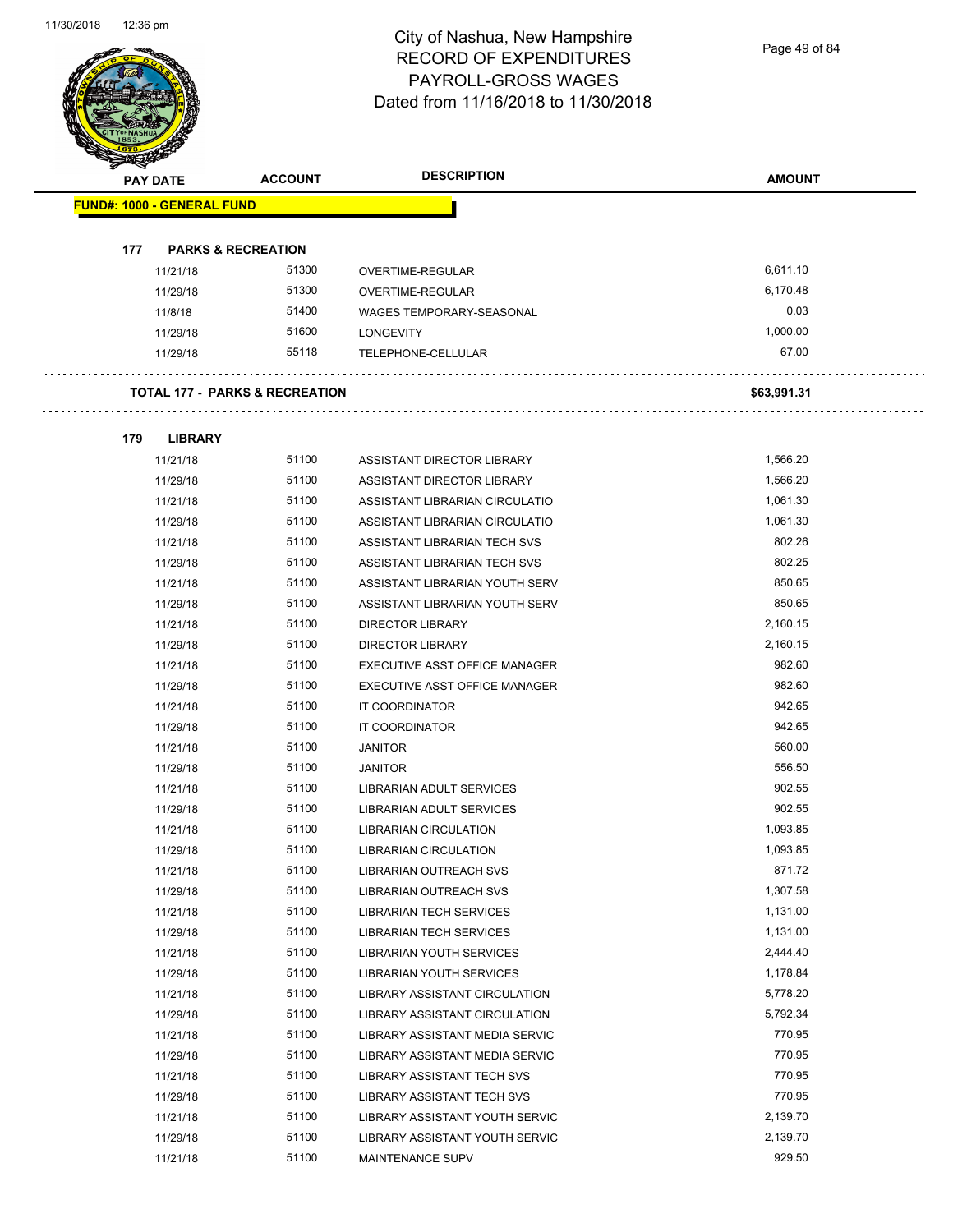Page 49 of 84

|     | <b>PAY DATE</b>                   | <b>ACCOUNT</b>                            | <b>DESCRIPTION</b>                   | <b>AMOUNT</b> |
|-----|-----------------------------------|-------------------------------------------|--------------------------------------|---------------|
|     | <b>FUND#: 1000 - GENERAL FUND</b> |                                           |                                      |               |
|     |                                   |                                           |                                      |               |
| 177 |                                   | <b>PARKS &amp; RECREATION</b>             |                                      |               |
|     | 11/21/18                          | 51300                                     | OVERTIME-REGULAR                     | 6,611.10      |
|     | 11/29/18                          | 51300                                     | OVERTIME-REGULAR                     | 6,170.48      |
|     | 11/8/18                           | 51400                                     | WAGES TEMPORARY-SEASONAL             | 0.03          |
|     | 11/29/18                          | 51600                                     | <b>LONGEVITY</b>                     | 1,000.00      |
|     | 11/29/18                          | 55118                                     | TELEPHONE-CELLULAR                   | 67.00         |
|     |                                   | <b>TOTAL 177 - PARKS &amp; RECREATION</b> |                                      | \$63,991.31   |
| 179 | <b>LIBRARY</b>                    |                                           |                                      |               |
|     | 11/21/18                          | 51100                                     | ASSISTANT DIRECTOR LIBRARY           | 1,566.20      |
|     | 11/29/18                          | 51100                                     | ASSISTANT DIRECTOR LIBRARY           | 1,566.20      |
|     | 11/21/18                          | 51100                                     | ASSISTANT LIBRARIAN CIRCULATIO       | 1,061.30      |
|     | 11/29/18                          | 51100                                     | ASSISTANT LIBRARIAN CIRCULATIO       | 1,061.30      |
|     | 11/21/18                          | 51100                                     | ASSISTANT LIBRARIAN TECH SVS         | 802.26        |
|     | 11/29/18                          | 51100                                     | ASSISTANT LIBRARIAN TECH SVS         | 802.25        |
|     | 11/21/18                          | 51100                                     | ASSISTANT LIBRARIAN YOUTH SERV       | 850.65        |
|     | 11/29/18                          | 51100                                     | ASSISTANT LIBRARIAN YOUTH SERV       | 850.65        |
|     | 11/21/18                          | 51100                                     | <b>DIRECTOR LIBRARY</b>              | 2,160.15      |
|     | 11/29/18                          | 51100                                     | <b>DIRECTOR LIBRARY</b>              | 2,160.15      |
|     | 11/21/18                          | 51100                                     | EXECUTIVE ASST OFFICE MANAGER        | 982.60        |
|     | 11/29/18                          | 51100                                     | EXECUTIVE ASST OFFICE MANAGER        | 982.60        |
|     | 11/21/18                          | 51100                                     | IT COORDINATOR                       | 942.65        |
|     | 11/29/18                          | 51100                                     | IT COORDINATOR                       | 942.65        |
|     | 11/21/18                          | 51100                                     | <b>JANITOR</b>                       | 560.00        |
|     | 11/29/18                          | 51100                                     | <b>JANITOR</b>                       | 556.50        |
|     | 11/21/18                          | 51100                                     | <b>LIBRARIAN ADULT SERVICES</b>      | 902.55        |
|     | 11/29/18                          | 51100                                     | LIBRARIAN ADULT SERVICES             | 902.55        |
|     | 11/21/18                          | 51100                                     | LIBRARIAN CIRCULATION                | 1,093.85      |
|     | 11/29/18                          | 51100                                     | LIBRARIAN CIRCULATION                | 1,093.85      |
|     | 11/21/18                          | 51100                                     | <b>LIBRARIAN OUTREACH SVS</b>        | 871.72        |
|     | 11/29/18                          | 51100                                     | <b>LIBRARIAN OUTREACH SVS</b>        | 1,307.58      |
|     | 11/21/18                          | 51100                                     | LIBRARIAN TECH SERVICES              | 1,131.00      |
|     | 11/29/18                          | 51100                                     | <b>LIBRARIAN TECH SERVICES</b>       | 1,131.00      |
|     | 11/21/18                          | 51100                                     | LIBRARIAN YOUTH SERVICES             | 2,444.40      |
|     | 11/29/18                          | 51100                                     | <b>LIBRARIAN YOUTH SERVICES</b>      | 1,178.84      |
|     | 11/21/18                          | 51100                                     | <b>LIBRARY ASSISTANT CIRCULATION</b> | 5,778.20      |
|     | 11/29/18                          | 51100                                     | LIBRARY ASSISTANT CIRCULATION        | 5,792.34      |
|     | 11/21/18                          | 51100                                     | LIBRARY ASSISTANT MEDIA SERVIC       | 770.95        |
|     | 11/29/18                          | 51100                                     | LIBRARY ASSISTANT MEDIA SERVIC       | 770.95        |
|     | 11/21/18                          | 51100                                     | LIBRARY ASSISTANT TECH SVS           | 770.95        |
|     | 11/29/18                          | 51100                                     | LIBRARY ASSISTANT TECH SVS           | 770.95        |
|     | 11/21/18                          | 51100                                     | LIBRARY ASSISTANT YOUTH SERVIC       | 2,139.70      |
|     | 11/29/18                          | 51100                                     | LIBRARY ASSISTANT YOUTH SERVIC       | 2,139.70      |

11/21/18 51100 MAINTENANCE SUPV 929.50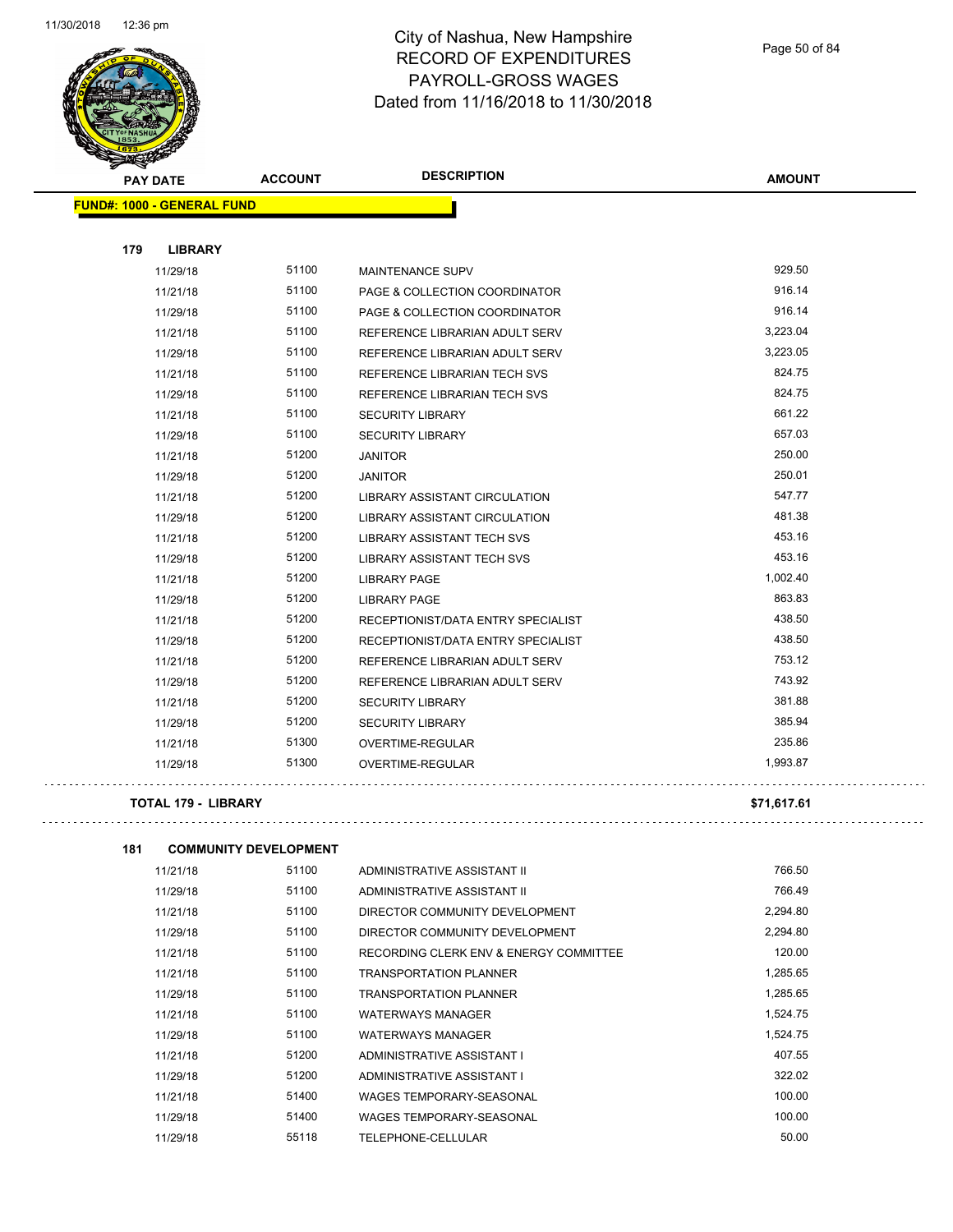

Page 50 of 84

| <b>PAY DATE</b>                   | <b>ACCOUNT</b> | <b>DESCRIPTION</b>                   | <b>AMOUNT</b> |
|-----------------------------------|----------------|--------------------------------------|---------------|
| <b>FUND#: 1000 - GENERAL FUND</b> |                |                                      |               |
| 179<br><b>LIBRARY</b>             |                |                                      |               |
| 11/29/18                          | 51100          | MAINTENANCE SUPV                     | 929.50        |
| 11/21/18                          | 51100          | PAGE & COLLECTION COORDINATOR        | 916.14        |
| 11/29/18                          | 51100          | PAGE & COLLECTION COORDINATOR        | 916.14        |
| 11/21/18                          | 51100          | REFERENCE LIBRARIAN ADULT SERV       | 3,223.04      |
| 11/29/18                          | 51100          | REFERENCE LIBRARIAN ADULT SERV       | 3,223.05      |
| 11/21/18                          | 51100          | REFERENCE LIBRARIAN TECH SVS         | 824.75        |
| 11/29/18                          | 51100          | REFERENCE LIBRARIAN TECH SVS         | 824.75        |
| 11/21/18                          | 51100          | <b>SECURITY LIBRARY</b>              | 661.22        |
| 11/29/18                          | 51100          | <b>SECURITY LIBRARY</b>              | 657.03        |
| 11/21/18                          | 51200          | <b>JANITOR</b>                       | 250.00        |
| 11/29/18                          | 51200          | <b>JANITOR</b>                       | 250.01        |
| 11/21/18                          | 51200          | <b>LIBRARY ASSISTANT CIRCULATION</b> | 547.77        |
| 11/29/18                          | 51200          | LIBRARY ASSISTANT CIRCULATION        | 481.38        |
| 11/21/18                          | 51200          | <b>LIBRARY ASSISTANT TECH SVS</b>    | 453.16        |
| 11/29/18                          | 51200          | <b>LIBRARY ASSISTANT TECH SVS</b>    | 453.16        |
| 11/21/18                          | 51200          | <b>LIBRARY PAGE</b>                  | 1,002.40      |
| 11/29/18                          | 51200          | <b>LIBRARY PAGE</b>                  | 863.83        |
| 11/21/18                          | 51200          | RECEPTIONIST/DATA ENTRY SPECIALIST   | 438.50        |
| 11/29/18                          | 51200          | RECEPTIONIST/DATA ENTRY SPECIALIST   | 438.50        |
| 11/21/18                          | 51200          | REFERENCE LIBRARIAN ADULT SERV       | 753.12        |
| 11/29/18                          | 51200          | REFERENCE LIBRARIAN ADULT SERV       | 743.92        |
| 11/21/18                          | 51200          | <b>SECURITY LIBRARY</b>              | 381.88        |
| 11/29/18                          | 51200          | <b>SECURITY LIBRARY</b>              | 385.94        |
| 11/21/18                          | 51300          | OVERTIME-REGULAR                     | 235.86        |
| 11/29/18                          | 51300          | OVERTIME-REGULAR                     | 1,993.87      |
| <b>TOTAL 179 - LIBRARY</b>        |                |                                      | \$71,617.61   |

 $\varphi$  is a set

| 181 | <b>COMMUNITY DEVELOPMENT</b> |       |                                        |          |
|-----|------------------------------|-------|----------------------------------------|----------|
|     | 11/21/18                     | 51100 | ADMINISTRATIVE ASSISTANT II            | 766.50   |
|     | 11/29/18                     | 51100 | ADMINISTRATIVE ASSISTANT II            | 766.49   |
|     | 11/21/18                     | 51100 | DIRECTOR COMMUNITY DEVELOPMENT         | 2,294.80 |
|     | 11/29/18                     | 51100 | DIRECTOR COMMUNITY DEVELOPMENT         | 2.294.80 |
|     | 11/21/18                     | 51100 | RECORDING CLERK ENV & ENERGY COMMITTEE | 120.00   |
|     | 11/21/18                     | 51100 | <b>TRANSPORTATION PLANNER</b>          | 1,285.65 |
|     | 11/29/18                     | 51100 | <b>TRANSPORTATION PLANNER</b>          | 1.285.65 |
|     | 11/21/18                     | 51100 | <b>WATERWAYS MANAGER</b>               | 1,524.75 |
|     | 11/29/18                     | 51100 | <b>WATERWAYS MANAGER</b>               | 1,524.75 |
|     | 11/21/18                     | 51200 | ADMINISTRATIVE ASSISTANT I             | 407.55   |
|     | 11/29/18                     | 51200 | ADMINISTRATIVE ASSISTANT I             | 322.02   |
|     | 11/21/18                     | 51400 | <b>WAGES TEMPORARY-SEASONAL</b>        | 100.00   |
|     | 11/29/18                     | 51400 | WAGES TEMPORARY-SEASONAL               | 100.00   |
|     | 11/29/18                     | 55118 | TELEPHONE-CELLULAR                     | 50.00    |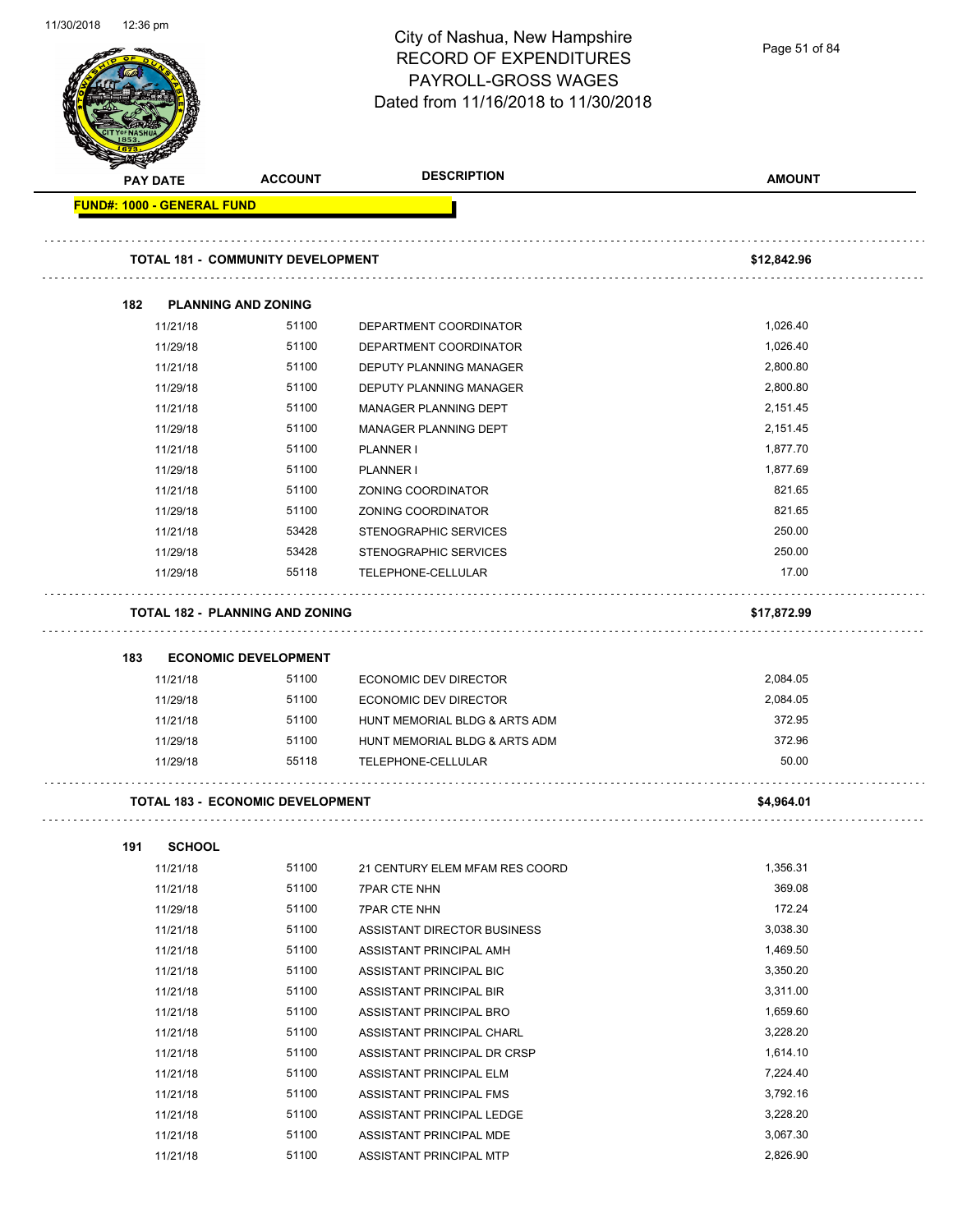Page 51 of 84

| <b>PAY DATE</b> |                                   | <b>ACCOUNT</b>                           | <b>DESCRIPTION</b>                               | <b>AMOUNT</b> |
|-----------------|-----------------------------------|------------------------------------------|--------------------------------------------------|---------------|
|                 | <b>FUND#: 1000 - GENERAL FUND</b> |                                          |                                                  |               |
|                 |                                   | <b>TOTAL 181 - COMMUNITY DEVELOPMENT</b> |                                                  | \$12,842.96   |
|                 |                                   |                                          |                                                  |               |
| 182             | 11/21/18                          | <b>PLANNING AND ZONING</b><br>51100      |                                                  | 1,026.40      |
|                 | 11/29/18                          | 51100                                    | DEPARTMENT COORDINATOR<br>DEPARTMENT COORDINATOR | 1,026.40      |
|                 | 11/21/18                          | 51100                                    | DEPUTY PLANNING MANAGER                          | 2,800.80      |
|                 | 11/29/18                          | 51100                                    | DEPUTY PLANNING MANAGER                          | 2,800.80      |
|                 | 11/21/18                          | 51100                                    | <b>MANAGER PLANNING DEPT</b>                     | 2,151.45      |
|                 | 11/29/18                          | 51100                                    | MANAGER PLANNING DEPT                            | 2,151.45      |
|                 | 11/21/18                          | 51100                                    | <b>PLANNER I</b>                                 | 1,877.70      |
|                 | 11/29/18                          | 51100                                    | <b>PLANNER I</b>                                 | 1,877.69      |
|                 | 11/21/18                          | 51100                                    | ZONING COORDINATOR                               | 821.65        |
|                 | 11/29/18                          | 51100                                    | ZONING COORDINATOR                               | 821.65        |
|                 | 11/21/18                          | 53428                                    | STENOGRAPHIC SERVICES                            | 250.00        |
|                 | 11/29/18                          | 53428                                    | STENOGRAPHIC SERVICES                            | 250.00        |
|                 | 11/29/18                          | 55118                                    | TELEPHONE-CELLULAR                               | 17.00         |
|                 |                                   | <b>TOTAL 182 - PLANNING AND ZONING</b>   |                                                  |               |
|                 |                                   |                                          |                                                  | \$17,872.99   |
| 183             |                                   | <b>ECONOMIC DEVELOPMENT</b>              |                                                  |               |
|                 | 11/21/18                          | 51100                                    | ECONOMIC DEV DIRECTOR                            | 2,084.05      |
|                 | 11/29/18                          | 51100                                    | <b>ECONOMIC DEV DIRECTOR</b>                     | 2,084.05      |
|                 | 11/21/18                          | 51100                                    | HUNT MEMORIAL BLDG & ARTS ADM                    | 372.95        |
|                 | 11/29/18                          | 51100                                    | HUNT MEMORIAL BLDG & ARTS ADM                    | 372.96        |
|                 | 11/29/18                          | 55118                                    | TELEPHONE-CELLULAR                               | 50.00         |
|                 |                                   | <b>TOTAL 183 - ECONOMIC DEVELOPMENT</b>  |                                                  | \$4,964.01    |
| 191             | <b>SCHOOL</b>                     |                                          |                                                  |               |
|                 | 11/21/18                          | 51100                                    | 21 CENTURY ELEM MFAM RES COORD                   | 1,356.31      |
|                 | 11/21/18                          | 51100                                    | <b>7PAR CTE NHN</b>                              | 369.08        |
|                 | 11/29/18                          | 51100                                    | <b>7PAR CTE NHN</b>                              | 172.24        |
|                 | 11/21/18                          | 51100                                    | ASSISTANT DIRECTOR BUSINESS                      | 3,038.30      |
|                 | 11/21/18                          | 51100                                    | ASSISTANT PRINCIPAL AMH                          | 1,469.50      |
|                 | 11/21/18                          | 51100                                    | ASSISTANT PRINCIPAL BIC                          | 3,350.20      |
|                 | 11/21/18                          | 51100                                    | <b>ASSISTANT PRINCIPAL BIR</b>                   | 3,311.00      |
|                 | 11/21/18                          | 51100                                    | ASSISTANT PRINCIPAL BRO                          | 1,659.60      |
|                 | 11/21/18                          | 51100                                    | ASSISTANT PRINCIPAL CHARL                        | 3,228.20      |
|                 | 11/21/18                          | 51100                                    | ASSISTANT PRINCIPAL DR CRSP                      | 1,614.10      |
|                 | 11/21/18                          | 51100                                    | ASSISTANT PRINCIPAL ELM                          | 7,224.40      |
|                 | 11/21/18                          | 51100                                    | ASSISTANT PRINCIPAL FMS                          | 3,792.16      |
|                 | 11/21/18                          | 51100                                    | ASSISTANT PRINCIPAL LEDGE                        | 3,228.20      |
|                 | 11/21/18                          | 51100                                    | ASSISTANT PRINCIPAL MDE                          | 3,067.30      |
|                 | 11/21/18                          | 51100                                    | ASSISTANT PRINCIPAL MTP                          | 2,826.90      |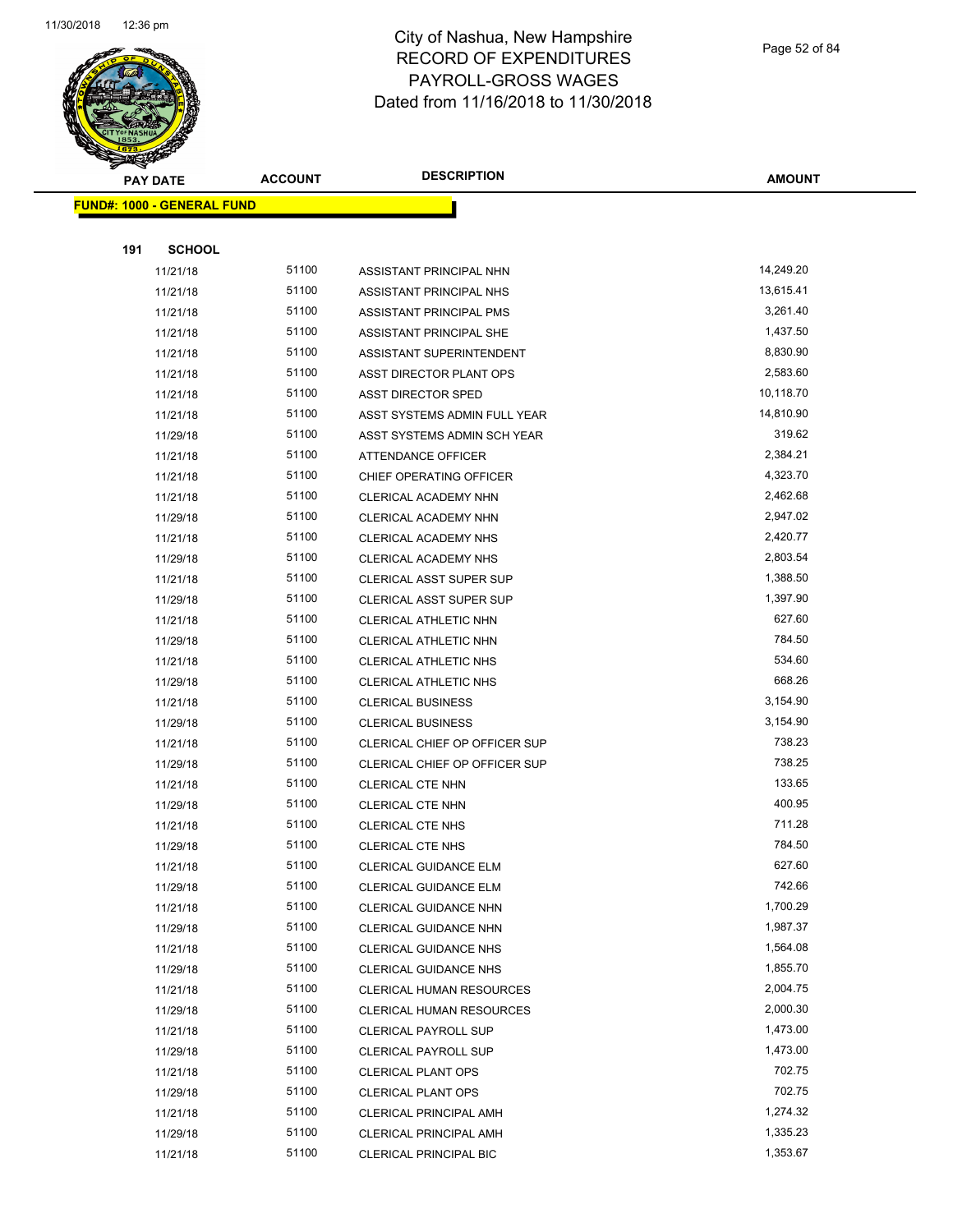

Page 52 of 84

| <b>PAY DATE</b> |                                   | <b>ACCOUNT</b> | <b>DESCRIPTION</b>             | <b>AMOUNT</b> |
|-----------------|-----------------------------------|----------------|--------------------------------|---------------|
|                 | <b>FUND#: 1000 - GENERAL FUND</b> |                |                                |               |
|                 |                                   |                |                                |               |
| 191             | <b>SCHOOL</b>                     |                |                                |               |
|                 | 11/21/18                          | 51100          | ASSISTANT PRINCIPAL NHN        | 14,249.20     |
|                 | 11/21/18                          | 51100          | ASSISTANT PRINCIPAL NHS        | 13,615.41     |
|                 | 11/21/18                          | 51100          | ASSISTANT PRINCIPAL PMS        | 3,261.40      |
|                 | 11/21/18                          | 51100          | ASSISTANT PRINCIPAL SHE        | 1,437.50      |
|                 | 11/21/18                          | 51100          | ASSISTANT SUPERINTENDENT       | 8,830.90      |
|                 | 11/21/18                          | 51100          | ASST DIRECTOR PLANT OPS        | 2,583.60      |
|                 | 11/21/18                          | 51100          | <b>ASST DIRECTOR SPED</b>      | 10,118.70     |
|                 | 11/21/18                          | 51100          | ASST SYSTEMS ADMIN FULL YEAR   | 14,810.90     |
|                 | 11/29/18                          | 51100          | ASST SYSTEMS ADMIN SCH YEAR    | 319.62        |
|                 | 11/21/18                          | 51100          | ATTENDANCE OFFICER             | 2,384.21      |
|                 | 11/21/18                          | 51100          | CHIEF OPERATING OFFICER        | 4,323.70      |
|                 | 11/21/18                          | 51100          | CLERICAL ACADEMY NHN           | 2,462.68      |
|                 | 11/29/18                          | 51100          | CLERICAL ACADEMY NHN           | 2,947.02      |
|                 | 11/21/18                          | 51100          | CLERICAL ACADEMY NHS           | 2,420.77      |
|                 | 11/29/18                          | 51100          | <b>CLERICAL ACADEMY NHS</b>    | 2,803.54      |
|                 | 11/21/18                          | 51100          | <b>CLERICAL ASST SUPER SUP</b> | 1,388.50      |
|                 | 11/29/18                          | 51100          | <b>CLERICAL ASST SUPER SUP</b> | 1,397.90      |
|                 | 11/21/18                          | 51100          | <b>CLERICAL ATHLETIC NHN</b>   | 627.60        |
|                 | 11/29/18                          | 51100          | CLERICAL ATHLETIC NHN          | 784.50        |
|                 | 11/21/18                          | 51100          | CLERICAL ATHLETIC NHS          | 534.60        |
|                 | 11/29/18                          | 51100          | CLERICAL ATHLETIC NHS          | 668.26        |
|                 | 11/21/18                          | 51100          | <b>CLERICAL BUSINESS</b>       | 3,154.90      |
|                 | 11/29/18                          | 51100          | <b>CLERICAL BUSINESS</b>       | 3,154.90      |
|                 | 11/21/18                          | 51100          | CLERICAL CHIEF OP OFFICER SUP  | 738.23        |
|                 | 11/29/18                          | 51100          | CLERICAL CHIEF OP OFFICER SUP  | 738.25        |
|                 | 11/21/18                          | 51100          | <b>CLERICAL CTE NHN</b>        | 133.65        |
|                 | 11/29/18                          | 51100          | <b>CLERICAL CTE NHN</b>        | 400.95        |
|                 | 11/21/18                          | 51100          | <b>CLERICAL CTE NHS</b>        | 711.28        |
|                 | 11/29/18                          | 51100          | <b>CLERICAL CTE NHS</b>        | 784.50        |
|                 | 11/21/18                          | 51100          | <b>CLERICAL GUIDANCE ELM</b>   | 627.60        |
|                 | 11/29/18                          | 51100          | CLERICAL GUIDANCE ELM          | 742.66        |
|                 | 11/21/18                          | 51100          | CLERICAL GUIDANCE NHN          | 1,700.29      |
|                 | 11/29/18                          | 51100          | CLERICAL GUIDANCE NHN          | 1,987.37      |
|                 | 11/21/18                          | 51100          | CLERICAL GUIDANCE NHS          | 1,564.08      |
|                 | 11/29/18                          | 51100          | <b>CLERICAL GUIDANCE NHS</b>   | 1,855.70      |
|                 | 11/21/18                          | 51100          | CLERICAL HUMAN RESOURCES       | 2,004.75      |
|                 | 11/29/18                          | 51100          | CLERICAL HUMAN RESOURCES       | 2,000.30      |
|                 | 11/21/18                          | 51100          | <b>CLERICAL PAYROLL SUP</b>    | 1,473.00      |
|                 | 11/29/18                          | 51100          | CLERICAL PAYROLL SUP           | 1,473.00      |
|                 | 11/21/18                          | 51100          | <b>CLERICAL PLANT OPS</b>      | 702.75        |
|                 | 11/29/18                          | 51100          | <b>CLERICAL PLANT OPS</b>      | 702.75        |
|                 | 11/21/18                          | 51100          | <b>CLERICAL PRINCIPAL AMH</b>  | 1,274.32      |
|                 | 11/29/18                          | 51100          | <b>CLERICAL PRINCIPAL AMH</b>  | 1,335.23      |
|                 | 11/21/18                          | 51100          | CLERICAL PRINCIPAL BIC         | 1,353.67      |
|                 |                                   |                |                                |               |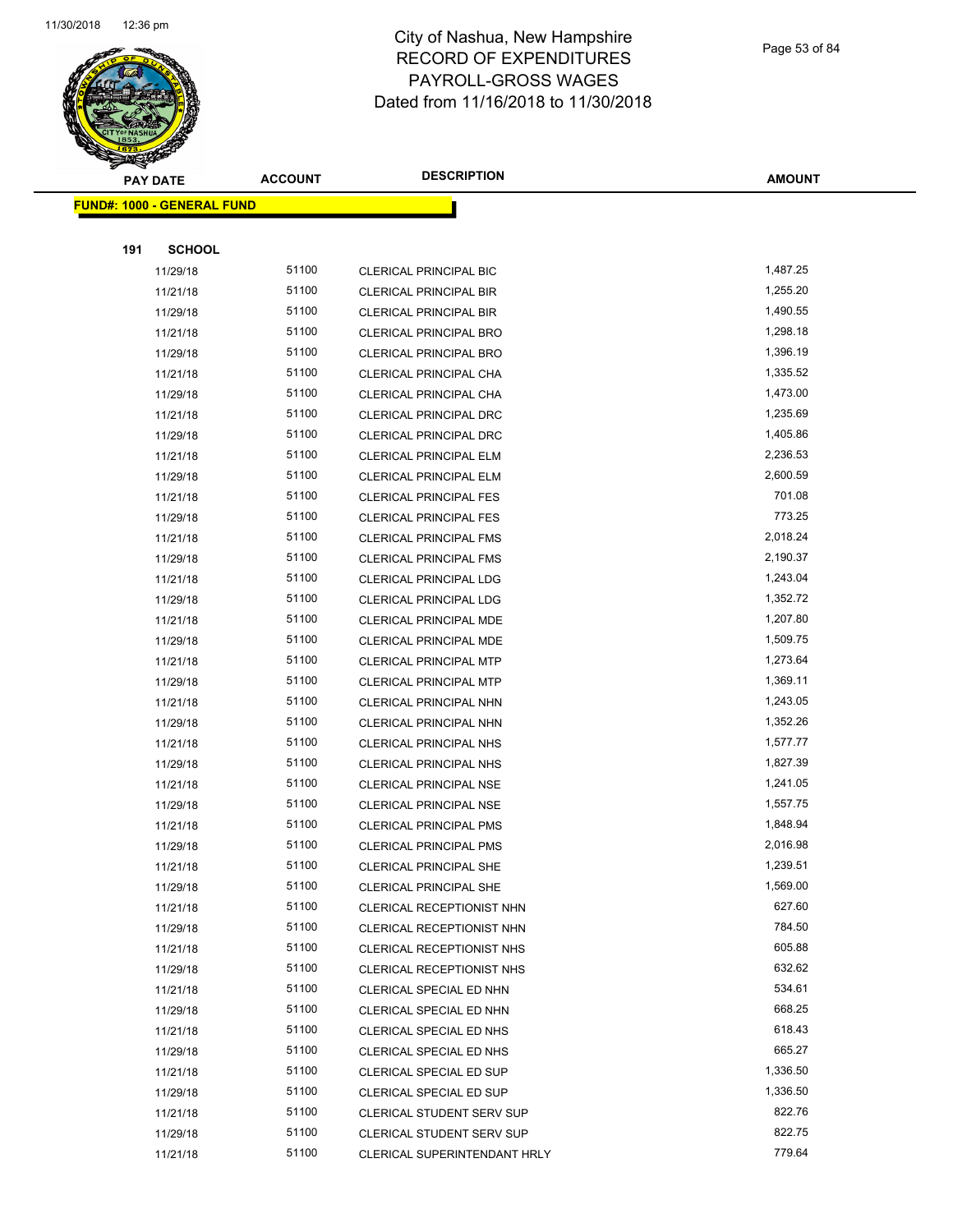

Page 53 of 84

| <b>PAY DATE</b>                   | <b>ACCOUNT</b> | <b>DESCRIPTION</b>                                                 | <b>AMOUNT</b>      |
|-----------------------------------|----------------|--------------------------------------------------------------------|--------------------|
| <b>FUND#: 1000 - GENERAL FUND</b> |                |                                                                    |                    |
|                                   |                |                                                                    |                    |
| 191<br><b>SCHOOL</b>              |                |                                                                    |                    |
| 11/29/18                          | 51100          | <b>CLERICAL PRINCIPAL BIC</b>                                      | 1,487.25           |
| 11/21/18                          | 51100          | <b>CLERICAL PRINCIPAL BIR</b>                                      | 1,255.20           |
| 11/29/18                          | 51100          | <b>CLERICAL PRINCIPAL BIR</b>                                      | 1,490.55           |
| 11/21/18                          | 51100          | <b>CLERICAL PRINCIPAL BRO</b>                                      | 1,298.18           |
| 11/29/18                          | 51100          | <b>CLERICAL PRINCIPAL BRO</b>                                      | 1,396.19           |
| 11/21/18                          | 51100          | CLERICAL PRINCIPAL CHA                                             | 1,335.52           |
| 11/29/18                          | 51100          | CLERICAL PRINCIPAL CHA                                             | 1,473.00           |
| 11/21/18                          | 51100          | CLERICAL PRINCIPAL DRC                                             | 1,235.69           |
| 11/29/18                          | 51100          | CLERICAL PRINCIPAL DRC                                             | 1,405.86           |
| 11/21/18                          | 51100          | <b>CLERICAL PRINCIPAL ELM</b>                                      | 2,236.53           |
| 11/29/18                          | 51100          | <b>CLERICAL PRINCIPAL ELM</b>                                      | 2,600.59           |
| 11/21/18                          | 51100          | <b>CLERICAL PRINCIPAL FES</b>                                      | 701.08             |
| 11/29/18                          | 51100          | <b>CLERICAL PRINCIPAL FES</b>                                      | 773.25             |
| 11/21/18                          | 51100          | <b>CLERICAL PRINCIPAL FMS</b>                                      | 2,018.24           |
| 11/29/18                          | 51100          | <b>CLERICAL PRINCIPAL FMS</b>                                      | 2,190.37           |
| 11/21/18                          | 51100          | <b>CLERICAL PRINCIPAL LDG</b>                                      | 1,243.04           |
| 11/29/18                          | 51100          | CLERICAL PRINCIPAL LDG                                             | 1,352.72           |
| 11/21/18                          | 51100          | <b>CLERICAL PRINCIPAL MDE</b>                                      | 1,207.80           |
| 11/29/18                          | 51100          | <b>CLERICAL PRINCIPAL MDE</b>                                      | 1,509.75           |
| 11/21/18                          | 51100          | <b>CLERICAL PRINCIPAL MTP</b>                                      | 1,273.64           |
| 11/29/18                          | 51100          | <b>CLERICAL PRINCIPAL MTP</b>                                      | 1,369.11           |
| 11/21/18                          | 51100          | CLERICAL PRINCIPAL NHN                                             | 1,243.05           |
| 11/29/18                          | 51100          | CLERICAL PRINCIPAL NHN                                             | 1,352.26           |
| 11/21/18                          | 51100          | CLERICAL PRINCIPAL NHS                                             | 1,577.77           |
| 11/29/18                          | 51100          | CLERICAL PRINCIPAL NHS                                             | 1,827.39           |
| 11/21/18                          | 51100          | <b>CLERICAL PRINCIPAL NSE</b>                                      | 1,241.05           |
| 11/29/18                          | 51100          | <b>CLERICAL PRINCIPAL NSE</b>                                      | 1,557.75           |
| 11/21/18                          | 51100          | <b>CLERICAL PRINCIPAL PMS</b>                                      | 1,848.94           |
| 11/29/18                          | 51100          | <b>CLERICAL PRINCIPAL PMS</b>                                      | 2,016.98           |
| 11/21/18                          | 51100          | CLERICAL PRINCIPAL SHE                                             | 1,239.51           |
| 11/29/18                          | 51100          | <b>CLERICAL PRINCIPAL SHE</b>                                      | 1,569.00           |
| 11/21/18                          | 51100          | CLERICAL RECEPTIONIST NHN                                          | 627.60             |
| 11/29/18                          | 51100          | CLERICAL RECEPTIONIST NHN                                          | 784.50             |
| 11/21/18                          | 51100          | CLERICAL RECEPTIONIST NHS                                          | 605.88             |
| 11/29/18                          | 51100          | CLERICAL RECEPTIONIST NHS                                          | 632.62             |
| 11/21/18                          | 51100          | CLERICAL SPECIAL ED NHN                                            | 534.61<br>668.25   |
| 11/29/18                          | 51100          | CLERICAL SPECIAL ED NHN                                            |                    |
| 11/21/18                          | 51100          | CLERICAL SPECIAL ED NHS                                            | 618.43             |
| 11/29/18                          | 51100<br>51100 | CLERICAL SPECIAL ED NHS                                            | 665.27<br>1,336.50 |
| 11/21/18                          | 51100          | CLERICAL SPECIAL ED SUP                                            | 1,336.50           |
| 11/29/18<br>11/21/18              | 51100          | <b>CLERICAL SPECIAL ED SUP</b><br><b>CLERICAL STUDENT SERV SUP</b> | 822.76             |
| 11/29/18                          | 51100          | CLERICAL STUDENT SERV SUP                                          | 822.75             |
| 11/21/18                          | 51100          | CLERICAL SUPERINTENDANT HRLY                                       | 779.64             |
|                                   |                |                                                                    |                    |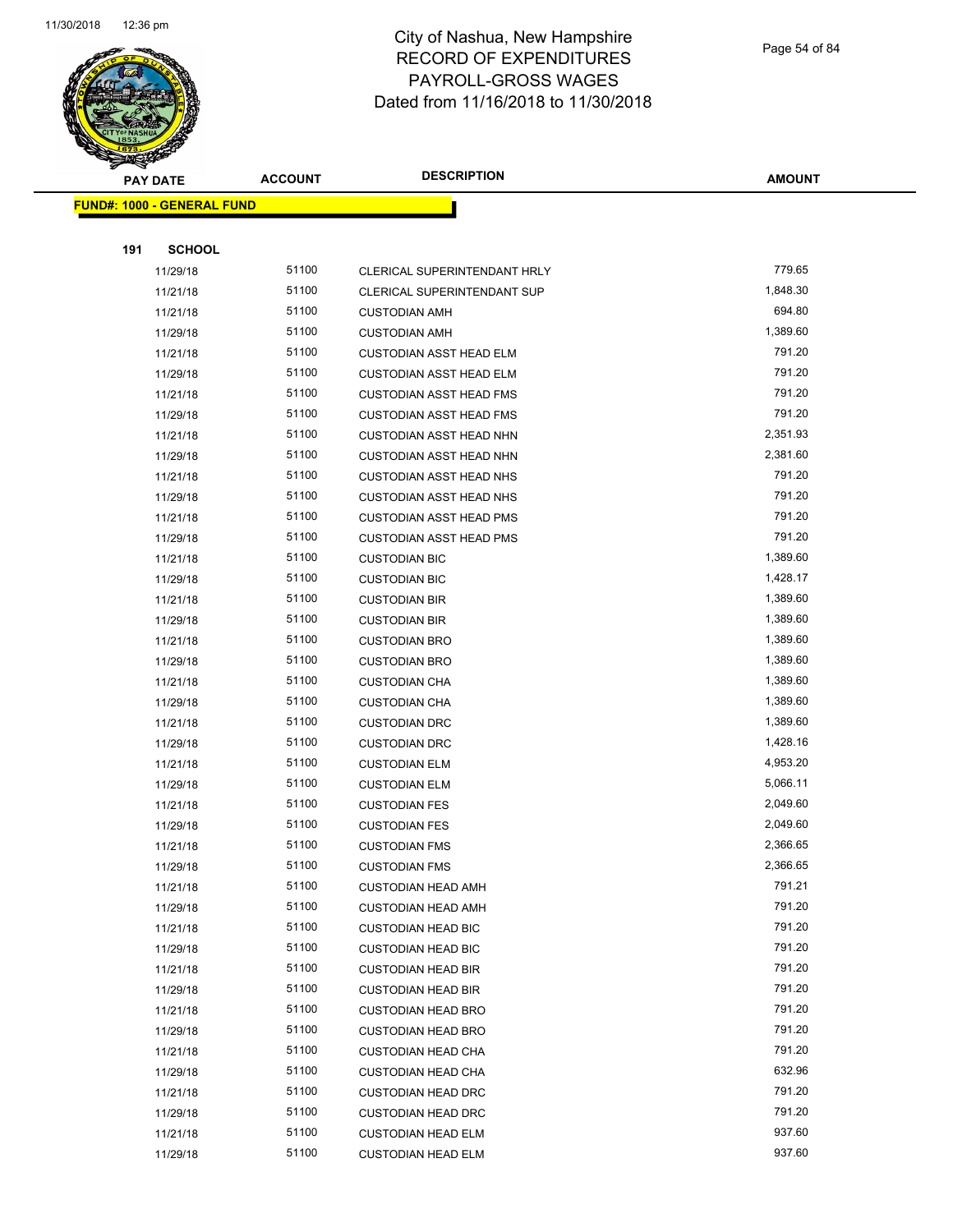

Page 54 of 84

| <b>PAY DATE</b>                   | <b>ACCOUNT</b> | <b>DESCRIPTION</b>             | <b>AMOUNT</b> |
|-----------------------------------|----------------|--------------------------------|---------------|
| <b>FUND#: 1000 - GENERAL FUND</b> |                |                                |               |
|                                   |                |                                |               |
| 191<br><b>SCHOOL</b>              |                |                                |               |
| 11/29/18                          | 51100          | CLERICAL SUPERINTENDANT HRLY   | 779.65        |
| 11/21/18                          | 51100          | CLERICAL SUPERINTENDANT SUP    | 1,848.30      |
| 11/21/18                          | 51100          | <b>CUSTODIAN AMH</b>           | 694.80        |
| 11/29/18                          | 51100          | <b>CUSTODIAN AMH</b>           | 1,389.60      |
| 11/21/18                          | 51100          | <b>CUSTODIAN ASST HEAD ELM</b> | 791.20        |
| 11/29/18                          | 51100          | <b>CUSTODIAN ASST HEAD ELM</b> | 791.20        |
| 11/21/18                          | 51100          | <b>CUSTODIAN ASST HEAD FMS</b> | 791.20        |
| 11/29/18                          | 51100          | <b>CUSTODIAN ASST HEAD FMS</b> | 791.20        |
| 11/21/18                          | 51100          | <b>CUSTODIAN ASST HEAD NHN</b> | 2,351.93      |
| 11/29/18                          | 51100          | <b>CUSTODIAN ASST HEAD NHN</b> | 2,381.60      |
| 11/21/18                          | 51100          | <b>CUSTODIAN ASST HEAD NHS</b> | 791.20        |
| 11/29/18                          | 51100          | <b>CUSTODIAN ASST HEAD NHS</b> | 791.20        |
| 11/21/18                          | 51100          | <b>CUSTODIAN ASST HEAD PMS</b> | 791.20        |
| 11/29/18                          | 51100          | <b>CUSTODIAN ASST HEAD PMS</b> | 791.20        |
| 11/21/18                          | 51100          | <b>CUSTODIAN BIC</b>           | 1,389.60      |
| 11/29/18                          | 51100          | <b>CUSTODIAN BIC</b>           | 1,428.17      |
| 11/21/18                          | 51100          | <b>CUSTODIAN BIR</b>           | 1,389.60      |
| 11/29/18                          | 51100          | <b>CUSTODIAN BIR</b>           | 1,389.60      |
| 11/21/18                          | 51100          | <b>CUSTODIAN BRO</b>           | 1,389.60      |
| 11/29/18                          | 51100          | <b>CUSTODIAN BRO</b>           | 1,389.60      |
| 11/21/18                          | 51100          | <b>CUSTODIAN CHA</b>           | 1,389.60      |
| 11/29/18                          | 51100          | <b>CUSTODIAN CHA</b>           | 1,389.60      |
| 11/21/18                          | 51100          | <b>CUSTODIAN DRC</b>           | 1,389.60      |
| 11/29/18                          | 51100          | <b>CUSTODIAN DRC</b>           | 1,428.16      |
| 11/21/18                          | 51100          | <b>CUSTODIAN ELM</b>           | 4,953.20      |
| 11/29/18                          | 51100          | <b>CUSTODIAN ELM</b>           | 5,066.11      |
| 11/21/18                          | 51100          | <b>CUSTODIAN FES</b>           | 2,049.60      |
| 11/29/18                          | 51100          | <b>CUSTODIAN FES</b>           | 2,049.60      |
| 11/21/18                          | 51100          | <b>CUSTODIAN FMS</b>           | 2,366.65      |
| 11/29/18                          | 51100          | <b>CUSTODIAN FMS</b>           | 2,366.65      |
| 11/21/18                          | 51100          | <b>CUSTODIAN HEAD AMH</b>      | 791.21        |
| 11/29/18                          | 51100          | <b>CUSTODIAN HEAD AMH</b>      | 791.20        |
| 11/21/18                          | 51100          | <b>CUSTODIAN HEAD BIC</b>      | 791.20        |
| 11/29/18                          | 51100          | <b>CUSTODIAN HEAD BIC</b>      | 791.20        |
| 11/21/18                          | 51100          | <b>CUSTODIAN HEAD BIR</b>      | 791.20        |
| 11/29/18                          | 51100          | <b>CUSTODIAN HEAD BIR</b>      | 791.20        |
| 11/21/18                          | 51100          | <b>CUSTODIAN HEAD BRO</b>      | 791.20        |
| 11/29/18                          | 51100          | <b>CUSTODIAN HEAD BRO</b>      | 791.20        |
| 11/21/18                          | 51100          | <b>CUSTODIAN HEAD CHA</b>      | 791.20        |
| 11/29/18                          | 51100          | <b>CUSTODIAN HEAD CHA</b>      | 632.96        |
| 11/21/18                          | 51100          | <b>CUSTODIAN HEAD DRC</b>      | 791.20        |
| 11/29/18                          | 51100          | <b>CUSTODIAN HEAD DRC</b>      | 791.20        |
| 11/21/18                          | 51100          | <b>CUSTODIAN HEAD ELM</b>      | 937.60        |
| 11/29/18                          | 51100          | <b>CUSTODIAN HEAD ELM</b>      | 937.60        |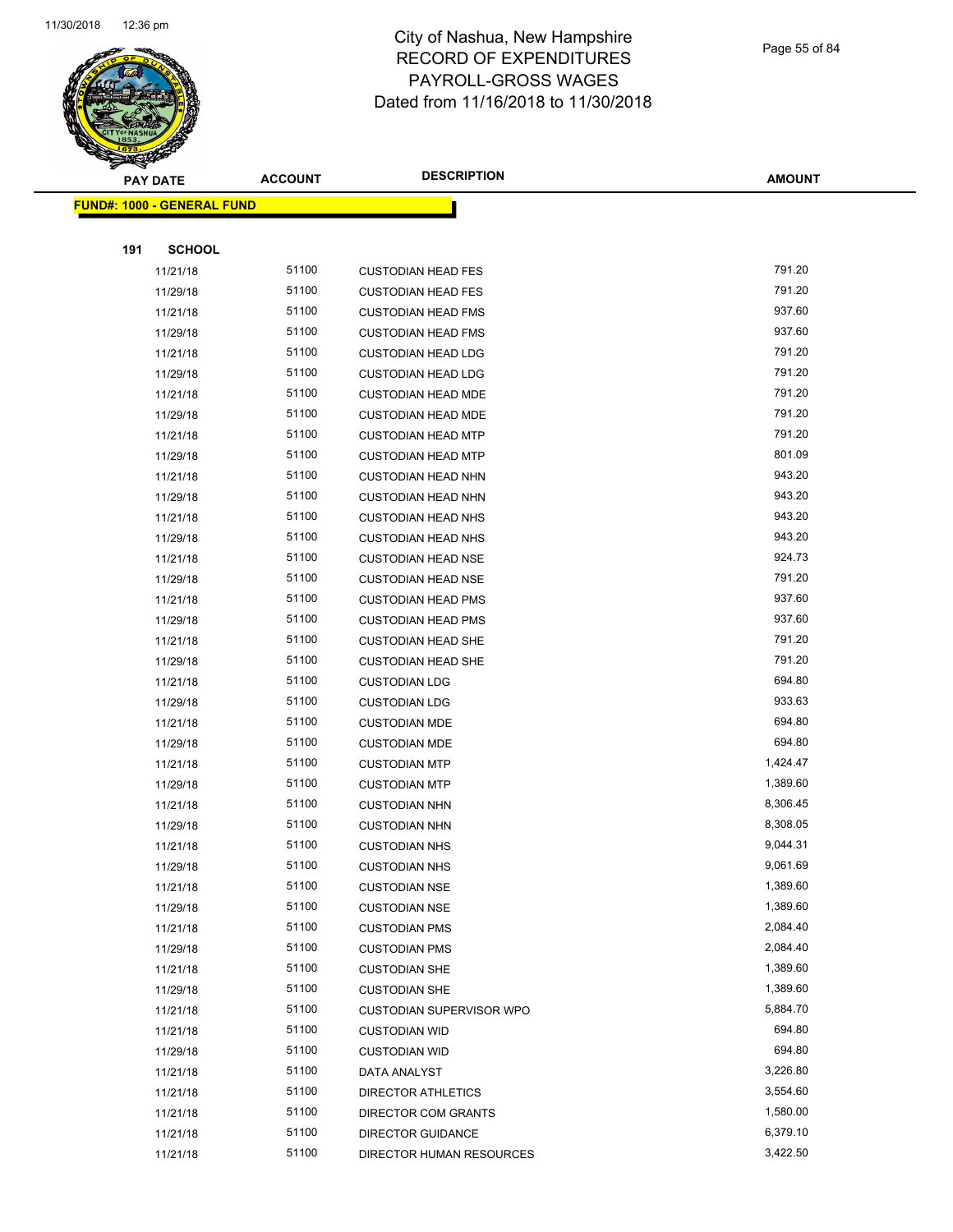

Page 55 of 84

| <b>PAY DATE</b>                   | <b>ACCOUNT</b> | <b>DESCRIPTION</b>                        | <b>AMOUNT</b>    |
|-----------------------------------|----------------|-------------------------------------------|------------------|
| <b>FUND#: 1000 - GENERAL FUND</b> |                |                                           |                  |
|                                   |                |                                           |                  |
| 191<br><b>SCHOOL</b>              |                |                                           |                  |
| 11/21/18                          | 51100          | <b>CUSTODIAN HEAD FES</b>                 | 791.20           |
| 11/29/18                          | 51100          | <b>CUSTODIAN HEAD FES</b>                 | 791.20           |
| 11/21/18                          | 51100          | <b>CUSTODIAN HEAD FMS</b>                 | 937.60           |
| 11/29/18                          | 51100          | <b>CUSTODIAN HEAD FMS</b>                 | 937.60           |
| 11/21/18                          | 51100          | <b>CUSTODIAN HEAD LDG</b>                 | 791.20           |
| 11/29/18                          | 51100          | <b>CUSTODIAN HEAD LDG</b>                 | 791.20           |
| 11/21/18                          | 51100          | <b>CUSTODIAN HEAD MDE</b>                 | 791.20           |
| 11/29/18                          | 51100          | <b>CUSTODIAN HEAD MDE</b>                 | 791.20           |
| 11/21/18                          | 51100          | <b>CUSTODIAN HEAD MTP</b>                 | 791.20           |
| 11/29/18                          | 51100          | <b>CUSTODIAN HEAD MTP</b>                 | 801.09           |
| 11/21/18                          | 51100          | <b>CUSTODIAN HEAD NHN</b>                 | 943.20           |
| 11/29/18                          | 51100          | <b>CUSTODIAN HEAD NHN</b>                 | 943.20           |
| 11/21/18                          | 51100          | <b>CUSTODIAN HEAD NHS</b>                 | 943.20           |
| 11/29/18                          | 51100          | <b>CUSTODIAN HEAD NHS</b>                 | 943.20           |
| 11/21/18                          | 51100          | <b>CUSTODIAN HEAD NSE</b>                 | 924.73           |
| 11/29/18                          | 51100          | <b>CUSTODIAN HEAD NSE</b>                 | 791.20           |
| 11/21/18                          | 51100          | <b>CUSTODIAN HEAD PMS</b>                 | 937.60           |
| 11/29/18                          | 51100          | <b>CUSTODIAN HEAD PMS</b>                 | 937.60           |
| 11/21/18                          | 51100          | <b>CUSTODIAN HEAD SHE</b>                 | 791.20           |
| 11/29/18                          | 51100          | <b>CUSTODIAN HEAD SHE</b>                 | 791.20           |
| 11/21/18                          | 51100          | <b>CUSTODIAN LDG</b>                      | 694.80           |
| 11/29/18                          | 51100          | <b>CUSTODIAN LDG</b>                      | 933.63           |
| 11/21/18                          | 51100          | <b>CUSTODIAN MDE</b>                      | 694.80           |
| 11/29/18                          | 51100          | <b>CUSTODIAN MDE</b>                      | 694.80           |
| 11/21/18                          | 51100          | <b>CUSTODIAN MTP</b>                      | 1,424.47         |
| 11/29/18                          | 51100          | <b>CUSTODIAN MTP</b>                      | 1,389.60         |
| 11/21/18                          | 51100          | <b>CUSTODIAN NHN</b>                      | 8,306.45         |
| 11/29/18                          | 51100          | <b>CUSTODIAN NHN</b>                      | 8,308.05         |
| 11/21/18                          | 51100          | <b>CUSTODIAN NHS</b>                      | 9,044.31         |
| 11/29/18                          | 51100          | <b>CUSTODIAN NHS</b>                      | 9,061.69         |
| 11/21/18                          | 51100          | <b>CUSTODIAN NSE</b>                      | 1,389.60         |
| 11/29/18                          | 51100          | <b>CUSTODIAN NSE</b>                      | 1,389.60         |
| 11/21/18                          | 51100          | <b>CUSTODIAN PMS</b>                      | 2,084.40         |
| 11/29/18                          | 51100          | <b>CUSTODIAN PMS</b>                      | 2,084.40         |
| 11/21/18                          | 51100          | <b>CUSTODIAN SHE</b>                      | 1,389.60         |
| 11/29/18                          | 51100          | <b>CUSTODIAN SHE</b>                      | 1,389.60         |
| 11/21/18                          | 51100          | <b>CUSTODIAN SUPERVISOR WPO</b>           | 5,884.70         |
| 11/21/18                          | 51100          | <b>CUSTODIAN WID</b>                      | 694.80<br>694.80 |
| 11/29/18                          | 51100          | <b>CUSTODIAN WID</b>                      | 3,226.80         |
| 11/21/18                          | 51100<br>51100 | DATA ANALYST                              | 3,554.60         |
| 11/21/18<br>11/21/18              | 51100          | DIRECTOR ATHLETICS<br>DIRECTOR COM GRANTS | 1,580.00         |
| 11/21/18                          | 51100          | DIRECTOR GUIDANCE                         | 6,379.10         |
| 11/21/18                          | 51100          | DIRECTOR HUMAN RESOURCES                  | 3,422.50         |
|                                   |                |                                           |                  |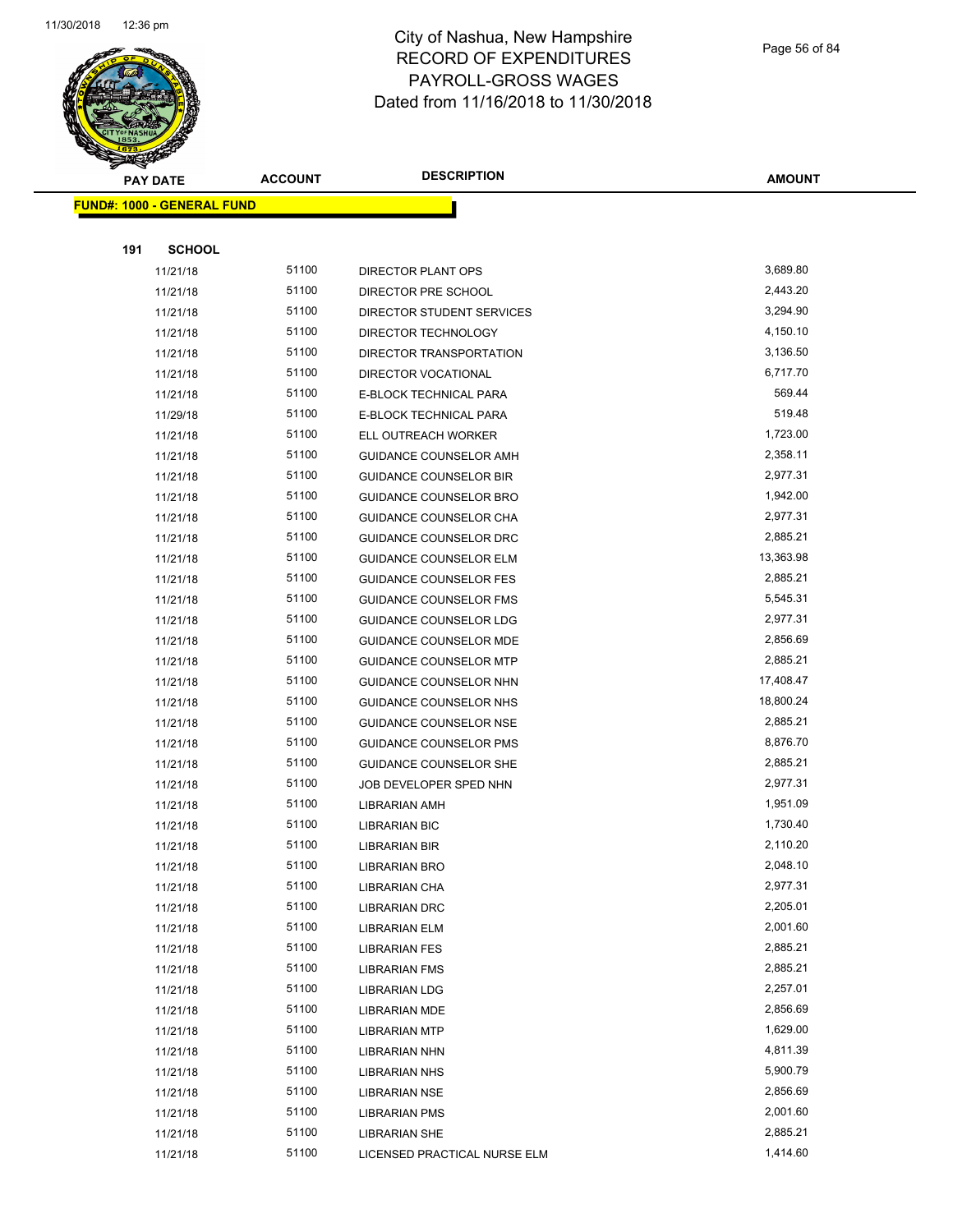

Page 56 of 84

| <b>PAY DATE</b>                   | <b>ACCOUNT</b> | <b>DESCRIPTION</b>            | <b>AMOUNT</b> |
|-----------------------------------|----------------|-------------------------------|---------------|
| <b>FUND#: 1000 - GENERAL FUND</b> |                |                               |               |
|                                   |                |                               |               |
| 191<br><b>SCHOOL</b>              |                |                               |               |
| 11/21/18                          | 51100          | DIRECTOR PLANT OPS            | 3,689.80      |
| 11/21/18                          | 51100          | DIRECTOR PRE SCHOOL           | 2,443.20      |
| 11/21/18                          | 51100          | DIRECTOR STUDENT SERVICES     | 3,294.90      |
| 11/21/18                          | 51100          | DIRECTOR TECHNOLOGY           | 4,150.10      |
| 11/21/18                          | 51100          | DIRECTOR TRANSPORTATION       | 3,136.50      |
| 11/21/18                          | 51100          | DIRECTOR VOCATIONAL           | 6,717.70      |
| 11/21/18                          | 51100          | E-BLOCK TECHNICAL PARA        | 569.44        |
| 11/29/18                          | 51100          | E-BLOCK TECHNICAL PARA        | 519.48        |
| 11/21/18                          | 51100          | ELL OUTREACH WORKER           | 1,723.00      |
| 11/21/18                          | 51100          | GUIDANCE COUNSELOR AMH        | 2,358.11      |
| 11/21/18                          | 51100          | <b>GUIDANCE COUNSELOR BIR</b> | 2,977.31      |
| 11/21/18                          | 51100          | GUIDANCE COUNSELOR BRO        | 1,942.00      |
| 11/21/18                          | 51100          | GUIDANCE COUNSELOR CHA        | 2,977.31      |
| 11/21/18                          | 51100          | GUIDANCE COUNSELOR DRC        | 2,885.21      |
| 11/21/18                          | 51100          | GUIDANCE COUNSELOR ELM        | 13,363.98     |
| 11/21/18                          | 51100          | <b>GUIDANCE COUNSELOR FES</b> | 2,885.21      |
| 11/21/18                          | 51100          | GUIDANCE COUNSELOR FMS        | 5,545.31      |
| 11/21/18                          | 51100          | <b>GUIDANCE COUNSELOR LDG</b> | 2,977.31      |
| 11/21/18                          | 51100          | GUIDANCE COUNSELOR MDE        | 2,856.69      |
| 11/21/18                          | 51100          | <b>GUIDANCE COUNSELOR MTP</b> | 2,885.21      |
| 11/21/18                          | 51100          | GUIDANCE COUNSELOR NHN        | 17,408.47     |
| 11/21/18                          | 51100          | GUIDANCE COUNSELOR NHS        | 18,800.24     |
| 11/21/18                          | 51100          | GUIDANCE COUNSELOR NSE        | 2,885.21      |
| 11/21/18                          | 51100          | GUIDANCE COUNSELOR PMS        | 8,876.70      |
| 11/21/18                          | 51100          | GUIDANCE COUNSELOR SHE        | 2,885.21      |
| 11/21/18                          | 51100          | JOB DEVELOPER SPED NHN        | 2,977.31      |
| 11/21/18                          | 51100          | LIBRARIAN AMH                 | 1,951.09      |
| 11/21/18                          | 51100          | LIBRARIAN BIC                 | 1,730.40      |
| 11/21/18                          | 51100          | LIBRARIAN BIR                 | 2,110.20      |
| 11/21/18                          | 51100          | <b>LIBRARIAN BRO</b>          | 2,048.10      |
| 11/21/18                          | 51100          | LIBRARIAN CHA                 | 2,977.31      |
| 11/21/18                          | 51100          | <b>LIBRARIAN DRC</b>          | 2,205.01      |
| 11/21/18                          | 51100          | <b>LIBRARIAN ELM</b>          | 2,001.60      |
| 11/21/18                          | 51100          | <b>LIBRARIAN FES</b>          | 2,885.21      |
| 11/21/18                          | 51100          | <b>LIBRARIAN FMS</b>          | 2,885.21      |
| 11/21/18                          | 51100          | <b>LIBRARIAN LDG</b>          | 2,257.01      |
| 11/21/18                          | 51100          | <b>LIBRARIAN MDE</b>          | 2,856.69      |
| 11/21/18                          | 51100          | <b>LIBRARIAN MTP</b>          | 1,629.00      |
| 11/21/18                          | 51100          | LIBRARIAN NHN                 | 4,811.39      |
| 11/21/18                          | 51100          | <b>LIBRARIAN NHS</b>          | 5,900.79      |
| 11/21/18                          | 51100          | LIBRARIAN NSE                 | 2,856.69      |
| 11/21/18                          | 51100          | <b>LIBRARIAN PMS</b>          | 2,001.60      |
| 11/21/18                          | 51100          | <b>LIBRARIAN SHE</b>          | 2,885.21      |
| 11/21/18                          | 51100          | LICENSED PRACTICAL NURSE ELM  | 1,414.60      |
|                                   |                |                               |               |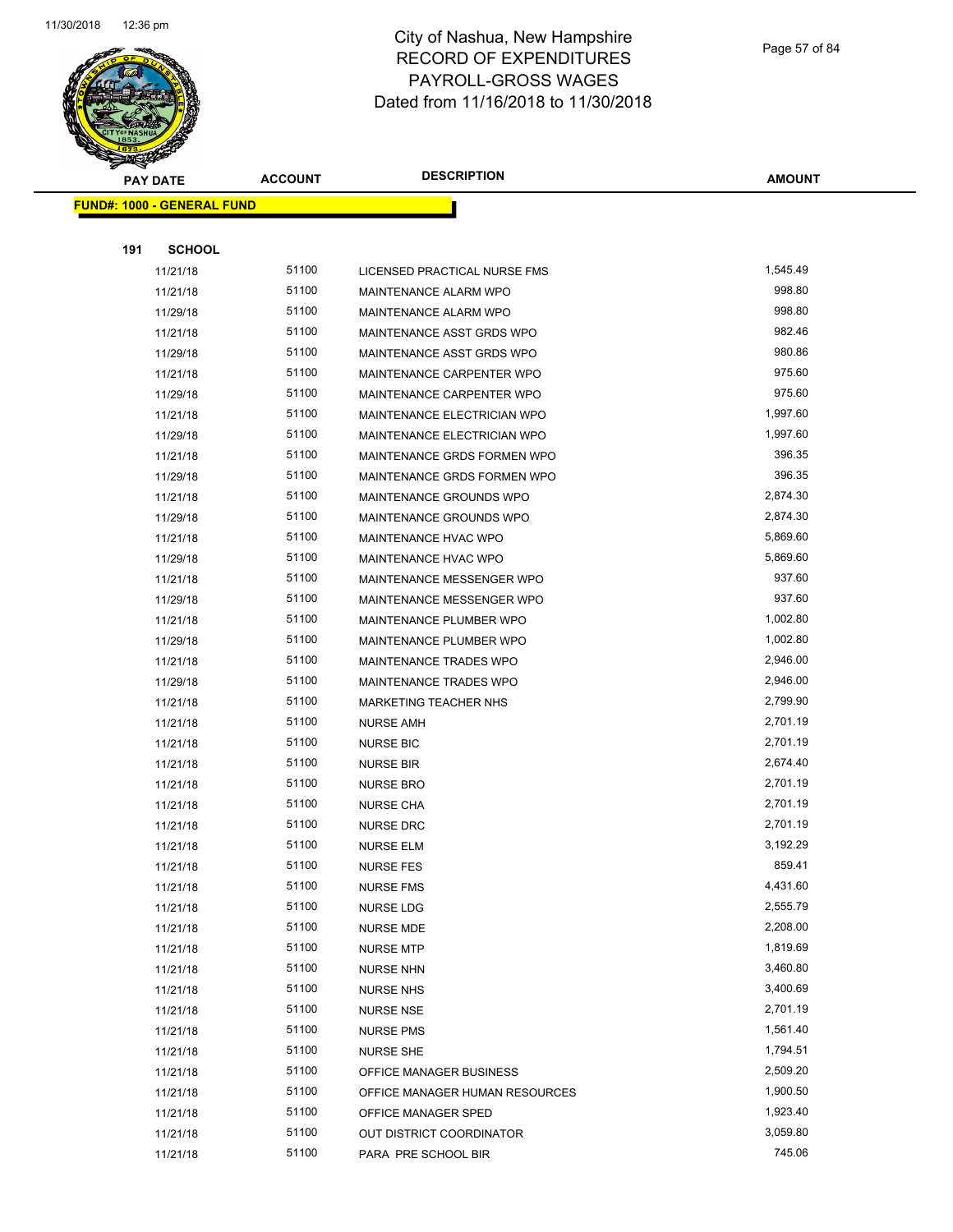

Page 57 of 84

| <b>PAY DATE</b>                   | <b>ACCOUNT</b> | <b>DESCRIPTION</b>             | <b>AMOUNT</b>      |
|-----------------------------------|----------------|--------------------------------|--------------------|
| <b>FUND#: 1000 - GENERAL FUND</b> |                |                                |                    |
|                                   |                |                                |                    |
| 191<br><b>SCHOOL</b>              |                |                                |                    |
| 11/21/18                          | 51100          | LICENSED PRACTICAL NURSE FMS   | 1,545.49           |
| 11/21/18                          | 51100          | MAINTENANCE ALARM WPO          | 998.80             |
| 11/29/18                          | 51100          | MAINTENANCE ALARM WPO          | 998.80             |
| 11/21/18                          | 51100          | MAINTENANCE ASST GRDS WPO      | 982.46             |
| 11/29/18                          | 51100          | MAINTENANCE ASST GRDS WPO      | 980.86             |
| 11/21/18                          | 51100          | MAINTENANCE CARPENTER WPO      | 975.60             |
| 11/29/18                          | 51100          | MAINTENANCE CARPENTER WPO      | 975.60             |
| 11/21/18                          | 51100          | MAINTENANCE ELECTRICIAN WPO    | 1,997.60           |
| 11/29/18                          | 51100          | MAINTENANCE ELECTRICIAN WPO    | 1,997.60           |
| 11/21/18                          | 51100          | MAINTENANCE GRDS FORMEN WPO    | 396.35             |
| 11/29/18                          | 51100          | MAINTENANCE GRDS FORMEN WPO    | 396.35             |
| 11/21/18                          | 51100          | MAINTENANCE GROUNDS WPO        | 2,874.30           |
| 11/29/18                          | 51100          | MAINTENANCE GROUNDS WPO        | 2,874.30           |
| 11/21/18                          | 51100          | MAINTENANCE HVAC WPO           | 5,869.60           |
| 11/29/18                          | 51100          | MAINTENANCE HVAC WPO           | 5,869.60           |
| 11/21/18                          | 51100          | MAINTENANCE MESSENGER WPO      | 937.60             |
| 11/29/18                          | 51100          | MAINTENANCE MESSENGER WPO      | 937.60             |
| 11/21/18                          | 51100          | MAINTENANCE PLUMBER WPO        | 1,002.80           |
| 11/29/18                          | 51100          | MAINTENANCE PLUMBER WPO        | 1,002.80           |
| 11/21/18                          | 51100          | MAINTENANCE TRADES WPO         | 2,946.00           |
| 11/29/18                          | 51100          | MAINTENANCE TRADES WPO         | 2,946.00           |
| 11/21/18                          | 51100          | <b>MARKETING TEACHER NHS</b>   | 2,799.90           |
| 11/21/18                          | 51100          | <b>NURSE AMH</b>               | 2,701.19           |
| 11/21/18                          | 51100          | <b>NURSE BIC</b>               | 2,701.19           |
| 11/21/18                          | 51100          | <b>NURSE BIR</b>               | 2,674.40           |
| 11/21/18                          | 51100          | <b>NURSE BRO</b>               | 2,701.19           |
| 11/21/18                          | 51100          | <b>NURSE CHA</b>               | 2,701.19           |
| 11/21/18                          | 51100          | <b>NURSE DRC</b>               | 2,701.19           |
| 11/21/18                          | 51100          | <b>NURSE ELM</b>               | 3,192.29           |
| 11/21/18                          | 51100          | <b>NURSE FES</b>               | 859.41             |
| 11/21/18                          | 51100          | <b>NURSE FMS</b>               | 4,431.60           |
| 11/21/18                          | 51100          | <b>NURSE LDG</b>               | 2,555.79           |
| 11/21/18                          | 51100          | NURSE MDE                      | 2,208.00           |
| 11/21/18                          | 51100          | <b>NURSE MTP</b>               | 1,819.69           |
| 11/21/18                          | 51100          | <b>NURSE NHN</b>               | 3,460.80           |
| 11/21/18                          | 51100          | <b>NURSE NHS</b>               | 3,400.69           |
| 11/21/18                          | 51100          | <b>NURSE NSE</b>               | 2,701.19           |
| 11/21/18                          | 51100          | <b>NURSE PMS</b>               | 1,561.40           |
| 11/21/18                          | 51100          | <b>NURSE SHE</b>               | 1,794.51           |
| 11/21/18                          | 51100          | OFFICE MANAGER BUSINESS        | 2,509.20           |
| 11/21/18                          | 51100          | OFFICE MANAGER HUMAN RESOURCES | 1,900.50           |
| 11/21/18                          | 51100<br>51100 | OFFICE MANAGER SPED            | 1,923.40           |
| 11/21/18                          |                | OUT DISTRICT COORDINATOR       | 3,059.80<br>745.06 |
| 11/21/18                          | 51100          | PARA PRE SCHOOL BIR            |                    |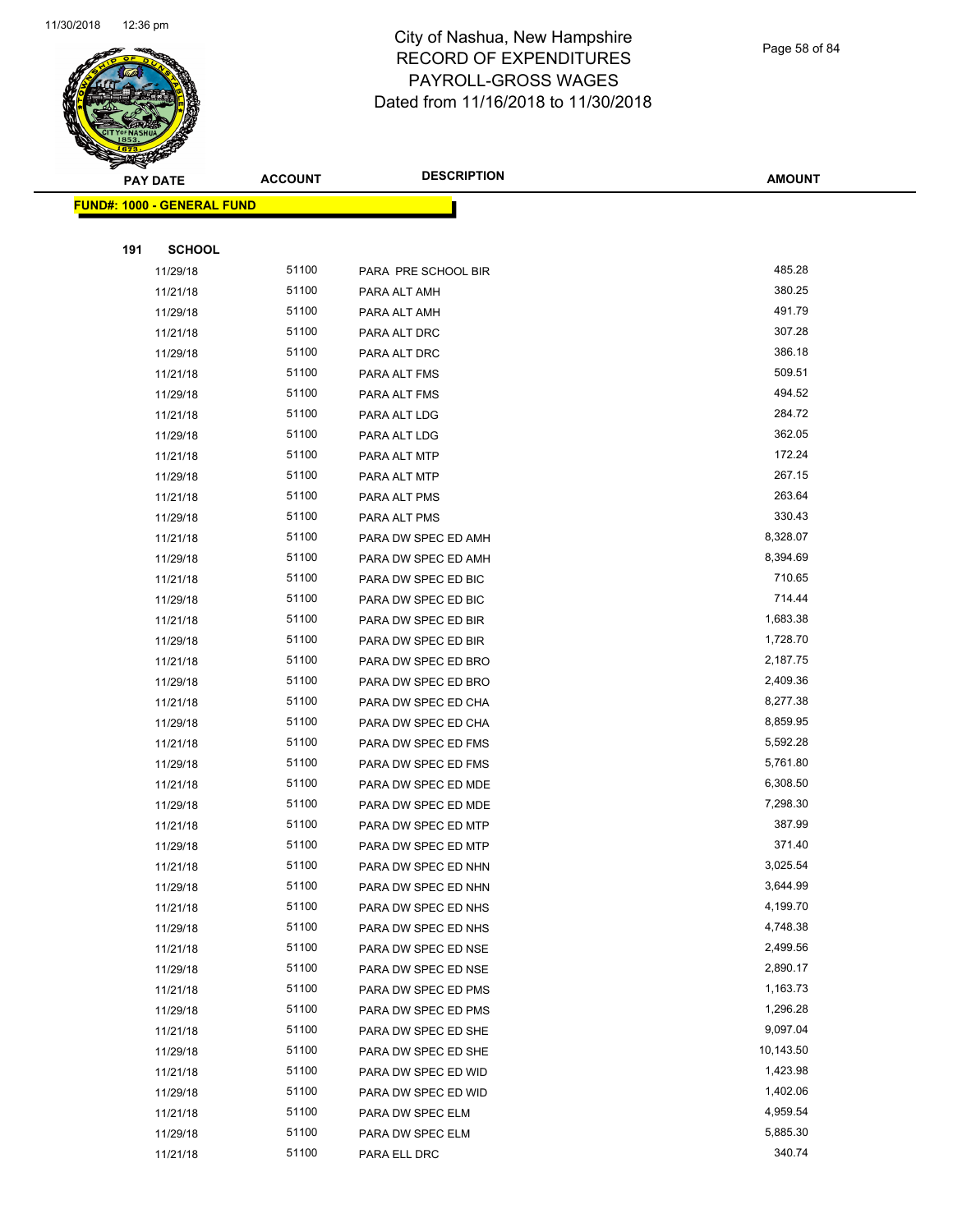

Page 58 of 84

| T<br>æ.<br><b>PAY DATE</b>        | <b>ACCOUNT</b> | <b>DESCRIPTION</b>  | <b>AMOUNT</b> |
|-----------------------------------|----------------|---------------------|---------------|
| <b>FUND#: 1000 - GENERAL FUND</b> |                |                     |               |
|                                   |                |                     |               |
| 191<br><b>SCHOOL</b>              |                |                     |               |
| 11/29/18                          | 51100          | PARA PRE SCHOOL BIR | 485.28        |
| 11/21/18                          | 51100          | PARA ALT AMH        | 380.25        |
| 11/29/18                          | 51100          | PARA ALT AMH        | 491.79        |
| 11/21/18                          | 51100          | PARA ALT DRC        | 307.28        |
| 11/29/18                          | 51100          | PARA ALT DRC        | 386.18        |
| 11/21/18                          | 51100          | PARA ALT FMS        | 509.51        |
| 11/29/18                          | 51100          | PARA ALT FMS        | 494.52        |
| 11/21/18                          | 51100          | PARA ALT LDG        | 284.72        |
| 11/29/18                          | 51100          | PARA ALT LDG        | 362.05        |
| 11/21/18                          | 51100          | PARA ALT MTP        | 172.24        |
| 11/29/18                          | 51100          | PARA ALT MTP        | 267.15        |
| 11/21/18                          | 51100          | PARA ALT PMS        | 263.64        |
| 11/29/18                          | 51100          | PARA ALT PMS        | 330.43        |
| 11/21/18                          | 51100          | PARA DW SPEC ED AMH | 8,328.07      |
| 11/29/18                          | 51100          | PARA DW SPEC ED AMH | 8,394.69      |
| 11/21/18                          | 51100          | PARA DW SPEC ED BIC | 710.65        |
| 11/29/18                          | 51100          | PARA DW SPEC ED BIC | 714.44        |
| 11/21/18                          | 51100          | PARA DW SPEC ED BIR | 1,683.38      |
| 11/29/18                          | 51100          | PARA DW SPEC ED BIR | 1,728.70      |
| 11/21/18                          | 51100          | PARA DW SPEC ED BRO | 2,187.75      |
| 11/29/18                          | 51100          | PARA DW SPEC ED BRO | 2,409.36      |
| 11/21/18                          | 51100          | PARA DW SPEC ED CHA | 8,277.38      |
| 11/29/18                          | 51100          | PARA DW SPEC ED CHA | 8,859.95      |
| 11/21/18                          | 51100          | PARA DW SPEC ED FMS | 5,592.28      |
| 11/29/18                          | 51100          | PARA DW SPEC ED FMS | 5,761.80      |
| 11/21/18                          | 51100          | PARA DW SPEC ED MDE | 6,308.50      |
| 11/29/18                          | 51100          | PARA DW SPEC ED MDE | 7,298.30      |
| 11/21/18                          | 51100          | PARA DW SPEC ED MTP | 387.99        |
| 11/29/18                          | 51100          | PARA DW SPEC ED MTP | 371.40        |
| 11/21/18                          | 51100          | PARA DW SPEC ED NHN | 3,025.54      |
| 11/29/18                          | 51100          | PARA DW SPEC ED NHN | 3,644.99      |
| 11/21/18                          | 51100          | PARA DW SPEC ED NHS | 4,199.70      |
| 11/29/18                          | 51100          | PARA DW SPEC ED NHS | 4,748.38      |
| 11/21/18                          | 51100          | PARA DW SPEC ED NSE | 2,499.56      |
| 11/29/18                          | 51100          | PARA DW SPEC ED NSE | 2,890.17      |
| 11/21/18                          | 51100          | PARA DW SPEC ED PMS | 1,163.73      |
| 11/29/18                          | 51100          | PARA DW SPEC ED PMS | 1,296.28      |
| 11/21/18                          | 51100          | PARA DW SPEC ED SHE | 9,097.04      |
| 11/29/18                          | 51100          | PARA DW SPEC ED SHE | 10,143.50     |
| 11/21/18                          | 51100          | PARA DW SPEC ED WID | 1,423.98      |
| 11/29/18                          | 51100          | PARA DW SPEC ED WID | 1,402.06      |
| 11/21/18                          | 51100          | PARA DW SPEC ELM    | 4,959.54      |
| 11/29/18                          | 51100          | PARA DW SPEC ELM    | 5,885.30      |
| 11/21/18                          | 51100          | PARA ELL DRC        | 340.74        |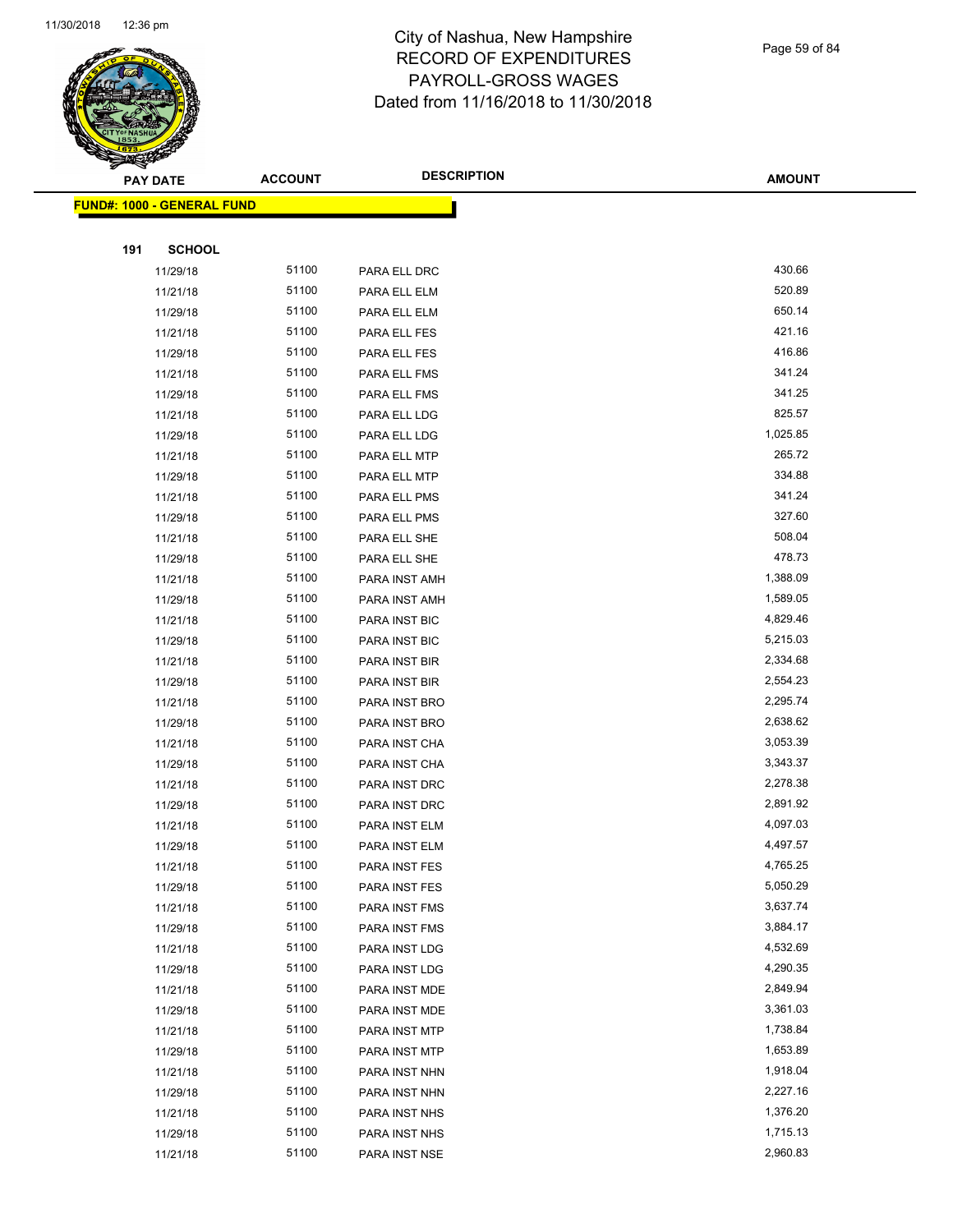

Page 59 of 84

|     | <b>PAY DATE</b>                   | <b>ACCOUNT</b> | <b>DESCRIPTION</b>             | <b>AMOUNT</b>        |
|-----|-----------------------------------|----------------|--------------------------------|----------------------|
|     | <b>FUND#: 1000 - GENERAL FUND</b> |                |                                |                      |
|     |                                   |                |                                |                      |
| 191 | <b>SCHOOL</b>                     |                |                                |                      |
|     | 11/29/18                          | 51100          | PARA ELL DRC                   | 430.66               |
|     | 11/21/18                          | 51100          | PARA ELL ELM                   | 520.89               |
|     | 11/29/18                          | 51100          | PARA ELL ELM                   | 650.14               |
|     | 11/21/18                          | 51100          | PARA ELL FES                   | 421.16               |
|     | 11/29/18                          | 51100          | PARA ELL FES                   | 416.86               |
|     | 11/21/18                          | 51100          | PARA ELL FMS                   | 341.24               |
|     | 11/29/18                          | 51100          | PARA ELL FMS                   | 341.25               |
|     | 11/21/18                          | 51100          | PARA ELL LDG                   | 825.57               |
|     | 11/29/18                          | 51100          | PARA ELL LDG                   | 1,025.85             |
|     | 11/21/18                          | 51100          | PARA ELL MTP                   | 265.72               |
|     | 11/29/18                          | 51100          | PARA ELL MTP                   | 334.88               |
|     | 11/21/18                          | 51100          | PARA ELL PMS                   | 341.24               |
|     | 11/29/18                          | 51100          | PARA ELL PMS                   | 327.60               |
|     | 11/21/18                          | 51100          | PARA ELL SHE                   | 508.04               |
|     | 11/29/18                          | 51100          | PARA ELL SHE                   | 478.73               |
|     | 11/21/18                          | 51100          | PARA INST AMH                  | 1,388.09             |
|     | 11/29/18                          | 51100          | PARA INST AMH                  | 1,589.05             |
|     | 11/21/18                          | 51100          | PARA INST BIC                  | 4,829.46             |
|     | 11/29/18                          | 51100          | PARA INST BIC                  | 5,215.03             |
|     | 11/21/18                          | 51100          | PARA INST BIR                  | 2,334.68             |
|     | 11/29/18                          | 51100          | PARA INST BIR                  | 2,554.23             |
|     | 11/21/18                          | 51100          | PARA INST BRO                  | 2,295.74             |
|     | 11/29/18                          | 51100          | PARA INST BRO                  | 2,638.62             |
|     | 11/21/18                          | 51100          | PARA INST CHA                  | 3,053.39             |
|     | 11/29/18                          | 51100          | PARA INST CHA                  | 3,343.37             |
|     | 11/21/18                          | 51100          | PARA INST DRC                  | 2,278.38             |
|     | 11/29/18                          | 51100          | PARA INST DRC                  | 2,891.92             |
|     | 11/21/18                          | 51100          | PARA INST ELM                  | 4,097.03             |
|     | 11/29/18                          | 51100          | PARA INST ELM                  | 4,497.57             |
|     | 11/21/18                          | 51100          | PARA INST FES                  | 4,765.25             |
|     | 11/29/18                          | 51100          | PARA INST FES                  | 5,050.29             |
|     | 11/21/18                          | 51100          | PARA INST FMS                  | 3,637.74             |
|     | 11/29/18                          | 51100          | PARA INST FMS                  | 3,884.17             |
|     | 11/21/18                          | 51100          | PARA INST LDG                  | 4,532.69             |
|     | 11/29/18                          | 51100          | PARA INST LDG                  | 4,290.35             |
|     | 11/21/18                          | 51100          | PARA INST MDE                  | 2,849.94             |
|     | 11/29/18                          | 51100          | PARA INST MDE                  | 3,361.03             |
|     | 11/21/18                          | 51100          | PARA INST MTP                  | 1,738.84             |
|     | 11/29/18                          | 51100          | PARA INST MTP                  | 1,653.89<br>1,918.04 |
|     | 11/21/18                          | 51100          | PARA INST NHN                  |                      |
|     | 11/29/18                          | 51100<br>51100 | PARA INST NHN                  | 2,227.16<br>1,376.20 |
|     | 11/21/18<br>11/29/18              | 51100          | PARA INST NHS                  | 1,715.13             |
|     | 11/21/18                          | 51100          | PARA INST NHS<br>PARA INST NSE | 2,960.83             |
|     |                                   |                |                                |                      |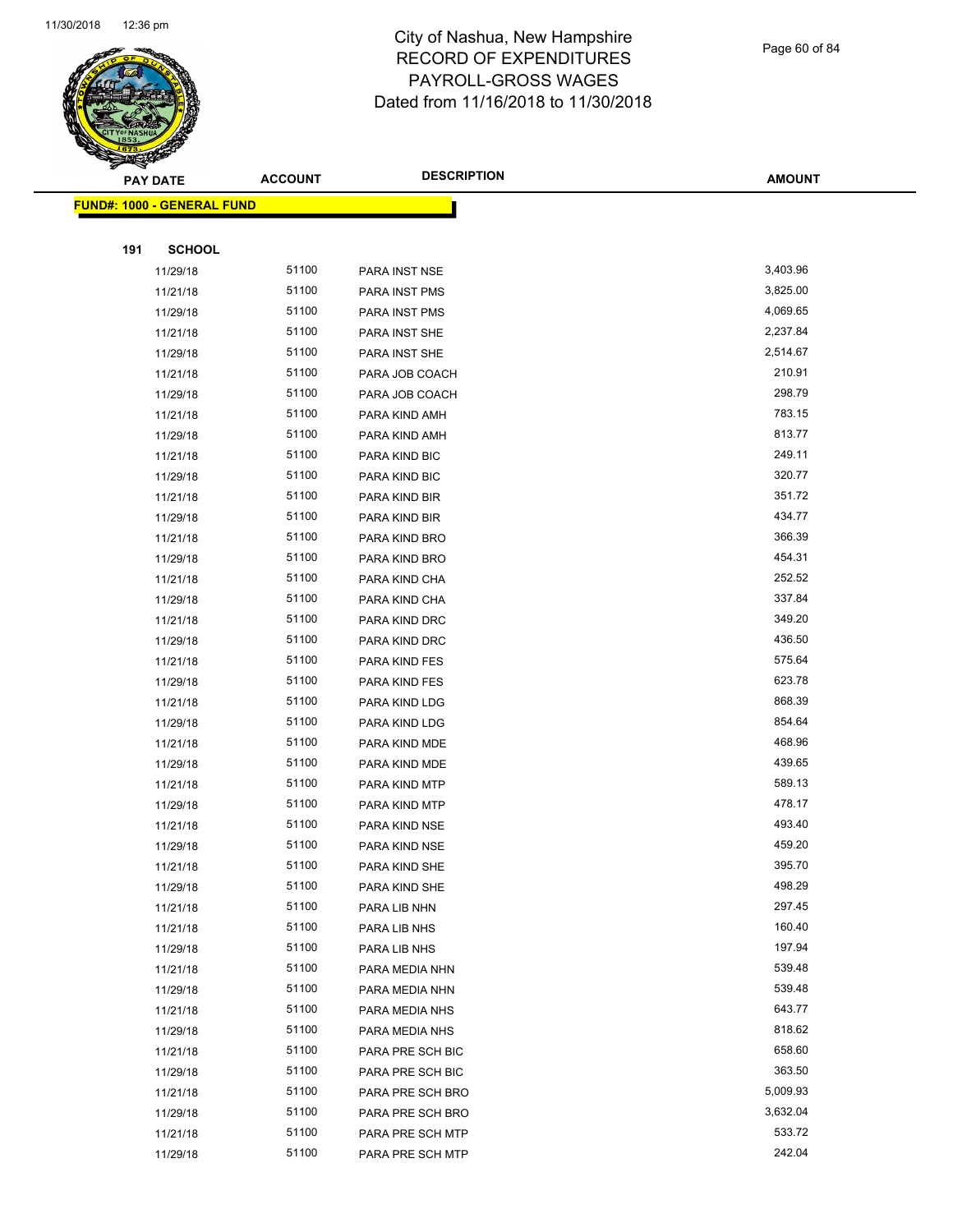

Page 60 of 84

| <b>PAY DATE</b>                   |               | <b>ACCOUNT</b> | <b>DESCRIPTION</b> | <b>AMOUNT</b> |  |
|-----------------------------------|---------------|----------------|--------------------|---------------|--|
| <b>FUND#: 1000 - GENERAL FUND</b> |               |                |                    |               |  |
|                                   |               |                |                    |               |  |
| 191                               | <b>SCHOOL</b> |                |                    |               |  |
|                                   | 11/29/18      | 51100          | PARA INST NSE      | 3,403.96      |  |
|                                   | 11/21/18      | 51100          | PARA INST PMS      | 3,825.00      |  |
|                                   | 11/29/18      | 51100          | PARA INST PMS      | 4,069.65      |  |
|                                   | 11/21/18      | 51100          | PARA INST SHE      | 2,237.84      |  |
|                                   | 11/29/18      | 51100          | PARA INST SHE      | 2,514.67      |  |
|                                   | 11/21/18      | 51100          | PARA JOB COACH     | 210.91        |  |
|                                   | 11/29/18      | 51100          | PARA JOB COACH     | 298.79        |  |
|                                   | 11/21/18      | 51100          | PARA KIND AMH      | 783.15        |  |
|                                   | 11/29/18      | 51100          | PARA KIND AMH      | 813.77        |  |
|                                   | 11/21/18      | 51100          | PARA KIND BIC      | 249.11        |  |
|                                   | 11/29/18      | 51100          | PARA KIND BIC      | 320.77        |  |
|                                   | 11/21/18      | 51100          | PARA KIND BIR      | 351.72        |  |
|                                   | 11/29/18      | 51100          | PARA KIND BIR      | 434.77        |  |
|                                   | 11/21/18      | 51100          | PARA KIND BRO      | 366.39        |  |
|                                   | 11/29/18      | 51100          | PARA KIND BRO      | 454.31        |  |
|                                   | 11/21/18      | 51100          | PARA KIND CHA      | 252.52        |  |
|                                   | 11/29/18      | 51100          | PARA KIND CHA      | 337.84        |  |
|                                   | 11/21/18      | 51100          | PARA KIND DRC      | 349.20        |  |
|                                   | 11/29/18      | 51100          | PARA KIND DRC      | 436.50        |  |
|                                   | 11/21/18      | 51100          | PARA KIND FES      | 575.64        |  |
|                                   | 11/29/18      | 51100          | PARA KIND FES      | 623.78        |  |
|                                   | 11/21/18      | 51100          | PARA KIND LDG      | 868.39        |  |
|                                   | 11/29/18      | 51100          | PARA KIND LDG      | 854.64        |  |
|                                   | 11/21/18      | 51100          | PARA KIND MDE      | 468.96        |  |
|                                   | 11/29/18      | 51100          | PARA KIND MDE      | 439.65        |  |
|                                   | 11/21/18      | 51100          | PARA KIND MTP      | 589.13        |  |
|                                   | 11/29/18      | 51100          | PARA KIND MTP      | 478.17        |  |
|                                   | 11/21/18      | 51100          | PARA KIND NSE      | 493.40        |  |
|                                   | 11/29/18      | 51100          | PARA KIND NSE      | 459.20        |  |
|                                   | 11/21/18      | 51100          | PARA KIND SHE      | 395.70        |  |
|                                   | 11/29/18      | 51100          | PARA KIND SHE      | 498.29        |  |
|                                   | 11/21/18      | 51100          | PARA LIB NHN       | 297.45        |  |
|                                   | 11/21/18      | 51100          | PARA LIB NHS       | 160.40        |  |
|                                   | 11/29/18      | 51100          | PARA LIB NHS       | 197.94        |  |
|                                   | 11/21/18      | 51100          | PARA MEDIA NHN     | 539.48        |  |
|                                   | 11/29/18      | 51100          | PARA MEDIA NHN     | 539.48        |  |
|                                   | 11/21/18      | 51100          | PARA MEDIA NHS     | 643.77        |  |
|                                   | 11/29/18      | 51100          | PARA MEDIA NHS     | 818.62        |  |
|                                   | 11/21/18      | 51100          | PARA PRE SCH BIC   | 658.60        |  |
|                                   | 11/29/18      | 51100          | PARA PRE SCH BIC   | 363.50        |  |
|                                   | 11/21/18      | 51100          | PARA PRE SCH BRO   | 5,009.93      |  |
|                                   | 11/29/18      | 51100          | PARA PRE SCH BRO   | 3,632.04      |  |
|                                   | 11/21/18      | 51100          | PARA PRE SCH MTP   | 533.72        |  |
|                                   | 11/29/18      | 51100          | PARA PRE SCH MTP   | 242.04        |  |
|                                   |               |                |                    |               |  |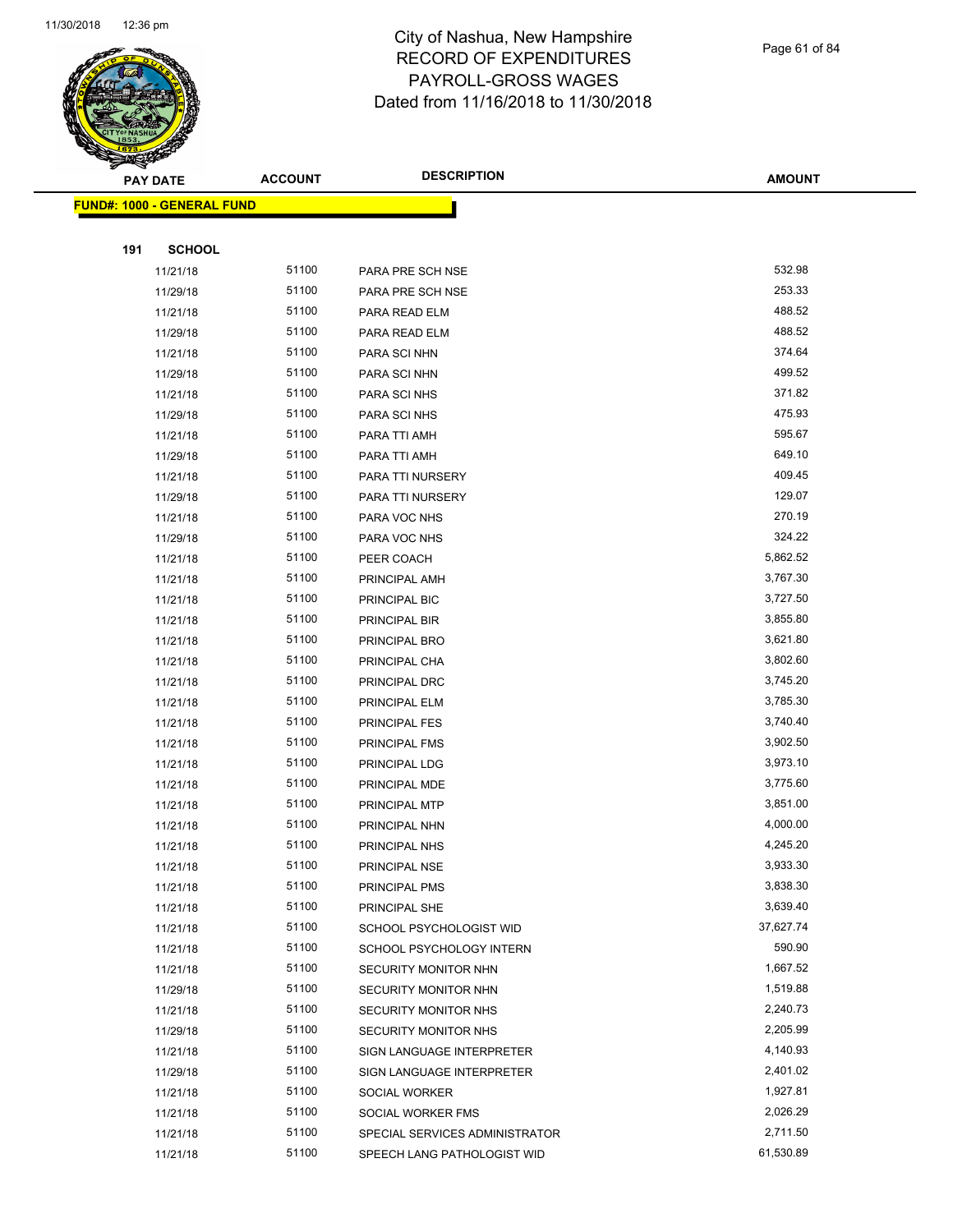

Page 61 of 84

| <b>PAY DATE</b>                   | <b>ACCOUNT</b> | <b>DESCRIPTION</b>             | <b>AMOUNT</b> |
|-----------------------------------|----------------|--------------------------------|---------------|
| <b>FUND#: 1000 - GENERAL FUND</b> |                |                                |               |
|                                   |                |                                |               |
| 191<br><b>SCHOOL</b>              |                |                                |               |
| 11/21/18                          | 51100          | PARA PRE SCH NSE               | 532.98        |
| 11/29/18                          | 51100          | PARA PRE SCH NSE               | 253.33        |
| 11/21/18                          | 51100          | PARA READ ELM                  | 488.52        |
| 11/29/18                          | 51100          | PARA READ ELM                  | 488.52        |
| 11/21/18                          | 51100          | PARA SCI NHN                   | 374.64        |
| 11/29/18                          | 51100          | PARA SCI NHN                   | 499.52        |
| 11/21/18                          | 51100          | PARA SCI NHS                   | 371.82        |
| 11/29/18                          | 51100          | PARA SCI NHS                   | 475.93        |
| 11/21/18                          | 51100          | PARA TTI AMH                   | 595.67        |
| 11/29/18                          | 51100          | PARA TTI AMH                   | 649.10        |
| 11/21/18                          | 51100          | PARA TTI NURSERY               | 409.45        |
| 11/29/18                          | 51100          | PARA TTI NURSERY               | 129.07        |
| 11/21/18                          | 51100          | PARA VOC NHS                   | 270.19        |
| 11/29/18                          | 51100          | PARA VOC NHS                   | 324.22        |
| 11/21/18                          | 51100          | PEER COACH                     | 5,862.52      |
| 11/21/18                          | 51100          | PRINCIPAL AMH                  | 3,767.30      |
| 11/21/18                          | 51100          | PRINCIPAL BIC                  | 3,727.50      |
| 11/21/18                          | 51100          | PRINCIPAL BIR                  | 3,855.80      |
| 11/21/18                          | 51100          | PRINCIPAL BRO                  | 3,621.80      |
| 11/21/18                          | 51100          | PRINCIPAL CHA                  | 3,802.60      |
| 11/21/18                          | 51100          | PRINCIPAL DRC                  | 3,745.20      |
| 11/21/18                          | 51100          | PRINCIPAL ELM                  | 3,785.30      |
| 11/21/18                          | 51100          | <b>PRINCIPAL FES</b>           | 3,740.40      |
| 11/21/18                          | 51100          | PRINCIPAL FMS                  | 3,902.50      |
| 11/21/18                          | 51100          | PRINCIPAL LDG                  | 3,973.10      |
| 11/21/18                          | 51100          | PRINCIPAL MDE                  | 3,775.60      |
| 11/21/18                          | 51100          | PRINCIPAL MTP                  | 3,851.00      |
| 11/21/18                          | 51100          | PRINCIPAL NHN                  | 4,000.00      |
| 11/21/18                          | 51100          | PRINCIPAL NHS                  | 4,245.20      |
| 11/21/18                          | 51100          | PRINCIPAL NSE                  | 3,933.30      |
| 11/21/18                          | 51100          | PRINCIPAL PMS                  | 3,838.30      |
| 11/21/18                          | 51100          | PRINCIPAL SHE                  | 3,639.40      |
| 11/21/18                          | 51100          | SCHOOL PSYCHOLOGIST WID        | 37,627.74     |
| 11/21/18                          | 51100          | SCHOOL PSYCHOLOGY INTERN       | 590.90        |
| 11/21/18                          | 51100          | SECURITY MONITOR NHN           | 1,667.52      |
| 11/29/18                          | 51100          | SECURITY MONITOR NHN           | 1,519.88      |
| 11/21/18                          | 51100          | SECURITY MONITOR NHS           | 2,240.73      |
| 11/29/18                          | 51100          | SECURITY MONITOR NHS           | 2,205.99      |
| 11/21/18                          | 51100          | SIGN LANGUAGE INTERPRETER      | 4,140.93      |
| 11/29/18                          | 51100          | SIGN LANGUAGE INTERPRETER      | 2,401.02      |
| 11/21/18                          | 51100          | SOCIAL WORKER                  | 1,927.81      |
| 11/21/18                          | 51100          | SOCIAL WORKER FMS              | 2,026.29      |
| 11/21/18                          | 51100          | SPECIAL SERVICES ADMINISTRATOR | 2,711.50      |
| 11/21/18                          | 51100          | SPEECH LANG PATHOLOGIST WID    | 61,530.89     |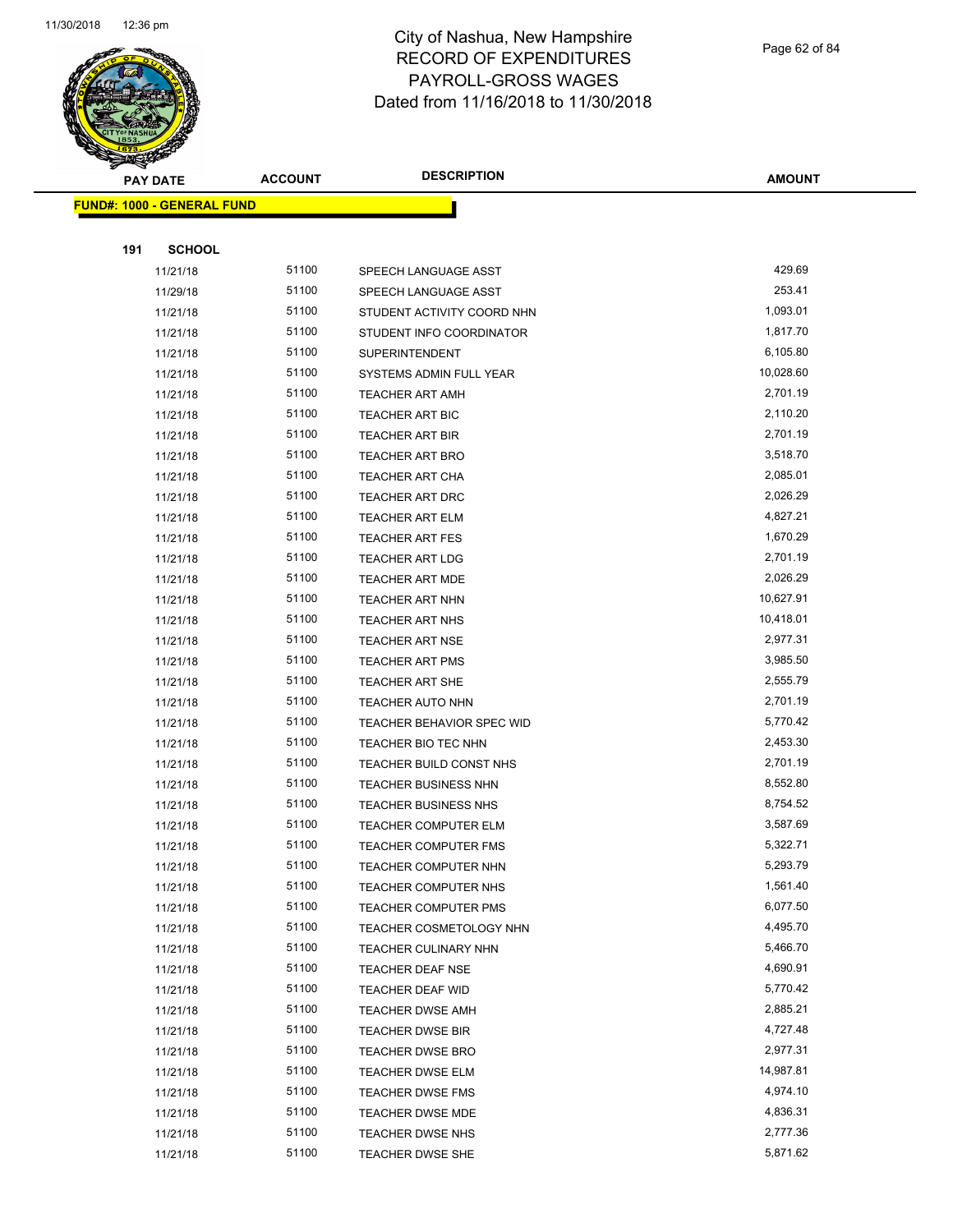

Page 62 of 84

| <b>PAY DATE</b>                   | <b>ACCOUNT</b> | <b>DESCRIPTION</b>          | <b>AMOUNT</b> |
|-----------------------------------|----------------|-----------------------------|---------------|
| <b>FUND#: 1000 - GENERAL FUND</b> |                |                             |               |
|                                   |                |                             |               |
| 191<br><b>SCHOOL</b>              |                |                             |               |
| 11/21/18                          | 51100          | SPEECH LANGUAGE ASST        | 429.69        |
| 11/29/18                          | 51100          | SPEECH LANGUAGE ASST        | 253.41        |
| 11/21/18                          | 51100          | STUDENT ACTIVITY COORD NHN  | 1,093.01      |
| 11/21/18                          | 51100          | STUDENT INFO COORDINATOR    | 1,817.70      |
| 11/21/18                          | 51100          | <b>SUPERINTENDENT</b>       | 6,105.80      |
| 11/21/18                          | 51100          | SYSTEMS ADMIN FULL YEAR     | 10,028.60     |
| 11/21/18                          | 51100          | <b>TEACHER ART AMH</b>      | 2,701.19      |
| 11/21/18                          | 51100          | TEACHER ART BIC             | 2,110.20      |
| 11/21/18                          | 51100          | <b>TEACHER ART BIR</b>      | 2,701.19      |
| 11/21/18                          | 51100          | <b>TEACHER ART BRO</b>      | 3,518.70      |
| 11/21/18                          | 51100          | <b>TEACHER ART CHA</b>      | 2,085.01      |
| 11/21/18                          | 51100          | <b>TEACHER ART DRC</b>      | 2,026.29      |
| 11/21/18                          | 51100          | <b>TEACHER ART ELM</b>      | 4,827.21      |
| 11/21/18                          | 51100          | <b>TEACHER ART FES</b>      | 1,670.29      |
| 11/21/18                          | 51100          | <b>TEACHER ART LDG</b>      | 2,701.19      |
| 11/21/18                          | 51100          | <b>TEACHER ART MDE</b>      | 2,026.29      |
| 11/21/18                          | 51100          | <b>TEACHER ART NHN</b>      | 10,627.91     |
| 11/21/18                          | 51100          | TEACHER ART NHS             | 10,418.01     |
| 11/21/18                          | 51100          | <b>TEACHER ART NSE</b>      | 2,977.31      |
| 11/21/18                          | 51100          | <b>TEACHER ART PMS</b>      | 3,985.50      |
| 11/21/18                          | 51100          | <b>TEACHER ART SHE</b>      | 2,555.79      |
| 11/21/18                          | 51100          | TEACHER AUTO NHN            | 2,701.19      |
| 11/21/18                          | 51100          | TEACHER BEHAVIOR SPEC WID   | 5,770.42      |
| 11/21/18                          | 51100          | TEACHER BIO TEC NHN         | 2,453.30      |
| 11/21/18                          | 51100          | TEACHER BUILD CONST NHS     | 2,701.19      |
| 11/21/18                          | 51100          | <b>TEACHER BUSINESS NHN</b> | 8,552.80      |
| 11/21/18                          | 51100          | <b>TEACHER BUSINESS NHS</b> | 8,754.52      |
| 11/21/18                          | 51100          | <b>TEACHER COMPUTER ELM</b> | 3,587.69      |
| 11/21/18                          | 51100          | <b>TEACHER COMPUTER FMS</b> | 5,322.71      |
| 11/21/18                          | 51100          | <b>TEACHER COMPUTER NHN</b> | 5,293.79      |
| 11/21/18                          | 51100          | TEACHER COMPUTER NHS        | 1,561.40      |
| 11/21/18                          | 51100          | <b>TEACHER COMPUTER PMS</b> | 6,077.50      |
| 11/21/18                          | 51100          | TEACHER COSMETOLOGY NHN     | 4,495.70      |
| 11/21/18                          | 51100          | TEACHER CULINARY NHN        | 5,466.70      |
| 11/21/18                          | 51100          | TEACHER DEAF NSE            | 4,690.91      |
| 11/21/18                          | 51100          | <b>TEACHER DEAF WID</b>     | 5,770.42      |
| 11/21/18                          | 51100          | <b>TEACHER DWSE AMH</b>     | 2,885.21      |
| 11/21/18                          | 51100          | <b>TEACHER DWSE BIR</b>     | 4,727.48      |
| 11/21/18                          | 51100          | <b>TEACHER DWSE BRO</b>     | 2,977.31      |
| 11/21/18                          | 51100          | <b>TEACHER DWSE ELM</b>     | 14,987.81     |
| 11/21/18                          | 51100          | <b>TEACHER DWSE FMS</b>     | 4,974.10      |
| 11/21/18                          | 51100          | TEACHER DWSE MDE            | 4,836.31      |
| 11/21/18                          | 51100          | TEACHER DWSE NHS            | 2,777.36      |
| 11/21/18                          | 51100          | TEACHER DWSE SHE            | 5,871.62      |
|                                   |                |                             |               |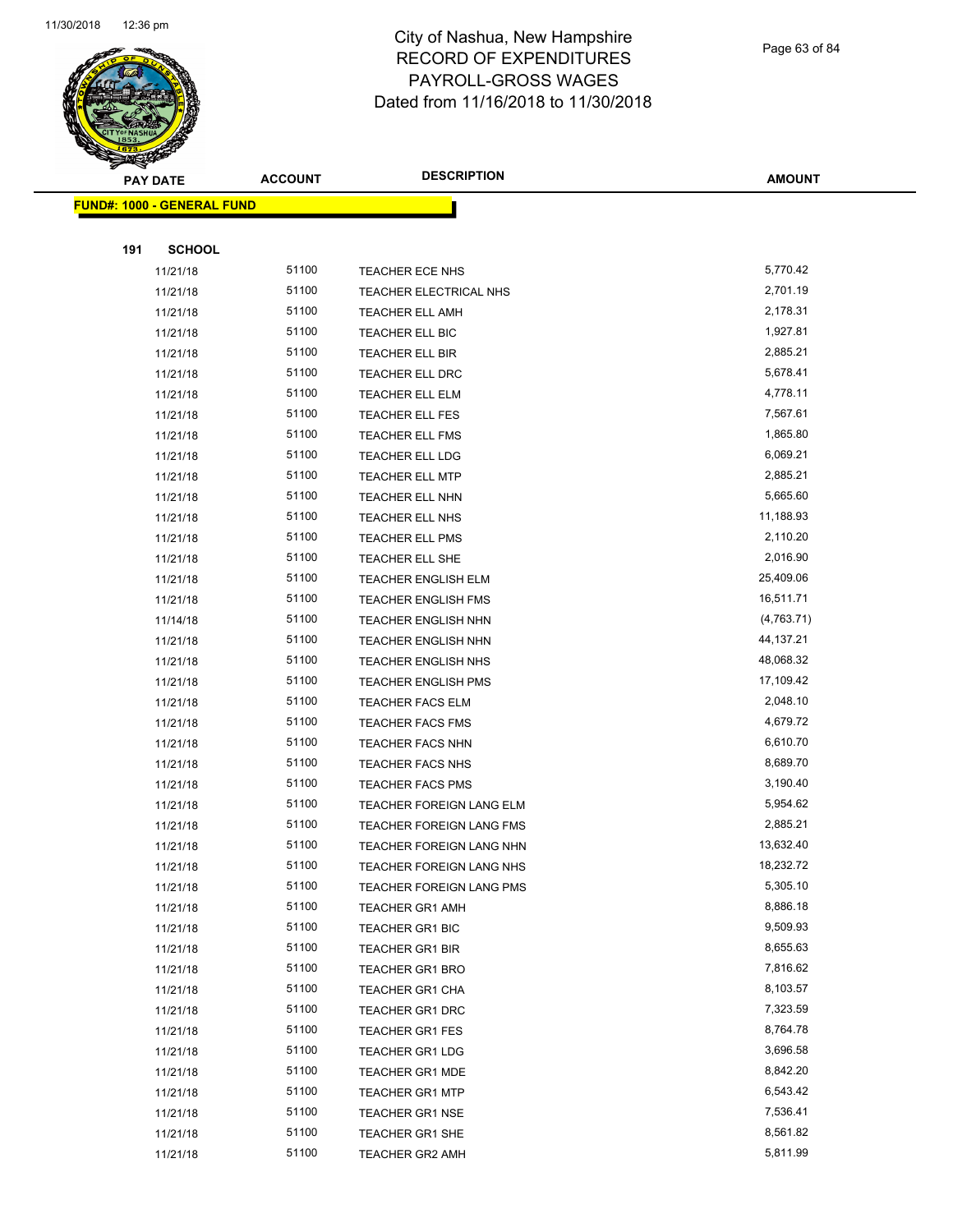

Page 63 of 84

| <b>PAY DATE</b>                   | <b>ACCOUNT</b> | <b>DESCRIPTION</b>         | <b>AMOUNT</b> |
|-----------------------------------|----------------|----------------------------|---------------|
| <b>FUND#: 1000 - GENERAL FUND</b> |                |                            |               |
|                                   |                |                            |               |
| <b>SCHOOL</b><br>191              |                |                            |               |
| 11/21/18                          | 51100          | TEACHER ECE NHS            | 5,770.42      |
| 11/21/18                          | 51100          | TEACHER ELECTRICAL NHS     | 2,701.19      |
| 11/21/18                          | 51100          | <b>TEACHER ELL AMH</b>     | 2,178.31      |
| 11/21/18                          | 51100          | TEACHER ELL BIC            | 1,927.81      |
| 11/21/18                          | 51100          | <b>TEACHER ELL BIR</b>     | 2,885.21      |
| 11/21/18                          | 51100          | <b>TEACHER ELL DRC</b>     | 5,678.41      |
| 11/21/18                          | 51100          | <b>TEACHER ELL ELM</b>     | 4,778.11      |
| 11/21/18                          | 51100          | <b>TEACHER ELL FES</b>     | 7,567.61      |
| 11/21/18                          | 51100          | <b>TEACHER ELL FMS</b>     | 1,865.80      |
| 11/21/18                          | 51100          | TEACHER ELL LDG            | 6,069.21      |
| 11/21/18                          | 51100          | TEACHER ELL MTP            | 2,885.21      |
| 11/21/18                          | 51100          | <b>TEACHER ELL NHN</b>     | 5,665.60      |
| 11/21/18                          | 51100          | <b>TEACHER ELL NHS</b>     | 11,188.93     |
| 11/21/18                          | 51100          | <b>TEACHER ELL PMS</b>     | 2,110.20      |
| 11/21/18                          | 51100          | TEACHER ELL SHE            | 2,016.90      |
| 11/21/18                          | 51100          | <b>TEACHER ENGLISH ELM</b> | 25,409.06     |
| 11/21/18                          | 51100          | <b>TEACHER ENGLISH FMS</b> | 16,511.71     |
| 11/14/18                          | 51100          | <b>TEACHER ENGLISH NHN</b> | (4,763.71)    |
| 11/21/18                          | 51100          | <b>TEACHER ENGLISH NHN</b> | 44,137.21     |
| 11/21/18                          | 51100          | <b>TEACHER ENGLISH NHS</b> | 48,068.32     |
| 11/21/18                          | 51100          | <b>TEACHER ENGLISH PMS</b> | 17,109.42     |
| 11/21/18                          | 51100          | <b>TEACHER FACS ELM</b>    | 2,048.10      |
| 11/21/18                          | 51100          | <b>TEACHER FACS FMS</b>    | 4,679.72      |
| 11/21/18                          | 51100          | <b>TEACHER FACS NHN</b>    | 6,610.70      |
| 11/21/18                          | 51100          | <b>TEACHER FACS NHS</b>    | 8,689.70      |
| 11/21/18                          | 51100          | <b>TEACHER FACS PMS</b>    | 3,190.40      |
| 11/21/18                          | 51100          | TEACHER FOREIGN LANG ELM   | 5,954.62      |
| 11/21/18                          | 51100          | TEACHER FOREIGN LANG FMS   | 2,885.21      |
| 11/21/18                          | 51100          | TEACHER FOREIGN LANG NHN   | 13,632.40     |
| 11/21/18                          | 51100          | TEACHER FOREIGN LANG NHS   | 18,232.72     |
| 11/21/18                          | 51100          | TEACHER FOREIGN LANG PMS   | 5,305.10      |
| 11/21/18                          | 51100          | <b>TEACHER GR1 AMH</b>     | 8,886.18      |
| 11/21/18                          | 51100          | <b>TEACHER GR1 BIC</b>     | 9,509.93      |
| 11/21/18                          | 51100          | <b>TEACHER GR1 BIR</b>     | 8,655.63      |
| 11/21/18                          | 51100          | <b>TEACHER GR1 BRO</b>     | 7,816.62      |
| 11/21/18                          | 51100          | TEACHER GR1 CHA            | 8,103.57      |
| 11/21/18                          | 51100          | <b>TEACHER GR1 DRC</b>     | 7,323.59      |
| 11/21/18                          | 51100          | TEACHER GR1 FES            | 8,764.78      |
| 11/21/18                          | 51100          | TEACHER GR1 LDG            | 3,696.58      |
| 11/21/18                          | 51100          | <b>TEACHER GR1 MDE</b>     | 8,842.20      |
| 11/21/18                          | 51100          | <b>TEACHER GR1 MTP</b>     | 6,543.42      |
| 11/21/18                          | 51100          | <b>TEACHER GR1 NSE</b>     | 7,536.41      |
| 11/21/18                          | 51100          | TEACHER GR1 SHE            | 8,561.82      |
| 11/21/18                          | 51100          | <b>TEACHER GR2 AMH</b>     | 5,811.99      |
|                                   |                |                            |               |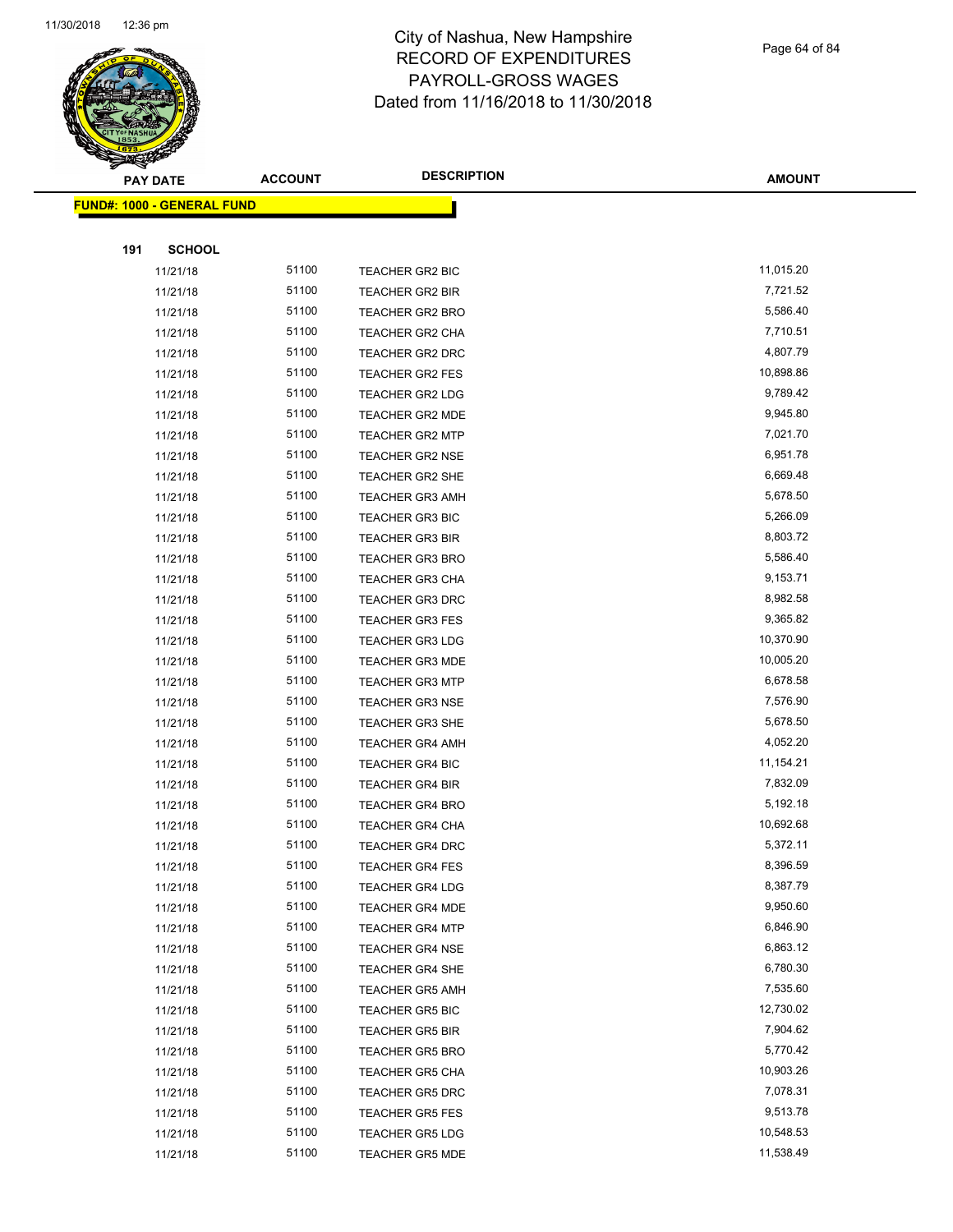

Page 64 of 84

| <b>PAY DATE</b>                   | <b>ACCOUNT</b> | <b>DESCRIPTION</b>     | <b>AMOUNT</b> |
|-----------------------------------|----------------|------------------------|---------------|
| <b>FUND#: 1000 - GENERAL FUND</b> |                |                        |               |
|                                   |                |                        |               |
| 191<br><b>SCHOOL</b>              |                |                        |               |
| 11/21/18                          | 51100          | TEACHER GR2 BIC        | 11,015.20     |
| 11/21/18                          | 51100          | TEACHER GR2 BIR        | 7,721.52      |
| 11/21/18                          | 51100          | <b>TEACHER GR2 BRO</b> | 5,586.40      |
| 11/21/18                          | 51100          | TEACHER GR2 CHA        | 7,710.51      |
| 11/21/18                          | 51100          | TEACHER GR2 DRC        | 4,807.79      |
| 11/21/18                          | 51100          | TEACHER GR2 FES        | 10,898.86     |
| 11/21/18                          | 51100          | <b>TEACHER GR2 LDG</b> | 9,789.42      |
| 11/21/18                          | 51100          | <b>TEACHER GR2 MDE</b> | 9,945.80      |
| 11/21/18                          | 51100          | <b>TEACHER GR2 MTP</b> | 7,021.70      |
| 11/21/18                          | 51100          | TEACHER GR2 NSE        | 6,951.78      |
| 11/21/18                          | 51100          | TEACHER GR2 SHE        | 6,669.48      |
| 11/21/18                          | 51100          | <b>TEACHER GR3 AMH</b> | 5,678.50      |
| 11/21/18                          | 51100          | <b>TEACHER GR3 BIC</b> | 5,266.09      |
| 11/21/18                          | 51100          | <b>TEACHER GR3 BIR</b> | 8,803.72      |
| 11/21/18                          | 51100          | <b>TEACHER GR3 BRO</b> | 5,586.40      |
| 11/21/18                          | 51100          | TEACHER GR3 CHA        | 9,153.71      |
| 11/21/18                          | 51100          | <b>TEACHER GR3 DRC</b> | 8,982.58      |
| 11/21/18                          | 51100          | <b>TEACHER GR3 FES</b> | 9,365.82      |
| 11/21/18                          | 51100          | <b>TEACHER GR3 LDG</b> | 10,370.90     |
| 11/21/18                          | 51100          | <b>TEACHER GR3 MDE</b> | 10,005.20     |
| 11/21/18                          | 51100          | <b>TEACHER GR3 MTP</b> | 6,678.58      |
| 11/21/18                          | 51100          | <b>TEACHER GR3 NSE</b> | 7,576.90      |
| 11/21/18                          | 51100          | <b>TEACHER GR3 SHE</b> | 5,678.50      |
| 11/21/18                          | 51100          | <b>TEACHER GR4 AMH</b> | 4,052.20      |
| 11/21/18                          | 51100          | TEACHER GR4 BIC        | 11,154.21     |
| 11/21/18                          | 51100          | <b>TEACHER GR4 BIR</b> | 7,832.09      |
| 11/21/18                          | 51100          | <b>TEACHER GR4 BRO</b> | 5,192.18      |
| 11/21/18                          | 51100          | TEACHER GR4 CHA        | 10,692.68     |
| 11/21/18                          | 51100          | <b>TEACHER GR4 DRC</b> | 5,372.11      |
| 11/21/18                          | 51100          | TEACHER GR4 FES        | 8,396.59      |
| 11/21/18                          | 51100          | <b>TEACHER GR4 LDG</b> | 8,387.79      |
| 11/21/18                          | 51100          | <b>TEACHER GR4 MDE</b> | 9,950.60      |
| 11/21/18                          | 51100          | <b>TEACHER GR4 MTP</b> | 6,846.90      |
| 11/21/18                          | 51100          | <b>TEACHER GR4 NSE</b> | 6,863.12      |
| 11/21/18                          | 51100          | TEACHER GR4 SHE        | 6,780.30      |
| 11/21/18                          | 51100          | <b>TEACHER GR5 AMH</b> | 7,535.60      |
| 11/21/18                          | 51100          | <b>TEACHER GR5 BIC</b> | 12,730.02     |
| 11/21/18                          | 51100          | <b>TEACHER GR5 BIR</b> | 7,904.62      |
| 11/21/18                          | 51100          | <b>TEACHER GR5 BRO</b> | 5,770.42      |
| 11/21/18                          | 51100          | <b>TEACHER GR5 CHA</b> | 10,903.26     |
| 11/21/18                          | 51100          | <b>TEACHER GR5 DRC</b> | 7,078.31      |
| 11/21/18                          | 51100          | <b>TEACHER GR5 FES</b> | 9,513.78      |
| 11/21/18                          | 51100          | <b>TEACHER GR5 LDG</b> | 10,548.53     |
| 11/21/18                          | 51100          | TEACHER GR5 MDE        | 11,538.49     |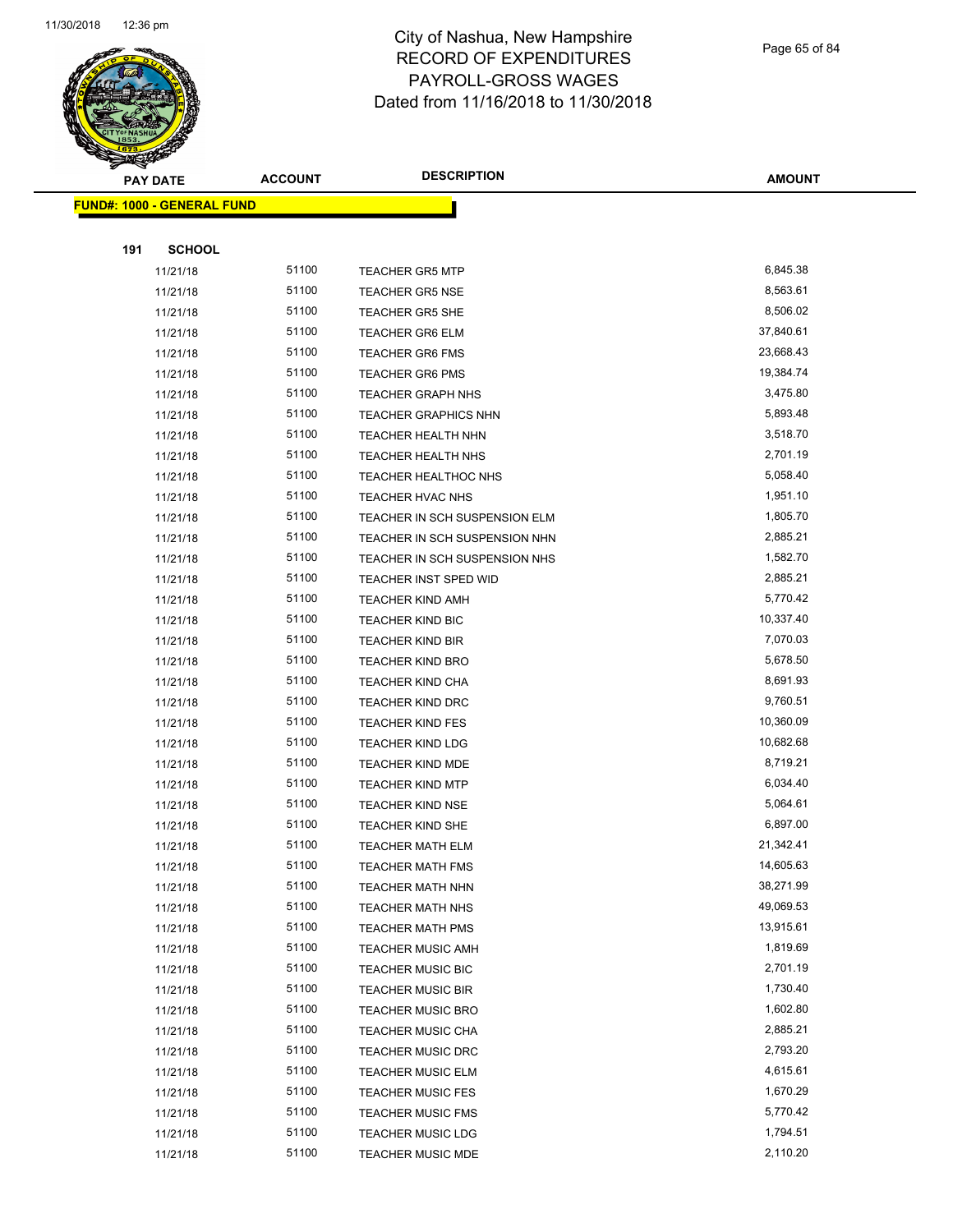

Page 65 of 84

| <b>PAY DATE</b>      | <b>ACCOUNT</b>                                                                   | <b>DESCRIPTION</b>                                  | <b>AMOUNT</b>                                                                                                                                            |
|----------------------|----------------------------------------------------------------------------------|-----------------------------------------------------|----------------------------------------------------------------------------------------------------------------------------------------------------------|
|                      |                                                                                  |                                                     |                                                                                                                                                          |
|                      |                                                                                  |                                                     |                                                                                                                                                          |
| 191<br><b>SCHOOL</b> |                                                                                  |                                                     |                                                                                                                                                          |
|                      | 51100                                                                            |                                                     | 6,845.38                                                                                                                                                 |
|                      | 51100                                                                            |                                                     | 8,563.61                                                                                                                                                 |
|                      |                                                                                  |                                                     | 8,506.02                                                                                                                                                 |
|                      |                                                                                  |                                                     | 37,840.61                                                                                                                                                |
|                      | 51100                                                                            |                                                     | 23,668.43                                                                                                                                                |
|                      | 51100                                                                            |                                                     | 19,384.74                                                                                                                                                |
|                      | 51100                                                                            | TEACHER GRAPH NHS                                   | 3,475.80                                                                                                                                                 |
| 11/21/18             | 51100                                                                            | <b>TEACHER GRAPHICS NHN</b>                         | 5,893.48                                                                                                                                                 |
| 11/21/18             | 51100                                                                            | TEACHER HEALTH NHN                                  | 3,518.70                                                                                                                                                 |
| 11/21/18             | 51100                                                                            | TEACHER HEALTH NHS                                  | 2,701.19                                                                                                                                                 |
| 11/21/18             | 51100                                                                            | TEACHER HEALTHOC NHS                                | 5,058.40                                                                                                                                                 |
| 11/21/18             | 51100                                                                            | TEACHER HVAC NHS                                    | 1,951.10                                                                                                                                                 |
| 11/21/18             | 51100                                                                            | TEACHER IN SCH SUSPENSION ELM                       | 1,805.70                                                                                                                                                 |
| 11/21/18             | 51100                                                                            | TEACHER IN SCH SUSPENSION NHN                       | 2,885.21                                                                                                                                                 |
| 11/21/18             | 51100                                                                            | TEACHER IN SCH SUSPENSION NHS                       | 1,582.70                                                                                                                                                 |
| 11/21/18             | 51100                                                                            | TEACHER INST SPED WID                               | 2,885.21                                                                                                                                                 |
| 11/21/18             | 51100                                                                            | <b>TEACHER KIND AMH</b>                             | 5,770.42                                                                                                                                                 |
| 11/21/18             | 51100                                                                            | <b>TEACHER KIND BIC</b>                             | 10,337.40                                                                                                                                                |
| 11/21/18             | 51100                                                                            | <b>TEACHER KIND BIR</b>                             | 7,070.03                                                                                                                                                 |
| 11/21/18             | 51100                                                                            | <b>TEACHER KIND BRO</b>                             | 5,678.50                                                                                                                                                 |
| 11/21/18             | 51100                                                                            | <b>TEACHER KIND CHA</b>                             | 8,691.93                                                                                                                                                 |
| 11/21/18             | 51100                                                                            | <b>TEACHER KIND DRC</b>                             | 9,760.51                                                                                                                                                 |
| 11/21/18             | 51100                                                                            | <b>TEACHER KIND FES</b>                             | 10,360.09                                                                                                                                                |
| 11/21/18             | 51100                                                                            | <b>TEACHER KIND LDG</b>                             | 10,682.68                                                                                                                                                |
| 11/21/18             | 51100                                                                            | <b>TEACHER KIND MDE</b>                             | 8,719.21                                                                                                                                                 |
| 11/21/18             | 51100                                                                            | <b>TEACHER KIND MTP</b>                             | 6,034.40                                                                                                                                                 |
| 11/21/18             | 51100                                                                            | <b>TEACHER KIND NSE</b>                             | 5,064.61                                                                                                                                                 |
| 11/21/18             | 51100                                                                            | <b>TEACHER KIND SHE</b>                             | 6,897.00                                                                                                                                                 |
| 11/21/18             | 51100                                                                            | <b>TEACHER MATH ELM</b>                             | 21,342.41                                                                                                                                                |
| 11/21/18             | 51100                                                                            | <b>TEACHER MATH FMS</b>                             | 14,605.63                                                                                                                                                |
| 11/21/18             | 51100                                                                            | <b>TEACHER MATH NHN</b>                             | 38,271.99                                                                                                                                                |
| 11/21/18             | 51100                                                                            | <b>TEACHER MATH NHS</b>                             | 49,069.53                                                                                                                                                |
| 11/21/18             | 51100                                                                            | <b>TEACHER MATH PMS</b>                             | 13,915.61                                                                                                                                                |
| 11/21/18             | 51100                                                                            | <b>TEACHER MUSIC AMH</b>                            | 1,819.69                                                                                                                                                 |
| 11/21/18             | 51100                                                                            | <b>TEACHER MUSIC BIC</b>                            | 2,701.19                                                                                                                                                 |
| 11/21/18             | 51100                                                                            | <b>TEACHER MUSIC BIR</b>                            | 1,730.40                                                                                                                                                 |
| 11/21/18             | 51100                                                                            | <b>TEACHER MUSIC BRO</b>                            | 1,602.80                                                                                                                                                 |
| 11/21/18             | 51100                                                                            | <b>TEACHER MUSIC CHA</b>                            | 2,885.21                                                                                                                                                 |
| 11/21/18             | 51100                                                                            | <b>TEACHER MUSIC DRC</b>                            | 2,793.20                                                                                                                                                 |
| 11/21/18             | 51100                                                                            | <b>TEACHER MUSIC ELM</b>                            | 4,615.61                                                                                                                                                 |
| 11/21/18             | 51100                                                                            | <b>TEACHER MUSIC FES</b>                            | 1,670.29                                                                                                                                                 |
| 11/21/18             | 51100                                                                            | <b>TEACHER MUSIC FMS</b>                            | 5,770.42                                                                                                                                                 |
| 11/21/18             | 51100                                                                            | <b>TEACHER MUSIC LDG</b>                            | 1,794.51                                                                                                                                                 |
| 11/21/18             | 51100                                                                            | <b>TEACHER MUSIC MDE</b>                            | 2,110.20                                                                                                                                                 |
|                      | 11/21/18<br>11/21/18<br>11/21/18<br>11/21/18<br>11/21/18<br>11/21/18<br>11/21/18 | <b>FUND#: 1000 - GENERAL FUND</b><br>51100<br>51100 | <b>TEACHER GR5 MTP</b><br><b>TEACHER GR5 NSE</b><br><b>TEACHER GR5 SHE</b><br><b>TEACHER GR6 ELM</b><br><b>TEACHER GR6 FMS</b><br><b>TEACHER GR6 PMS</b> |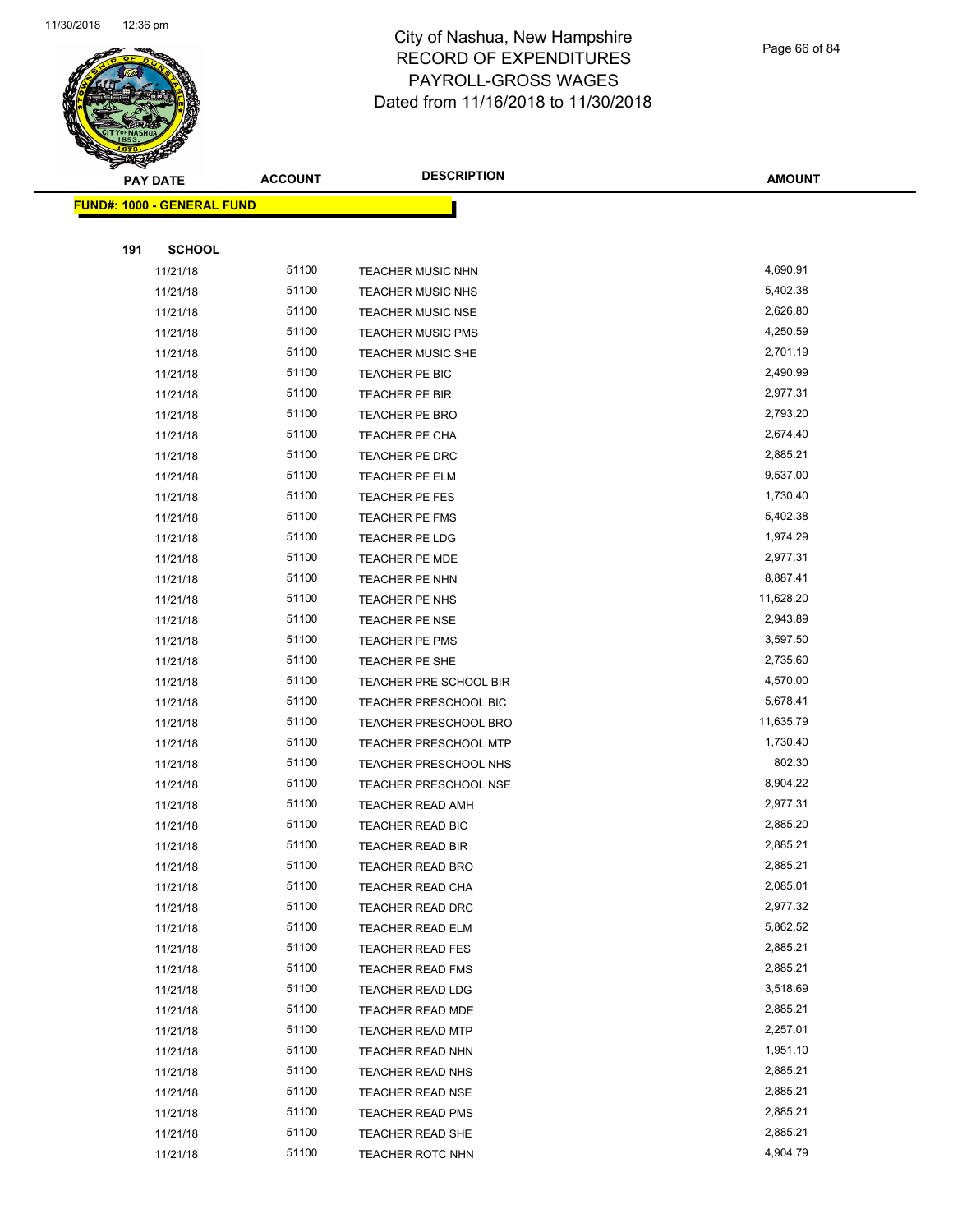

Page 66 of 84

| <b>PAY DATE</b>                   | <b>ACCOUNT</b> | <b>DESCRIPTION</b>           | <b>AMOUNT</b> |
|-----------------------------------|----------------|------------------------------|---------------|
| <b>FUND#: 1000 - GENERAL FUND</b> |                |                              |               |
|                                   |                |                              |               |
| 191<br><b>SCHOOL</b>              |                |                              |               |
| 11/21/18                          | 51100          | <b>TEACHER MUSIC NHN</b>     | 4,690.91      |
| 11/21/18                          | 51100          | <b>TEACHER MUSIC NHS</b>     | 5,402.38      |
| 11/21/18                          | 51100          | <b>TEACHER MUSIC NSE</b>     | 2,626.80      |
| 11/21/18                          | 51100          | <b>TEACHER MUSIC PMS</b>     | 4,250.59      |
| 11/21/18                          | 51100          | <b>TEACHER MUSIC SHE</b>     | 2,701.19      |
| 11/21/18                          | 51100          | TEACHER PE BIC               | 2,490.99      |
| 11/21/18                          | 51100          | TEACHER PE BIR               | 2,977.31      |
| 11/21/18                          | 51100          | TEACHER PE BRO               | 2,793.20      |
| 11/21/18                          | 51100          | TEACHER PE CHA               | 2,674.40      |
| 11/21/18                          | 51100          | TEACHER PE DRC               | 2,885.21      |
| 11/21/18                          | 51100          | TEACHER PE ELM               | 9,537.00      |
| 11/21/18                          | 51100          | TEACHER PE FES               | 1,730.40      |
| 11/21/18                          | 51100          | TEACHER PE FMS               | 5,402.38      |
| 11/21/18                          | 51100          | TEACHER PE LDG               | 1,974.29      |
| 11/21/18                          | 51100          | TEACHER PE MDE               | 2,977.31      |
| 11/21/18                          | 51100          | TEACHER PE NHN               | 8,887.41      |
| 11/21/18                          | 51100          | TEACHER PE NHS               | 11,628.20     |
| 11/21/18                          | 51100          | <b>TEACHER PE NSE</b>        | 2,943.89      |
| 11/21/18                          | 51100          | TEACHER PE PMS               | 3,597.50      |
| 11/21/18                          | 51100          | TEACHER PE SHE               | 2,735.60      |
| 11/21/18                          | 51100          | TEACHER PRE SCHOOL BIR       | 4,570.00      |
| 11/21/18                          | 51100          | TEACHER PRESCHOOL BIC        | 5,678.41      |
| 11/21/18                          | 51100          | TEACHER PRESCHOOL BRO        | 11,635.79     |
| 11/21/18                          | 51100          | <b>TEACHER PRESCHOOL MTP</b> | 1,730.40      |
| 11/21/18                          | 51100          | <b>TEACHER PRESCHOOL NHS</b> | 802.30        |
| 11/21/18                          | 51100          | <b>TEACHER PRESCHOOL NSE</b> | 8,904.22      |
| 11/21/18                          | 51100          | <b>TEACHER READ AMH</b>      | 2,977.31      |
| 11/21/18                          | 51100          | TEACHER READ BIC             | 2,885.20      |
| 11/21/18                          | 51100          | TEACHER READ BIR             | 2,885.21      |
| 11/21/18                          | 51100          | <b>TEACHER READ BRO</b>      | 2,885.21      |
| 11/21/18                          | 51100          | <b>TEACHER READ CHA</b>      | 2,085.01      |
| 11/21/18                          | 51100          | <b>TEACHER READ DRC</b>      | 2,977.32      |
| 11/21/18                          | 51100          | TEACHER READ ELM             | 5,862.52      |
| 11/21/18                          | 51100          | <b>TEACHER READ FES</b>      | 2,885.21      |
| 11/21/18                          | 51100          | <b>TEACHER READ FMS</b>      | 2,885.21      |
| 11/21/18                          | 51100          | <b>TEACHER READ LDG</b>      | 3,518.69      |
| 11/21/18                          | 51100          | TEACHER READ MDE             | 2,885.21      |
| 11/21/18                          | 51100          | TEACHER READ MTP             | 2,257.01      |
| 11/21/18                          | 51100          | TEACHER READ NHN             | 1,951.10      |
| 11/21/18                          | 51100          | <b>TEACHER READ NHS</b>      | 2,885.21      |
| 11/21/18                          | 51100          | <b>TEACHER READ NSE</b>      | 2,885.21      |
| 11/21/18                          | 51100          | <b>TEACHER READ PMS</b>      | 2,885.21      |
| 11/21/18                          | 51100          | <b>TEACHER READ SHE</b>      | 2,885.21      |
| 11/21/18                          | 51100          | <b>TEACHER ROTC NHN</b>      | 4,904.79      |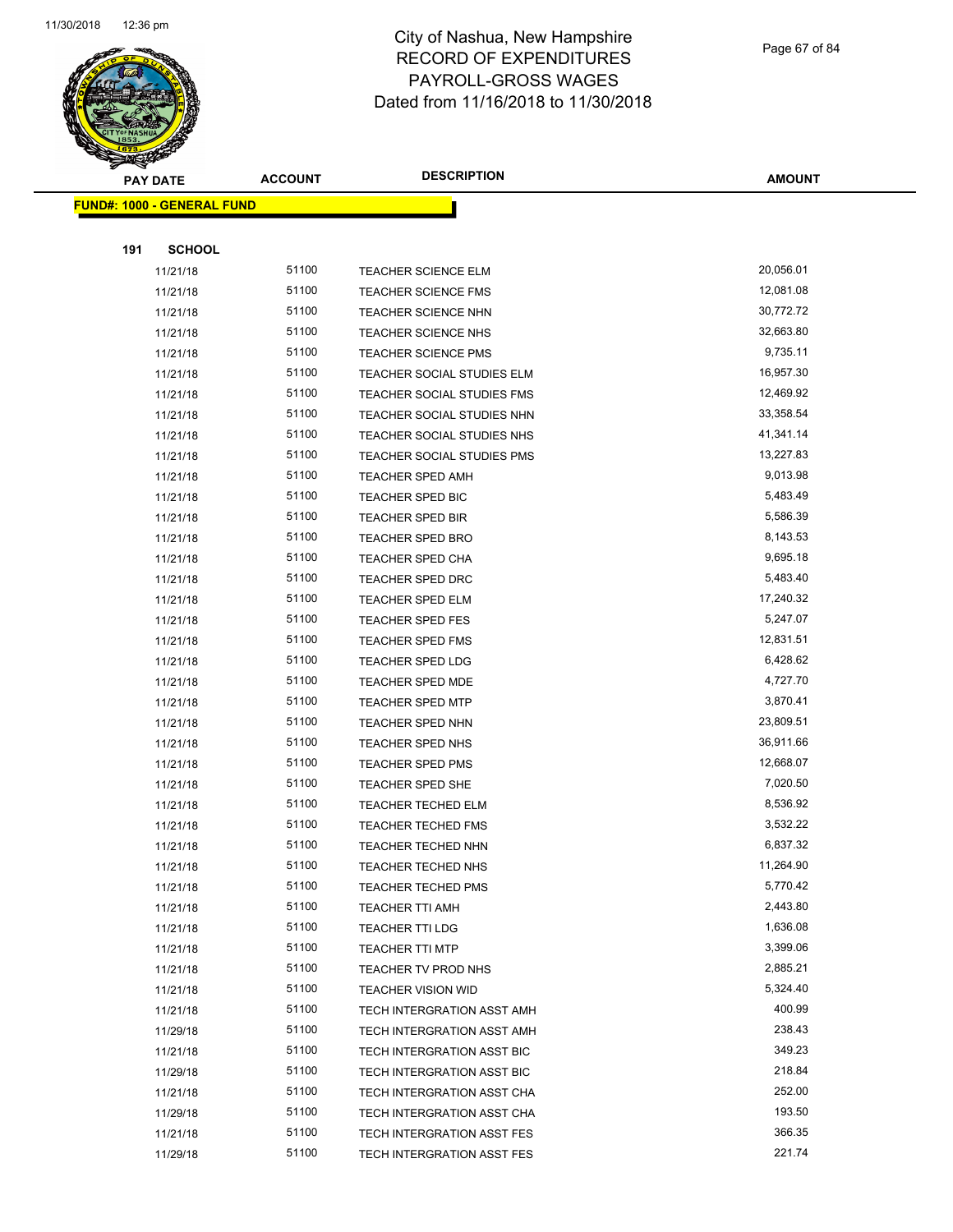

Page 67 of 84

| <b>PAY DATE</b>                   | <b>ACCOUNT</b> | <b>DESCRIPTION</b>         | <b>AMOUNT</b> |
|-----------------------------------|----------------|----------------------------|---------------|
| <b>FUND#: 1000 - GENERAL FUND</b> |                |                            |               |
|                                   |                |                            |               |
| <b>SCHOOL</b><br>191              |                |                            |               |
| 11/21/18                          | 51100          | <b>TEACHER SCIENCE ELM</b> | 20,056.01     |
| 11/21/18                          | 51100          | <b>TEACHER SCIENCE FMS</b> | 12,081.08     |
| 11/21/18                          | 51100          | <b>TEACHER SCIENCE NHN</b> | 30,772.72     |
| 11/21/18                          | 51100          | <b>TEACHER SCIENCE NHS</b> | 32,663.80     |
| 11/21/18                          | 51100          | <b>TEACHER SCIENCE PMS</b> | 9,735.11      |
| 11/21/18                          | 51100          | TEACHER SOCIAL STUDIES ELM | 16,957.30     |
| 11/21/18                          | 51100          | TEACHER SOCIAL STUDIES FMS | 12,469.92     |
| 11/21/18                          | 51100          | TEACHER SOCIAL STUDIES NHN | 33,358.54     |
| 11/21/18                          | 51100          | TEACHER SOCIAL STUDIES NHS | 41,341.14     |
| 11/21/18                          | 51100          | TEACHER SOCIAL STUDIES PMS | 13,227.83     |
| 11/21/18                          | 51100          | <b>TEACHER SPED AMH</b>    | 9,013.98      |
| 11/21/18                          | 51100          | <b>TEACHER SPED BIC</b>    | 5,483.49      |
| 11/21/18                          | 51100          | <b>TEACHER SPED BIR</b>    | 5,586.39      |
| 11/21/18                          | 51100          | <b>TEACHER SPED BRO</b>    | 8,143.53      |
| 11/21/18                          | 51100          | <b>TEACHER SPED CHA</b>    | 9,695.18      |
| 11/21/18                          | 51100          | <b>TEACHER SPED DRC</b>    | 5,483.40      |
| 11/21/18                          | 51100          | <b>TEACHER SPED ELM</b>    | 17,240.32     |
| 11/21/18                          | 51100          | <b>TEACHER SPED FES</b>    | 5,247.07      |
| 11/21/18                          | 51100          | <b>TEACHER SPED FMS</b>    | 12,831.51     |
| 11/21/18                          | 51100          | <b>TEACHER SPED LDG</b>    | 6,428.62      |
| 11/21/18                          | 51100          | <b>TEACHER SPED MDE</b>    | 4,727.70      |
| 11/21/18                          | 51100          | <b>TEACHER SPED MTP</b>    | 3,870.41      |
| 11/21/18                          | 51100          | <b>TEACHER SPED NHN</b>    | 23,809.51     |
| 11/21/18                          | 51100          | <b>TEACHER SPED NHS</b>    | 36,911.66     |
| 11/21/18                          | 51100          | <b>TEACHER SPED PMS</b>    | 12,668.07     |
| 11/21/18                          | 51100          | <b>TEACHER SPED SHE</b>    | 7,020.50      |
| 11/21/18                          | 51100          | <b>TEACHER TECHED ELM</b>  | 8,536.92      |
| 11/21/18                          | 51100          | <b>TEACHER TECHED FMS</b>  | 3,532.22      |
| 11/21/18                          | 51100          | TEACHER TECHED NHN         | 6,837.32      |
| 11/21/18                          | 51100          | <b>TEACHER TECHED NHS</b>  | 11,264.90     |
| 11/21/18                          | 51100          | <b>TEACHER TECHED PMS</b>  | 5,770.42      |
| 11/21/18                          | 51100          | <b>TEACHER TTI AMH</b>     | 2,443.80      |
| 11/21/18                          | 51100          | TEACHER TTI LDG            | 1,636.08      |
| 11/21/18                          | 51100          | <b>TEACHER TTI MTP</b>     | 3,399.06      |
| 11/21/18                          | 51100          | TEACHER TV PROD NHS        | 2,885.21      |
| 11/21/18                          | 51100          | <b>TEACHER VISION WID</b>  | 5,324.40      |
| 11/21/18                          | 51100          | TECH INTERGRATION ASST AMH | 400.99        |
| 11/29/18                          | 51100          | TECH INTERGRATION ASST AMH | 238.43        |
| 11/21/18                          | 51100          | TECH INTERGRATION ASST BIC | 349.23        |
| 11/29/18                          | 51100          | TECH INTERGRATION ASST BIC | 218.84        |
| 11/21/18                          | 51100          | TECH INTERGRATION ASST CHA | 252.00        |
| 11/29/18                          | 51100          | TECH INTERGRATION ASST CHA | 193.50        |
| 11/21/18                          | 51100          | TECH INTERGRATION ASST FES | 366.35        |
| 11/29/18                          | 51100          | TECH INTERGRATION ASST FES | 221.74        |
|                                   |                |                            |               |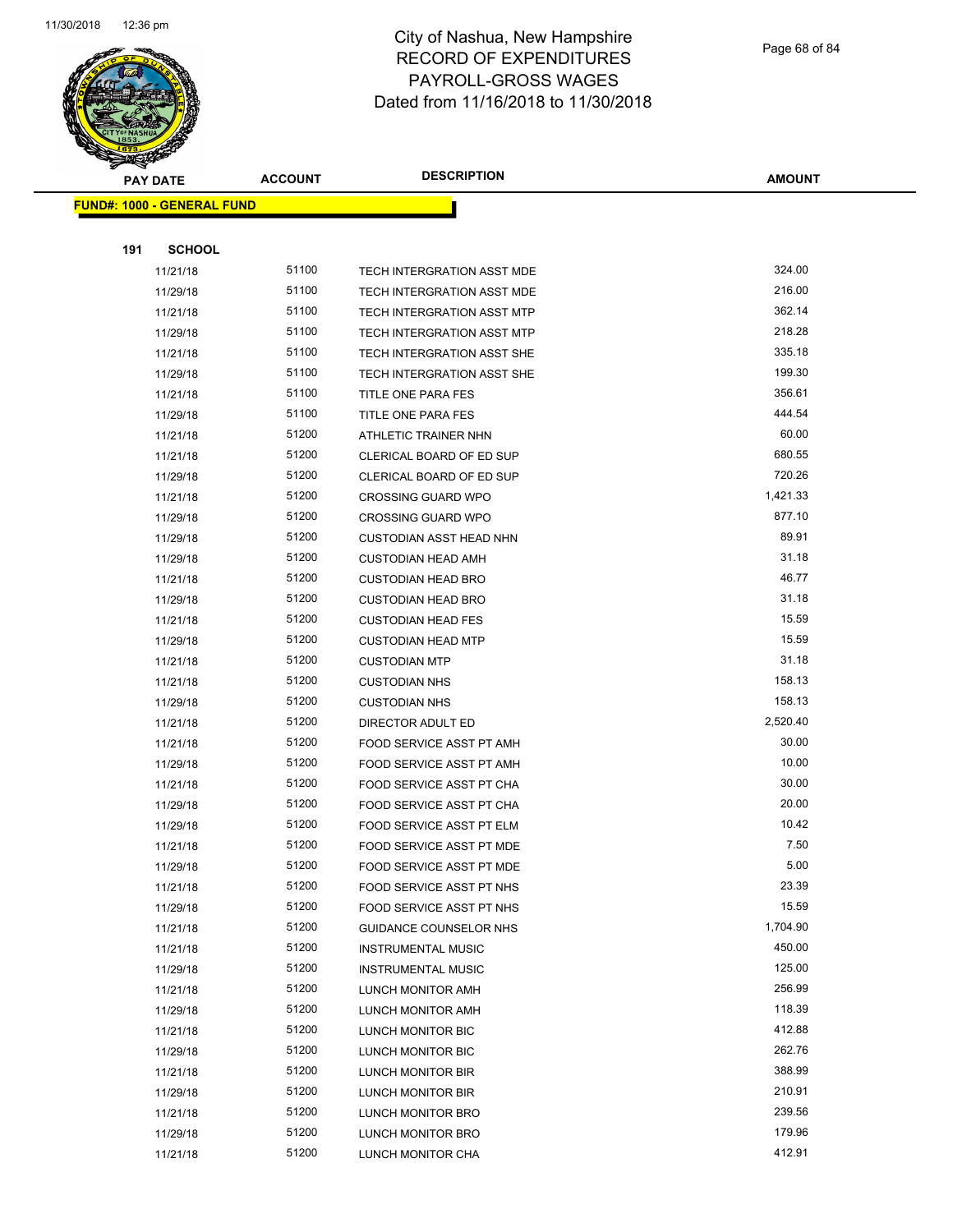

Page 68 of 84

| <b>PAY DATE</b>                   | <b>ACCOUNT</b> | <b>DESCRIPTION</b>             | <b>AMOUNT</b> |
|-----------------------------------|----------------|--------------------------------|---------------|
| <b>FUND#: 1000 - GENERAL FUND</b> |                |                                |               |
|                                   |                |                                |               |
| 191<br><b>SCHOOL</b>              |                |                                |               |
| 11/21/18                          | 51100          | TECH INTERGRATION ASST MDE     | 324.00        |
| 11/29/18                          | 51100          | TECH INTERGRATION ASST MDE     | 216.00        |
| 11/21/18                          | 51100          | TECH INTERGRATION ASST MTP     | 362.14        |
| 11/29/18                          | 51100          | TECH INTERGRATION ASST MTP     | 218.28        |
| 11/21/18                          | 51100          | TECH INTERGRATION ASST SHE     | 335.18        |
| 11/29/18                          | 51100          | TECH INTERGRATION ASST SHE     | 199.30        |
| 11/21/18                          | 51100          | TITLE ONE PARA FES             | 356.61        |
| 11/29/18                          | 51100          | TITLE ONE PARA FES             | 444.54        |
| 11/21/18                          | 51200          | ATHLETIC TRAINER NHN           | 60.00         |
| 11/21/18                          | 51200          | CLERICAL BOARD OF ED SUP       | 680.55        |
| 11/29/18                          | 51200          | CLERICAL BOARD OF ED SUP       | 720.26        |
| 11/21/18                          | 51200          | <b>CROSSING GUARD WPO</b>      | 1,421.33      |
| 11/29/18                          | 51200          | <b>CROSSING GUARD WPO</b>      | 877.10        |
| 11/29/18                          | 51200          | <b>CUSTODIAN ASST HEAD NHN</b> | 89.91         |
| 11/29/18                          | 51200          | <b>CUSTODIAN HEAD AMH</b>      | 31.18         |
| 11/21/18                          | 51200          | <b>CUSTODIAN HEAD BRO</b>      | 46.77         |
| 11/29/18                          | 51200          | <b>CUSTODIAN HEAD BRO</b>      | 31.18         |
| 11/21/18                          | 51200          | <b>CUSTODIAN HEAD FES</b>      | 15.59         |
| 11/29/18                          | 51200          | <b>CUSTODIAN HEAD MTP</b>      | 15.59         |
| 11/21/18                          | 51200          | <b>CUSTODIAN MTP</b>           | 31.18         |
| 11/21/18                          | 51200          | <b>CUSTODIAN NHS</b>           | 158.13        |
| 11/29/18                          | 51200          | <b>CUSTODIAN NHS</b>           | 158.13        |
| 11/21/18                          | 51200          | DIRECTOR ADULT ED              | 2,520.40      |
| 11/21/18                          | 51200          | FOOD SERVICE ASST PT AMH       | 30.00         |
| 11/29/18                          | 51200          | FOOD SERVICE ASST PT AMH       | 10.00         |
| 11/21/18                          | 51200          | FOOD SERVICE ASST PT CHA       | 30.00         |
| 11/29/18                          | 51200          | FOOD SERVICE ASST PT CHA       | 20.00         |
| 11/29/18                          | 51200          | FOOD SERVICE ASST PT ELM       | 10.42         |
| 11/21/18                          | 51200          | FOOD SERVICE ASST PT MDE       | 7.50          |
| 11/29/18                          | 51200          | FOOD SERVICE ASST PT MDE       | 5.00          |
| 11/21/18                          | 51200          | FOOD SERVICE ASST PT NHS       | 23.39         |
| 11/29/18                          | 51200          | FOOD SERVICE ASST PT NHS       | 15.59         |
| 11/21/18                          | 51200          | <b>GUIDANCE COUNSELOR NHS</b>  | 1,704.90      |
| 11/21/18                          | 51200          | <b>INSTRUMENTAL MUSIC</b>      | 450.00        |
| 11/29/18                          | 51200          | <b>INSTRUMENTAL MUSIC</b>      | 125.00        |
| 11/21/18                          | 51200          | LUNCH MONITOR AMH              | 256.99        |
| 11/29/18                          | 51200          | LUNCH MONITOR AMH              | 118.39        |
| 11/21/18                          | 51200          | LUNCH MONITOR BIC              | 412.88        |
| 11/29/18                          | 51200          | LUNCH MONITOR BIC              | 262.76        |
| 11/21/18                          | 51200          | LUNCH MONITOR BIR              | 388.99        |
| 11/29/18                          | 51200          | LUNCH MONITOR BIR              | 210.91        |
| 11/21/18                          | 51200          | LUNCH MONITOR BRO              | 239.56        |
| 11/29/18                          | 51200          | LUNCH MONITOR BRO              | 179.96        |
| 11/21/18                          | 51200          | LUNCH MONITOR CHA              | 412.91        |
|                                   |                |                                |               |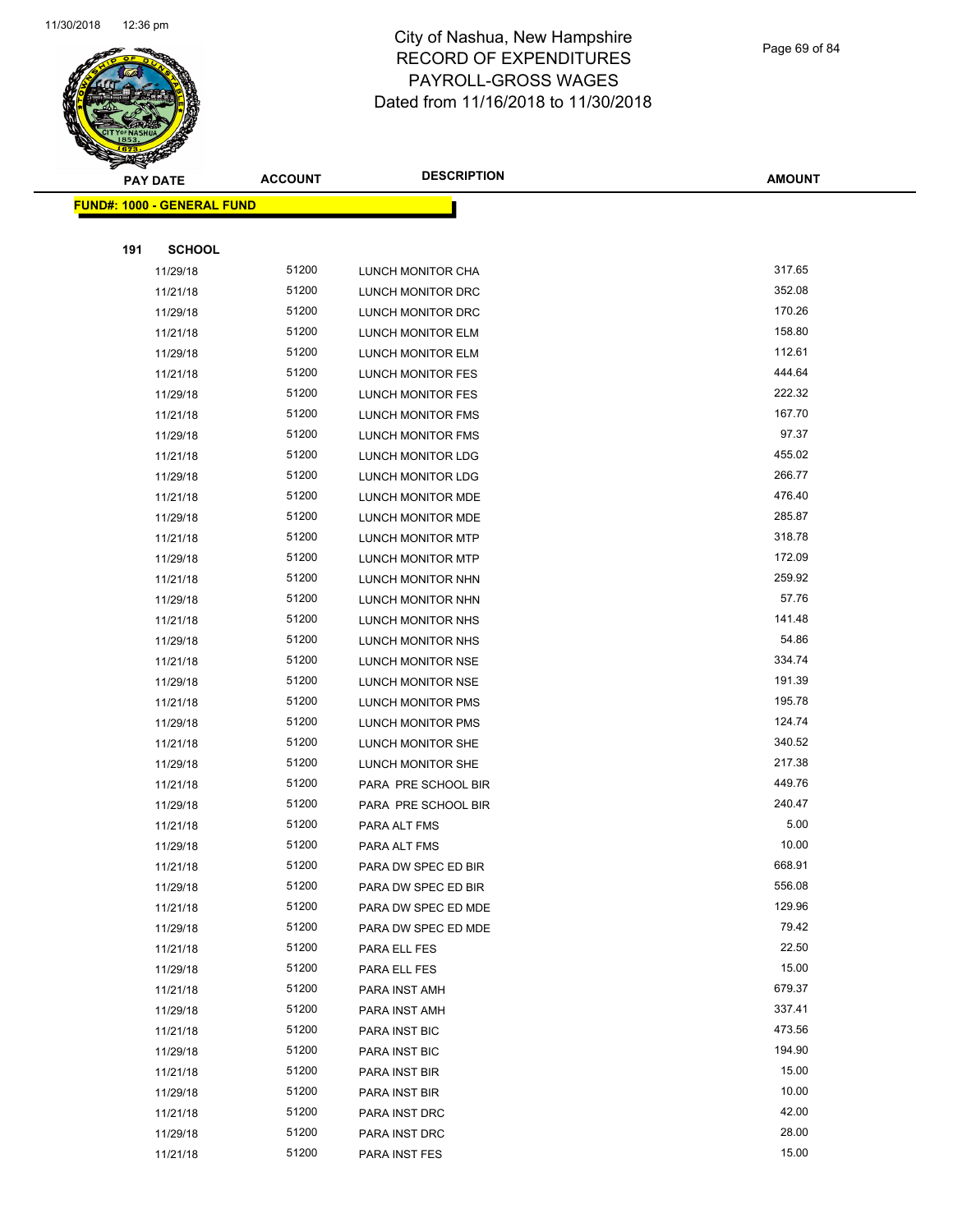

Page 69 of 84

| <b>PAY DATE</b>                   | <b>ACCOUNT</b> | <b>DESCRIPTION</b>       | <b>AMOUNT</b> |
|-----------------------------------|----------------|--------------------------|---------------|
| <b>FUND#: 1000 - GENERAL FUND</b> |                |                          |               |
|                                   |                |                          |               |
| <b>SCHOOL</b><br>191              |                |                          |               |
| 11/29/18                          | 51200          | LUNCH MONITOR CHA        | 317.65        |
| 11/21/18                          | 51200          | LUNCH MONITOR DRC        | 352.08        |
| 11/29/18                          | 51200          | LUNCH MONITOR DRC        | 170.26        |
| 11/21/18                          | 51200          | LUNCH MONITOR ELM        | 158.80        |
| 11/29/18                          | 51200          | LUNCH MONITOR ELM        | 112.61        |
| 11/21/18                          | 51200          | LUNCH MONITOR FES        | 444.64        |
| 11/29/18                          | 51200          | <b>LUNCH MONITOR FES</b> | 222.32        |
| 11/21/18                          | 51200          | LUNCH MONITOR FMS        | 167.70        |
| 11/29/18                          | 51200          | LUNCH MONITOR FMS        | 97.37         |
| 11/21/18                          | 51200          | LUNCH MONITOR LDG        | 455.02        |
| 11/29/18                          | 51200          | LUNCH MONITOR LDG        | 266.77        |
| 11/21/18                          | 51200          | LUNCH MONITOR MDE        | 476.40        |
| 11/29/18                          | 51200          | LUNCH MONITOR MDE        | 285.87        |
| 11/21/18                          | 51200          | <b>LUNCH MONITOR MTP</b> | 318.78        |
| 11/29/18                          | 51200          | LUNCH MONITOR MTP        | 172.09        |
| 11/21/18                          | 51200          | LUNCH MONITOR NHN        | 259.92        |
| 11/29/18                          | 51200          | <b>LUNCH MONITOR NHN</b> | 57.76         |
| 11/21/18                          | 51200          | LUNCH MONITOR NHS        | 141.48        |
| 11/29/18                          | 51200          | LUNCH MONITOR NHS        | 54.86         |
| 11/21/18                          | 51200          | LUNCH MONITOR NSE        | 334.74        |
| 11/29/18                          | 51200          | LUNCH MONITOR NSE        | 191.39        |
| 11/21/18                          | 51200          | LUNCH MONITOR PMS        | 195.78        |
| 11/29/18                          | 51200          | LUNCH MONITOR PMS        | 124.74        |
| 11/21/18                          | 51200          | LUNCH MONITOR SHE        | 340.52        |
| 11/29/18                          | 51200          | LUNCH MONITOR SHE        | 217.38        |
| 11/21/18                          | 51200          | PARA PRE SCHOOL BIR      | 449.76        |
| 11/29/18                          | 51200          | PARA PRE SCHOOL BIR      | 240.47        |
| 11/21/18                          | 51200          | PARA ALT FMS             | 5.00          |
| 11/29/18                          | 51200          | PARA ALT FMS             | 10.00         |
| 11/21/18                          | 51200          | PARA DW SPEC ED BIR      | 668.91        |
| 11/29/18                          | 51200          | PARA DW SPEC ED BIR      | 556.08        |
| 11/21/18                          | 51200          | PARA DW SPEC ED MDE      | 129.96        |
| 11/29/18                          | 51200          | PARA DW SPEC ED MDE      | 79.42         |
| 11/21/18                          | 51200          | PARA ELL FES             | 22.50         |
| 11/29/18                          | 51200          | PARA ELL FES             | 15.00         |
| 11/21/18                          | 51200          | PARA INST AMH            | 679.37        |
| 11/29/18                          | 51200          | PARA INST AMH            | 337.41        |
| 11/21/18                          | 51200          | PARA INST BIC            | 473.56        |
| 11/29/18                          | 51200          | PARA INST BIC            | 194.90        |
| 11/21/18                          | 51200          | PARA INST BIR            | 15.00         |
| 11/29/18                          | 51200          | PARA INST BIR            | 10.00         |
| 11/21/18                          | 51200          | PARA INST DRC            | 42.00         |
| 11/29/18                          | 51200          | PARA INST DRC            | 28.00         |
| 11/21/18                          | 51200          | PARA INST FES            | 15.00         |
|                                   |                |                          |               |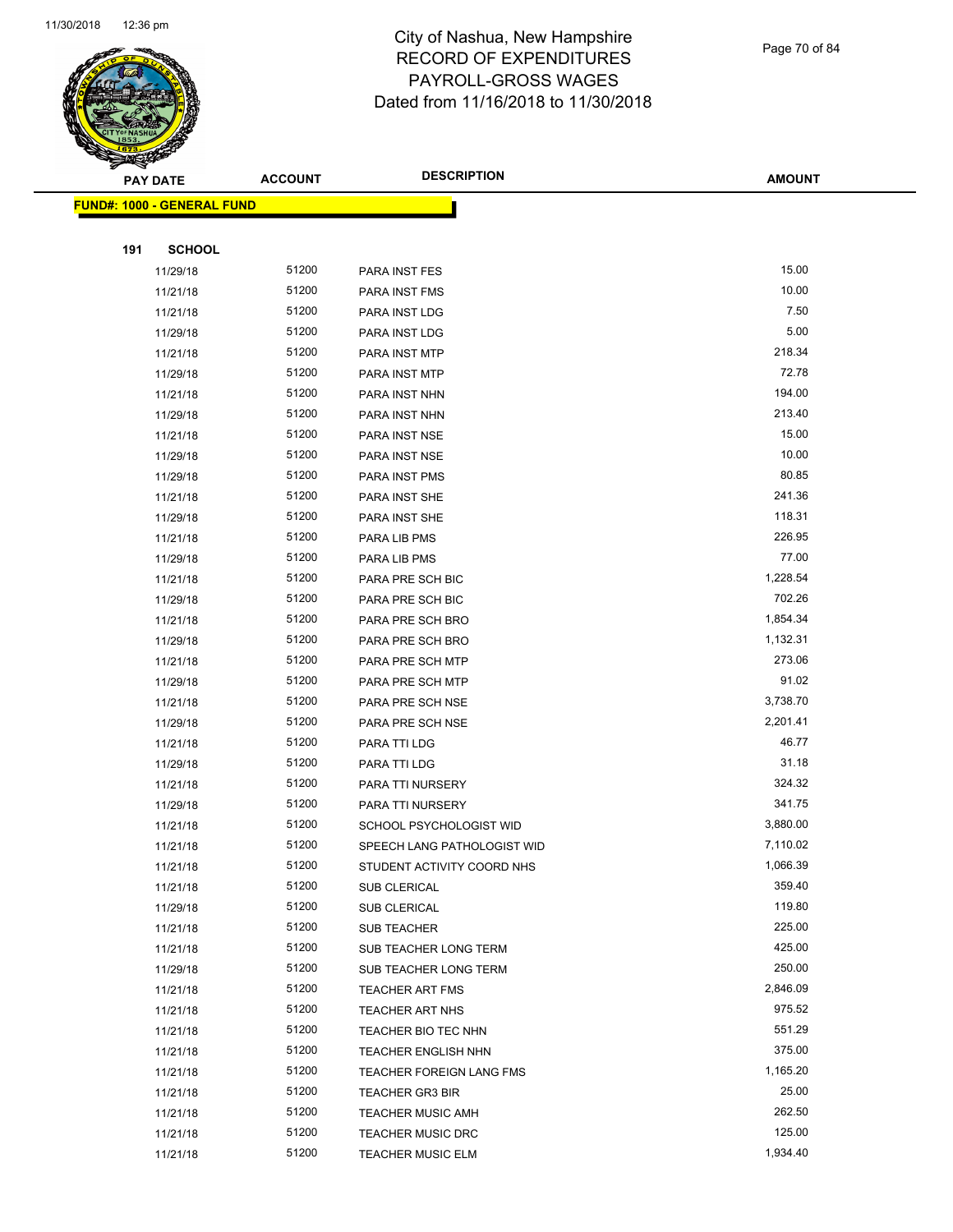

Page 70 of 84

|     | <b>PAY DATE</b>                   | <b>ACCOUNT</b> | <b>DESCRIPTION</b>                        | <b>AMOUNT</b>      |
|-----|-----------------------------------|----------------|-------------------------------------------|--------------------|
|     | <b>FUND#: 1000 - GENERAL FUND</b> |                |                                           |                    |
|     |                                   |                |                                           |                    |
| 191 | <b>SCHOOL</b>                     |                |                                           |                    |
|     | 11/29/18                          | 51200          | PARA INST FES                             | 15.00              |
|     | 11/21/18                          | 51200          | <b>PARA INST FMS</b>                      | 10.00              |
|     | 11/21/18                          | 51200          | PARA INST LDG                             | 7.50               |
|     | 11/29/18                          | 51200          | PARA INST LDG                             | 5.00               |
|     | 11/21/18                          | 51200          | PARA INST MTP                             | 218.34             |
|     | 11/29/18                          | 51200          | PARA INST MTP                             | 72.78              |
|     | 11/21/18                          | 51200          | PARA INST NHN                             | 194.00             |
|     | 11/29/18                          | 51200          | PARA INST NHN                             | 213.40             |
|     | 11/21/18                          | 51200          | PARA INST NSE                             | 15.00              |
|     | 11/29/18                          | 51200          | PARA INST NSE                             | 10.00              |
|     | 11/29/18                          | 51200          | PARA INST PMS                             | 80.85              |
|     | 11/21/18                          | 51200          | PARA INST SHE                             | 241.36             |
|     | 11/29/18                          | 51200          | PARA INST SHE                             | 118.31             |
|     | 11/21/18                          | 51200          | PARA LIB PMS                              | 226.95             |
|     | 11/29/18                          | 51200          | PARA LIB PMS                              | 77.00              |
|     | 11/21/18                          | 51200          | PARA PRE SCH BIC                          | 1,228.54           |
|     | 11/29/18                          | 51200          | PARA PRE SCH BIC                          | 702.26             |
|     | 11/21/18                          | 51200          | PARA PRE SCH BRO                          | 1,854.34           |
|     | 11/29/18                          | 51200          | PARA PRE SCH BRO                          | 1,132.31           |
|     | 11/21/18                          | 51200          | PARA PRE SCH MTP                          | 273.06             |
|     | 11/29/18                          | 51200          | PARA PRE SCH MTP                          | 91.02              |
|     | 11/21/18                          | 51200          | PARA PRE SCH NSE                          | 3,738.70           |
|     | 11/29/18                          | 51200          | PARA PRE SCH NSE                          | 2,201.41           |
|     | 11/21/18                          | 51200          | PARA TTI LDG                              | 46.77              |
|     | 11/29/18                          | 51200          | PARA TTI LDG                              | 31.18              |
|     | 11/21/18                          | 51200          | PARA TTI NURSERY                          | 324.32             |
|     | 11/29/18                          | 51200          | PARA TTI NURSERY                          | 341.75             |
|     | 11/21/18                          | 51200          | SCHOOL PSYCHOLOGIST WID                   | 3,880.00           |
|     | 11/21/18                          | 51200          | SPEECH LANG PATHOLOGIST WID               | 7,110.02           |
|     | 11/21/18                          | 51200          | STUDENT ACTIVITY COORD NHS                | 1,066.39           |
|     | 11/21/18                          | 51200          | SUB CLERICAL                              | 359.40             |
|     | 11/29/18                          | 51200          | <b>SUB CLERICAL</b>                       | 119.80             |
|     | 11/21/18                          | 51200          | <b>SUB TEACHER</b>                        | 225.00             |
|     | 11/21/18                          | 51200          | SUB TEACHER LONG TERM                     | 425.00             |
|     | 11/29/18                          | 51200<br>51200 | SUB TEACHER LONG TERM                     | 250.00<br>2,846.09 |
|     | 11/21/18                          | 51200          | TEACHER ART FMS<br><b>TEACHER ART NHS</b> | 975.52             |
|     | 11/21/18<br>11/21/18              | 51200          | TEACHER BIO TEC NHN                       | 551.29             |
|     | 11/21/18                          | 51200          | <b>TEACHER ENGLISH NHN</b>                | 375.00             |
|     | 11/21/18                          | 51200          | TEACHER FOREIGN LANG FMS                  | 1,165.20           |
|     | 11/21/18                          | 51200          | <b>TEACHER GR3 BIR</b>                    | 25.00              |
|     | 11/21/18                          | 51200          | <b>TEACHER MUSIC AMH</b>                  | 262.50             |
|     | 11/21/18                          | 51200          | <b>TEACHER MUSIC DRC</b>                  | 125.00             |
|     | 11/21/18                          | 51200          | <b>TEACHER MUSIC ELM</b>                  | 1,934.40           |
|     |                                   |                |                                           |                    |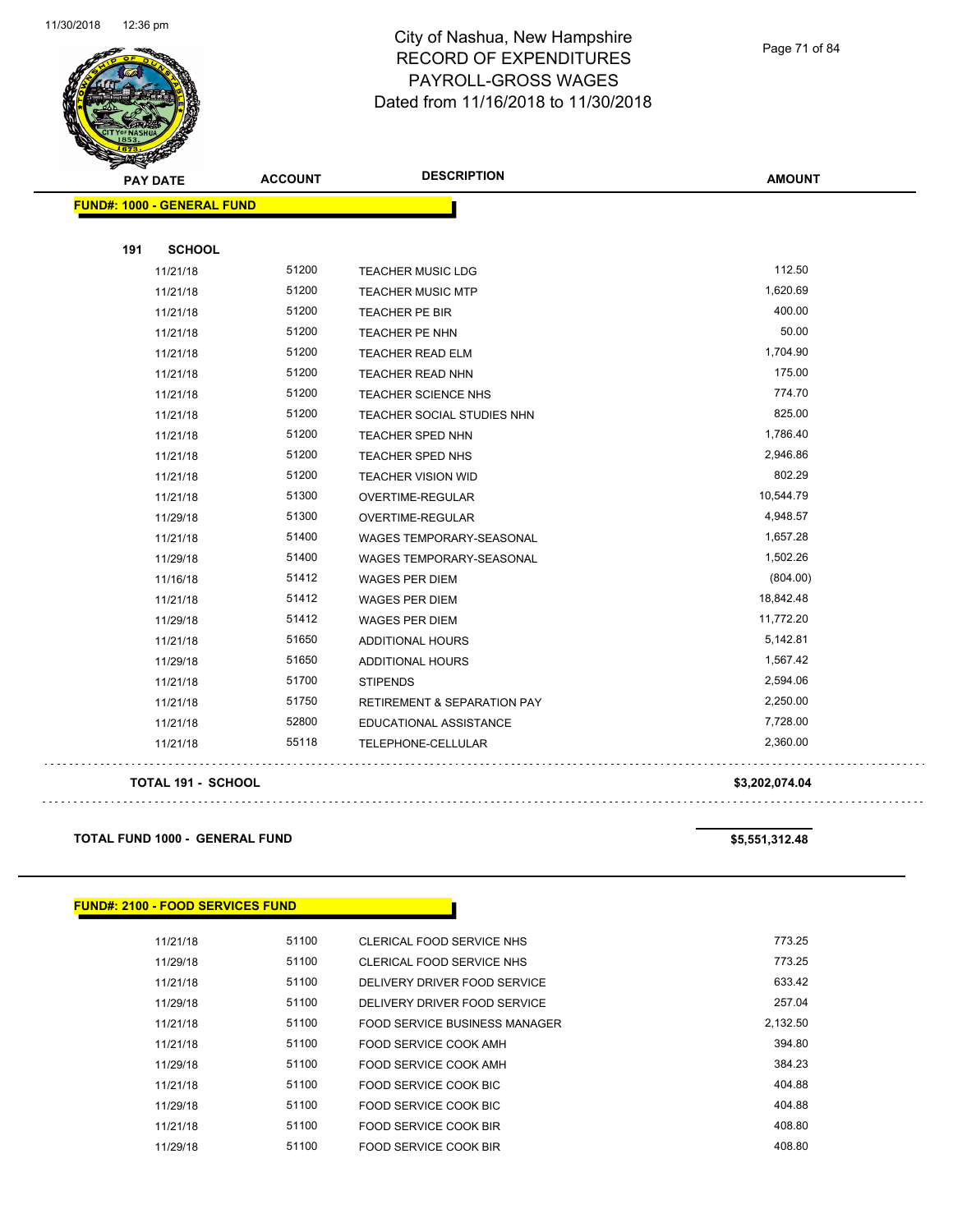

**FUND#: 1000 - GENERAL FUND 191 SCHOOL** 11/21/18 51200 TEACHER MUSIC LDG 112.50 11/21/18 51200 TEACHER MUSIC MTP 1,620.69 11/21/18 51200 TEACHER PE BIR 400.00 11/21/18 51200 TEACHER PE NHN 50.00 11/21/18 51200 TEACHER READ ELM 1,704.90 11/21/18 51200 TEACHER READ NHN 175.00 51200 51200 TEACHER READ NHN 11/21/18 51200 TEACHER SCIENCE NHS 774.70 11/21/18 51200 TEACHER SOCIAL STUDIES NHN 825.00 11/21/18 51200 TEACHER SPED NHN 1,786.40 11/21/18 51200 TEACHER SPED NHS 2,946.86 11/21/18 51200 TEACHER VISION WID 802.29 11/21/18 51300 OVERTIME-REGULAR 10,544.79 11/29/18 51300 OVERTIME-REGULAR 4,948.57

> 11/21/18 51400 WAGES TEMPORARY-SEASONAL 11/21/18 1,657.28 11/29/18 51400 WAGES TEMPORARY-SEASONAL 11/29/18 1,502.26 11/16/18 51412 WAGES PER DIEM (804.00) 11/21/18 51412 WAGES PER DIEM 18,842.48 11/29/18 51412 WAGES PER DIEM 11,772.20 11/21/18 51650 ADDITIONAL HOURS 5,142.81 11/29/18 51650 ADDITIONAL HOURS 1,567.42 11/21/18 51700 STIPENDS 2,594.06 11/21/18 51750 RETIREMENT & SEPARATION PAY 2,250.00 11/21/18 52800 EDUCATIONAL ASSISTANCE **11/21/18** 7,728.00 11/21/18 55118 TELEPHONE-CELLULAR 2,360.00

#### **TOTAL 191 - SCHOOL \$3,202,074.04**

. . . . . . . . . . . . . . . .

**TOTAL FUND 1000 - GENERAL FUND \$5,551,312.48** 

#### **FUND#: 2100 - FOOD SERVICES FUND**

| 11/21/18 | 51100 | CLERICAL FOOD SERVICE NHS     | 773.25   |
|----------|-------|-------------------------------|----------|
| 11/29/18 | 51100 | CLERICAL FOOD SERVICE NHS     | 773.25   |
| 11/21/18 | 51100 | DELIVERY DRIVER FOOD SERVICE  | 633.42   |
| 11/29/18 | 51100 | DELIVERY DRIVER FOOD SERVICE  | 257.04   |
| 11/21/18 | 51100 | FOOD SERVICE BUSINESS MANAGER | 2.132.50 |
| 11/21/18 | 51100 | FOOD SERVICE COOK AMH         | 394.80   |
| 11/29/18 | 51100 | FOOD SERVICE COOK AMH         | 384.23   |
| 11/21/18 | 51100 | FOOD SERVICE COOK BIC         | 404.88   |
| 11/29/18 | 51100 | FOOD SERVICE COOK BIC         | 404.88   |
| 11/21/18 | 51100 | FOOD SERVICE COOK BIR         | 408.80   |
| 11/29/18 | 51100 | FOOD SERVICE COOK BIR         | 408.80   |

Page 71 of 84

**AMOUNT**

. . . . . . . . . . . . . . . . . . .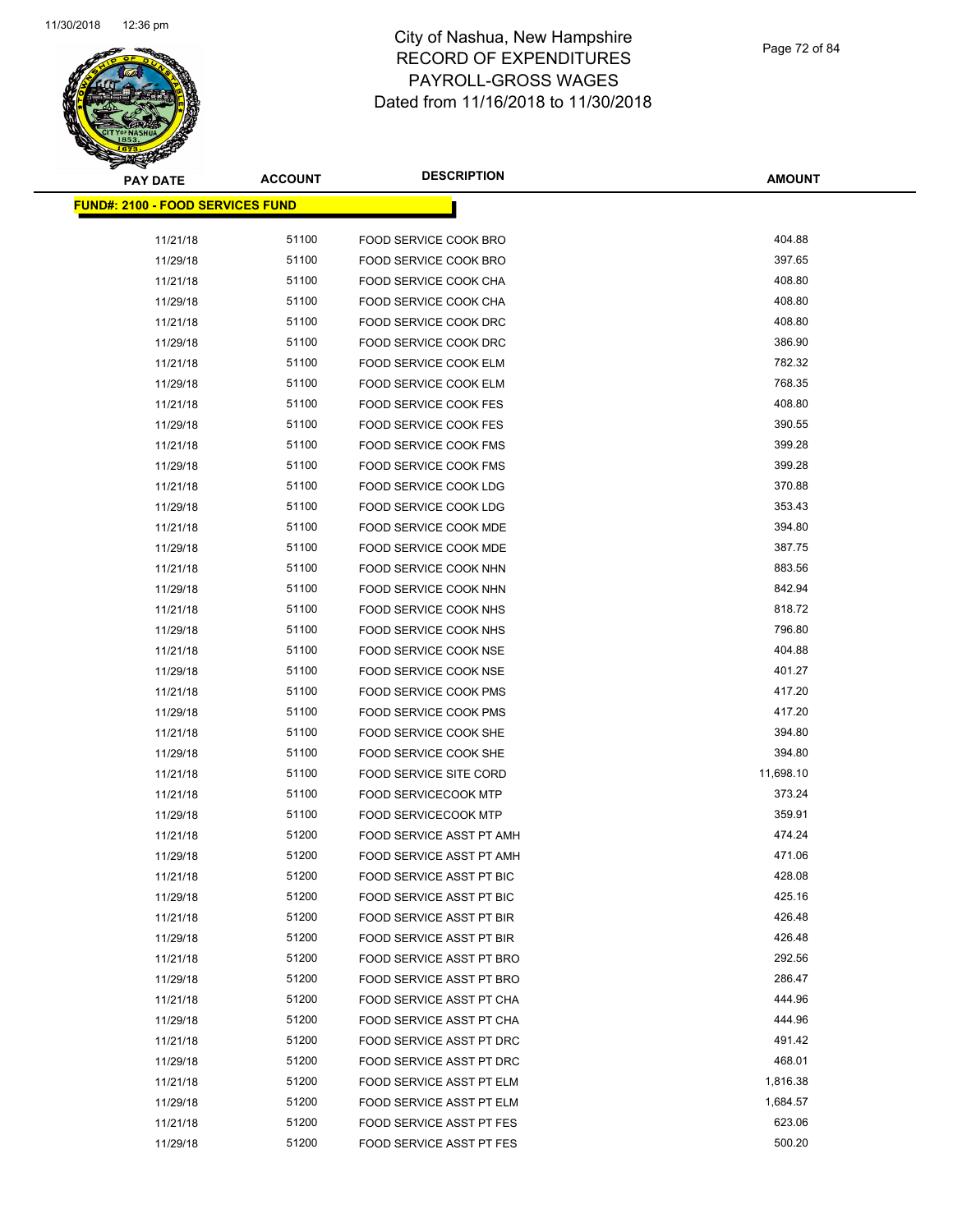

Page 72 of 84

| <b>PAY DATE</b>                         | <b>ACCOUNT</b> | <b>DESCRIPTION</b>            | <b>AMOUNT</b> |  |  |  |
|-----------------------------------------|----------------|-------------------------------|---------------|--|--|--|
| <b>FUND#: 2100 - FOOD SERVICES FUND</b> |                |                               |               |  |  |  |
| 11/21/18                                | 51100          | FOOD SERVICE COOK BRO         | 404.88        |  |  |  |
| 11/29/18                                | 51100          | FOOD SERVICE COOK BRO         | 397.65        |  |  |  |
| 11/21/18                                | 51100          | FOOD SERVICE COOK CHA         | 408.80        |  |  |  |
| 11/29/18                                | 51100          | FOOD SERVICE COOK CHA         | 408.80        |  |  |  |
| 11/21/18                                | 51100          | FOOD SERVICE COOK DRC         | 408.80        |  |  |  |
| 11/29/18                                | 51100          | FOOD SERVICE COOK DRC         | 386.90        |  |  |  |
| 11/21/18                                | 51100          | FOOD SERVICE COOK ELM         | 782.32        |  |  |  |
| 11/29/18                                | 51100          | FOOD SERVICE COOK ELM         | 768.35        |  |  |  |
| 11/21/18                                | 51100          | FOOD SERVICE COOK FES         | 408.80        |  |  |  |
| 11/29/18                                | 51100          | FOOD SERVICE COOK FES         | 390.55        |  |  |  |
| 11/21/18                                | 51100          | FOOD SERVICE COOK FMS         | 399.28        |  |  |  |
| 11/29/18                                | 51100          | FOOD SERVICE COOK FMS         | 399.28        |  |  |  |
| 11/21/18                                | 51100          | FOOD SERVICE COOK LDG         | 370.88        |  |  |  |
| 11/29/18                                | 51100          | FOOD SERVICE COOK LDG         | 353.43        |  |  |  |
| 11/21/18                                | 51100          | FOOD SERVICE COOK MDE         | 394.80        |  |  |  |
| 11/29/18                                | 51100          | <b>FOOD SERVICE COOK MDE</b>  | 387.75        |  |  |  |
| 11/21/18                                | 51100          | FOOD SERVICE COOK NHN         | 883.56        |  |  |  |
| 11/29/18                                | 51100          | FOOD SERVICE COOK NHN         | 842.94        |  |  |  |
| 11/21/18                                | 51100          | FOOD SERVICE COOK NHS         | 818.72        |  |  |  |
| 11/29/18                                | 51100          | FOOD SERVICE COOK NHS         | 796.80        |  |  |  |
| 11/21/18                                | 51100          | FOOD SERVICE COOK NSE         | 404.88        |  |  |  |
| 11/29/18                                | 51100          | FOOD SERVICE COOK NSE         | 401.27        |  |  |  |
| 11/21/18                                | 51100          | FOOD SERVICE COOK PMS         | 417.20        |  |  |  |
| 11/29/18                                | 51100          | <b>FOOD SERVICE COOK PMS</b>  | 417.20        |  |  |  |
| 11/21/18                                | 51100          | FOOD SERVICE COOK SHE         | 394.80        |  |  |  |
| 11/29/18                                | 51100          | FOOD SERVICE COOK SHE         | 394.80        |  |  |  |
| 11/21/18                                | 51100          | <b>FOOD SERVICE SITE CORD</b> | 11,698.10     |  |  |  |
| 11/21/18                                | 51100          | <b>FOOD SERVICECOOK MTP</b>   | 373.24        |  |  |  |
| 11/29/18                                | 51100          | <b>FOOD SERVICECOOK MTP</b>   | 359.91        |  |  |  |
| 11/21/18                                | 51200          | FOOD SERVICE ASST PT AMH      | 474.24        |  |  |  |
| 11/29/18                                | 51200          | FOOD SERVICE ASST PT AMH      | 471.06        |  |  |  |
| 11/21/18                                | 51200          | FOOD SERVICE ASST PT BIC      | 428.08        |  |  |  |
| 11/29/18                                | 51200          | FOOD SERVICE ASST PT BIC      | 425.16        |  |  |  |
| 11/21/18                                | 51200          | FOOD SERVICE ASST PT BIR      | 426.48        |  |  |  |
| 11/29/18                                | 51200          | FOOD SERVICE ASST PT BIR      | 426.48        |  |  |  |
| 11/21/18                                | 51200          | FOOD SERVICE ASST PT BRO      | 292.56        |  |  |  |
| 11/29/18                                | 51200          | FOOD SERVICE ASST PT BRO      | 286.47        |  |  |  |
| 11/21/18                                | 51200          | FOOD SERVICE ASST PT CHA      | 444.96        |  |  |  |
| 11/29/18                                | 51200          | FOOD SERVICE ASST PT CHA      | 444.96        |  |  |  |
| 11/21/18                                | 51200          | FOOD SERVICE ASST PT DRC      | 491.42        |  |  |  |
| 11/29/18                                | 51200          | FOOD SERVICE ASST PT DRC      | 468.01        |  |  |  |
| 11/21/18                                | 51200          | FOOD SERVICE ASST PT ELM      | 1,816.38      |  |  |  |
| 11/29/18                                | 51200          | FOOD SERVICE ASST PT ELM      | 1,684.57      |  |  |  |
| 11/21/18                                | 51200          | FOOD SERVICE ASST PT FES      | 623.06        |  |  |  |
| 11/29/18                                | 51200          | FOOD SERVICE ASST PT FES      | 500.20        |  |  |  |
|                                         |                |                               |               |  |  |  |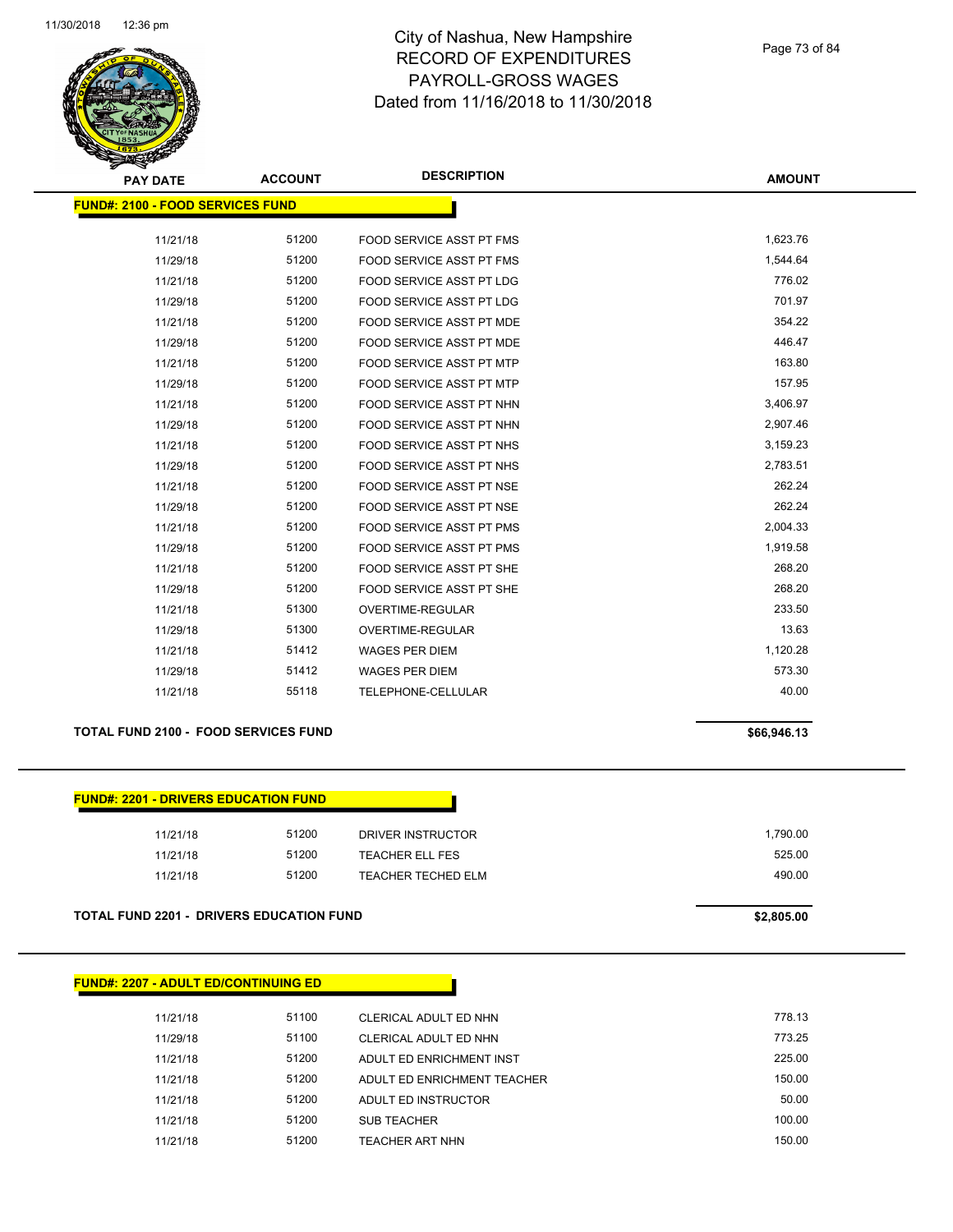

Page 73 of 84

| <b>PAY DATE</b>                         | <b>ACCOUNT</b> | <b>DESCRIPTION</b>              | <b>AMOUNT</b> |
|-----------------------------------------|----------------|---------------------------------|---------------|
| <b>FUND#: 2100 - FOOD SERVICES FUND</b> |                |                                 |               |
|                                         |                |                                 |               |
| 11/21/18                                | 51200          | FOOD SERVICE ASST PT FMS        | 1,623.76      |
| 11/29/18                                | 51200          | FOOD SERVICE ASST PT FMS        | 1,544.64      |
| 11/21/18                                | 51200          | <b>FOOD SERVICE ASST PT LDG</b> | 776.02        |
| 11/29/18                                | 51200          | <b>FOOD SERVICE ASST PT LDG</b> | 701.97        |
| 11/21/18                                | 51200          | <b>FOOD SERVICE ASST PT MDE</b> | 354.22        |
| 11/29/18                                | 51200          | <b>FOOD SERVICE ASST PT MDE</b> | 446.47        |
| 11/21/18                                | 51200          | <b>FOOD SERVICE ASST PT MTP</b> | 163.80        |
| 11/29/18                                | 51200          | <b>FOOD SERVICE ASST PT MTP</b> | 157.95        |
| 11/21/18                                | 51200          | FOOD SERVICE ASST PT NHN        | 3,406.97      |
| 11/29/18                                | 51200          | FOOD SERVICE ASST PT NHN        | 2,907.46      |
| 11/21/18                                | 51200          | FOOD SERVICE ASST PT NHS        | 3,159.23      |
| 11/29/18                                | 51200          | FOOD SERVICE ASST PT NHS        | 2,783.51      |
| 11/21/18                                | 51200          | FOOD SERVICE ASST PT NSE        | 262.24        |
| 11/29/18                                | 51200          | FOOD SERVICE ASST PT NSE        | 262.24        |
| 11/21/18                                | 51200          | FOOD SERVICE ASST PT PMS        | 2,004.33      |
| 11/29/18                                | 51200          | <b>FOOD SERVICE ASST PT PMS</b> | 1,919.58      |
| 11/21/18                                | 51200          | FOOD SERVICE ASST PT SHE        | 268.20        |
| 11/29/18                                | 51200          | FOOD SERVICE ASST PT SHE        | 268.20        |
| 11/21/18                                | 51300          | <b>OVERTIME-REGULAR</b>         | 233.50        |
| 11/29/18                                | 51300          | <b>OVERTIME-REGULAR</b>         | 13.63         |
| 11/21/18                                | 51412          | <b>WAGES PER DIEM</b>           | 1,120.28      |
| 11/29/18                                | 51412          | <b>WAGES PER DIEM</b>           | 573.30        |
| 11/21/18                                | 55118          | TELEPHONE-CELLULAR              | 40.00         |
|                                         |                |                                 |               |

### **TOTAL FUND 2100 - FOOD SERVICES FUND \$66,946.13**

## **FUND#: 2201 - DRIVERS EDUCATION FUND**

| 11/21/18 | 51200 | DRIVER INSTRUCTOR  | 1,790.00 |  |
|----------|-------|--------------------|----------|--|
| 11/21/18 | 51200 | TEACHER ELL FES    | 525.00   |  |
| 11/21/18 | 51200 | TEACHER TECHED ELM | 490.00   |  |
|          |       |                    |          |  |

### **TOTAL FUND 2201 - DRIVERS EDUCATION FUND \$2,805.00**

|  | <b>FUND#: 2207 - ADULT ED/CONTINUING ED</b> |
|--|---------------------------------------------|
|--|---------------------------------------------|

| 11/21/18 | 51100 | CLERICAL ADULT ED NHN       | 778.13 |
|----------|-------|-----------------------------|--------|
| 11/29/18 | 51100 | CLERICAL ADULT ED NHN       | 773.25 |
| 11/21/18 | 51200 | ADULT ED ENRICHMENT INST    | 225.00 |
| 11/21/18 | 51200 | ADULT ED ENRICHMENT TEACHER | 150.00 |
| 11/21/18 | 51200 | ADULT ED INSTRUCTOR         | 50.00  |
| 11/21/18 | 51200 | <b>SUB TEACHER</b>          | 100.00 |
| 11/21/18 | 51200 | <b>TEACHER ART NHN</b>      | 150.00 |
|          |       |                             |        |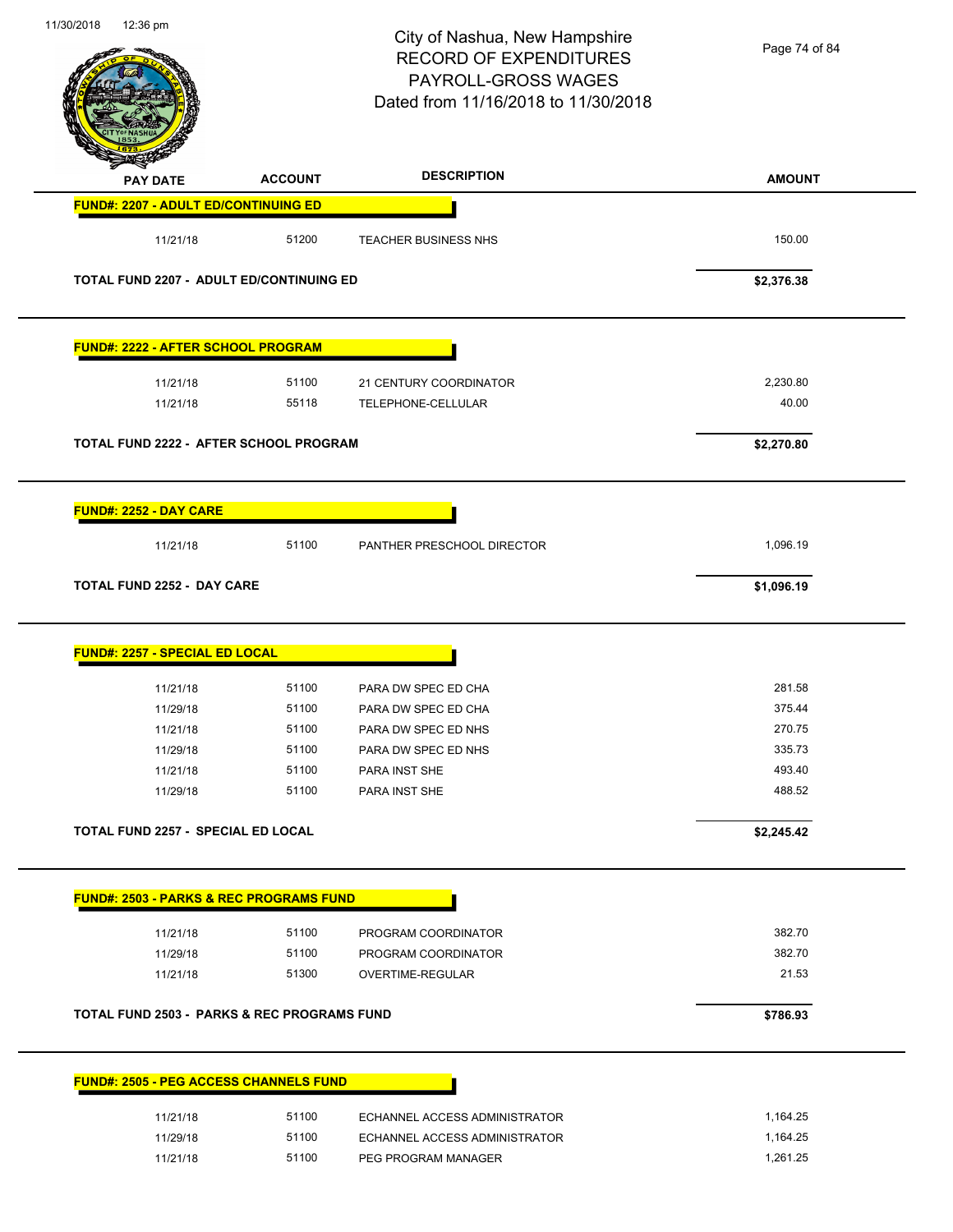| 11/30/2018<br>12:36 pm            |                 |                                                        | City of Nashua, New Hampshire<br><b>RECORD OF EXPENDITURES</b><br>PAYROLL-GROSS WAGES<br>Dated from 11/16/2018 to 11/30/2018 | Page 74 of 84 |
|-----------------------------------|-----------------|--------------------------------------------------------|------------------------------------------------------------------------------------------------------------------------------|---------------|
|                                   | <b>PAY DATE</b> | <b>ACCOUNT</b>                                         | <b>DESCRIPTION</b>                                                                                                           | <b>AMOUNT</b> |
|                                   |                 | <b>FUND#: 2207 - ADULT ED/CONTINUING ED</b>            |                                                                                                                              |               |
|                                   | 11/21/18        | 51200                                                  | <b>TEACHER BUSINESS NHS</b>                                                                                                  | 150.00        |
|                                   |                 | TOTAL FUND 2207 - ADULT ED/CONTINUING ED               |                                                                                                                              | \$2,376.38    |
|                                   |                 | FUND#: 2222 - AFTER SCHOOL PROGRAM                     |                                                                                                                              |               |
|                                   | 11/21/18        | 51100                                                  | 21 CENTURY COORDINATOR                                                                                                       | 2,230.80      |
|                                   | 11/21/18        | 55118                                                  | TELEPHONE-CELLULAR                                                                                                           | 40.00         |
|                                   |                 | TOTAL FUND 2222 - AFTER SCHOOL PROGRAM                 |                                                                                                                              | \$2,270.80    |
| <b>FUND#: 2252 - DAY CARE</b>     |                 |                                                        |                                                                                                                              |               |
|                                   | 11/21/18        | 51100                                                  | PANTHER PRESCHOOL DIRECTOR                                                                                                   | 1,096.19      |
| <b>TOTAL FUND 2252 - DAY CARE</b> |                 |                                                        |                                                                                                                              | \$1,096.19    |
| FUND#: 2257 - SPECIAL ED LOCAL    |                 |                                                        |                                                                                                                              |               |
|                                   | 11/21/18        | 51100                                                  | PARA DW SPEC ED CHA                                                                                                          | 281.58        |
|                                   | 11/29/18        | 51100                                                  | PARA DW SPEC ED CHA                                                                                                          | 375.44        |
|                                   | 11/21/18        | 51100                                                  | PARA DW SPEC ED NHS                                                                                                          | 270.75        |
|                                   | 11/29/18        | 51100                                                  | PARA DW SPEC ED NHS                                                                                                          | 335.73        |
|                                   | 11/21/18        | 51100                                                  | PARA INST SHE                                                                                                                | 493.40        |
|                                   | 11/29/18        | 51100                                                  | PARA INST SHE                                                                                                                | 488.52        |
|                                   |                 | TOTAL FUND 2257 - SPECIAL ED LOCAL                     |                                                                                                                              | \$2,245.42    |
|                                   |                 | <b>FUND#: 2503 - PARKS &amp; REC PROGRAMS FUND</b>     |                                                                                                                              |               |
|                                   | 11/21/18        | 51100                                                  | PROGRAM COORDINATOR                                                                                                          | 382.70        |
|                                   | 11/29/18        | 51100                                                  | PROGRAM COORDINATOR                                                                                                          | 382.70        |
|                                   | 11/21/18        | 51300                                                  | OVERTIME-REGULAR                                                                                                             | 21.53         |
|                                   |                 | <b>TOTAL FUND 2503 - PARKS &amp; REC PROGRAMS FUND</b> |                                                                                                                              | \$786.93      |
|                                   |                 | <b>FUND#: 2505 - PEG ACCESS CHANNELS FUND</b>          |                                                                                                                              |               |
|                                   | 11/21/18        | 51100                                                  | ECHANNEL ACCESS ADMINISTRATOR                                                                                                | 1 164 25      |

| 11/21/18 | 51100 | ECHANNEL ACCESS ADMINISTRATOR | 1.164.25 |
|----------|-------|-------------------------------|----------|
| 11/29/18 | 51100 | ECHANNEL ACCESS ADMINISTRATOR | 1.164.25 |
| 11/21/18 | 51100 | PEG PROGRAM MANAGER           | 1.261.25 |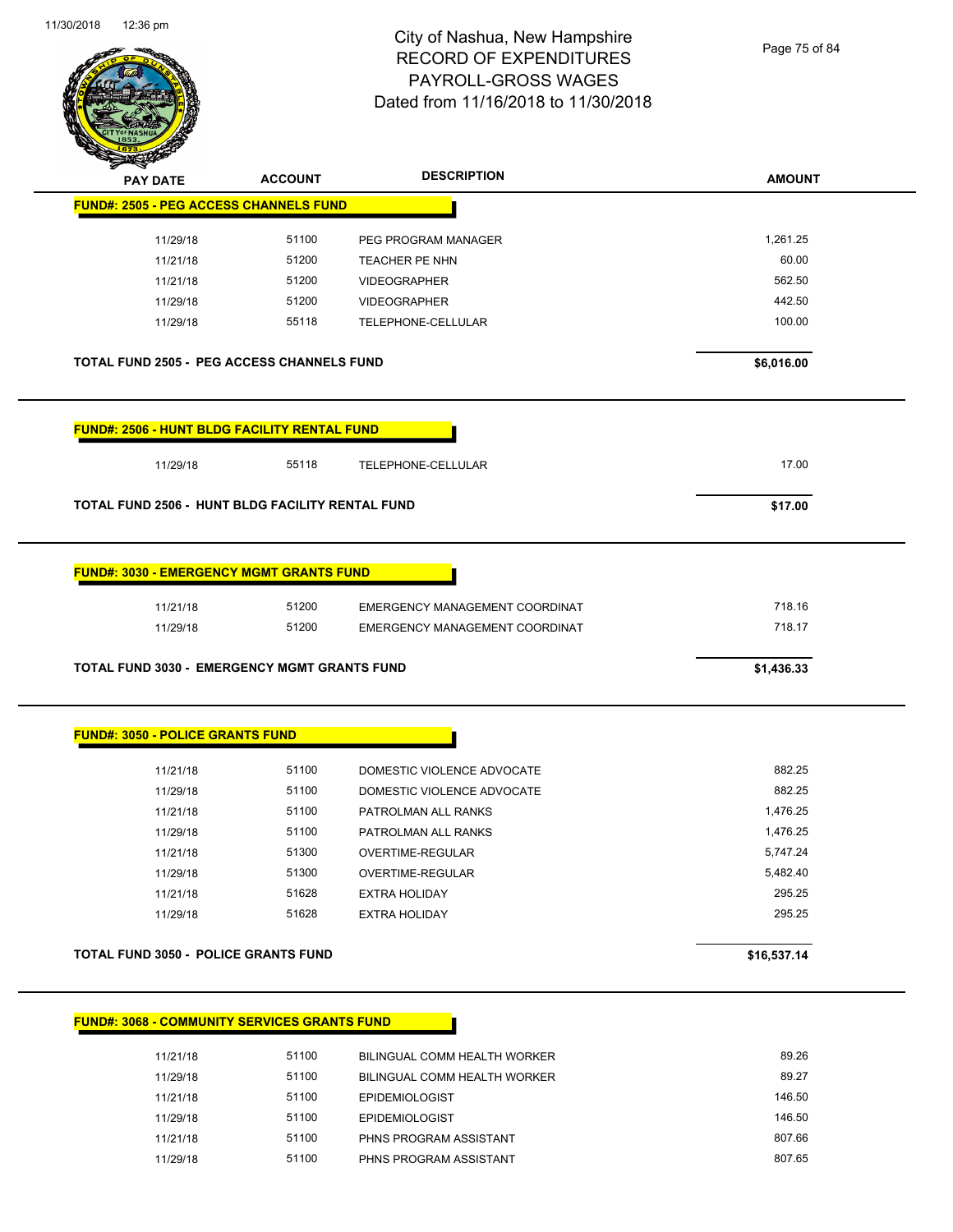Page 75 of 84

| <b>REAL PROPERTY</b><br><b>PAY DATE</b>             | <b>ACCOUNT</b> | <b>DESCRIPTION</b>             | <b>AMOUNT</b> |
|-----------------------------------------------------|----------------|--------------------------------|---------------|
| <b>FUND#: 2505 - PEG ACCESS CHANNELS FUND</b>       |                |                                |               |
| 11/29/18                                            | 51100          | PEG PROGRAM MANAGER            | 1,261.25      |
| 11/21/18                                            | 51200          | TEACHER PE NHN                 | 60.00         |
| 11/21/18                                            | 51200          | <b>VIDEOGRAPHER</b>            | 562.50        |
| 11/29/18                                            | 51200          | <b>VIDEOGRAPHER</b>            | 442.50        |
| 11/29/18                                            | 55118          | TELEPHONE-CELLULAR             | 100.00        |
| <b>TOTAL FUND 2505 - PEG ACCESS CHANNELS FUND</b>   |                |                                | \$6,016.00    |
| <b>FUND#: 2506 - HUNT BLDG FACILITY RENTAL FUND</b> |                |                                |               |
| 11/29/18                                            | 55118          | TELEPHONE-CELLULAR             | 17.00         |
| TOTAL FUND 2506 - HUNT BLDG FACILITY RENTAL FUND    |                |                                | \$17.00       |
| <b>FUND#: 3030 - EMERGENCY MGMT GRANTS FUND</b>     |                |                                |               |
| 11/21/18                                            | 51200          | EMERGENCY MANAGEMENT COORDINAT | 718.16        |
| 11/29/18                                            | 51200          | EMERGENCY MANAGEMENT COORDINAT | 718.17        |
| TOTAL FUND 3030 - EMERGENCY MGMT GRANTS FUND        |                |                                | \$1,436.33    |
| <b>FUND#: 3050 - POLICE GRANTS FUND</b>             |                |                                |               |
| 11/21/18                                            | 51100          | DOMESTIC VIOLENCE ADVOCATE     | 882.25        |
|                                                     |                |                                |               |
| 11/29/18                                            | 51100          | DOMESTIC VIOLENCE ADVOCATE     | 882.25        |
| 11/21/18                                            | 51100          | PATROLMAN ALL RANKS            | 1,476.25      |
| 11/29/18                                            | 51100          | PATROLMAN ALL RANKS            | 1,476.25      |
| 11/21/18                                            | 51300          | OVERTIME-REGULAR               | 5,747.24      |
| 11/29/18                                            | 51300          | OVERTIME-REGULAR               | 5,482.40      |
| 11/21/18                                            | 51628          | <b>EXTRA HOLIDAY</b>           | 295.25        |
| 11/29/18                                            | 51628          | <b>EXTRA HOLIDAY</b>           | 295.25        |

| 11/21/18 | 51100 | BILINGUAL COMM HEALTH WORKER | 89.26  |
|----------|-------|------------------------------|--------|
| 11/29/18 | 51100 | BILINGUAL COMM HEALTH WORKER | 89.27  |
| 11/21/18 | 51100 | <b>EPIDEMIOLOGIST</b>        | 146.50 |
| 11/29/18 | 51100 | <b>EPIDEMIOLOGIST</b>        | 146.50 |
| 11/21/18 | 51100 | PHNS PROGRAM ASSISTANT       | 807.66 |
| 11/29/18 | 51100 | PHNS PROGRAM ASSISTANT       | 807.65 |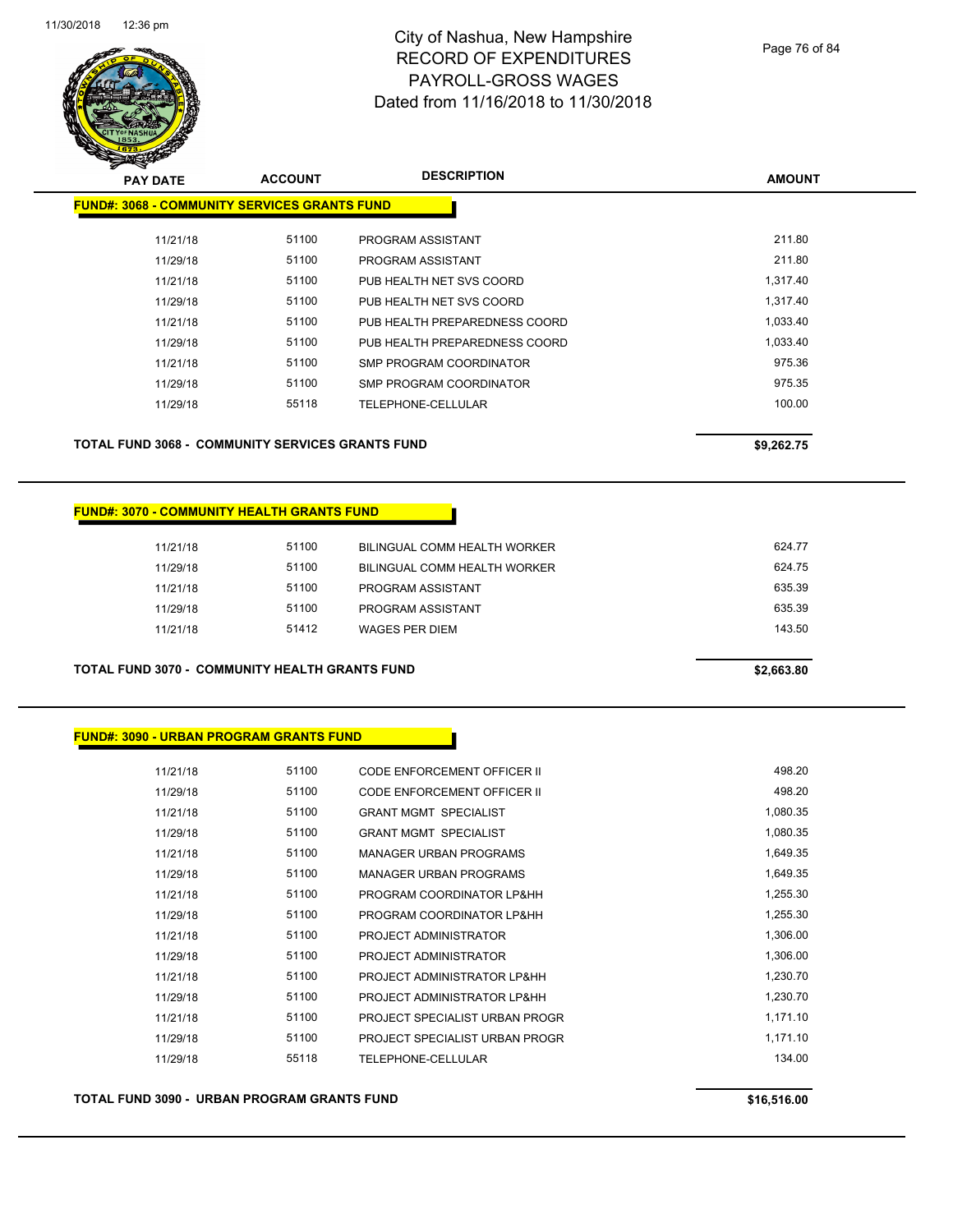

| <b>PAY DATE</b>                                     | <b>ACCOUNT</b> | <b>DESCRIPTION</b>            | <b>AMOUNT</b> |
|-----------------------------------------------------|----------------|-------------------------------|---------------|
| <b>FUND#: 3068 - COMMUNITY SERVICES GRANTS FUND</b> |                |                               |               |
| 11/21/18                                            | 51100          | PROGRAM ASSISTANT             | 211.80        |
| 11/29/18                                            | 51100          | PROGRAM ASSISTANT             | 211.80        |
| 11/21/18                                            | 51100          | PUB HEALTH NET SVS COORD      | 1,317.40      |
| 11/29/18                                            | 51100          | PUB HEALTH NET SVS COORD      | 1,317.40      |
| 11/21/18                                            | 51100          | PUB HEALTH PREPAREDNESS COORD | 1,033.40      |
| 11/29/18                                            | 51100          | PUB HEALTH PREPAREDNESS COORD | 1,033.40      |
| 11/21/18                                            | 51100          | SMP PROGRAM COORDINATOR       | 975.36        |
| 11/29/18                                            | 51100          | SMP PROGRAM COORDINATOR       | 975.35        |
| 11/29/18                                            | 55118          | TELEPHONE-CELLULAR            | 100.00        |
|                                                     |                |                               |               |
| TOTAL FUND 3068 - COMMUNITY SERVICES GRANTS FUND    |                |                               | \$9,262.75    |

### **FUND#: 3070 - COMMUNITY HEALTH GRANTS FUND**

| 11/21/18 | 51100 | BILINGUAL COMM HEALTH WORKER        | 624.77 |
|----------|-------|-------------------------------------|--------|
| 11/29/18 | 51100 | <b>BILINGUAL COMM HEALTH WORKER</b> | 624.75 |
| 11/21/18 | 51100 | PROGRAM ASSISTANT                   | 635.39 |
| 11/29/18 | 51100 | PROGRAM ASSISTANT                   | 635.39 |
| 11/21/18 | 51412 | WAGES PER DIEM                      | 143.50 |
|          |       |                                     |        |

**TOTAL FUND 3070 - COMMUNITY HEALTH GRANTS FUND \$2,663.80** 

## **FUND#: 3090 - URBAN PROGRAM GRANTS FUND**

| 11/21/18 | 51100 | CODE ENFORCEMENT OFFICER II        | 498.20   |
|----------|-------|------------------------------------|----------|
| 11/29/18 | 51100 | <b>CODE ENFORCEMENT OFFICER II</b> | 498.20   |
| 11/21/18 | 51100 | <b>GRANT MGMT SPECIALIST</b>       | 1,080.35 |
| 11/29/18 | 51100 | <b>GRANT MGMT SPECIALIST</b>       | 1,080.35 |
| 11/21/18 | 51100 | <b>MANAGER URBAN PROGRAMS</b>      | 1,649.35 |
| 11/29/18 | 51100 | <b>MANAGER URBAN PROGRAMS</b>      | 1,649.35 |
| 11/21/18 | 51100 | PROGRAM COORDINATOR LP&HH          | 1,255.30 |
| 11/29/18 | 51100 | PROGRAM COORDINATOR LP&HH          | 1,255.30 |
| 11/21/18 | 51100 | PROJECT ADMINISTRATOR              | 1,306.00 |
| 11/29/18 | 51100 | PROJECT ADMINISTRATOR              | 1,306.00 |
| 11/21/18 | 51100 | PROJECT ADMINISTRATOR LP&HH        | 1,230.70 |
| 11/29/18 | 51100 | PROJECT ADMINISTRATOR LP&HH        | 1,230.70 |
| 11/21/18 | 51100 | PROJECT SPECIALIST URBAN PROGR     | 1,171.10 |
| 11/29/18 | 51100 | PROJECT SPECIALIST URBAN PROGR     | 1,171.10 |
| 11/29/18 | 55118 | TELEPHONE-CELLULAR                 | 134.00   |
|          |       |                                    |          |

**TOTAL FUND 3090 - URBAN PROGRAM GRANTS FUND \$16,516.00**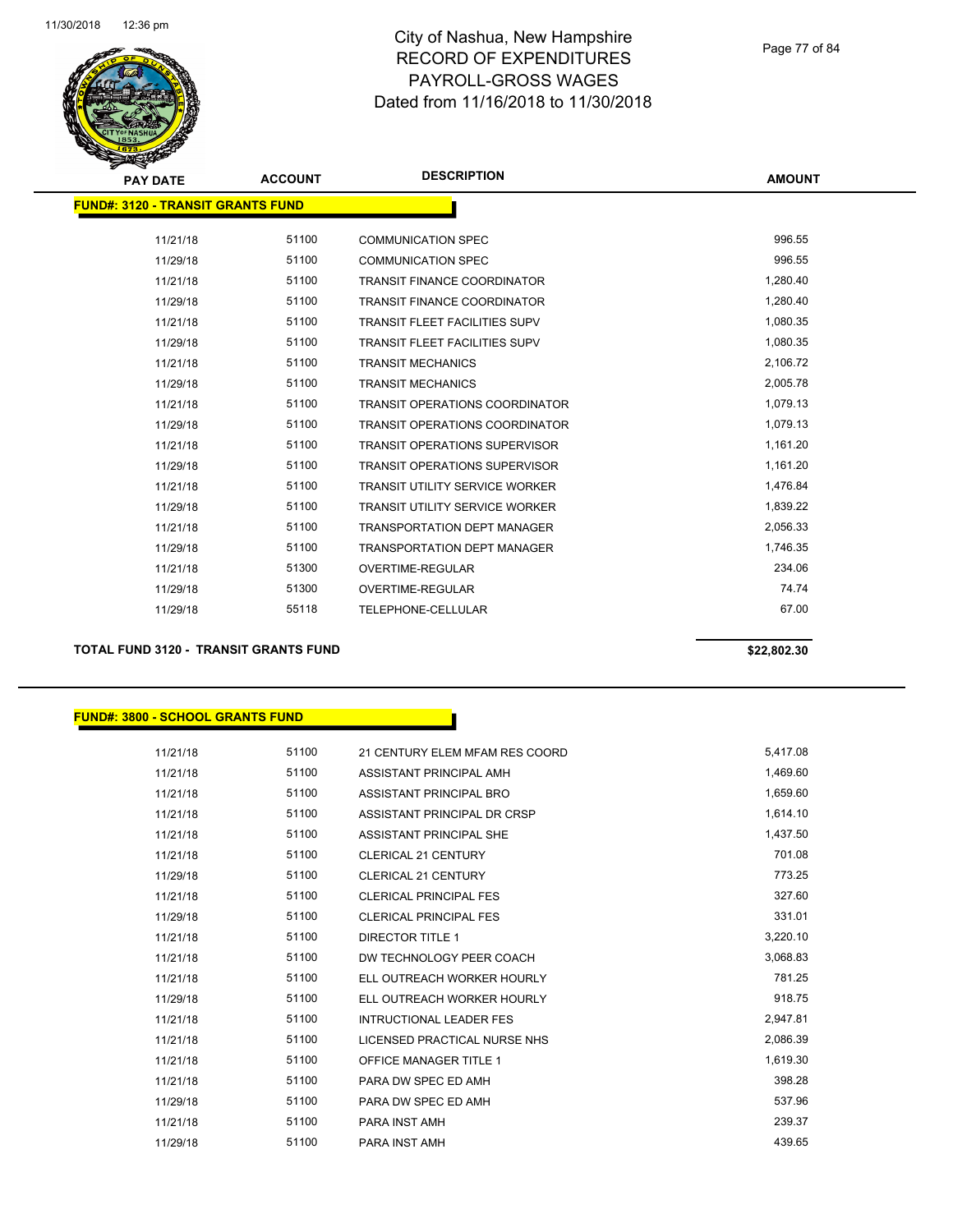

### Page 77 of 84

| <b>PAY DATE</b>                          | <b>ACCOUNT</b> | <b>DESCRIPTION</b>                    | <b>AMOUNT</b> |
|------------------------------------------|----------------|---------------------------------------|---------------|
| <b>FUND#: 3120 - TRANSIT GRANTS FUND</b> |                |                                       |               |
|                                          |                |                                       |               |
| 11/21/18                                 | 51100          | <b>COMMUNICATION SPEC</b>             | 996.55        |
| 11/29/18                                 | 51100          | <b>COMMUNICATION SPEC</b>             | 996.55        |
| 11/21/18                                 | 51100          | <b>TRANSIT FINANCE COORDINATOR</b>    | 1,280.40      |
| 11/29/18                                 | 51100          | <b>TRANSIT FINANCE COORDINATOR</b>    | 1,280.40      |
| 11/21/18                                 | 51100          | <b>TRANSIT FLEET FACILITIES SUPV</b>  | 1,080.35      |
| 11/29/18                                 | 51100          | <b>TRANSIT FLEET FACILITIES SUPV</b>  | 1,080.35      |
| 11/21/18                                 | 51100          | <b>TRANSIT MECHANICS</b>              | 2,106.72      |
| 11/29/18                                 | 51100          | <b>TRANSIT MECHANICS</b>              | 2,005.78      |
| 11/21/18                                 | 51100          | <b>TRANSIT OPERATIONS COORDINATOR</b> | 1,079.13      |
| 11/29/18                                 | 51100          | <b>TRANSIT OPERATIONS COORDINATOR</b> | 1,079.13      |
| 11/21/18                                 | 51100          | <b>TRANSIT OPERATIONS SUPERVISOR</b>  | 1,161.20      |
| 11/29/18                                 | 51100          | <b>TRANSIT OPERATIONS SUPERVISOR</b>  | 1,161.20      |
| 11/21/18                                 | 51100          | <b>TRANSIT UTILITY SERVICE WORKER</b> | 1,476.84      |
| 11/29/18                                 | 51100          | <b>TRANSIT UTILITY SERVICE WORKER</b> | 1,839.22      |
| 11/21/18                                 | 51100          | <b>TRANSPORTATION DEPT MANAGER</b>    | 2,056.33      |
| 11/29/18                                 | 51100          | <b>TRANSPORTATION DEPT MANAGER</b>    | 1,746.35      |
| 11/21/18                                 | 51300          | OVERTIME-REGULAR                      | 234.06        |
| 11/29/18                                 | 51300          | OVERTIME-REGULAR                      | 74.74         |
| 11/29/18                                 | 55118          | TELEPHONE-CELLULAR                    | 67.00         |
|                                          |                |                                       |               |

**TOTAL FUND 3120 - TRANSIT GRANTS FUND \$22,802.30** 

## **FUND#: 3800 - SCHOOL GRANTS FUND**

| 11/21/18 | 51100 | 21 CENTURY ELEM MFAM RES COORD | 5,417.08 |
|----------|-------|--------------------------------|----------|
| 11/21/18 | 51100 | ASSISTANT PRINCIPAL AMH        | 1,469.60 |
| 11/21/18 | 51100 | ASSISTANT PRINCIPAL BRO        | 1,659.60 |
| 11/21/18 | 51100 | ASSISTANT PRINCIPAL DR CRSP    | 1,614.10 |
| 11/21/18 | 51100 | ASSISTANT PRINCIPAL SHE        | 1,437.50 |
| 11/21/18 | 51100 | <b>CLERICAL 21 CENTURY</b>     | 701.08   |
| 11/29/18 | 51100 | <b>CLERICAL 21 CENTURY</b>     | 773.25   |
| 11/21/18 | 51100 | <b>CLERICAL PRINCIPAL FES</b>  | 327.60   |
| 11/29/18 | 51100 | <b>CLERICAL PRINCIPAL FES</b>  | 331.01   |
| 11/21/18 | 51100 | <b>DIRECTOR TITLE 1</b>        | 3,220.10 |
| 11/21/18 | 51100 | DW TECHNOLOGY PEER COACH       | 3,068.83 |
| 11/21/18 | 51100 | ELL OUTREACH WORKER HOURLY     | 781.25   |
| 11/29/18 | 51100 | ELL OUTREACH WORKER HOURLY     | 918.75   |
| 11/21/18 | 51100 | <b>INTRUCTIONAL LEADER FES</b> | 2,947.81 |
| 11/21/18 | 51100 | LICENSED PRACTICAL NURSE NHS   | 2,086.39 |
| 11/21/18 | 51100 | <b>OFFICE MANAGER TITLE 1</b>  | 1,619.30 |
| 11/21/18 | 51100 | PARA DW SPEC ED AMH            | 398.28   |
| 11/29/18 | 51100 | PARA DW SPEC ED AMH            | 537.96   |
| 11/21/18 | 51100 | PARA INST AMH                  | 239.37   |
| 11/29/18 | 51100 | <b>PARA INST AMH</b>           | 439.65   |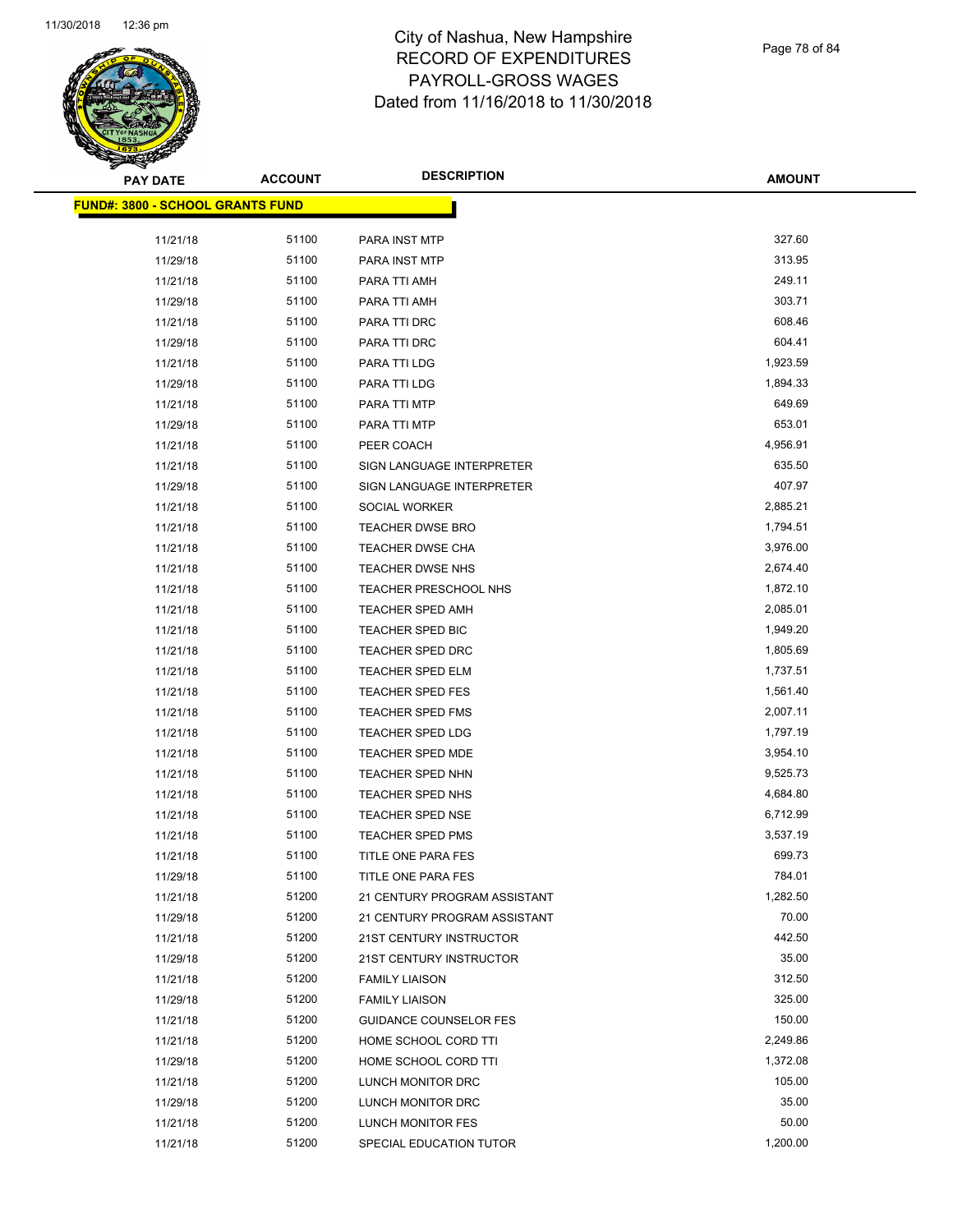

Page 78 of 84

| <b>PAY DATE</b>                         | <b>ACCOUNT</b> | <b>DESCRIPTION</b>            | <b>AMOUNT</b> |
|-----------------------------------------|----------------|-------------------------------|---------------|
| <b>FUND#: 3800 - SCHOOL GRANTS FUND</b> |                |                               |               |
|                                         |                |                               | 327.60        |
| 11/21/18                                | 51100<br>51100 | PARA INST MTP                 | 313.95        |
| 11/29/18                                | 51100          | PARA INST MTP                 | 249.11        |
| 11/21/18                                |                | PARA TTI AMH                  | 303.71        |
| 11/29/18                                | 51100          | PARA TTI AMH                  |               |
| 11/21/18                                | 51100          | PARA TTI DRC                  | 608.46        |
| 11/29/18                                | 51100          | PARA TTI DRC                  | 604.41        |
| 11/21/18                                | 51100          | PARA TTI LDG                  | 1,923.59      |
| 11/29/18                                | 51100          | PARA TTI LDG                  | 1,894.33      |
| 11/21/18                                | 51100          | PARA TTI MTP                  | 649.69        |
| 11/29/18                                | 51100          | PARA TTI MTP                  | 653.01        |
| 11/21/18                                | 51100          | PEER COACH                    | 4,956.91      |
| 11/21/18                                | 51100          | SIGN LANGUAGE INTERPRETER     | 635.50        |
| 11/29/18                                | 51100          | SIGN LANGUAGE INTERPRETER     | 407.97        |
| 11/21/18                                | 51100          | SOCIAL WORKER                 | 2,885.21      |
| 11/21/18                                | 51100          | <b>TEACHER DWSE BRO</b>       | 1,794.51      |
| 11/21/18                                | 51100          | TEACHER DWSE CHA              | 3,976.00      |
| 11/21/18                                | 51100          | <b>TEACHER DWSE NHS</b>       | 2,674.40      |
| 11/21/18                                | 51100          | <b>TEACHER PRESCHOOL NHS</b>  | 1,872.10      |
| 11/21/18                                | 51100          | <b>TEACHER SPED AMH</b>       | 2,085.01      |
| 11/21/18                                | 51100          | TEACHER SPED BIC              | 1,949.20      |
| 11/21/18                                | 51100          | <b>TEACHER SPED DRC</b>       | 1,805.69      |
| 11/21/18                                | 51100          | <b>TEACHER SPED ELM</b>       | 1,737.51      |
| 11/21/18                                | 51100          | TEACHER SPED FES              | 1,561.40      |
| 11/21/18                                | 51100          | <b>TEACHER SPED FMS</b>       | 2,007.11      |
| 11/21/18                                | 51100          | <b>TEACHER SPED LDG</b>       | 1,797.19      |
| 11/21/18                                | 51100          | <b>TEACHER SPED MDE</b>       | 3,954.10      |
| 11/21/18                                | 51100          | <b>TEACHER SPED NHN</b>       | 9,525.73      |
| 11/21/18                                | 51100          | TEACHER SPED NHS              | 4,684.80      |
| 11/21/18                                | 51100          | TEACHER SPED NSE              | 6,712.99      |
| 11/21/18                                | 51100          | <b>TEACHER SPED PMS</b>       | 3,537.19      |
| 11/21/18                                | 51100          | TITLE ONE PARA FES            | 699.73        |
| 11/29/18                                | 51100          | TITLE ONE PARA FES            | 784.01        |
| 11/21/18                                | 51200          | 21 CENTURY PROGRAM ASSISTANT  | 1,282.50      |
| 11/29/18                                | 51200          | 21 CENTURY PROGRAM ASSISTANT  | 70.00         |
| 11/21/18                                | 51200          | 21ST CENTURY INSTRUCTOR       | 442.50        |
| 11/29/18                                | 51200          | 21ST CENTURY INSTRUCTOR       | 35.00         |
| 11/21/18                                | 51200          | <b>FAMILY LIAISON</b>         | 312.50        |
| 11/29/18                                | 51200          | <b>FAMILY LIAISON</b>         | 325.00        |
| 11/21/18                                | 51200          | <b>GUIDANCE COUNSELOR FES</b> | 150.00        |
| 11/21/18                                | 51200          | HOME SCHOOL CORD TTI          | 2,249.86      |
| 11/29/18                                | 51200          | HOME SCHOOL CORD TTI          | 1,372.08      |
| 11/21/18                                | 51200          | LUNCH MONITOR DRC             | 105.00        |
| 11/29/18                                | 51200          | LUNCH MONITOR DRC             | 35.00         |
| 11/21/18                                | 51200          | LUNCH MONITOR FES             | 50.00         |
| 11/21/18                                | 51200          | SPECIAL EDUCATION TUTOR       | 1,200.00      |
|                                         |                |                               |               |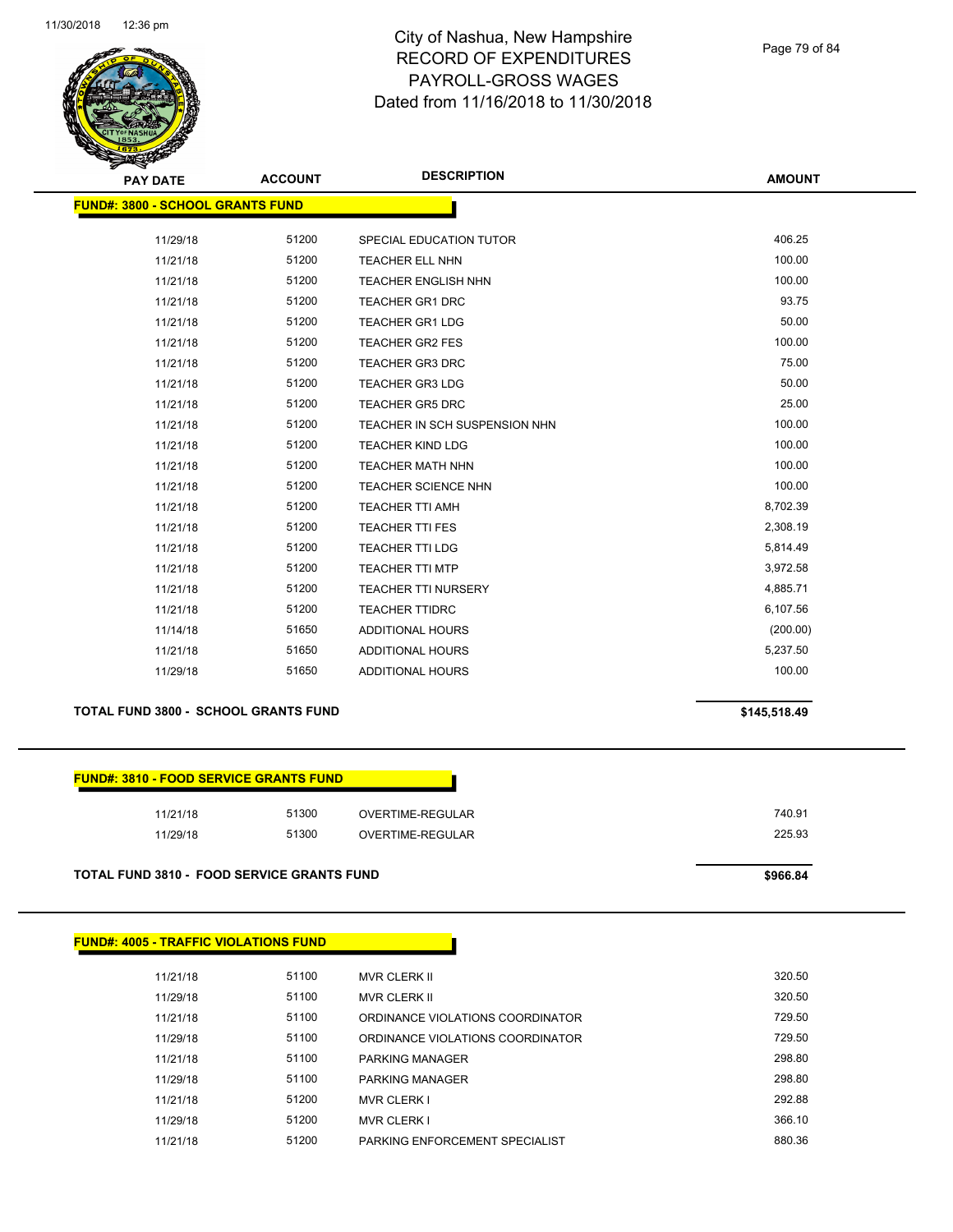

Page 79 of 84

**AMOUNT**

| <b>FUND#: 3800 - SCHOOL GRANTS FUND</b> |       |                               |          |
|-----------------------------------------|-------|-------------------------------|----------|
| 11/29/18                                | 51200 | SPECIAL EDUCATION TUTOR       | 406.25   |
| 11/21/18                                | 51200 | <b>TEACHER ELL NHN</b>        | 100.00   |
| 11/21/18                                | 51200 | <b>TEACHER ENGLISH NHN</b>    | 100.00   |
| 11/21/18                                | 51200 | <b>TEACHER GR1 DRC</b>        | 93.75    |
| 11/21/18                                | 51200 | <b>TEACHER GR1 LDG</b>        | 50.00    |
| 11/21/18                                | 51200 | <b>TEACHER GR2 FES</b>        | 100.00   |
| 11/21/18                                | 51200 | <b>TEACHER GR3 DRC</b>        | 75.00    |
| 11/21/18                                | 51200 | <b>TEACHER GR3 LDG</b>        | 50.00    |
| 11/21/18                                | 51200 | <b>TEACHER GR5 DRC</b>        | 25.00    |
| 11/21/18                                | 51200 | TEACHER IN SCH SUSPENSION NHN | 100.00   |
| 11/21/18                                | 51200 | <b>TEACHER KIND LDG</b>       | 100.00   |
| 11/21/18                                | 51200 | <b>TEACHER MATH NHN</b>       | 100.00   |
| 11/21/18                                | 51200 | <b>TEACHER SCIENCE NHN</b>    | 100.00   |
| 11/21/18                                | 51200 | <b>TEACHER TTI AMH</b>        | 8,702.39 |
| 11/21/18                                | 51200 | <b>TEACHER TTI FES</b>        | 2,308.19 |
| 11/21/18                                | 51200 | <b>TEACHER TTI LDG</b>        | 5,814.49 |
| 11/21/18                                | 51200 | <b>TEACHER TTI MTP</b>        | 3,972.58 |
| 11/21/18                                | 51200 | <b>TEACHER TTI NURSERY</b>    | 4,885.71 |
| 11/21/18                                | 51200 | <b>TEACHER TTIDRC</b>         | 6,107.56 |
| 11/14/18                                | 51650 | ADDITIONAL HOURS              | (200.00) |
| 11/21/18                                | 51650 | ADDITIONAL HOURS              | 5,237.50 |
| 11/29/18                                | 51650 | ADDITIONAL HOURS              | 100.00   |
|                                         |       |                               |          |

## **TOTAL FUND 3800 - SCHOOL GRANTS FUND \$145,518.49**

| <b>FUND#: 3810 - FOOD SERVICE GRANTS FUND</b> |  |
|-----------------------------------------------|--|

| TOTAL FUND 3810 - FOOD SERVICE GRANTS FUND |       |                  | \$966.84 |
|--------------------------------------------|-------|------------------|----------|
| 11/29/18                                   | 51300 | OVERTIME-REGULAR | 225.93   |
| 11/21/18                                   | 51300 | OVERTIME-REGULAR | 740.91   |

Π

| 11/21/18 | 51100 | <b>MVR CLERK II</b>                   | 320.50 |
|----------|-------|---------------------------------------|--------|
| 11/29/18 | 51100 | <b>MVR CLERK II</b>                   | 320.50 |
| 11/21/18 | 51100 | ORDINANCE VIOLATIONS COORDINATOR      | 729.50 |
| 11/29/18 | 51100 | ORDINANCE VIOLATIONS COORDINATOR      | 729.50 |
| 11/21/18 | 51100 | <b>PARKING MANAGER</b>                | 298.80 |
| 11/29/18 | 51100 | <b>PARKING MANAGER</b>                | 298.80 |
| 11/21/18 | 51200 | <b>MVR CLERK I</b>                    | 292.88 |
| 11/29/18 | 51200 | <b>MVR CLERK I</b>                    | 366.10 |
| 11/21/18 | 51200 | <b>PARKING ENFORCEMENT SPECIALIST</b> | 880.36 |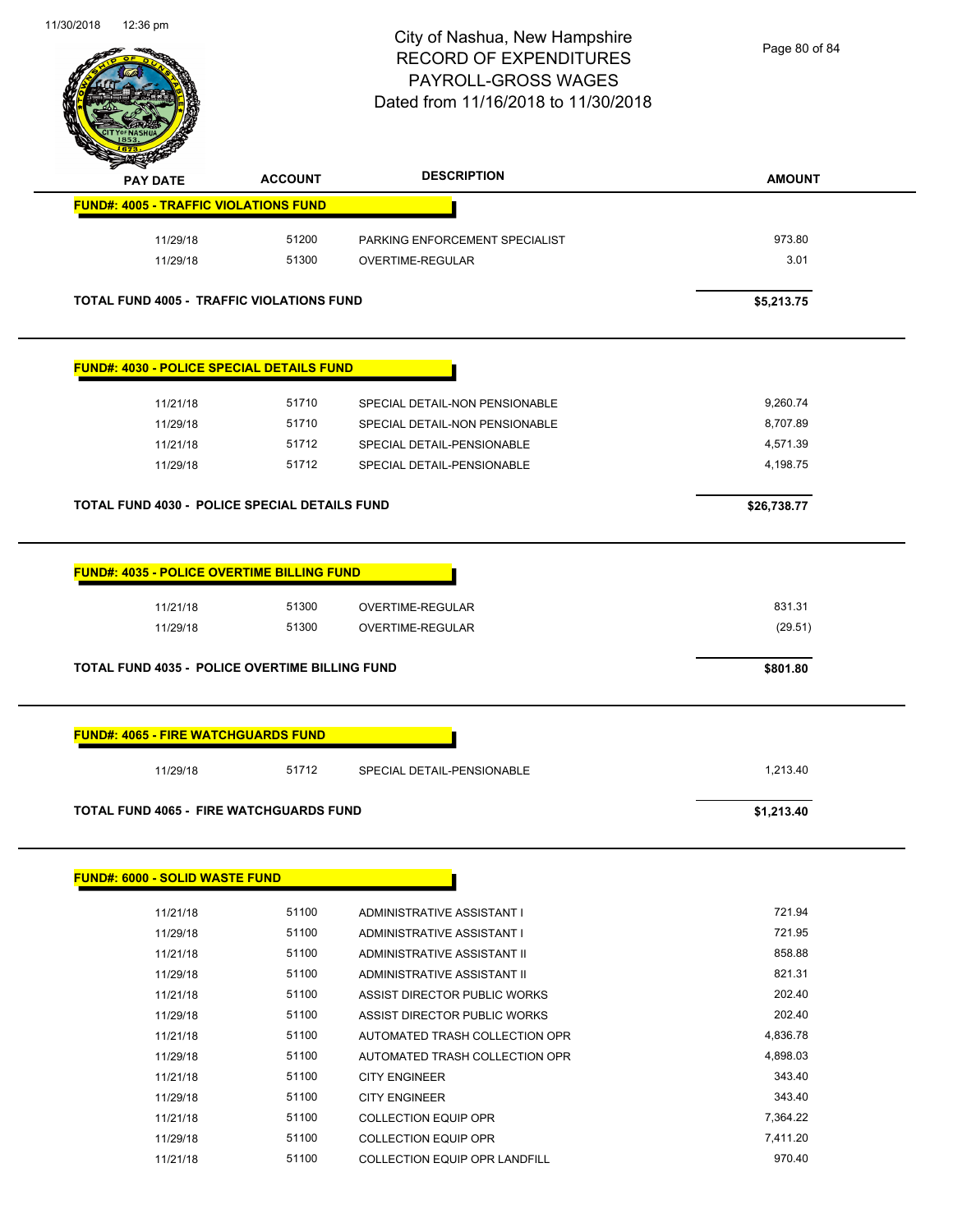

Page 80 of 84

| <b>PAY DATE</b>                                  | <b>ACCOUNT</b> | <b>DESCRIPTION</b>                                         | <b>AMOUNT</b>     |
|--------------------------------------------------|----------------|------------------------------------------------------------|-------------------|
| <b>FUND#: 4005 - TRAFFIC VIOLATIONS FUND</b>     |                |                                                            |                   |
| 11/29/18                                         | 51200          | PARKING ENFORCEMENT SPECIALIST                             | 973.80            |
| 11/29/18                                         | 51300          | OVERTIME-REGULAR                                           | 3.01              |
| <b>TOTAL FUND 4005 - TRAFFIC VIOLATIONS FUND</b> |                |                                                            | \$5,213.75        |
| <b>FUND#: 4030 - POLICE SPECIAL DETAILS FUND</b> |                |                                                            |                   |
| 11/21/18                                         | 51710          | SPECIAL DETAIL-NON PENSIONABLE                             | 9,260.74          |
| 11/29/18                                         | 51710          | SPECIAL DETAIL-NON PENSIONABLE                             | 8,707.89          |
| 11/21/18                                         | 51712          | SPECIAL DETAIL-PENSIONABLE                                 | 4,571.39          |
| 11/29/18                                         | 51712          | SPECIAL DETAIL-PENSIONABLE                                 | 4,198.75          |
| TOTAL FUND 4030 - POLICE SPECIAL DETAILS FUND    |                |                                                            | \$26,738.77       |
| 11/21/18<br>11/29/18                             | 51300<br>51300 | OVERTIME-REGULAR<br>OVERTIME-REGULAR                       | 831.31<br>(29.51) |
| TOTAL FUND 4035 - POLICE OVERTIME BILLING FUND   |                |                                                            | \$801.80          |
| <b>FUND#: 4065 - FIRE WATCHGUARDS FUND</b>       |                |                                                            |                   |
| 11/29/18                                         | 51712          | SPECIAL DETAIL-PENSIONABLE                                 | 1,213.40          |
| <b>TOTAL FUND 4065 - FIRE WATCHGUARDS FUND</b>   |                |                                                            | \$1,213.40        |
| <b>FUND#: 6000 - SOLID WASTE FUND</b>            |                |                                                            |                   |
|                                                  |                |                                                            |                   |
| 11/21/18                                         | 51100<br>51100 | ADMINISTRATIVE ASSISTANT I                                 | 721.94<br>721.95  |
| 11/29/18                                         | 51100          | ADMINISTRATIVE ASSISTANT I                                 | 858.88            |
| 11/21/18                                         | 51100          | ADMINISTRATIVE ASSISTANT II<br>ADMINISTRATIVE ASSISTANT II | 821.31            |
| 11/29/18                                         | 51100          | ASSIST DIRECTOR PUBLIC WORKS                               | 202.40            |
| 11/21/18                                         | 51100          |                                                            | 202.40            |
| 11/29/18                                         |                | ASSIST DIRECTOR PUBLIC WORKS                               |                   |
| 11/21/18                                         | 51100          | AUTOMATED TRASH COLLECTION OPR                             | 4,836.78          |
| 11/29/18                                         | 51100          | AUTOMATED TRASH COLLECTION OPR                             | 4,898.03          |
| 11/21/18                                         | 51100          | <b>CITY ENGINEER</b>                                       | 343.40            |
| 11/29/18                                         | 51100          | <b>CITY ENGINEER</b>                                       | 343.40            |
| 11/21/18                                         | 51100          | <b>COLLECTION EQUIP OPR</b>                                | 7,364.22          |
| 11/29/18                                         | 51100          | <b>COLLECTION EQUIP OPR</b>                                | 7,411.20          |
| 11/21/18                                         | 51100          | COLLECTION EQUIP OPR LANDFILL                              | 970.40            |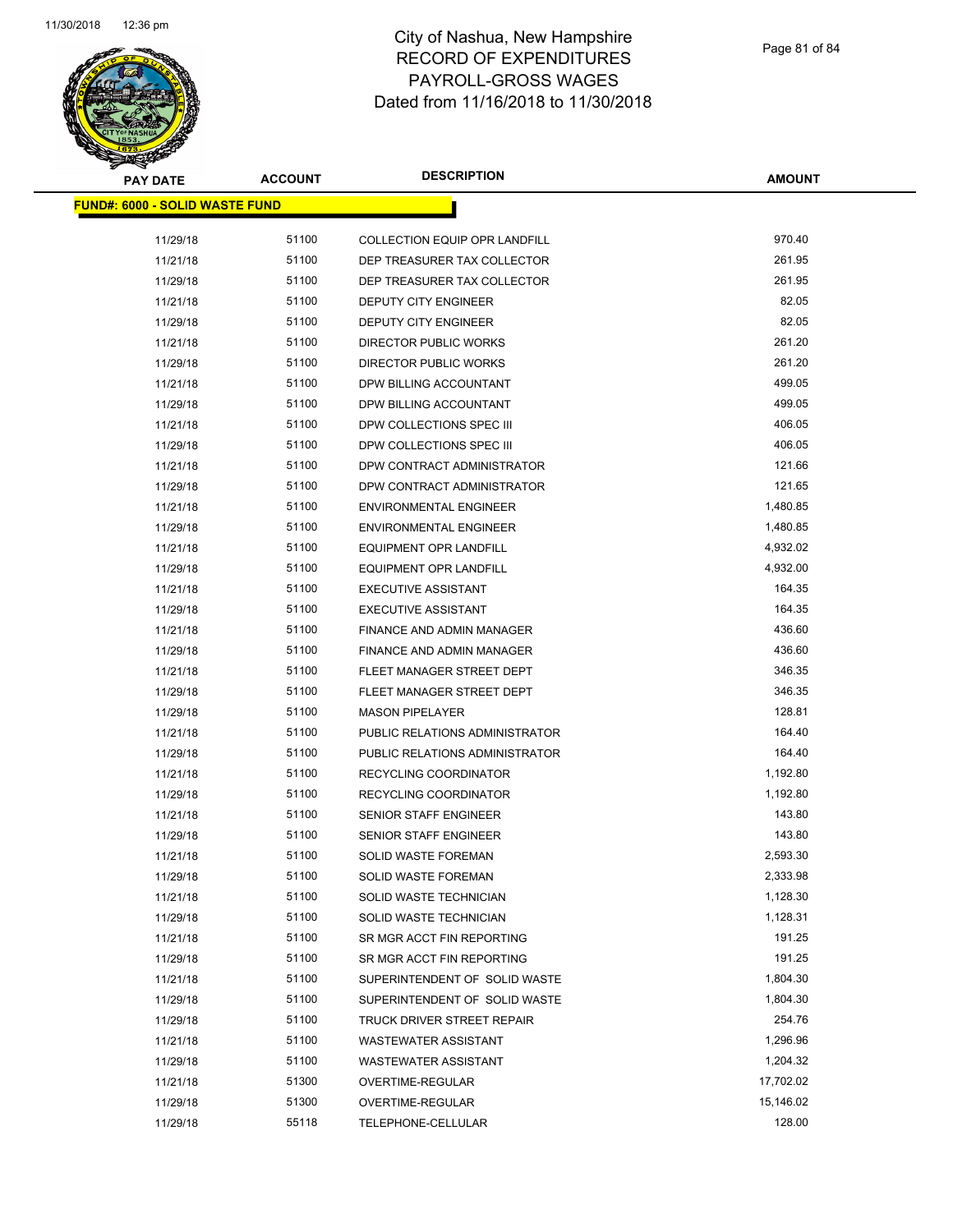

**AMOUNT**

| <u> FUND#: 6000 - SOLID WASTE FUND</u> |       |                                  |           |
|----------------------------------------|-------|----------------------------------|-----------|
| 11/29/18                               | 51100 | COLLECTION EQUIP OPR LANDFILL    | 970.40    |
| 11/21/18                               | 51100 | DEP TREASURER TAX COLLECTOR      | 261.95    |
| 11/29/18                               | 51100 | DEP TREASURER TAX COLLECTOR      | 261.95    |
| 11/21/18                               | 51100 | DEPUTY CITY ENGINEER             | 82.05     |
| 11/29/18                               | 51100 | DEPUTY CITY ENGINEER             | 82.05     |
| 11/21/18                               | 51100 | DIRECTOR PUBLIC WORKS            | 261.20    |
| 11/29/18                               | 51100 | DIRECTOR PUBLIC WORKS            | 261.20    |
| 11/21/18                               | 51100 | DPW BILLING ACCOUNTANT           | 499.05    |
| 11/29/18                               | 51100 | DPW BILLING ACCOUNTANT           | 499.05    |
| 11/21/18                               | 51100 | DPW COLLECTIONS SPEC III         | 406.05    |
| 11/29/18                               | 51100 | DPW COLLECTIONS SPEC III         | 406.05    |
| 11/21/18                               | 51100 | DPW CONTRACT ADMINISTRATOR       | 121.66    |
| 11/29/18                               | 51100 | DPW CONTRACT ADMINISTRATOR       | 121.65    |
| 11/21/18                               | 51100 | <b>ENVIRONMENTAL ENGINEER</b>    | 1,480.85  |
| 11/29/18                               | 51100 | <b>ENVIRONMENTAL ENGINEER</b>    | 1,480.85  |
| 11/21/18                               | 51100 | <b>EQUIPMENT OPR LANDFILL</b>    | 4,932.02  |
| 11/29/18                               | 51100 | <b>EQUIPMENT OPR LANDFILL</b>    | 4,932.00  |
| 11/21/18                               | 51100 | <b>EXECUTIVE ASSISTANT</b>       | 164.35    |
| 11/29/18                               | 51100 | <b>EXECUTIVE ASSISTANT</b>       | 164.35    |
| 11/21/18                               | 51100 | <b>FINANCE AND ADMIN MANAGER</b> | 436.60    |
| 11/29/18                               | 51100 | FINANCE AND ADMIN MANAGER        | 436.60    |
| 11/21/18                               | 51100 | FLEET MANAGER STREET DEPT        | 346.35    |
| 11/29/18                               | 51100 | FLEET MANAGER STREET DEPT        | 346.35    |
| 11/29/18                               | 51100 | <b>MASON PIPELAYER</b>           | 128.81    |
| 11/21/18                               | 51100 | PUBLIC RELATIONS ADMINISTRATOR   | 164.40    |
| 11/29/18                               | 51100 | PUBLIC RELATIONS ADMINISTRATOR   | 164.40    |
| 11/21/18                               | 51100 | RECYCLING COORDINATOR            | 1,192.80  |
| 11/29/18                               | 51100 | RECYCLING COORDINATOR            | 1,192.80  |
| 11/21/18                               | 51100 | <b>SENIOR STAFF ENGINEER</b>     | 143.80    |
| 11/29/18                               | 51100 | <b>SENIOR STAFF ENGINEER</b>     | 143.80    |
| 11/21/18                               | 51100 | <b>SOLID WASTE FOREMAN</b>       | 2,593.30  |
| 11/29/18                               | 51100 | SOLID WASTE FOREMAN              | 2,333.98  |
| 11/21/18                               | 51100 | SOLID WASTE TECHNICIAN           | 1,128.30  |
| 11/29/18                               | 51100 | SOLID WASTE TECHNICIAN           | 1,128.31  |
| 11/21/18                               | 51100 | SR MGR ACCT FIN REPORTING        | 191.25    |
| 11/29/18                               | 51100 | SR MGR ACCT FIN REPORTING        | 191.25    |
| 11/21/18                               | 51100 | SUPERINTENDENT OF SOLID WASTE    | 1,804.30  |
| 11/29/18                               | 51100 | SUPERINTENDENT OF SOLID WASTE    | 1,804.30  |
| 11/29/18                               | 51100 | TRUCK DRIVER STREET REPAIR       | 254.76    |
| 11/21/18                               | 51100 | WASTEWATER ASSISTANT             | 1,296.96  |
| 11/29/18                               | 51100 | <b>WASTEWATER ASSISTANT</b>      | 1,204.32  |
| 11/21/18                               | 51300 | OVERTIME-REGULAR                 | 17,702.02 |
| 11/29/18                               | 51300 | OVERTIME-REGULAR                 | 15,146.02 |
| 11/29/18                               | 55118 | TELEPHONE-CELLULAR               | 128.00    |
|                                        |       |                                  |           |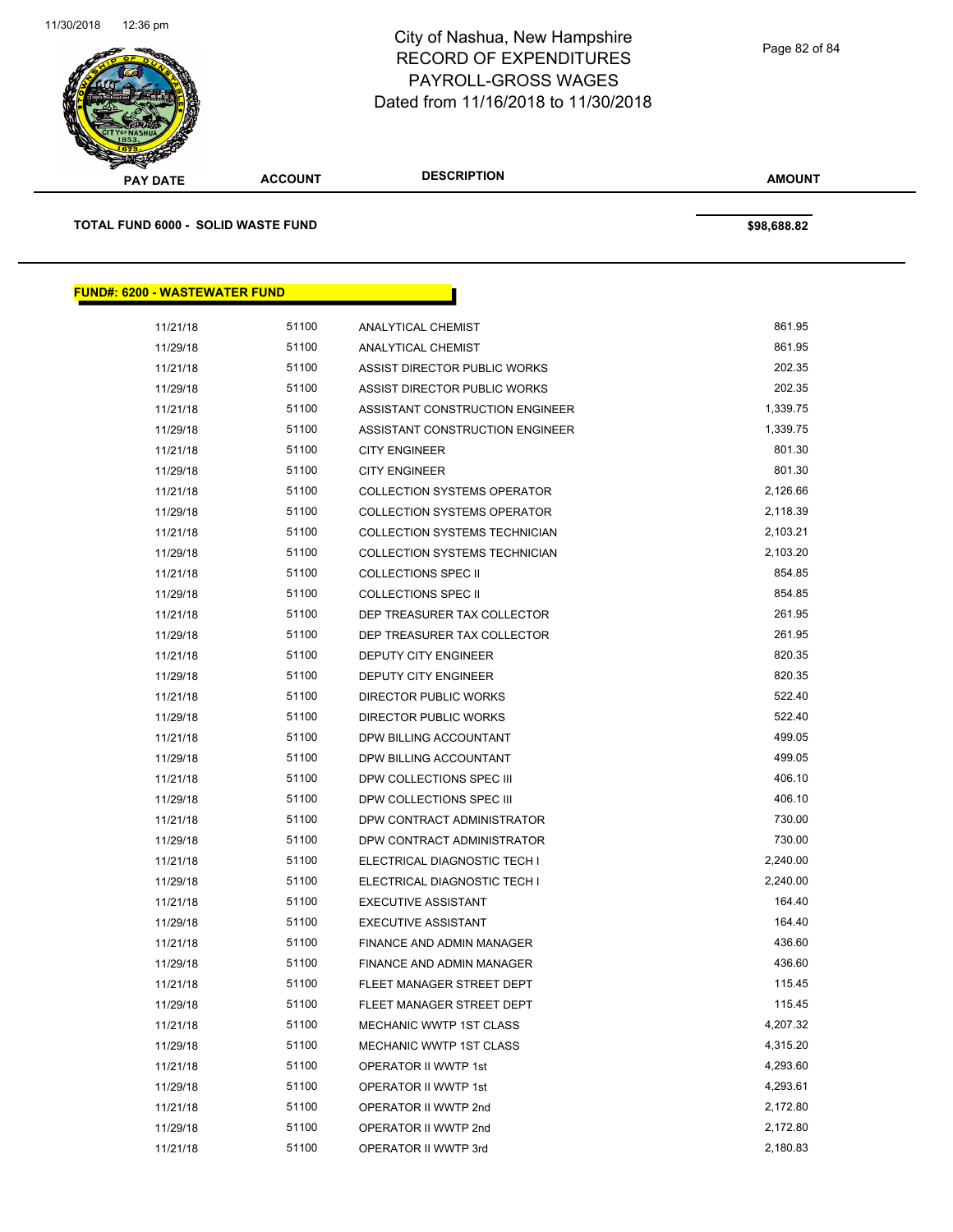

**AMOUNT PAY DATE ACCOUNT DESCRIPTION TOTAL FUND 6000 - SOLID WASTE FUND \$98,688.82 FUND#: 6200 - WASTEWATER FUND** 11/21/18 51100 ANALYTICAL CHEMIST 861.95 11/29/18 51100 ANALYTICAL CHEMIST 861.95 11/21/18 51100 ASSIST DIRECTOR PUBLIC WORKS 202.35 11/29/18 51100 ASSIST DIRECTOR PUBLIC WORKS 202.35 11/21/18 51100 ASSISTANT CONSTRUCTION ENGINEER 1,339.75 11/29/18 51100 ASSISTANT CONSTRUCTION ENGINEER 1,339.75 11/21/18 51100 CITY ENGINEER 801.30 11/29/18 51100 CITY ENGINEER 801.30 11/21/18 51100 COLLECTION SYSTEMS OPERATOR 2,126.66 11/29/18 51100 COLLECTION SYSTEMS OPERATOR 2,118.39 11/21/18 51100 COLLECTION SYSTEMS TECHNICIAN 2,103.21 11/29/18 51100 COLLECTION SYSTEMS TECHNICIAN 2,103.20 11/21/18 51100 COLLECTIONS SPEC II 854.85 11/29/18 51100 COLLECTIONS SPEC II 854.85 11/21/18 51100 DEP TREASURER TAX COLLECTOR 261.95 11/29/18 51100 DEP TREASURER TAX COLLECTOR 261.95 11/21/18 51100 DEPUTY CITY ENGINEER 820.35 11/29/18 51100 DEPUTY CITY ENGINEER 820.35 11/21/18 51100 DIRECTOR PUBLIC WORKS 522.40 11/29/18 522.40 51100 DIRECTOR PUBLIC WORKS 522.40 11/21/18 51100 DPW BILLING ACCOUNTANT 499.05 11/29/18 51100 DPW BILLING ACCOUNTANT 499.05 11/21/18 51100 DPW COLLECTIONS SPEC III 406.10 11/29/18 51100 DPW COLLECTIONS SPEC III 406.10 11/21/18 51100 DPW CONTRACT ADMINISTRATOR 730.00 11/29/18 51100 DPW CONTRACT ADMINISTRATOR 730.00 11/21/18 51100 ELECTRICAL DIAGNOSTIC TECH I 2,240.00 11/29/18 51100 ELECTRICAL DIAGNOSTIC TECH I 2,240.00 11/21/18 51100 EXECUTIVE ASSISTANT 164.40 11/29/18 51100 EXECUTIVE ASSISTANT 164.40 11/21/18 51100 FINANCE AND ADMIN MANAGER 436.60 11/29/18 51100 FINANCE AND ADMIN MANAGER 436.60 11/21/18 51100 FLEET MANAGER STREET DEPT 6 115.45 11/29/18 51100 FLEET MANAGER STREET DEPT **115.45** 11/21/18 51100 MECHANIC WWTP 1ST CLASS 4,207.32

> 11/29/18 51100 MECHANIC WWTP 1ST CLASS 6 4,315.20 11/21/18 51100 OPERATOR II WWTP 1st 4,293.60 11/29/18 51100 OPERATOR II WWTP 1st 4,293.61 11/21/18 51100 OPERATOR II WWTP 2nd 2,172.80 11/29/18 51100 OPERATOR II WWTP 2nd 2,172.80 11/21/18 51100 OPERATOR II WWTP 3rd 2,180.83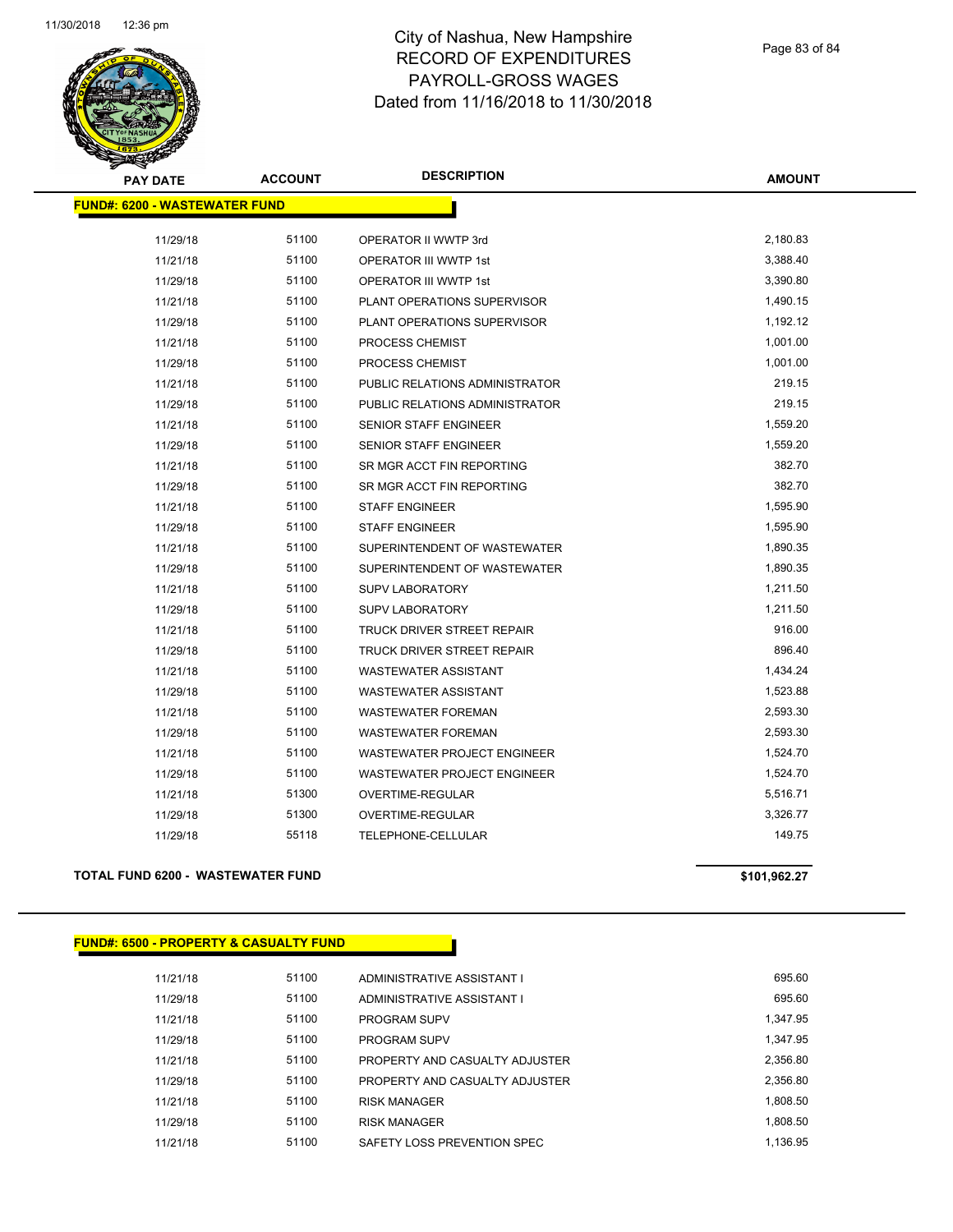

| <b>PAY DATE</b>                      | <b>ACCOUNT</b> | <b>DESCRIPTION</b>                 | <b>AMOUNT</b> |
|--------------------------------------|----------------|------------------------------------|---------------|
| <b>FUND#: 6200 - WASTEWATER FUND</b> |                |                                    |               |
| 11/29/18                             | 51100          | OPERATOR II WWTP 3rd               | 2,180.83      |
| 11/21/18                             | 51100          | <b>OPERATOR III WWTP 1st</b>       | 3,388.40      |
| 11/29/18                             | 51100          | <b>OPERATOR III WWTP 1st</b>       | 3,390.80      |
| 11/21/18                             | 51100          | PLANT OPERATIONS SUPERVISOR        | 1,490.15      |
| 11/29/18                             | 51100          | PLANT OPERATIONS SUPERVISOR        | 1,192.12      |
| 11/21/18                             | 51100          | PROCESS CHEMIST                    | 1,001.00      |
| 11/29/18                             | 51100          | PROCESS CHEMIST                    | 1,001.00      |
| 11/21/18                             | 51100          | PUBLIC RELATIONS ADMINISTRATOR     | 219.15        |
| 11/29/18                             | 51100          | PUBLIC RELATIONS ADMINISTRATOR     | 219.15        |
| 11/21/18                             | 51100          | SENIOR STAFF ENGINEER              | 1,559.20      |
| 11/29/18                             | 51100          | <b>SENIOR STAFF ENGINEER</b>       | 1,559.20      |
| 11/21/18                             | 51100          | SR MGR ACCT FIN REPORTING          | 382.70        |
| 11/29/18                             | 51100          | SR MGR ACCT FIN REPORTING          | 382.70        |
| 11/21/18                             | 51100          | <b>STAFF ENGINEER</b>              | 1,595.90      |
| 11/29/18                             | 51100          | <b>STAFF ENGINEER</b>              | 1,595.90      |
| 11/21/18                             | 51100          | SUPERINTENDENT OF WASTEWATER       | 1,890.35      |
| 11/29/18                             | 51100          | SUPERINTENDENT OF WASTEWATER       | 1,890.35      |
| 11/21/18                             | 51100          | <b>SUPV LABORATORY</b>             | 1,211.50      |
| 11/29/18                             | 51100          | <b>SUPV LABORATORY</b>             | 1,211.50      |
| 11/21/18                             | 51100          | TRUCK DRIVER STREET REPAIR         | 916.00        |
| 11/29/18                             | 51100          | TRUCK DRIVER STREET REPAIR         | 896.40        |
| 11/21/18                             | 51100          | <b>WASTEWATER ASSISTANT</b>        | 1,434.24      |
| 11/29/18                             | 51100          | <b>WASTEWATER ASSISTANT</b>        | 1,523.88      |
| 11/21/18                             | 51100          | <b>WASTEWATER FOREMAN</b>          | 2,593.30      |
| 11/29/18                             | 51100          | <b>WASTEWATER FOREMAN</b>          | 2,593.30      |
| 11/21/18                             | 51100          | <b>WASTEWATER PROJECT ENGINEER</b> | 1,524.70      |
| 11/29/18                             | 51100          | <b>WASTEWATER PROJECT ENGINEER</b> | 1,524.70      |
| 11/21/18                             | 51300          | OVERTIME-REGULAR                   | 5,516.71      |
| 11/29/18                             | 51300          | OVERTIME-REGULAR                   | 3,326.77      |
| 11/29/18                             | 55118          | TELEPHONE-CELLULAR                 | 149.75        |
|                                      |                |                                    |               |

## **TOTAL FUND 6200 - WASTEWATER FUND \$101,962.27**

| <b>FUND#: 6500 - PROPERTY &amp; CASUALTY FUND</b> |
|---------------------------------------------------|
|---------------------------------------------------|

| 11/21/18 | 51100 | ADMINISTRATIVE ASSISTANT I     | 695.60   |
|----------|-------|--------------------------------|----------|
| 11/29/18 | 51100 | ADMINISTRATIVE ASSISTANT I     | 695.60   |
| 11/21/18 | 51100 | <b>PROGRAM SUPV</b>            | 1.347.95 |
| 11/29/18 | 51100 | <b>PROGRAM SUPV</b>            | 1.347.95 |
| 11/21/18 | 51100 | PROPERTY AND CASUALTY ADJUSTER | 2.356.80 |
| 11/29/18 | 51100 | PROPERTY AND CASUALTY ADJUSTER | 2,356.80 |
| 11/21/18 | 51100 | <b>RISK MANAGER</b>            | 1,808.50 |
| 11/29/18 | 51100 | <b>RISK MANAGER</b>            | 1.808.50 |
| 11/21/18 | 51100 | SAFETY LOSS PREVENTION SPEC    | 1.136.95 |